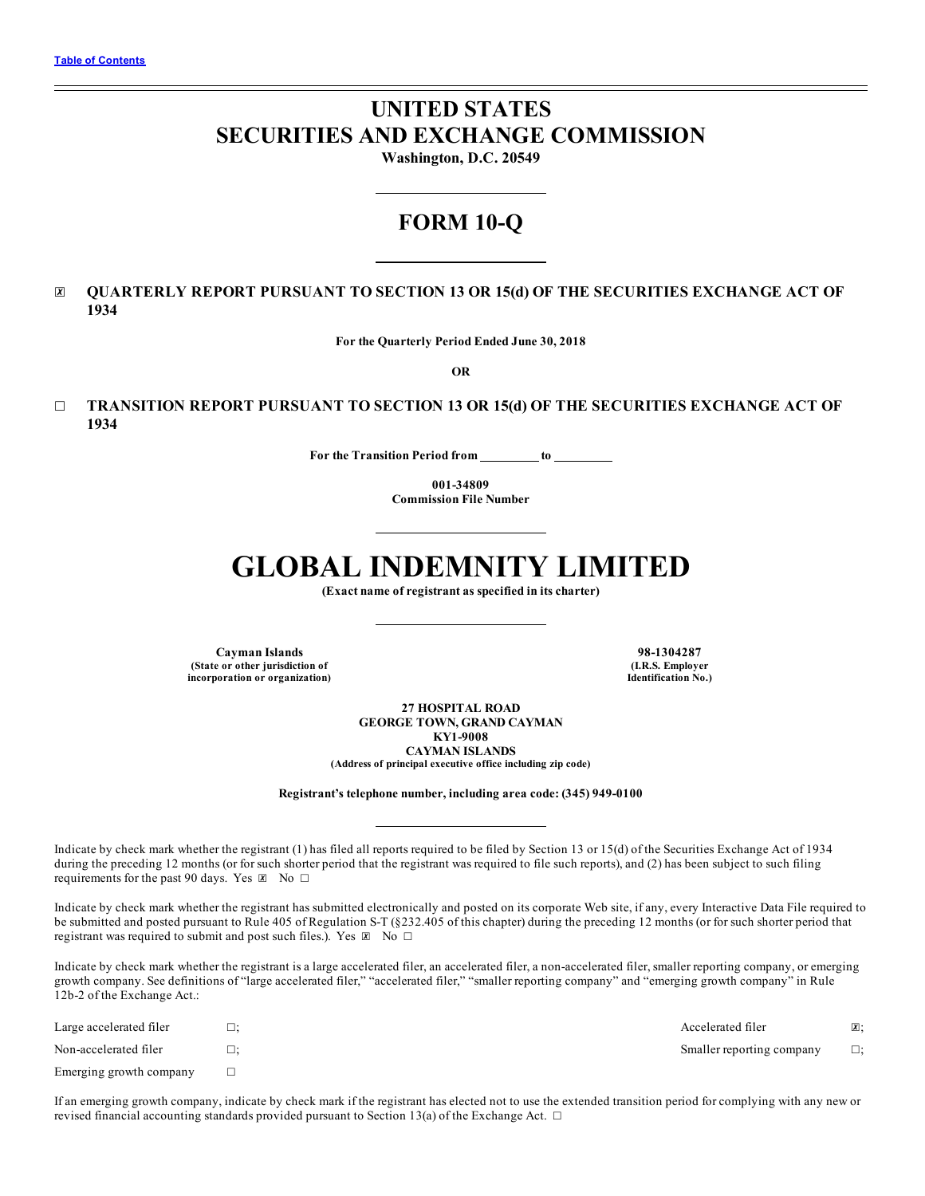# **UNITED STATES SECURITIES AND EXCHANGE COMMISSION**

**Washington, D.C. 20549**

## **FORM 10-Q**

### ☒ **QUARTERLY REPORT PURSUANT TO SECTION 13 OR 15(d) OF THE SECURITIES EXCHANGE ACT OF 1934**

**For the Quarterly Period Ended June 30, 2018**

**OR**

☐ **TRANSITION REPORT PURSUANT TO SECTION 13 OR 15(d) OF THE SECURITIES EXCHANGE ACT OF 1934**

**For the Transition Period from to**

**001-34809 Commission File Number**

# **GLOBAL INDEMNITY LIMITED**

**(Exact name of registrant as specified in its charter)**

**Cayman Islands 98-1304287 (State or other jurisdiction of incorporation or organization)**

**(I.R.S. Employer Identification No.)**

**27 HOSPITAL ROAD GEORGE TOWN, GRAND CAYMAN KY1-9008 CAYMAN ISLANDS (Address of principal executive office including zip code)**

**Registrant's telephone number, including area code: (345) 949-0100**

Indicate by check mark whether the registrant (1) has filed all reports required to be filed by Section 13 or 15(d) of the Securities Exchange Act of 1934 during the preceding 12 months (or for such shorter period that the registrant was required to file such reports), and (2) has been subject to such filing requirements for the past 90 days. Yes  $\boxtimes$  No  $\Box$ 

Indicate by check mark whether the registrant has submitted electronically and posted on its corporate Web site, if any, every Interactive Data File required to be submitted and posted pursuant to Rule 405 of Regulation S-T (§232.405 of this chapter) during the preceding 12 months (or for such shorter period that registrant was required to submit and post such files.). Yes  $\boxtimes$  No  $\Box$ 

Indicate by check mark whether the registrant is a large accelerated filer, an accelerated filer, a non-accelerated filer, smaller reporting company, or emerging growth company. See definitions of "large accelerated filer," "accelerated filer," "smaller reporting company" and "emerging growth company" in Rule 12b-2 of the Exchange Act.:

| Large accelerated filer | Accelerated filer         | $\mathbb{Z}$ : |
|-------------------------|---------------------------|----------------|
| Non-accelerated filer   | Smaller reporting company | $\Box$ :       |
| Emerging growth company |                           |                |

If an emerging growth company, indicate by check mark if the registrant has elected not to use the extended transition period for complying with any new or revised financial accounting standards provided pursuant to Section 13(a) of the Exchange Act.  $\Box$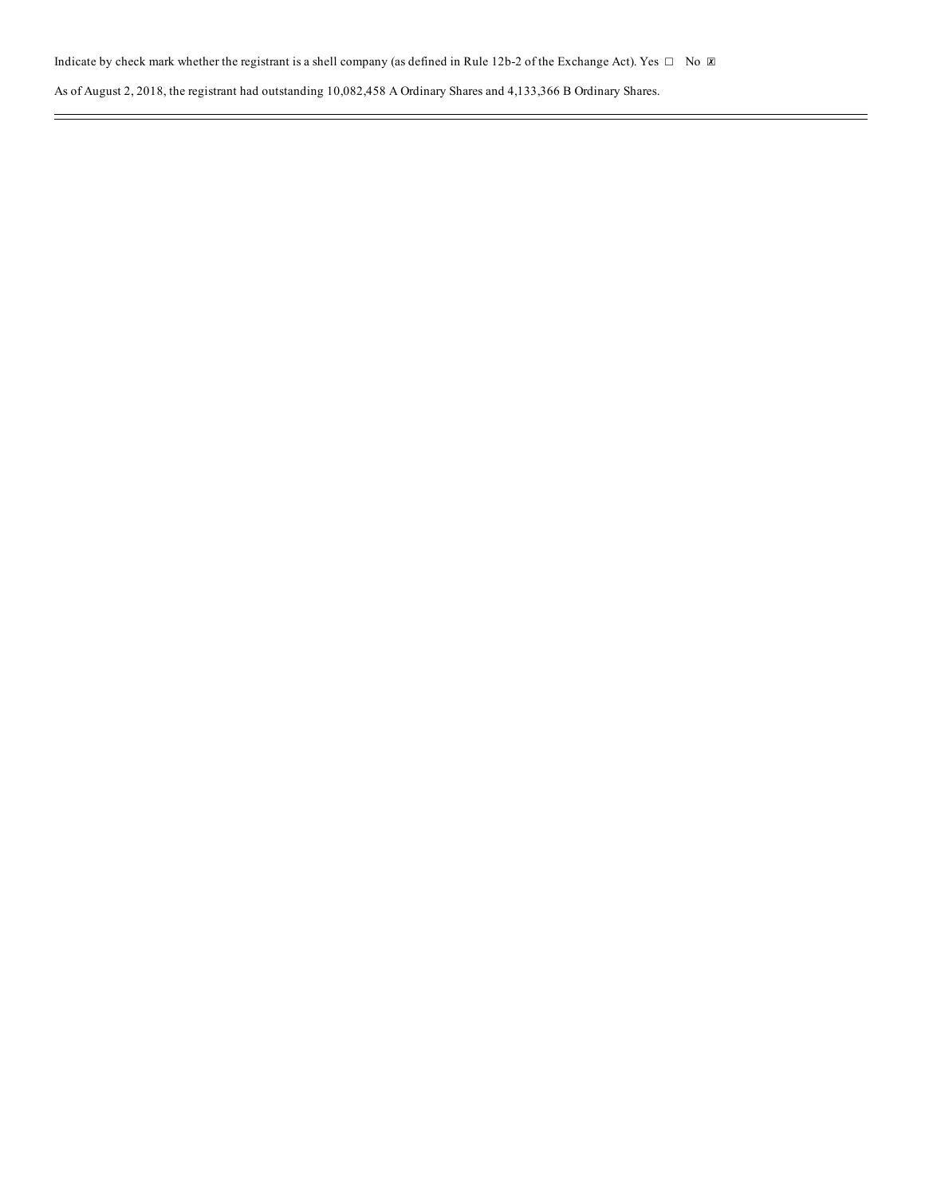As of August 2, 2018, the registrant had outstanding 10,082,458 A Ordinary Shares and 4,133,366 B Ordinary Shares.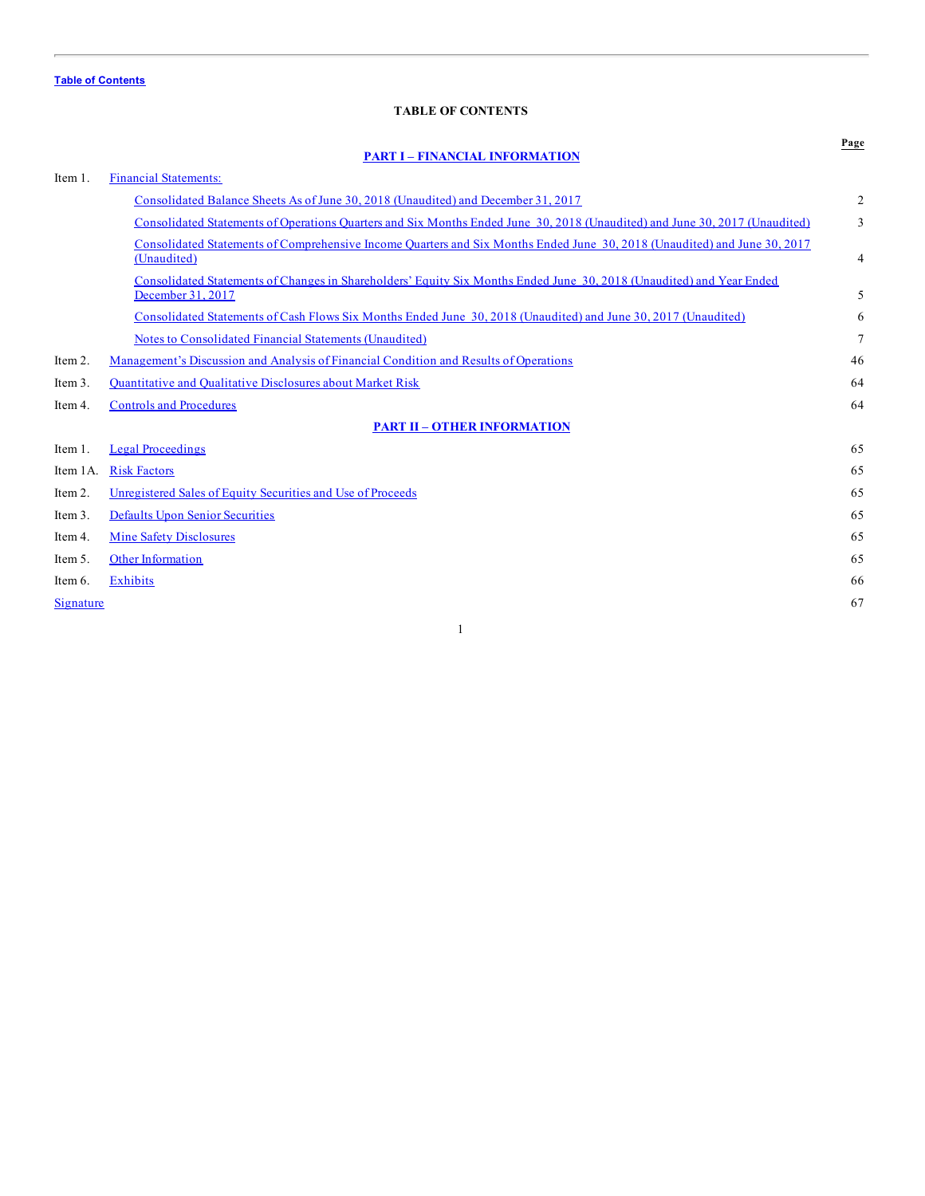### **TABLE OF CONTENTS**

### **PART I – FINANCIAL [INFORMATION](#page-3-0)**

### **Page**

<span id="page-2-0"></span>

| Item 1.   | <b>Financial Statements:</b>                                                                                                              |    |
|-----------|-------------------------------------------------------------------------------------------------------------------------------------------|----|
|           | Consolidated Balance Sheets As of June 30, 2018 (Unaudited) and December 31, 2017                                                         | 2  |
|           | Consolidated Statements of Operations Quarters and Six Months Ended June 30, 2018 (Unaudited) and June 30, 2017 (Unaudited)               | 3  |
|           | Consolidated Statements of Comprehensive Income Quarters and Six Months Ended June 30, 2018 (Unaudited) and June 30, 2017<br>(Unaudited)  | 4  |
|           | Consolidated Statements of Changes in Shareholders' Equity Six Months Ended June 30, 2018 (Unaudited) and Year Ended<br>December 31, 2017 | 5  |
|           | Consolidated Statements of Cash Flows Six Months Ended June 30, 2018 (Unaudited) and June 30, 2017 (Unaudited)                            | 6  |
|           | Notes to Consolidated Financial Statements (Unaudited)                                                                                    | 7  |
| Item 2.   | Management's Discussion and Analysis of Financial Condition and Results of Operations                                                     | 46 |
| Item 3.   | <b>Quantitative and Qualitative Disclosures about Market Risk</b>                                                                         | 64 |
| Item 4.   | <b>Controls and Procedures</b>                                                                                                            | 64 |
|           | <b>PART II - OTHER INFORMATION</b>                                                                                                        |    |
| Item 1.   | <b>Legal Proceedings</b>                                                                                                                  | 65 |
| Item 1A.  | <b>Risk Factors</b>                                                                                                                       | 65 |
| Item 2.   | Unregistered Sales of Equity Securities and Use of Proceeds                                                                               | 65 |
| Item 3.   | <b>Defaults Upon Senior Securities</b>                                                                                                    | 65 |
| Item 4.   | <b>Mine Safety Disclosures</b>                                                                                                            | 65 |
| Item 5.   | Other Information                                                                                                                         | 65 |
| Item 6.   | <b>Exhibits</b>                                                                                                                           | 66 |
| Signature |                                                                                                                                           | 67 |
|           |                                                                                                                                           |    |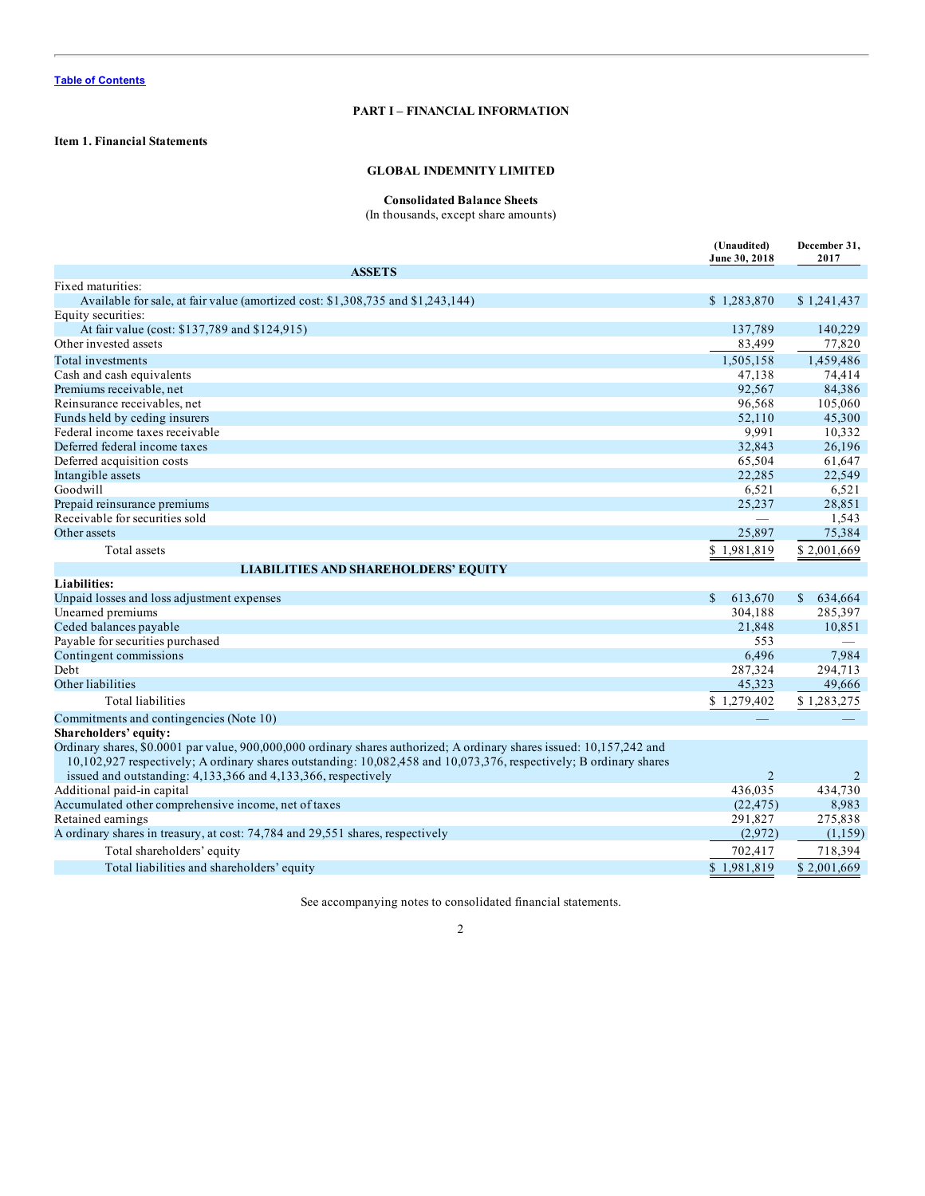### **PART I – FINANCIAL INFORMATION**

### <span id="page-3-0"></span>**Item 1. Financial Statements**

### **GLOBAL INDEMNITY LIMITED**

### **Consolidated Balance Sheets**

(In thousands, except share amounts)

|                                                                                                                                                                                                                                             | (Unaudited)<br>June 30, 2018 | December 31,<br>2017    |
|---------------------------------------------------------------------------------------------------------------------------------------------------------------------------------------------------------------------------------------------|------------------------------|-------------------------|
| <b>ASSETS</b>                                                                                                                                                                                                                               |                              |                         |
| Fixed maturities:                                                                                                                                                                                                                           |                              |                         |
| Available for sale, at fair value (amortized cost: \$1,308,735 and \$1,243,144)                                                                                                                                                             | \$1,283,870                  | \$1,241,437             |
| Equity securities:                                                                                                                                                                                                                          |                              |                         |
| At fair value (cost: \$137,789 and \$124,915)                                                                                                                                                                                               | 137,789                      | 140,229                 |
| Other invested assets                                                                                                                                                                                                                       | 83,499                       | 77,820                  |
| Total investments                                                                                                                                                                                                                           | 1,505,158                    | 1,459,486               |
| Cash and cash equivalents                                                                                                                                                                                                                   | 47,138                       | 74,414                  |
| Premiums receivable, net                                                                                                                                                                                                                    | 92,567                       | 84,386                  |
| Reinsurance receivables, net                                                                                                                                                                                                                | 96,568                       | 105,060                 |
| Funds held by ceding insurers                                                                                                                                                                                                               | 52,110                       | 45,300                  |
| Federal income taxes receivable                                                                                                                                                                                                             | 9,991                        | 10,332                  |
| Deferred federal income taxes                                                                                                                                                                                                               | 32,843                       | 26,196                  |
| Deferred acquisition costs                                                                                                                                                                                                                  | 65,504                       | 61,647                  |
| Intangible assets                                                                                                                                                                                                                           | 22,285                       | 22,549                  |
| Goodwill                                                                                                                                                                                                                                    | 6,521                        | 6,521                   |
| Prepaid reinsurance premiums                                                                                                                                                                                                                | 25,237                       | 28,851                  |
| Receivable for securities sold                                                                                                                                                                                                              |                              | 1,543                   |
| Other assets                                                                                                                                                                                                                                | 25,897                       | 75,384                  |
| Total assets                                                                                                                                                                                                                                | \$1,981,819                  | \$2,001,669             |
| <b>LIABILITIES AND SHAREHOLDERS' EQUITY</b>                                                                                                                                                                                                 |                              |                         |
| Liabilities:                                                                                                                                                                                                                                |                              |                         |
| Unpaid losses and loss adjustment expenses                                                                                                                                                                                                  | $\mathbf S$<br>613,670       | $\mathbb{S}$<br>634,664 |
| Unearned premiums                                                                                                                                                                                                                           | 304,188                      | 285,397                 |
| Ceded balances payable                                                                                                                                                                                                                      | 21,848                       | 10,851                  |
| Payable for securities purchased                                                                                                                                                                                                            | 553                          |                         |
| Contingent commissions                                                                                                                                                                                                                      | 6,496                        | 7,984                   |
| Debt                                                                                                                                                                                                                                        | 287,324                      | 294,713                 |
| Other liabilities                                                                                                                                                                                                                           | 45,323                       | 49,666                  |
| Total liabilities                                                                                                                                                                                                                           | \$1,279,402                  | \$1,283,275             |
| Commitments and contingencies (Note 10)                                                                                                                                                                                                     |                              |                         |
| Shareholders' equity:                                                                                                                                                                                                                       |                              |                         |
| Ordinary shares, \$0.0001 par value, 900,000,000 ordinary shares authorized; A ordinary shares issued: 10,157,242 and<br>10,102,927 respectively; A ordinary shares outstanding: 10,082,458 and 10,073,376, respectively; B ordinary shares |                              |                         |
| issued and outstanding: 4,133,366 and 4,133,366, respectively                                                                                                                                                                               | $\overline{2}$               | 2                       |
| Additional paid-in capital                                                                                                                                                                                                                  | 436,035                      | 434,730                 |
| Accumulated other comprehensive income, net of taxes                                                                                                                                                                                        | (22, 475)                    | 8,983                   |
| Retained earnings                                                                                                                                                                                                                           | 291,827                      | 275,838                 |
| A ordinary shares in treasury, at cost: 74,784 and 29,551 shares, respectively                                                                                                                                                              | (2,972)                      | (1,159)                 |
| Total shareholders' equity                                                                                                                                                                                                                  | 702,417                      | 718,394                 |
| Total liabilities and shareholders' equity                                                                                                                                                                                                  | \$1,981,819                  | \$2,001,669             |
|                                                                                                                                                                                                                                             |                              |                         |

See accompanying notes to consolidated financial statements.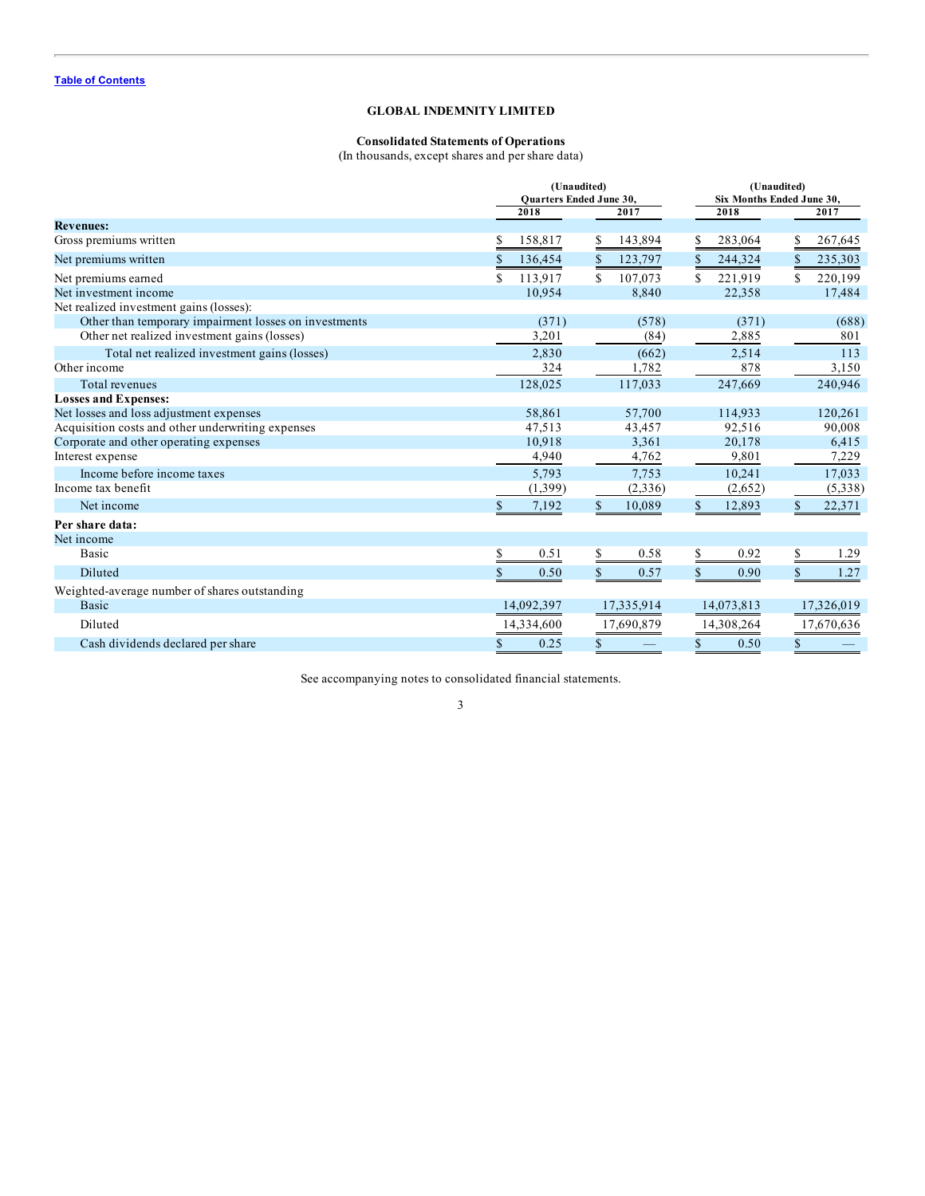### **Consolidated Statements of Operations**

(In thousands, except shares and per share data)

<span id="page-4-0"></span>

|                                                       |    | (Unaudited)<br><b>Ouarters Ended June 30,</b> |              |            |     | (Unaudited)<br>Six Months Ended June 30, |              |            |  |
|-------------------------------------------------------|----|-----------------------------------------------|--------------|------------|-----|------------------------------------------|--------------|------------|--|
|                                                       |    | 2018                                          |              | 2017       |     | 2018                                     |              | 2017       |  |
| <b>Revenues:</b>                                      |    |                                               |              |            |     |                                          |              |            |  |
| Gross premiums written                                |    | 158,817                                       | S            | 143,894    |     | 283,064                                  | \$           | 267,645    |  |
| Net premiums written                                  | \$ | 136,454                                       | $\mathbb{S}$ | 123,797    |     | 244,324                                  | \$           | 235,303    |  |
| Net premiums earned                                   | \$ | 113,917                                       | \$           | 107,073    | \$  | 221,919                                  | \$           | 220,199    |  |
| Net investment income                                 |    | 10,954                                        |              | 8,840      |     | 22,358                                   |              | 17,484     |  |
| Net realized investment gains (losses):               |    |                                               |              |            |     |                                          |              |            |  |
| Other than temporary impairment losses on investments |    | (371)                                         |              | (578)      |     | (371)                                    |              | (688)      |  |
| Other net realized investment gains (losses)          |    | 3,201                                         |              | (84)       |     | 2,885                                    |              | 801        |  |
| Total net realized investment gains (losses)          |    | 2,830                                         |              | (662)      |     | 2,514                                    |              | 113        |  |
| Other income                                          |    | 324                                           |              | 1,782      |     | 878                                      |              | 3,150      |  |
| Total revenues                                        |    | 128,025                                       |              | 117,033    |     | 247,669                                  |              | 240,946    |  |
| <b>Losses and Expenses:</b>                           |    |                                               |              |            |     |                                          |              |            |  |
| Net losses and loss adjustment expenses               |    | 58,861                                        |              | 57,700     |     | 114,933                                  |              | 120,261    |  |
| Acquisition costs and other underwriting expenses     |    | 47,513                                        |              | 43,457     |     | 92,516                                   |              | 90,008     |  |
| Corporate and other operating expenses                |    | 10,918                                        |              | 3,361      |     | 20,178                                   |              | 6,415      |  |
| Interest expense                                      |    | 4,940                                         |              | 4,762      |     | 9,801                                    |              | 7,229      |  |
| Income before income taxes                            |    | 5,793                                         |              | 7,753      |     | 10,241                                   |              | 17,033     |  |
| Income tax benefit                                    |    | (1, 399)                                      |              | (2,336)    |     | (2,652)                                  |              | (5,338)    |  |
| Net income                                            | \$ | 7,192                                         | $\mathbb{S}$ | 10,089     | \$. | 12,893                                   | $\mathbb{S}$ | 22,371     |  |
| Per share data:                                       |    |                                               |              |            |     |                                          |              |            |  |
| Net income                                            |    |                                               |              |            |     |                                          |              |            |  |
| <b>Basic</b>                                          | S  | 0.51                                          | \$           | 0.58       | \$  | 0.92                                     | \$           | 1.29       |  |
| Diluted                                               |    | 0.50                                          | $\mathbb{S}$ | 0.57       | \$  | 0.90                                     | \$           | 1.27       |  |
| Weighted-average number of shares outstanding         |    |                                               |              |            |     |                                          |              |            |  |
| <b>Basic</b>                                          |    | 14,092,397                                    |              | 17,335,914 |     | 14,073,813                               |              | 17,326,019 |  |
| Diluted                                               |    | 14,334,600                                    |              | 17,690,879 |     | 14,308,264                               |              | 17,670,636 |  |
| Cash dividends declared per share                     | \$ | 0.25                                          | $\mathbb{S}$ |            | \$  | 0.50                                     | \$           |            |  |

See accompanying notes to consolidated financial statements.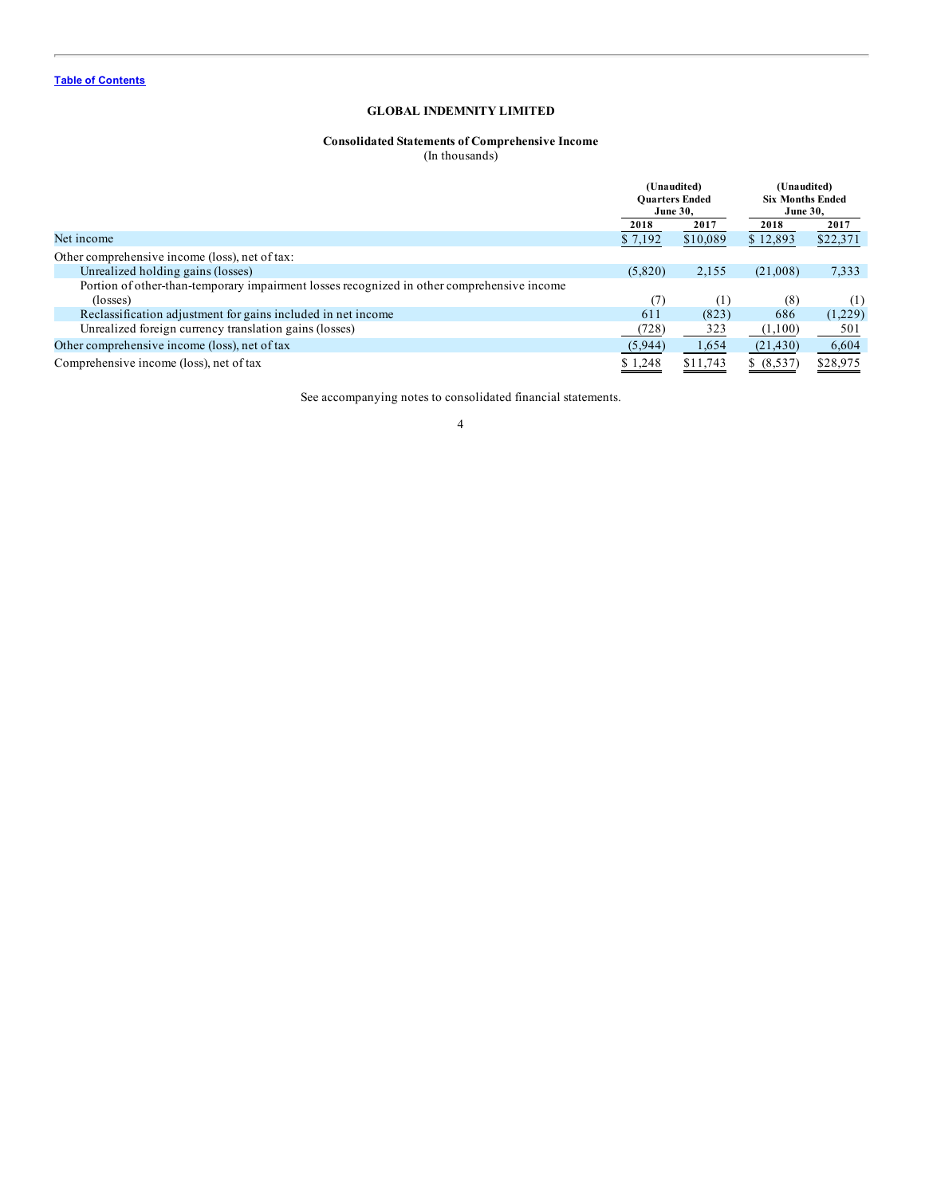### **Consolidated Statements of Comprehensive Income**

(In thousands)

<span id="page-5-0"></span>

|                                                                                            | (Unaudited)<br><b>Ouarters Ended</b><br><b>June 30,</b> |          | (Unaudited)<br><b>Six Months Ended</b><br><b>June 30,</b> |          |
|--------------------------------------------------------------------------------------------|---------------------------------------------------------|----------|-----------------------------------------------------------|----------|
|                                                                                            | 2018                                                    | 2017     | 2018                                                      | 2017     |
| Net income                                                                                 | \$7,192                                                 | \$10,089 | \$12,893                                                  | \$22,371 |
| Other comprehensive income (loss), net of tax:                                             |                                                         |          |                                                           |          |
| Unrealized holding gains (losses)                                                          | (5,820)                                                 | 2,155    | (21,008)                                                  | 7,333    |
| Portion of other-than-temporary impairment losses recognized in other comprehensive income |                                                         |          |                                                           |          |
| (losses)                                                                                   | (7)                                                     | (1)      | (8)                                                       | (1)      |
| Reclassification adjustment for gains included in net income                               | 611                                                     | (823)    | 686                                                       | (1,229)  |
| Unrealized foreign currency translation gains (losses)                                     | (728)                                                   | 323      | (1,100)                                                   | 501      |
| Other comprehensive income (loss), net of tax                                              | (5,944)                                                 | 1,654    | (21, 430)                                                 | 6,604    |
| Comprehensive income (loss), net of tax                                                    | \$1,248                                                 | \$11,743 | \$ (8,537)                                                | \$28,975 |

See accompanying notes to consolidated financial statements.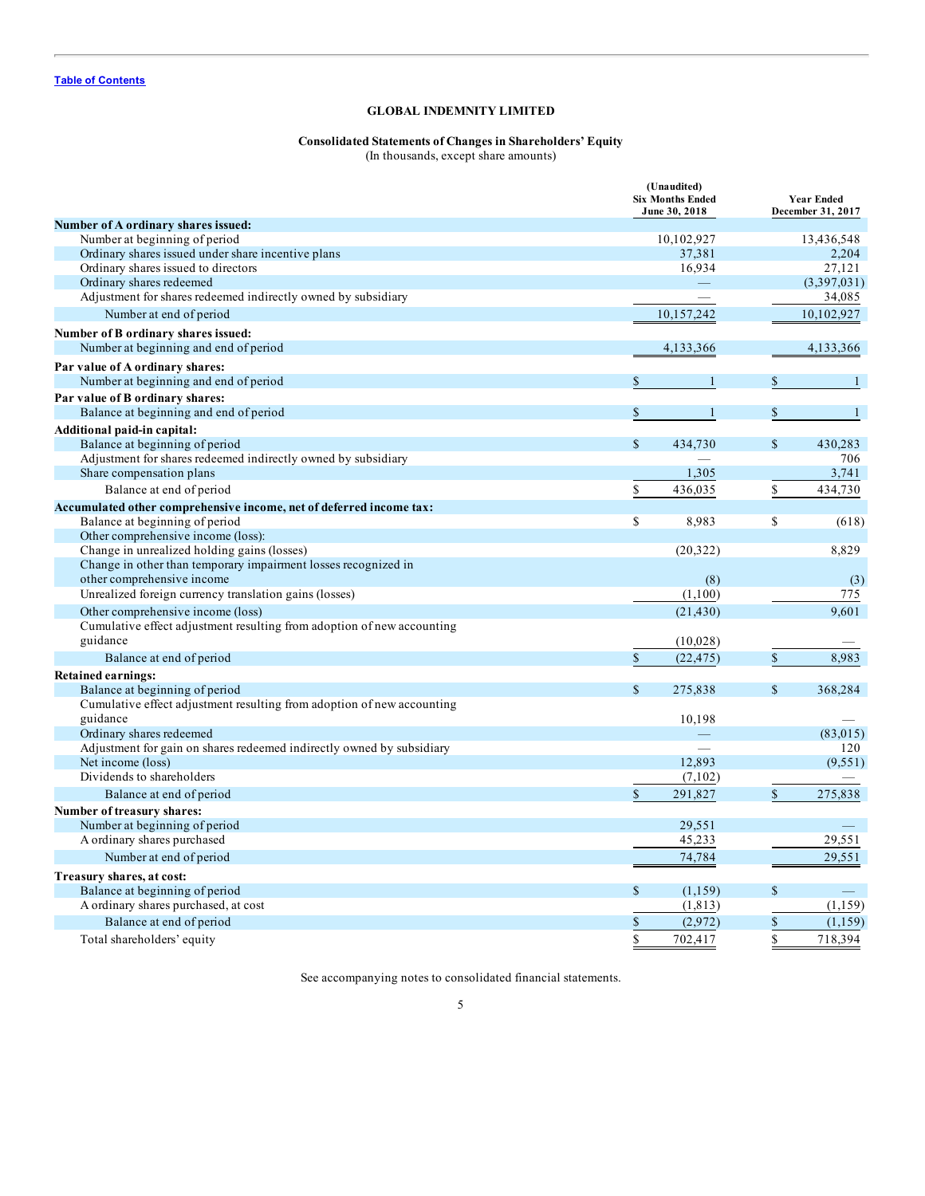#### **Consolidated Statements of Changes in Shareholders' Equity**

(In thousands, except share amounts)

<span id="page-6-0"></span>

|                                                                        |               | (Unaudited)<br><b>Six Months Ended</b><br>June 30, 2018 |              | <b>Year Ended</b><br>December 31, 2017 |
|------------------------------------------------------------------------|---------------|---------------------------------------------------------|--------------|----------------------------------------|
| Number of A ordinary shares issued:                                    |               |                                                         |              |                                        |
| Number at beginning of period                                          |               | 10,102,927                                              |              | 13,436,548                             |
| Ordinary shares issued under share incentive plans                     |               | 37,381                                                  |              | 2,204                                  |
| Ordinary shares issued to directors                                    |               | 16,934                                                  |              | 27,121                                 |
| Ordinary shares redeemed                                               |               |                                                         |              | (3,397,031)                            |
| Adjustment for shares redeemed indirectly owned by subsidiary          |               |                                                         |              | 34,085                                 |
| Number at end of period                                                |               | 10,157,242                                              |              | 10,102,927                             |
| Number of B ordinary shares issued:                                    |               |                                                         |              |                                        |
| Number at beginning and end of period                                  |               | 4,133,366                                               |              | 4,133,366                              |
| Par value of A ordinary shares:                                        |               |                                                         |              |                                        |
| Number at beginning and end of period                                  | \$            | -1                                                      | \$           |                                        |
| Par value of B ordinary shares:                                        |               |                                                         |              |                                        |
| Balance at beginning and end of period                                 | \$            | $\mathbf{1}$                                            | \$           | -1                                     |
| Additional paid-in capital:                                            |               |                                                         |              |                                        |
| Balance at beginning of period                                         | $\mathbb{S}$  | 434,730                                                 | $\mathbb{S}$ | 430,283                                |
| Adjustment for shares redeemed indirectly owned by subsidiary          |               |                                                         |              | 706                                    |
| Share compensation plans                                               |               | 1,305                                                   |              | 3,741                                  |
| Balance at end of period                                               | \$            | 436,035                                                 | \$           | 434,730                                |
| Accumulated other comprehensive income, net of deferred income tax:    |               |                                                         |              |                                        |
| Balance at beginning of period                                         | $\mathbb{S}$  | 8.983                                                   | \$           | (618)                                  |
| Other comprehensive income (loss):                                     |               |                                                         |              |                                        |
| Change in unrealized holding gains (losses)                            |               | (20, 322)                                               |              | 8,829                                  |
| Change in other than temporary impairment losses recognized in         |               |                                                         |              |                                        |
| other comprehensive income                                             |               | (8)                                                     |              | (3)                                    |
| Unrealized foreign currency translation gains (losses)                 |               | (1,100)                                                 |              | 775                                    |
| Other comprehensive income (loss)                                      |               | (21, 430)                                               |              | 9,601                                  |
| Cumulative effect adjustment resulting from adoption of new accounting |               |                                                         |              |                                        |
| guidance                                                               |               | (10,028)                                                |              |                                        |
| Balance at end of period                                               | \$            | (22, 475)                                               | \$           | 8,983                                  |
| <b>Retained earnings:</b>                                              |               |                                                         |              |                                        |
| Balance at beginning of period                                         | $\mathbb{S}$  | 275,838                                                 | $\mathbb{S}$ | 368,284                                |
| Cumulative effect adjustment resulting from adoption of new accounting |               |                                                         |              |                                        |
| guidance                                                               |               | 10,198                                                  |              |                                        |
| Ordinary shares redeemed                                               |               |                                                         |              | (83,015)                               |
| Adjustment for gain on shares redeemed indirectly owned by subsidiary  |               |                                                         |              | 120                                    |
| Net income (loss)                                                      |               | 12,893                                                  |              | (9,551)                                |
| Dividends to shareholders                                              |               | (7,102)                                                 |              |                                        |
| Balance at end of period                                               | \$            | 291,827                                                 | \$           | 275,838                                |
| <b>Number of treasury shares:</b>                                      |               |                                                         |              |                                        |
| Number at beginning of period                                          |               | 29,551                                                  |              |                                        |
| A ordinary shares purchased                                            |               | 45,233                                                  |              | 29,551                                 |
| Number at end of period                                                |               | 74,784                                                  |              | 29,551                                 |
| Treasury shares, at cost:                                              |               |                                                         |              |                                        |
| Balance at beginning of period                                         | \$            | (1,159)                                                 | \$           |                                        |
| A ordinary shares purchased, at cost                                   |               | (1, 813)                                                |              | (1, 159)                               |
| Balance at end of period                                               | $\frac{1}{2}$ | (2,972)                                                 | \$           | (1, 159)                               |
| Total shareholders' equity                                             | \$            | 702,417                                                 | \$           | 718,394                                |

See accompanying notes to consolidated financial statements.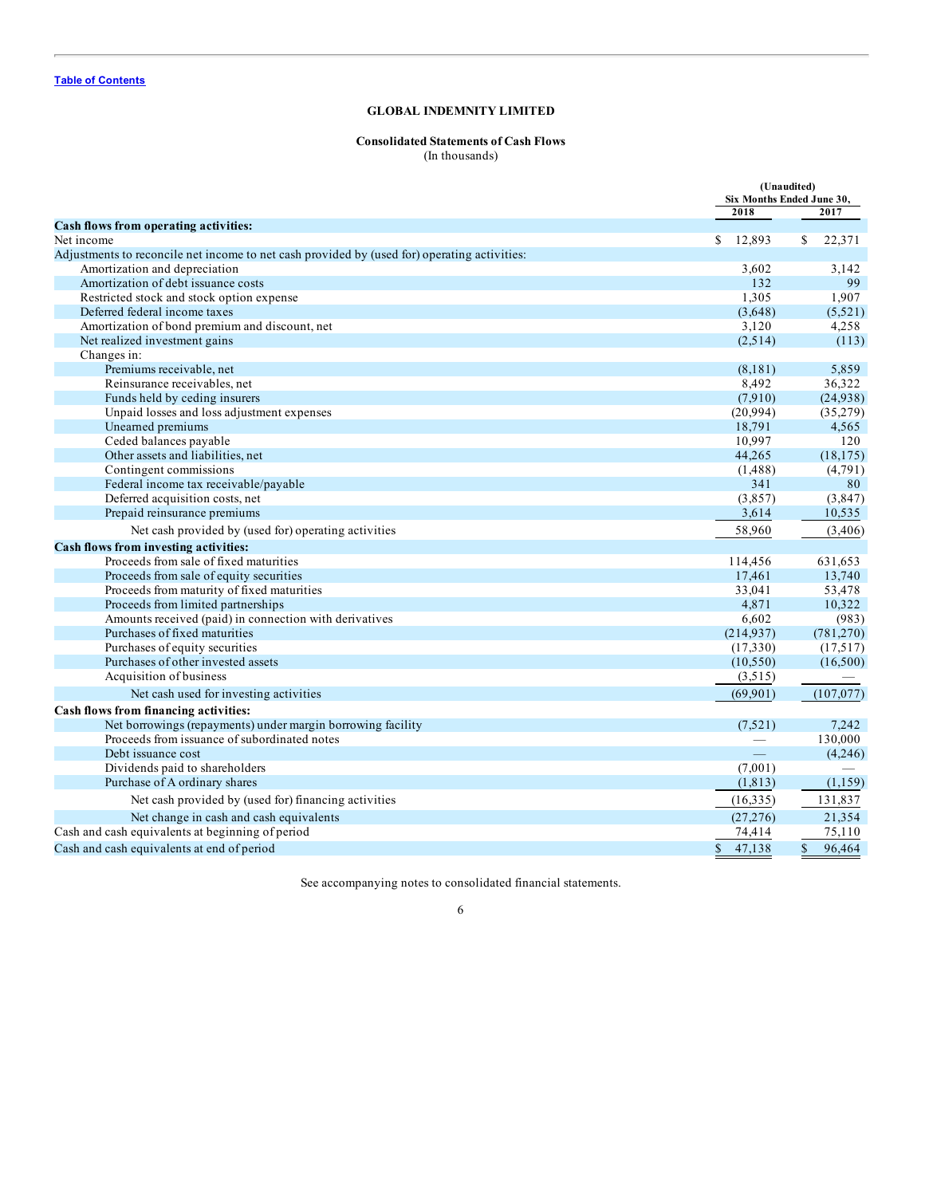### **Consolidated Statements of Cash Flows**

(In thousands)

<span id="page-7-0"></span>

|                                                                                                            | (Unaudited)<br>Six Months Ended June 30, |                        |  |
|------------------------------------------------------------------------------------------------------------|------------------------------------------|------------------------|--|
|                                                                                                            | 2018                                     | 2017                   |  |
| Cash flows from operating activities:                                                                      |                                          | 22,371                 |  |
| Net income<br>Adjustments to reconcile net income to net cash provided by (used for) operating activities: | \$<br>12,893                             | \$                     |  |
|                                                                                                            |                                          |                        |  |
| Amortization and depreciation<br>Amortization of debt issuance costs                                       | 3,602<br>132                             | 3,142<br>99            |  |
| Restricted stock and stock option expense                                                                  | 1,305                                    | 1,907                  |  |
| Deferred federal income taxes                                                                              | (3,648)                                  | (5,521)                |  |
| Amortization of bond premium and discount, net                                                             | 3,120                                    | 4,258                  |  |
| Net realized investment gains                                                                              | (2,514)                                  | (113)                  |  |
| Changes in:                                                                                                |                                          |                        |  |
| Premiums receivable, net                                                                                   | (8,181)                                  | 5.859                  |  |
| Reinsurance receivables, net                                                                               | 8,492                                    | 36,322                 |  |
| Funds held by ceding insurers                                                                              | (7,910)                                  | (24,938)               |  |
| Unpaid losses and loss adjustment expenses                                                                 | (20,994)                                 | (35,279)               |  |
| Unearned premiums                                                                                          | 18,791                                   | 4,565                  |  |
| Ceded balances payable                                                                                     | 10,997                                   | 120                    |  |
| Other assets and liabilities, net                                                                          | 44,265                                   | (18, 175)              |  |
| Contingent commissions                                                                                     | (1, 488)                                 | (4,791)                |  |
| Federal income tax receivable/payable                                                                      | 341                                      | 80                     |  |
| Deferred acquisition costs, net                                                                            | (3,857)                                  | (3,847)                |  |
| Prepaid reinsurance premiums                                                                               | 3,614                                    | 10,535                 |  |
| Net cash provided by (used for) operating activities                                                       | 58,960                                   | (3,406)                |  |
| Cash flows from investing activities:                                                                      |                                          |                        |  |
| Proceeds from sale of fixed maturities                                                                     | 114,456                                  | 631,653                |  |
| Proceeds from sale of equity securities                                                                    | 17,461                                   | 13,740                 |  |
| Proceeds from maturity of fixed maturities                                                                 | 33,041                                   | 53,478                 |  |
| Proceeds from limited partnerships                                                                         | 4,871                                    | 10,322                 |  |
| Amounts received (paid) in connection with derivatives                                                     | 6,602                                    | (983)                  |  |
| Purchases of fixed maturities                                                                              | (214, 937)                               | (781, 270)             |  |
| Purchases of equity securities                                                                             | (17,330)                                 | (17,517)               |  |
| Purchases of other invested assets                                                                         | (10, 550)                                | (16,500)               |  |
| Acquisition of business                                                                                    | (3,515)                                  |                        |  |
| Net cash used for investing activities                                                                     | (69, 901)                                | (107, 077)             |  |
| Cash flows from financing activities:                                                                      |                                          |                        |  |
| Net borrowings (repayments) under margin borrowing facility                                                | (7,521)                                  | 7,242                  |  |
| Proceeds from issuance of subordinated notes                                                               |                                          | 130,000                |  |
| Debt issuance cost                                                                                         |                                          | (4,246)                |  |
| Dividends paid to shareholders                                                                             | (7,001)                                  |                        |  |
| Purchase of A ordinary shares                                                                              | (1, 813)                                 | (1, 159)               |  |
| Net cash provided by (used for) financing activities                                                       | (16, 335)                                | 131,837                |  |
| Net change in cash and cash equivalents                                                                    | (27, 276)                                | 21,354                 |  |
| Cash and cash equivalents at beginning of period                                                           | 74,414                                   | 75,110                 |  |
| Cash and cash equivalents at end of period                                                                 | $\mathbb{S}$<br>47,138                   | 96,464<br>$\mathbb{S}$ |  |

See accompanying notes to consolidated financial statements.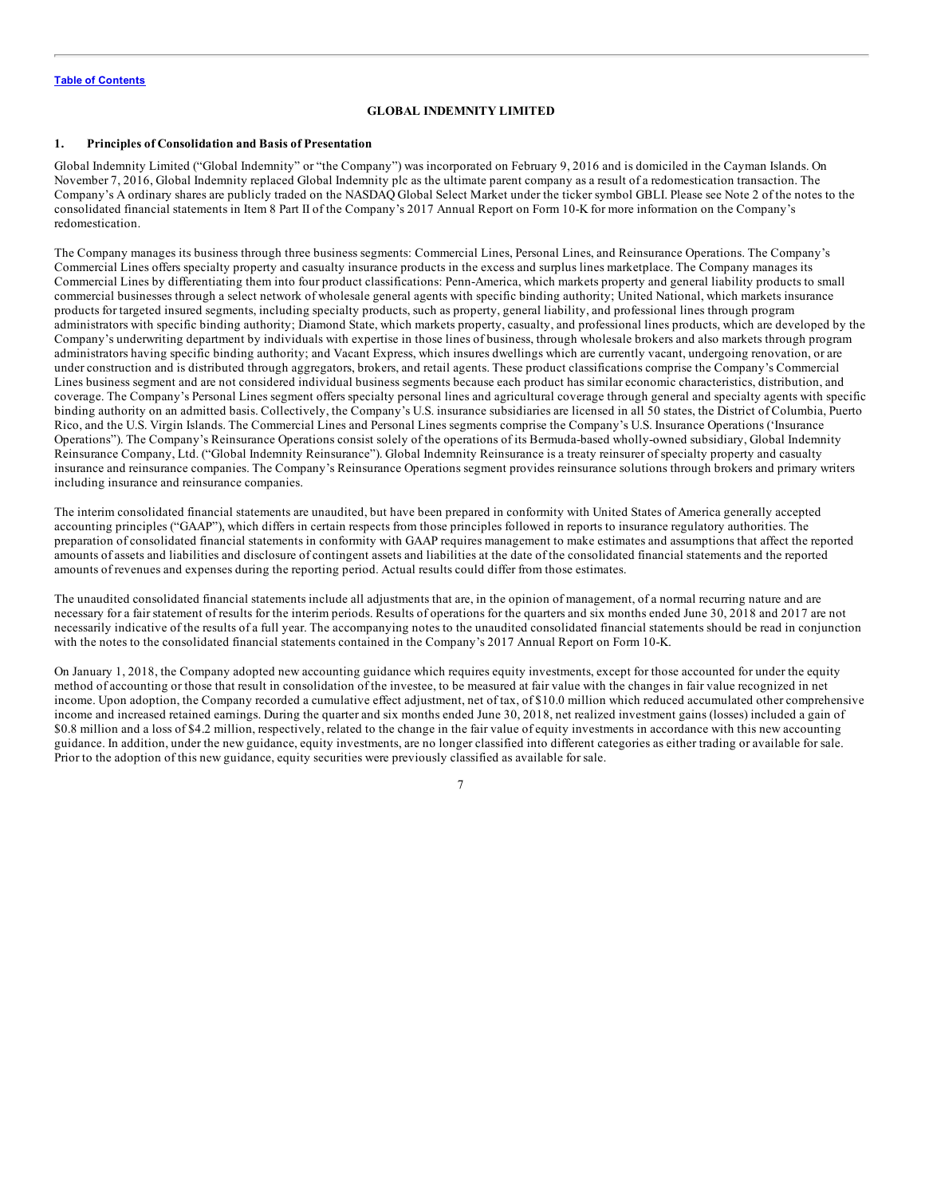#### <span id="page-8-0"></span>**1. Principles of Consolidation and Basis of Presentation**

Global Indemnity Limited ("Global Indemnity" or "the Company") was incorporated on February 9, 2016 and is domiciled in the Cayman Islands. On November 7, 2016, Global Indemnity replaced Global Indemnity plc as the ultimate parent company as a result of a redomestication transaction. The Company's A ordinary shares are publicly traded on the NASDAQ Global Select Market under the ticker symbol GBLI. Please see Note 2 of the notes to the consolidated financial statements in Item 8 Part II of the Company's 2017 Annual Report on Form 10-K for more information on the Company's redomestication.

The Company manages its business through three business segments: Commercial Lines, Personal Lines, and Reinsurance Operations. The Company's Commercial Lines offers specialty property and casualty insurance products in the excess and surplus lines marketplace. The Company manages its Commercial Lines by differentiating them into four product classifications: Penn-America, which markets property and general liability products to small commercial businesses through a select network of wholesale general agents with specific binding authority; United National, which markets insurance products for targeted insured segments, including specialty products, such as property, general liability, and professional lines through program administrators with specific binding authority; Diamond State, which markets property, casualty, and professional lines products, which are developed by the Company's underwriting department by individuals with expertise in those lines of business, through wholesale brokers and also markets through program administrators having specific binding authority; and Vacant Express, which insures dwellings which are currently vacant, undergoing renovation, or are under construction and is distributed through aggregators, brokers, and retail agents. These product classifications comprise the Company's Commercial Lines business segment and are not considered individual business segments because each product has similar economic characteristics, distribution, and coverage. The Company's Personal Lines segment offers specialty personal lines and agricultural coverage through general and specialty agents with specific binding authority on an admitted basis. Collectively, the Company's U.S. insurance subsidiaries are licensed in all 50 states, the District of Columbia, Puerto Rico, and the U.S. Virgin Islands. The Commercial Lines and Personal Lines segments comprise the Company's U.S. Insurance Operations ('Insurance Operations"). The Company's Reinsurance Operations consist solely of the operations of its Bermuda-based wholly-owned subsidiary, Global Indemnity Reinsurance Company, Ltd. ("Global Indemnity Reinsurance"). Global Indemnity Reinsurance is a treaty reinsurer of specialty property and casualty insurance and reinsurance companies. The Company's Reinsurance Operations segment provides reinsurance solutions through brokers and primary writers including insurance and reinsurance companies.

The interim consolidated financial statements are unaudited, but have been prepared in conformity with United States of America generally accepted accounting principles ("GAAP"), which differs in certain respects from those principles followed in reports to insurance regulatory authorities. The preparation of consolidated financial statements in conformity with GAAP requires management to make estimates and assumptions that affect the reported amounts of assets and liabilities and disclosure of contingent assets and liabilities at the date of the consolidated financial statements and the reported amounts of revenues and expenses during the reporting period. Actual results could differ from those estimates.

The unaudited consolidated financial statements include all adjustments that are, in the opinion of management, of a normal recurring nature and are necessary for a fair statement of results for the interim periods. Results of operations for the quarters and six months ended June 30, 2018 and 2017 are not necessarily indicative of the results of a full year. The accompanying notes to the unaudited consolidated financial statements should be read in conjunction with the notes to the consolidated financial statements contained in the Company's 2017 Annual Report on Form 10-K.

On January 1, 2018, the Company adopted new accounting guidance which requires equity investments, except for those accounted for under the equity method of accounting or those that result in consolidation of the investee, to be measured at fair value with the changes in fair value recognized in net income. Upon adoption, the Company recorded a cumulative effect adjustment, net of tax, of \$10.0 million which reduced accumulated other comprehensive income and increased retained earnings. During the quarter and six months ended June 30, 2018, net realized investment gains (losses) included a gain of \$0.8 million and a loss of \$4.2 million, respectively, related to the change in the fair value of equity investments in accordance with this new accounting guidance. In addition, under the new guidance, equity investments, are no longer classified into different categories as either trading or available for sale. Prior to the adoption of this new guidance, equity securities were previously classified as available for sale.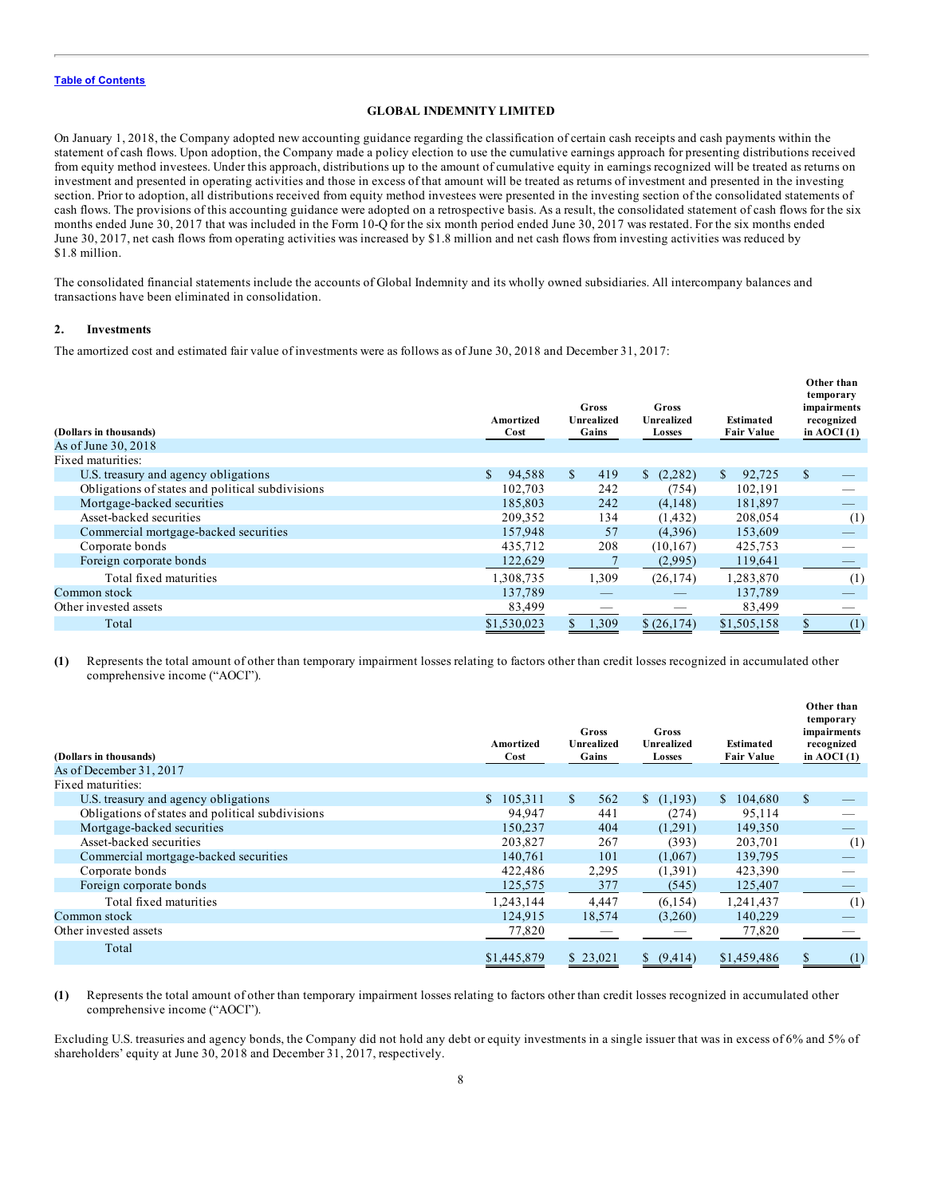#### **GLOBAL INDEMNITY LIMITED**

On January 1, 2018, the Company adopted new accounting guidance regarding the classification of certain cash receipts and cash payments within the statement of cash flows. Upon adoption, the Company made a policy election to use the cumulative earnings approach for presenting distributions received from equity method investees. Under this approach, distributions up to the amount of cumulative equity in earnings recognized will be treated as returns on investment and presented in operating activities and those in excess of that amount will be treated as returns of investment and presented in the investing section. Prior to adoption, all distributions received from equity method investees were presented in the investing section of the consolidated statements of cash flows. The provisions of this accounting guidance were adopted on a retrospective basis. As a result, the consolidated statement of cash flows for the six months ended June 30, 2017 that was included in the Form 10-Q for the six month period ended June 30, 2017 was restated. For the six months ended June 30, 2017, net cash flows from operating activities was increased by \$1.8 million and net cash flows from investing activities was reduced by \$1.8 million.

The consolidated financial statements include the accounts of Global Indemnity and its wholly owned subsidiaries. All intercompany balances and transactions have been eliminated in consolidation.

#### **2. Investments**

The amortized cost and estimated fair value of investments were as follows as of June 30, 2018 and December 31, 2017:

| (Dollars in thousands)<br>As of June 30, 2018    | Amortized<br>Cost | Gross<br>Unrealized<br>Gains | Gross<br>Unrealized<br>Losses | <b>Estimated</b><br><b>Fair Value</b> | Other than<br>temporary<br>impairments<br>recognized<br>in AOCI $(1)$ |
|--------------------------------------------------|-------------------|------------------------------|-------------------------------|---------------------------------------|-----------------------------------------------------------------------|
| Fixed maturities:                                |                   |                              |                               |                                       |                                                                       |
| U.S. treasury and agency obligations             | 94,588            | <sup>\$</sup><br>419         | (2,282)                       | \$.<br>92,725                         | $\mathcal{S}$                                                         |
| Obligations of states and political subdivisions | 102,703           | 242                          | (754)                         | 102,191                               |                                                                       |
| Mortgage-backed securities                       | 185,803           | 242                          | (4,148)                       | 181,897                               |                                                                       |
| Asset-backed securities                          | 209,352           | 134                          | (1, 432)                      | 208,054                               | (1)                                                                   |
| Commercial mortgage-backed securities            | 157,948           | 57                           | (4,396)                       | 153,609                               |                                                                       |
| Corporate bonds                                  | 435,712           | 208                          | (10, 167)                     | 425,753                               |                                                                       |
| Foreign corporate bonds                          | 122,629           |                              | (2,995)                       | 119,641                               |                                                                       |
| Total fixed maturities                           | 1,308,735         | 1,309                        | (26, 174)                     | 1,283,870                             | (1)                                                                   |
| Common stock                                     | 137,789           |                              |                               | 137,789                               |                                                                       |
| Other invested assets                            | 83,499            |                              |                               | 83,499                                |                                                                       |
| Total                                            | \$1,530,023       | 1,309                        | \$(26,174)                    | \$1,505,158                           | (1)                                                                   |

**(1)** Represents the total amount of other than temporary impairment losses relating to factors other than credit losses recognized in accumulated other comprehensive income ("AOCI").

| (Dollars in thousands)                           | Amortized<br>Cost | Gross<br>Unrealized<br>Gains |                | <b>Estimated</b><br><b>Fair Value</b> | Other than<br>temporary<br>impairments<br>recognized<br>in AOCI $(1)$ |     |
|--------------------------------------------------|-------------------|------------------------------|----------------|---------------------------------------|-----------------------------------------------------------------------|-----|
| As of December 31, 2017                          |                   |                              |                |                                       |                                                                       |     |
| Fixed maturities:                                |                   |                              |                |                                       |                                                                       |     |
| U.S. treasury and agency obligations             | \$105,311         | <sup>\$</sup><br>562         | (1,193)        | 104,680<br><sup>\$</sup>              | \$.                                                                   |     |
| Obligations of states and political subdivisions | 94,947            | 441                          | (274)          | 95,114                                |                                                                       |     |
| Mortgage-backed securities                       | 150,237           | 404                          | (1,291)        | 149,350                               |                                                                       |     |
| Asset-backed securities                          | 203,827           | 267                          | (393)          | 203,701                               |                                                                       | (1) |
| Commercial mortgage-backed securities            | 140,761           | 101                          | (1,067)        | 139,795                               |                                                                       |     |
| Corporate bonds                                  | 422,486           | 2,295                        | (1,391)        | 423,390                               |                                                                       |     |
| Foreign corporate bonds                          | 125,575           | 377                          | (545)          | 125,407                               |                                                                       |     |
| Total fixed maturities                           | 1,243,144         | 4,447                        | (6, 154)       | 1,241,437                             |                                                                       | (1) |
| Common stock                                     | 124,915           | 18,574                       | (3,260)        | 140,229                               |                                                                       |     |
| Other invested assets                            | 77,820            |                              |                | 77,820                                |                                                                       |     |
| Total                                            | \$1,445,879       | 23,021<br>S.                 | (9, 414)<br>S. | \$1,459,486                           |                                                                       | (1) |

**(1)** Represents the total amount of other than temporary impairment losses relating to factors other than credit losses recognized in accumulated other comprehensive income ("AOCI").

Excluding U.S. treasuries and agency bonds, the Company did not hold any debt or equity investments in a single issuer that was in excess of 6% and 5% of shareholders' equity at June 30, 2018 and December 31, 2017, respectively.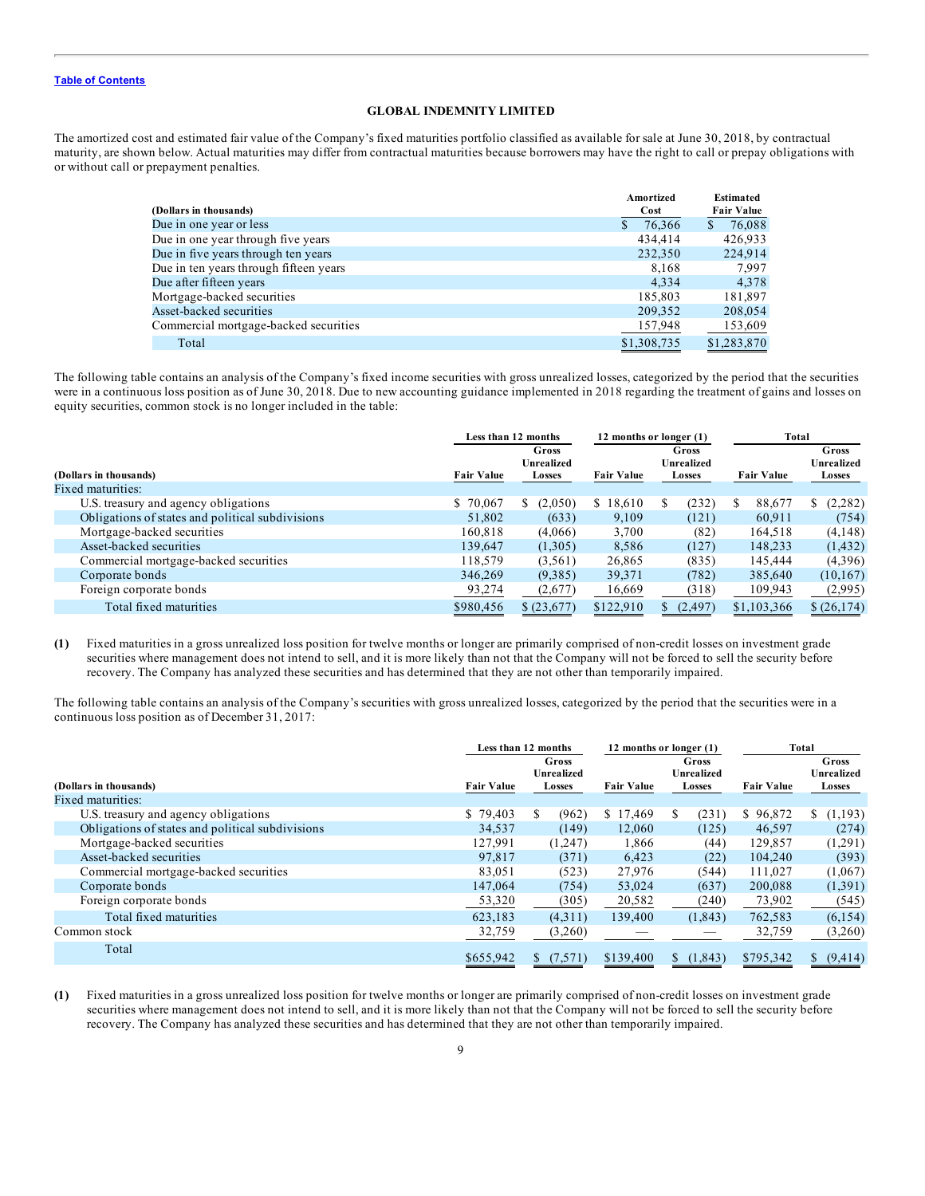#### **GLOBAL INDEMNITY LIMITED**

The amortized cost and estimated fair value of the Company's fixed maturities portfolio classified as available for sale at June 30, 2018, by contractual maturity, are shown below. Actual maturities may differ from contractual maturities because borrowers may have the right to call or prepay obligations with or without call or prepayment penalties.

|                                        | Amortized               | <b>Estimated</b>  |
|----------------------------------------|-------------------------|-------------------|
| (Dollars in thousands)                 | Cost                    | <b>Fair Value</b> |
| Due in one year or less                | 76,366<br><sup>\$</sup> | 76,088<br>S.      |
| Due in one year through five years     | 434,414                 | 426,933           |
| Due in five years through ten years    | 232,350                 | 224,914           |
| Due in ten years through fifteen years | 8,168                   | 7.997             |
| Due after fifteen years                | 4.334                   | 4.378             |
| Mortgage-backed securities             | 185.803                 | 181.897           |
| Asset-backed securities                | 209,352                 | 208,054           |
| Commercial mortgage-backed securities  | 157,948                 | 153,609           |
| Total                                  | \$1,308,735             | \$1,283,870       |

The following table contains an analysis of the Company's fixed income securities with gross unrealized losses, categorized by the period that the securities were in a continuous loss position as of June 30, 2018. Due to new accounting guidance implemented in 2018 regarding the treatment of gains and losses on equity securities, common stock is no longer included in the table:

|                                                  | Less than 12 months |                               |                   | 12 months or longer (1)       | Total             |                               |  |
|--------------------------------------------------|---------------------|-------------------------------|-------------------|-------------------------------|-------------------|-------------------------------|--|
| (Dollars in thousands)                           | <b>Fair Value</b>   | Gross<br>Unrealized<br>Losses | <b>Fair Value</b> | Gross<br>Unrealized<br>Losses | <b>Fair Value</b> | Gross<br>Unrealized<br>Losses |  |
| Fixed maturities:                                |                     |                               |                   |                               |                   |                               |  |
| U.S. treasury and agency obligations             | \$70,067            | (2,050)<br>S.                 | \$18,610          | (232)<br>\$.                  | 88,677<br>S       | (2,282)                       |  |
| Obligations of states and political subdivisions | 51,802              | (633)                         | 9.109             | (121)                         | 60,911            | (754)                         |  |
| Mortgage-backed securities                       | 160.818             | (4,066)                       | 3,700             | (82)                          | 164,518           | (4,148)                       |  |
| Asset-backed securities                          | 139,647             | (1,305)                       | 8,586             | (127)                         | 148,233           | (1, 432)                      |  |
| Commercial mortgage-backed securities            | 118.579             | (3,561)                       | 26,865            | (835)                         | 145,444           | (4,396)                       |  |
| Corporate bonds                                  | 346,269             | (9,385)                       | 39,371            | (782)                         | 385,640           | (10,167)                      |  |
| Foreign corporate bonds                          | 93,274              | (2,677)                       | 16,669            | (318)                         | 109,943           | (2,995)                       |  |
| Total fixed maturities                           | \$980,456           | \$(23,677)                    | \$122,910         | (2,497)                       | \$1,103,366       | \$(26,174)                    |  |

**(1)** Fixed maturities in a gross unrealized loss position for twelve months or longer are primarily comprised of non-credit losses on investment grade securities where management does not intend to sell, and it is more likely than not that the Company will not be forced to sell the security before recovery. The Company has analyzed these securities and has determined that they are not other than temporarily impaired.

The following table contains an analysis of the Company's securities with gross unrealized losses, categorized by the period that the securities were in a continuous loss position as of December 31, 2017:

|                                                  | Less than 12 months |                                                    |           | 12 months or longer (1)       | Total     |                                      |  |
|--------------------------------------------------|---------------------|----------------------------------------------------|-----------|-------------------------------|-----------|--------------------------------------|--|
| (Dollars in thousands)                           | <b>Fair Value</b>   | Gross<br>Unrealized<br><b>Fair Value</b><br>Losses |           | Gross<br>Unrealized<br>Losses |           | Gross<br><b>Unrealized</b><br>Losses |  |
| Fixed maturities:                                |                     |                                                    |           |                               |           |                                      |  |
| U.S. treasury and agency obligations             | \$79,403            | \$.<br>(962)                                       | \$17,469  | (231)<br>S                    | \$96,872  | (1, 193)<br>S.                       |  |
| Obligations of states and political subdivisions | 34,537              | (149)                                              | 12,060    | (125)                         | 46,597    | (274)                                |  |
| Mortgage-backed securities                       | 127,991             | (1,247)                                            | 1,866     | (44)                          | 129,857   | (1,291)                              |  |
| Asset-backed securities                          | 97,817              | (371)                                              | 6,423     | (22)                          | 104,240   | (393)                                |  |
| Commercial mortgage-backed securities            | 83,051              | (523)                                              | 27,976    | (544)                         | 111,027   | (1,067)                              |  |
| Corporate bonds                                  | 147,064             | (754)                                              | 53,024    | (637)                         | 200,088   | (1,391)                              |  |
| Foreign corporate bonds                          | 53,320              | (305)                                              | 20,582    | (240)                         | 73,902    | (545)                                |  |
| Total fixed maturities                           | 623.183             | (4,311)                                            | 139,400   | (1, 843)                      | 762,583   | (6, 154)                             |  |
| Common stock                                     | 32,759              | (3,260)                                            |           |                               | 32,759    | (3,260)                              |  |
| Total                                            | \$655,942           | (7,571)<br>S.                                      | \$139,400 | (1,843)<br>S.                 | \$795,342 | (9, 414)                             |  |

**(1)** Fixed maturities in a gross unrealized loss position for twelve months or longer are primarily comprised of non-credit losses on investment grade securities where management does not intend to sell, and it is more likely than not that the Company will not be forced to sell the security before recovery. The Company has analyzed these securities and has determined that they are not other than temporarily impaired.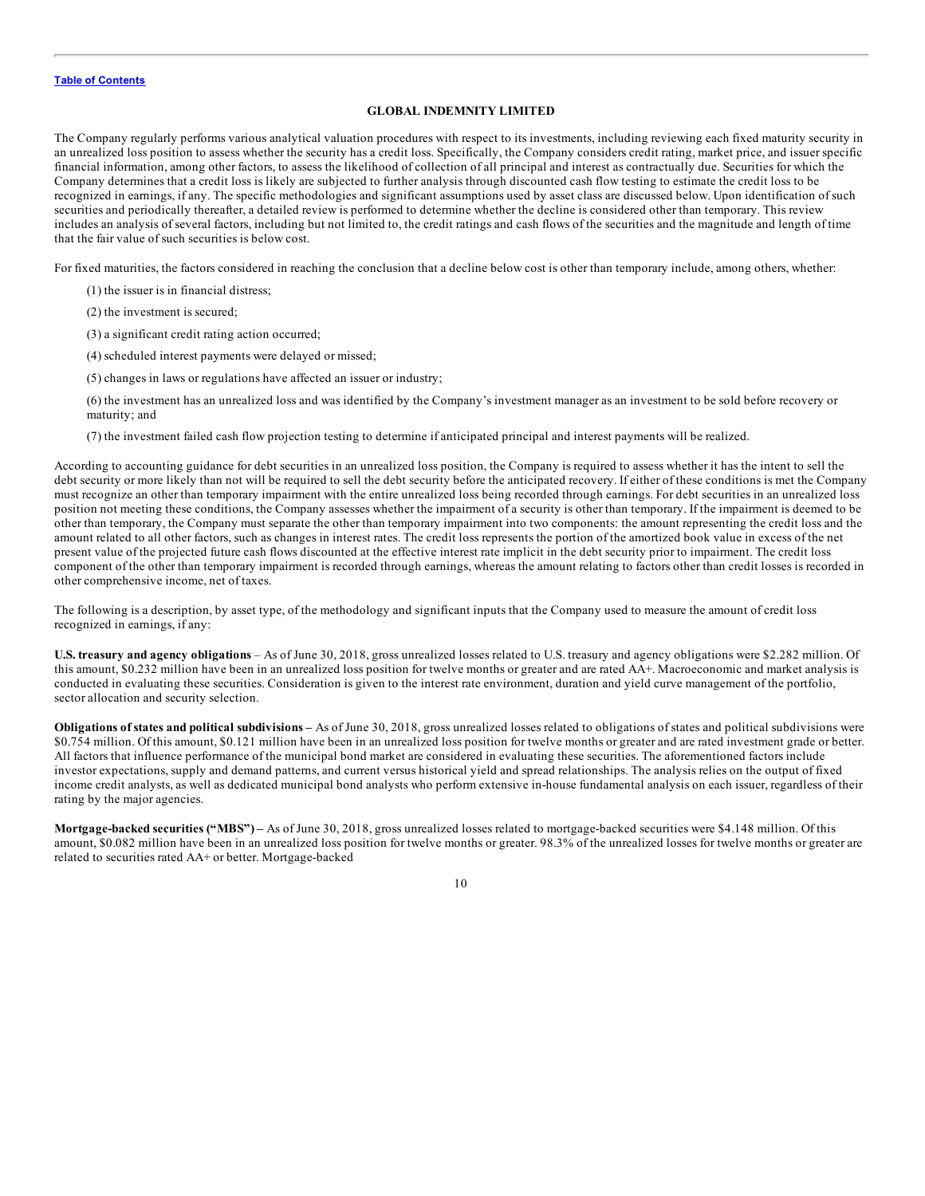#### **GLOBAL INDEMNITY LIMITED**

The Company regularly performs various analytical valuation procedures with respect to its investments, including reviewing each fixed maturity security in an unrealized loss position to assess whether the security has a credit loss. Specifically, the Company considers credit rating, market price, and issuer specific financial information, among other factors, to assess the likelihood of collection of all principal and interest as contractually due. Securities for which the Company determines that a credit loss is likely are subjected to further analysis through discounted cash flow testing to estimate the credit loss to be recognized in earnings, if any. The specific methodologies and significant assumptions used by asset class are discussed below. Upon identification of such securities and periodically thereafter, a detailed review is performed to determine whether the decline is considered other than temporary. This review includes an analysis of several factors, including but not limited to, the credit ratings and cash flows of the securities and the magnitude and length of time that the fair value of such securities is below cost.

For fixed maturities, the factors considered in reaching the conclusion that a decline below cost is other than temporary include, among others, whether:

- (1) the issuer is in financial distress;
- (2) the investment is secured;
- (3) a significant credit rating action occurred;
- (4) scheduled interest payments were delayed or missed;
- (5) changes in laws or regulations have affected an issuer or industry;

(6) the investment has an unrealized loss and was identified by the Company's investment manager as an investment to be sold before recovery or maturity; and

(7) the investment failed cash flow projection testing to determine if anticipated principal and interest payments will be realized.

According to accounting guidance for debt securities in an unrealized loss position, the Company is required to assess whether it has the intent to sell the debt security or more likely than not will be required to sell the debt security before the anticipated recovery. If either of these conditions is met the Company must recognize an other than temporary impairment with the entire unrealized loss being recorded through earnings. For debt securities in an unrealized loss position not meeting these conditions, the Company assesses whether the impairment of a security is other than temporary. If the impairment is deemed to be other than temporary, the Company must separate the other than temporary impairment into two components: the amount representing the credit loss and the amount related to all other factors, such as changes in interest rates. The credit loss represents the portion of the amortized book value in excess of the net present value of the projected future cash flows discounted at the effective interest rate implicit in the debt security prior to impairment. The credit loss component of the other than temporary impairment is recorded through earnings, whereas the amount relating to factors other than credit losses is recorded in other comprehensive income, net of taxes.

The following is a description, by asset type, of the methodology and significant inputs that the Company used to measure the amount of credit loss recognized in earnings, if any:

**U.S. treasury and agency obligations** – As of June 30, 2018, gross unrealized losses related to U.S. treasury and agency obligations were \$2.282 million. Of this amount, \$0.232 million have been in an unrealized loss position for twelve months or greater and are rated AA+. Macroeconomic and market analysis is conducted in evaluating these securities. Consideration is given to the interest rate environment, duration and yield curve management of the portfolio, sector allocation and security selection.

**Obligations of states and political subdivisions –** As of June 30, 2018, gross unrealized losses related to obligations of states and political subdivisions were \$0.754 million. Of this amount, \$0.121 million have been in an unrealized loss position for twelve months or greater and are rated investment grade or better. All factors that influence performance of the municipal bond market are considered in evaluating these securities. The aforementioned factors include investor expectations, supply and demand patterns, and current versus historical yield and spread relationships. The analysis relies on the output of fixed income credit analysts, as well as dedicated municipal bond analysts who perform extensive in-house fundamental analysis on each issuer, regardless of their rating by the major agencies.

**Mortgage-backed securities ("MBS") –** As of June 30, 2018, gross unrealized losses related to mortgage-backed securities were \$4.148 million. Of this amount, \$0.082 million have been in an unrealized loss position for twelve months or greater. 98.3% of the unrealized losses for twelve months or greater are related to securities rated AA+ or better. Mortgage-backed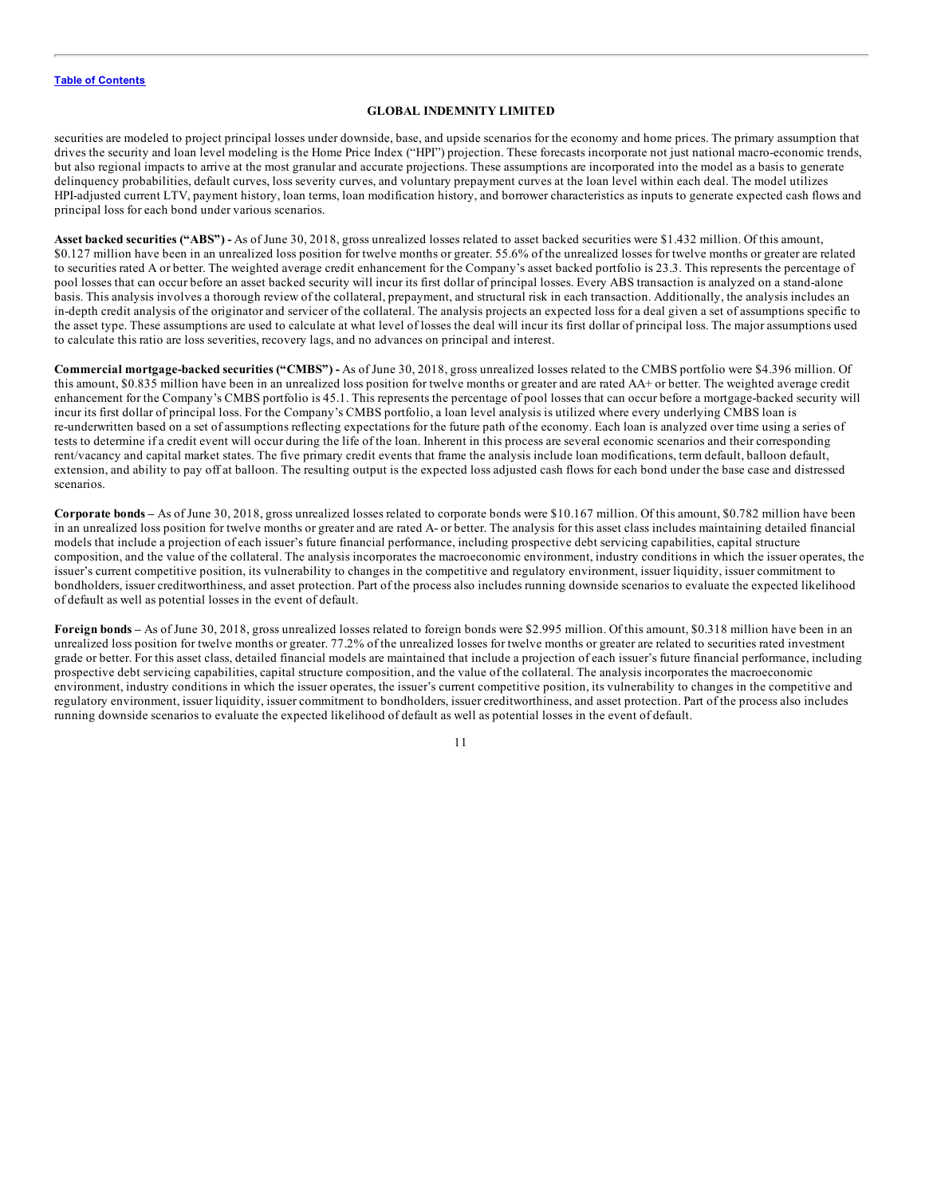#### **GLOBAL INDEMNITY LIMITED**

securities are modeled to project principal losses under downside, base, and upside scenarios for the economy and home prices. The primary assumption that drives the security and loan level modeling is the Home Price Index ("HPI") projection. These forecasts incorporate not just national macro-economic trends, but also regional impacts to arrive at the most granular and accurate projections. These assumptions are incorporated into the model as a basis to generate delinquency probabilities, default curves, loss severity curves, and voluntary prepayment curves at the loan level within each deal. The model utilizes HPI-adjusted current LTV, payment history, loan terms, loan modification history, and borrower characteristics as inputs to generate expected cash flows and principal loss for each bond under various scenarios.

**Asset backed securities ("ABS") -** As of June 30, 2018, gross unrealized losses related to asset backed securities were \$1.432 million. Of this amount, \$0.127 million have been in an unrealized loss position for twelve months or greater. 55.6% of the unrealized losses for twelve months or greater are related to securities rated A or better. The weighted average credit enhancement for the Company's asset backed portfolio is 23.3. This represents the percentage of pool losses that can occur before an asset backed security will incur its first dollar of principal losses. Every ABS transaction is analyzed on a stand-alone basis. This analysis involves a thorough review of the collateral, prepayment, and structural risk in each transaction. Additionally, the analysis includes an in-depth credit analysis of the originator and servicer of the collateral. The analysis projects an expected loss for a deal given a set of assumptions specific to the asset type. These assumptions are used to calculate at what level of losses the deal will incur its first dollar of principal loss. The major assumptions used to calculate this ratio are loss severities, recovery lags, and no advances on principal and interest.

**Commercial mortgage-backed securities ("CMBS") -** As of June 30, 2018, gross unrealized losses related to the CMBS portfolio were \$4.396 million. Of this amount, \$0.835 million have been in an unrealized loss position for twelve months or greater and are rated AA+ or better. The weighted average credit enhancement for the Company's CMBS portfolio is 45.1. This represents the percentage of pool losses that can occur before a mortgage-backed security will incur its first dollar of principal loss. For the Company's CMBS portfolio, a loan level analysis is utilized where every underlying CMBS loan is re-underwritten based on a set of assumptions reflecting expectations for the future path of the economy. Each loan is analyzed over time using a series of tests to determine if a credit event will occur during the life of the loan. Inherent in this process are several economic scenarios and their corresponding rent/vacancy and capital market states. The five primary credit events that frame the analysis include loan modifications, term default, balloon default, extension, and ability to pay off at balloon. The resulting output is the expected loss adjusted cash flows for each bond under the base case and distressed scenarios.

**Corporate bonds –** As of June 30, 2018, gross unrealized losses related to corporate bonds were \$10.167 million. Of this amount, \$0.782 million have been in an unrealized loss position for twelve months or greater and are rated A- or better. The analysis for this asset class includes maintaining detailed financial models that include a projection of each issuer's future financial performance, including prospective debt servicing capabilities, capital structure composition, and the value of the collateral. The analysis incorporates the macroeconomic environment, industry conditions in which the issuer operates, the issuer's current competitive position, its vulnerability to changes in the competitive and regulatory environment, issuer liquidity, issuer commitment to bondholders, issuer creditworthiness, and asset protection. Part of the process also includes running downside scenarios to evaluate the expected likelihood of default as well as potential losses in the event of default.

Foreign bonds – As of June 30, 2018, gross unrealized losses related to foreign bonds were \$2.995 million. Of this amount, \$0.318 million have been in an unrealized loss position for twelve months or greater. 77.2% of the unrealized losses for twelve months or greater are related to securities rated investment grade or better. For this asset class, detailed financial models are maintained that include a projection of each issuer's future financial performance, including prospective debt servicing capabilities, capital structure composition, and the value of the collateral. The analysis incorporates the macroeconomic environment, industry conditions in which the issuer operates, the issuer's current competitive position, its vulnerability to changes in the competitive and regulatory environment, issuer liquidity, issuer commitment to bondholders, issuer creditworthiness, and asset protection. Part of the process also includes running downside scenarios to evaluate the expected likelihood of default as well as potential losses in the event of default.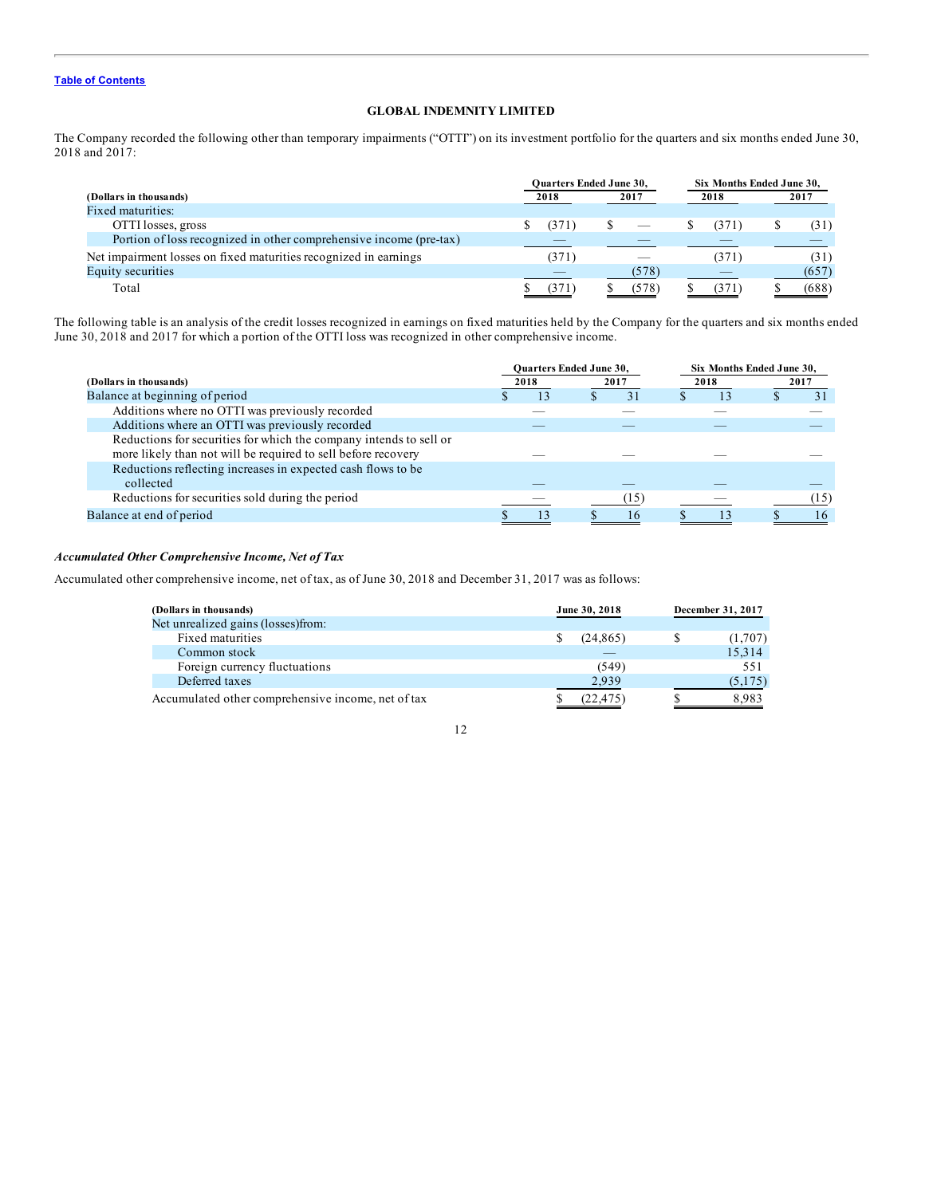#### **GLOBAL INDEMNITY LIMITED**

The Company recorded the following other than temporary impairments ("OTTI") on its investment portfolio for the quarters and six months ended June 30, 2018 and 2017:

|                                                                    | <b>Ouarters Ended June 30,</b> |       |  | Six Months Ended June 30. |  |       |  |       |
|--------------------------------------------------------------------|--------------------------------|-------|--|---------------------------|--|-------|--|-------|
| (Dollars in thousands)                                             |                                | 2018  |  | 2017                      |  | 2018  |  | 2017  |
| Fixed maturities:                                                  |                                |       |  |                           |  |       |  |       |
| OTTI losses, gross                                                 |                                | 371)  |  |                           |  | (371) |  | (31)  |
| Portion of loss recognized in other comprehensive income (pre-tax) |                                |       |  |                           |  |       |  |       |
| Net impairment losses on fixed maturities recognized in earnings   |                                | (371) |  |                           |  | (371) |  | (31)  |
| Equity securities                                                  |                                |       |  | (578)                     |  |       |  | (657) |
| Total                                                              |                                |       |  | (578)                     |  | 371   |  | (688) |

The following table is an analysis of the credit losses recognized in earnings on fixed maturities held by the Company for the quarters and six months ended June 30, 2018 and 2017 for which a portion of the OTTI loss was recognized in other comprehensive income.

|                                                                    | <b>Ouarters Ended June 30,</b> |    |  | Six Months Ended June 30, |  |      |  |      |
|--------------------------------------------------------------------|--------------------------------|----|--|---------------------------|--|------|--|------|
| (Dollars in thousands)                                             | 2018                           |    |  | 2017                      |  | 2018 |  | 2017 |
| Balance at beginning of period                                     |                                | 13 |  | 31                        |  | 1.5  |  | 31   |
| Additions where no OTTI was previously recorded                    |                                |    |  |                           |  |      |  |      |
| Additions where an OTTI was previously recorded                    |                                |    |  |                           |  |      |  |      |
| Reductions for securities for which the company intends to sell or |                                |    |  |                           |  |      |  |      |
| more likely than not will be required to sell before recovery      |                                |    |  |                           |  |      |  |      |
| Reductions reflecting increases in expected cash flows to be       |                                |    |  |                           |  |      |  |      |
| collected                                                          |                                |    |  |                           |  |      |  |      |
| Reductions for securities sold during the period                   |                                |    |  | (15)                      |  |      |  | (15) |
| Balance at end of period                                           |                                |    |  | 16                        |  |      |  | 16   |

### *Accumulated Other Comprehensive Income, Net of Tax*

Accumulated other comprehensive income, net of tax, as of June 30, 2018 and December 31, 2017 was as follows:

| (Dollars in thousands)                             | June 30, 2018 | December 31, 2017 |
|----------------------------------------------------|---------------|-------------------|
| Net unrealized gains (losses) from:                |               |                   |
| Fixed maturities                                   | (24, 865)     | (1,707)           |
| Common stock                                       |               | 15,314            |
| Foreign currency fluctuations                      | (549)         | 551               |
| Deferred taxes                                     | 2.939         | (5,175)           |
| Accumulated other comprehensive income, net of tax | (22, 475)     | 8.983             |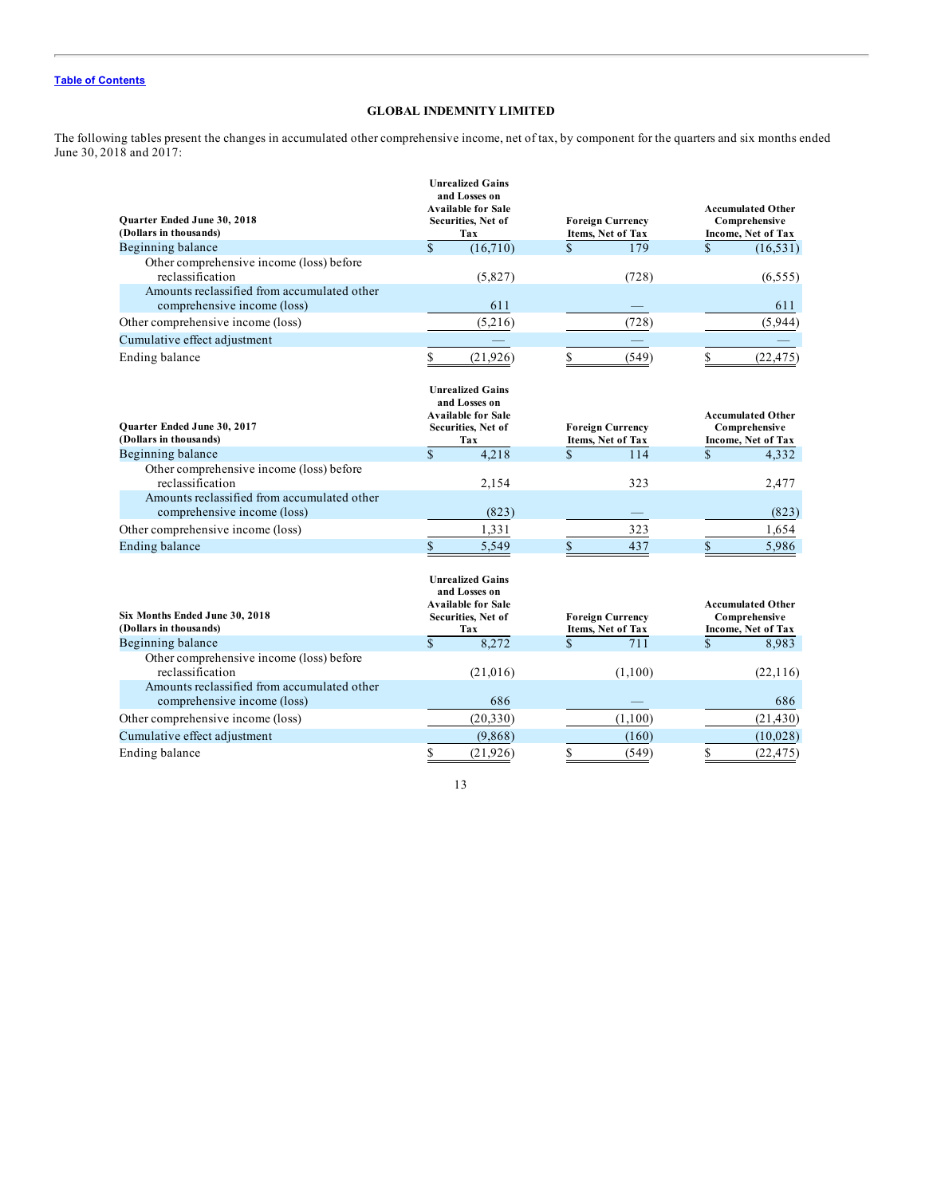### **GLOBAL INDEMNITY LIMITED**

The following tables present the changes in accumulated other comprehensive income, net of tax, by component for the quarters and six months ended June 30, 2018 and 2017:

|                                                                            |                                                                                                    | <b>Unrealized Gains</b><br>and Losses on<br><b>Available for Sale</b>                       |                    |                                              |                         | <b>Accumulated Other</b>                                        |
|----------------------------------------------------------------------------|----------------------------------------------------------------------------------------------------|---------------------------------------------------------------------------------------------|--------------------|----------------------------------------------|-------------------------|-----------------------------------------------------------------|
| Quarter Ended June 30, 2018                                                |                                                                                                    | Securities, Net of                                                                          |                    | <b>Foreign Currency</b>                      |                         | Comprehensive                                                   |
| (Dollars in thousands)                                                     |                                                                                                    | Tax                                                                                         |                    | Items, Net of Tax                            |                         | Income, Net of Tax                                              |
| Beginning balance                                                          | \$                                                                                                 | (16,710)                                                                                    | $\mathbf{\hat{S}}$ | 179                                          | $\overline{\mathbf{S}}$ | (16, 531)                                                       |
| Other comprehensive income (loss) before                                   |                                                                                                    |                                                                                             |                    |                                              |                         |                                                                 |
| reclassification<br>Amounts reclassified from accumulated other            |                                                                                                    | (5,827)                                                                                     |                    | (728)                                        |                         | (6,555)                                                         |
| comprehensive income (loss)                                                |                                                                                                    | 611                                                                                         |                    |                                              |                         | 611                                                             |
| Other comprehensive income (loss)                                          |                                                                                                    | (5,216)                                                                                     |                    | (728)                                        |                         | (5,944)                                                         |
| Cumulative effect adjustment                                               |                                                                                                    |                                                                                             |                    |                                              |                         |                                                                 |
|                                                                            |                                                                                                    |                                                                                             |                    |                                              |                         |                                                                 |
| Ending balance                                                             | \$                                                                                                 | (21, 926)                                                                                   | \$                 | (549)                                        | \$                      | (22, 475)                                                       |
| <b>Ouarter Ended June 30, 2017</b>                                         |                                                                                                    | <b>Unrealized Gains</b><br>and Losses on<br><b>Available for Sale</b><br>Securities, Net of |                    | <b>Foreign Currency</b>                      |                         | <b>Accumulated Other</b><br>Comprehensive                       |
| (Dollars in thousands)                                                     |                                                                                                    | Tax                                                                                         |                    | Items, Net of Tax                            |                         | Income, Net of Tax                                              |
| Beginning balance                                                          | \$                                                                                                 | 4,218                                                                                       | \$                 | 114                                          | $\mathbf S$             | 4,332                                                           |
| Other comprehensive income (loss) before<br>reclassification               |                                                                                                    | 2,154                                                                                       |                    | 323                                          |                         | 2,477                                                           |
| Amounts reclassified from accumulated other                                |                                                                                                    |                                                                                             |                    |                                              |                         |                                                                 |
| comprehensive income (loss)                                                |                                                                                                    | (823)                                                                                       |                    |                                              |                         | (823)                                                           |
| Other comprehensive income (loss)                                          |                                                                                                    | 1,331                                                                                       |                    | 323                                          |                         | 1,654                                                           |
| <b>Ending balance</b>                                                      | \$                                                                                                 | 5,549                                                                                       | \$                 | 437                                          | \$                      | 5,986                                                           |
| Six Months Ended June 30, 2018<br>(Dollars in thousands)                   | <b>Unrealized Gains</b><br>and Losses on<br><b>Available for Sale</b><br>Securities, Net of<br>Tax |                                                                                             |                    | <b>Foreign Currency</b><br>Items, Net of Tax |                         | <b>Accumulated Other</b><br>Comprehensive<br>Income, Net of Tax |
| Beginning balance                                                          | $\mathbb{S}$                                                                                       | 8,272                                                                                       | \$                 | 711                                          | $\mathbf S$             | 8,983                                                           |
| Other comprehensive income (loss) before<br>reclassification               |                                                                                                    | (21, 016)                                                                                   |                    | (1,100)                                      |                         | (22, 116)                                                       |
| Amounts reclassified from accumulated other<br>comprehensive income (loss) |                                                                                                    | 686                                                                                         |                    |                                              |                         | 686                                                             |
| Other comprehensive income (loss)                                          |                                                                                                    | (20, 330)                                                                                   |                    | (1,100)                                      |                         | (21, 430)                                                       |
| Cumulative effect adjustment                                               |                                                                                                    | (9,868)                                                                                     |                    | (160)                                        |                         | (10,028)                                                        |
| Ending balance                                                             | \$                                                                                                 | (21, 926)                                                                                   | \$                 | (549)                                        | \$                      | (22, 475)                                                       |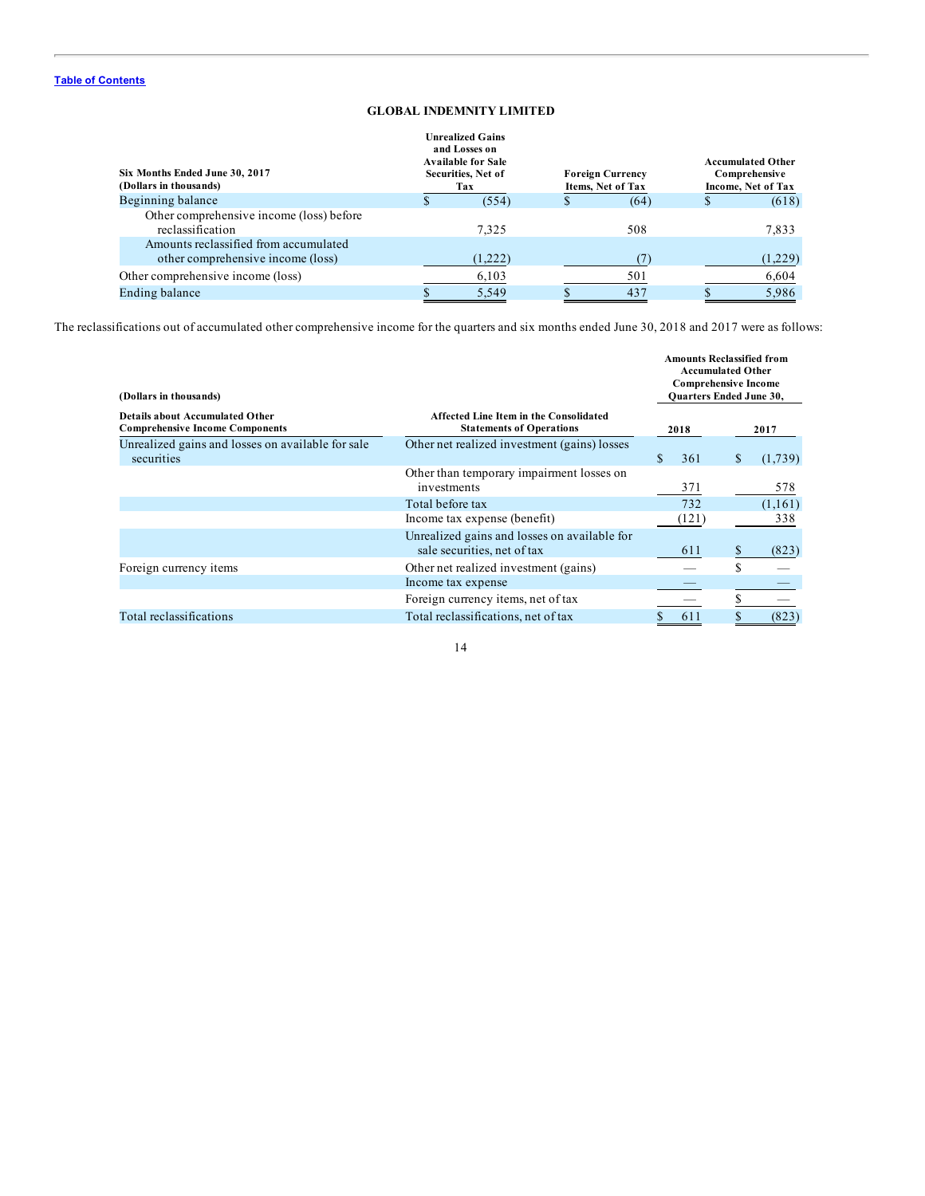### **GLOBAL INDEMNITY LIMITED**

| Six Months Ended June 30, 2017<br>(Dollars in thousands)                   | <b>Unrealized Gains</b><br>and Losses on<br><b>Available for Sale</b><br>Securities, Net of<br>Tax | <b>Foreign Currency</b><br>Items, Net of Tax | <b>Accumulated Other</b><br>Comprehensive<br>Income, Net of Tax |
|----------------------------------------------------------------------------|----------------------------------------------------------------------------------------------------|----------------------------------------------|-----------------------------------------------------------------|
| Beginning balance                                                          | (554)                                                                                              | (64)                                         | (618)                                                           |
| Other comprehensive income (loss) before<br>reclassification               | 7,325                                                                                              | 508                                          | 7,833                                                           |
| Amounts reclassified from accumulated<br>other comprehensive income (loss) | (1,222)                                                                                            |                                              | (1,229)                                                         |
| Other comprehensive income (loss)                                          | 6,103                                                                                              | 501                                          | 6,604                                                           |
| Ending balance                                                             | 5,549                                                                                              | 437                                          | 5,986                                                           |

The reclassifications out of accumulated other comprehensive income for the quarters and six months ended June 30, 2018 and 2017 were as follows:

| (Dollars in thousands)                                                           |                                                                             |      | <b>Amounts Reclassified from</b><br><b>Accumulated Other</b><br><b>Comprehensive Income</b><br><b>Ouarters Ended June 30,</b> |               |         |  |  |
|----------------------------------------------------------------------------------|-----------------------------------------------------------------------------|------|-------------------------------------------------------------------------------------------------------------------------------|---------------|---------|--|--|
| <b>Details about Accumulated Other</b><br><b>Comprehensive Income Components</b> | Affected Line Item in the Consolidated<br><b>Statements of Operations</b>   | 2018 |                                                                                                                               |               | 2017    |  |  |
| Unrealized gains and losses on available for sale<br>securities                  | Other net realized investment (gains) losses                                | \$   | 361                                                                                                                           | <sup>\$</sup> | (1,739) |  |  |
|                                                                                  | Other than temporary impairment losses on<br>investments                    |      | 371                                                                                                                           |               | 578     |  |  |
|                                                                                  | Total before tax                                                            |      | 732                                                                                                                           |               | (1,161) |  |  |
|                                                                                  | Income tax expense (benefit)                                                |      | (121)                                                                                                                         |               | 338     |  |  |
|                                                                                  | Unrealized gains and losses on available for<br>sale securities, net of tax |      | 611                                                                                                                           | \$            | (823)   |  |  |
| Foreign currency items                                                           | Other net realized investment (gains)                                       |      |                                                                                                                               | \$            |         |  |  |
|                                                                                  | Income tax expense                                                          |      |                                                                                                                               |               |         |  |  |
|                                                                                  | Foreign currency items, net of tax                                          |      |                                                                                                                               |               |         |  |  |
| Total reclassifications                                                          | Total reclassifications, net of tax                                         |      | 611                                                                                                                           |               | (823)   |  |  |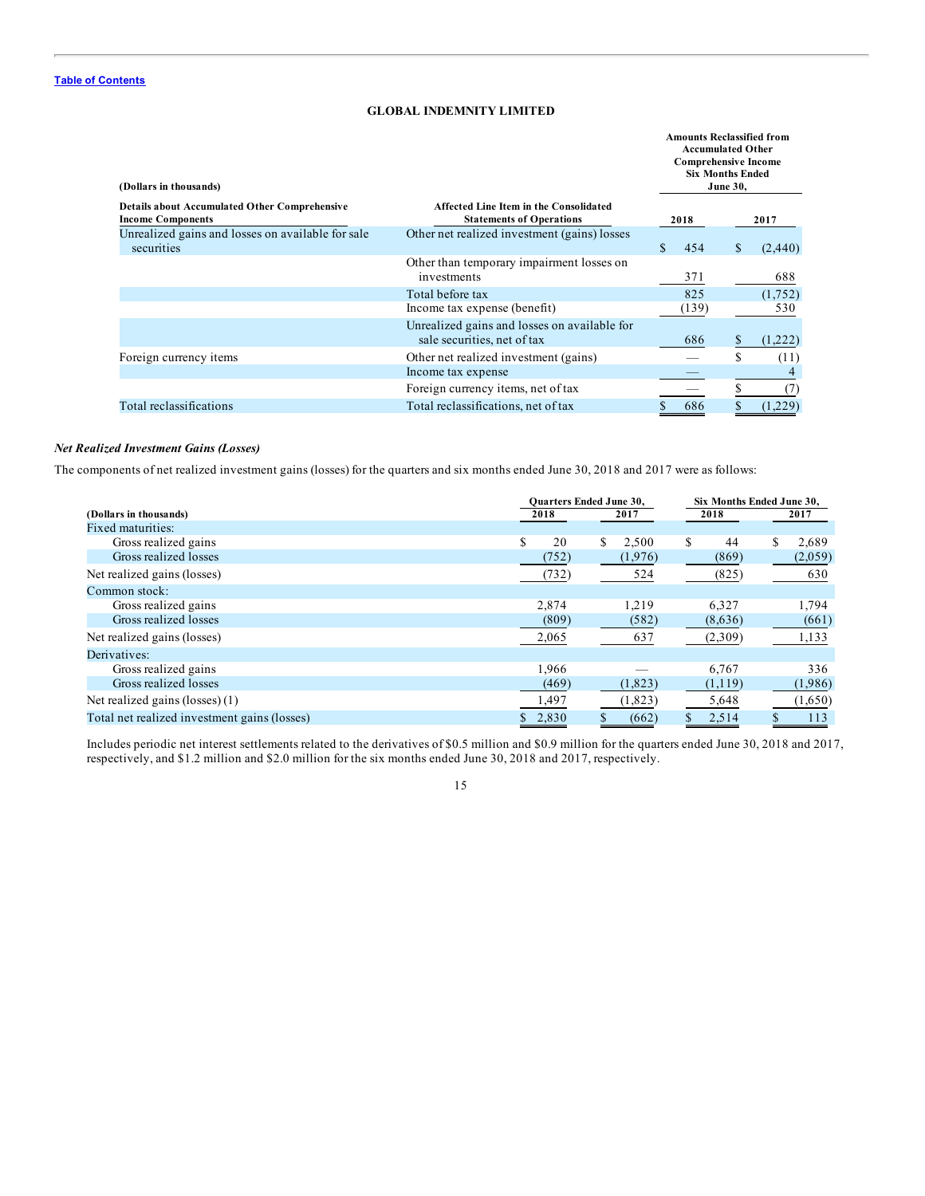| (Dollars in thousands)                                                           |                                                                             |      | <b>Amounts Reclassified from</b><br><b>Accumulated Other</b><br><b>Comprehensive Income</b><br><b>Six Months Ended</b> | <b>June 30,</b> |         |
|----------------------------------------------------------------------------------|-----------------------------------------------------------------------------|------|------------------------------------------------------------------------------------------------------------------------|-----------------|---------|
| <b>Details about Accumulated Other Comprehensive</b><br><b>Income Components</b> | Affected Line Item in the Consolidated<br><b>Statements of Operations</b>   | 2018 |                                                                                                                        | 2017            |         |
| Unrealized gains and losses on available for sale<br>securities                  | Other net realized investment (gains) losses                                | \$   | 454                                                                                                                    | \$              | (2,440) |
|                                                                                  | Other than temporary impairment losses on<br>investments                    |      | 371                                                                                                                    |                 | 688     |
|                                                                                  | Total before tax                                                            |      | 825                                                                                                                    |                 | (1,752) |
|                                                                                  | Income tax expense (benefit)                                                |      | (139)                                                                                                                  |                 | 530     |
|                                                                                  | Unrealized gains and losses on available for<br>sale securities, net of tax |      | 686                                                                                                                    | S               | (1,222) |
| Foreign currency items                                                           | Other net realized investment (gains)                                       |      |                                                                                                                        | \$              | (11)    |
|                                                                                  | Income tax expense                                                          |      |                                                                                                                        |                 |         |
|                                                                                  | Foreign currency items, net of tax                                          |      |                                                                                                                        |                 | (7)     |
| Total reclassifications                                                          | Total reclassifications, net of tax                                         |      | 686                                                                                                                    |                 | (1,229) |

### *Net Realized Investment Gains (Losses)*

The components of net realized investment gains (losses) for the quarters and six months ended June 30, 2018 and 2017 were as follows:

|                                              | <b>Ouarters Ended June 30,</b> |         | Six Months Ended June 30. |            |  |
|----------------------------------------------|--------------------------------|---------|---------------------------|------------|--|
| (Dollars in thousands)                       | 2018                           | 2017    | 2018                      | 2017       |  |
| Fixed maturities:                            |                                |         |                           |            |  |
| Gross realized gains                         | 20                             | 2,500   | S<br>44                   | S<br>2,689 |  |
| Gross realized losses                        | (752)                          | (1,976) | (869)                     | (2,059)    |  |
| Net realized gains (losses)                  | (732)                          | 524     | (825)                     | 630        |  |
| Common stock:                                |                                |         |                           |            |  |
| Gross realized gains                         | 2,874                          | 1,219   | 6,327                     | 1,794      |  |
| Gross realized losses                        | (809)                          | (582)   | (8,636)                   | (661)      |  |
| Net realized gains (losses)                  | 2,065                          | 637     | (2,309)                   | 1,133      |  |
| Derivatives:                                 |                                |         |                           |            |  |
| Gross realized gains                         | 1.966                          |         | 6.767                     | 336        |  |
| Gross realized losses                        | (469)                          | (1,823) | (1, 119)                  | (1,986)    |  |
| Net realized gains (losses) (1)              | 1,497                          | (1,823) | 5,648                     | (1,650)    |  |
| Total net realized investment gains (losses) | 2,830                          | (662)   | 2,514                     | 113        |  |

Includes periodic net interest settlements related to the derivatives of \$0.5 million and \$0.9 million for the quarters ended June 30, 2018 and 2017, respectively, and \$1.2 million and \$2.0 million for the six months ended June 30, 2018 and 2017, respectively.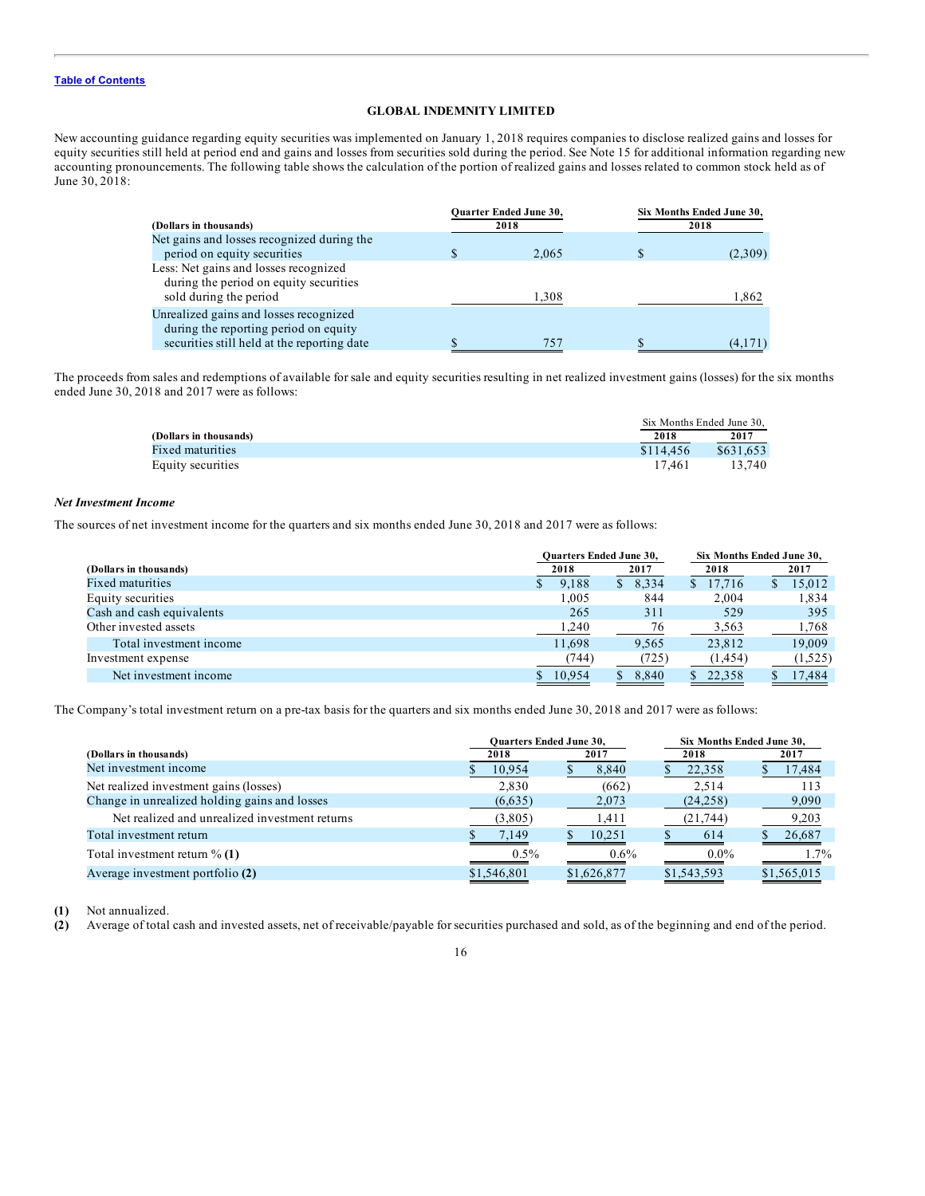#### **GLOBAL INDEMNITY LIMITED**

New accounting guidance regarding equity securities was implemented on January 1, 2018 requires companies to disclose realized gains and losses for equity securities still held at period end and gains and losses from securities sold during the period. See Note 15 for additional information regarding new accounting pronouncements. The following table shows the calculation of the portion of realized gains and losses related to common stock held as of June 30, 2018:

|                                                                                 | Quarter Ended June 30, | Six Months Ended June 30, |
|---------------------------------------------------------------------------------|------------------------|---------------------------|
| (Dollars in thousands)                                                          | 2018                   | 2018                      |
| Net gains and losses recognized during the                                      |                        |                           |
| period on equity securities                                                     | 2,065                  | (2,309)                   |
| Less: Net gains and losses recognized<br>during the period on equity securities |                        |                           |
| sold during the period                                                          | 1,308                  | 1,862                     |
| Unrealized gains and losses recognized<br>during the reporting period on equity |                        |                           |
| securities still held at the reporting date                                     | 757                    | (4.171                    |

The proceeds from sales and redemptions of available for sale and equity securities resulting in net realized investment gains (losses) for the six months ended June 30, 2018 and 2017 were as follows:

|                         |           | Six Months Ended June 30. |  |  |  |  |
|-------------------------|-----------|---------------------------|--|--|--|--|
| (Dollars in thousands)  | 2018      | 2017                      |  |  |  |  |
| <b>Fixed maturities</b> | \$114,456 | \$631.653                 |  |  |  |  |
| Equity securities       | 17.461    | 13.740                    |  |  |  |  |

#### *Net Investment Income*

The sources of net investment income for the quarters and six months ended June 30, 2018 and 2017 were as follows:

|                           |        | <b>Ouarters Ended June 30,</b> | Six Months Ended June 30, |         |  |
|---------------------------|--------|--------------------------------|---------------------------|---------|--|
| (Dollars in thousands)    | 2018   | 2017                           | 2018                      | 2017    |  |
| <b>Fixed maturities</b>   | 9,188  | 8,334<br>S.                    | 17.716                    | 15,012  |  |
| Equity securities         | 1.005  | 844                            | 2.004                     | 1.834   |  |
| Cash and cash equivalents | 265    | 311                            | 529                       | 395     |  |
| Other invested assets     | 1,240  | 76                             | 3,563                     | 1,768   |  |
| Total investment income   | 11.698 | 9.565                          | 23,812                    | 19,009  |  |
| Investment expense        | (744)  | (725)                          | (1, 454)                  | (1,525) |  |
| Net investment income     | 10,954 | 8,840                          | 22,358                    | 17,484  |  |

The Company's total investment return on a pre-tax basis for the quarters and six months ended June 30, 2018 and 2017 were as follows:

|                                                | <b>Ouarters Ended June 30,</b> |             | Six Months Ended June 30. |             |
|------------------------------------------------|--------------------------------|-------------|---------------------------|-------------|
| (Dollars in thousands)                         | 2018                           | 2017        | 2018                      | 2017        |
| Net investment income                          | 10,954                         | 8,840       | 22,358                    | 17,484      |
| Net realized investment gains (losses)         | 2.830                          | (662)       | 2,514                     | 113         |
| Change in unrealized holding gains and losses  | (6,635)                        | 2,073       | (24, 258)                 | 9,090       |
| Net realized and unrealized investment returns | (3,805)                        | 1,411       | (21, 744)                 | 9,203       |
| Total investment return                        | 7.149                          | 10,251      | 614                       | 26,687      |
| Total investment return $\%$ (1)               | $0.5\%$                        | $0.6\%$     | $0.0\%$                   | $1.7\%$     |
| Average investment portfolio (2)               | \$1,546,801                    | \$1,626,877 | \$1,543,593               | \$1,565,015 |

**(1)** Not annualized.

**(2)** Average of total cash and invested assets, net of receivable/payable for securities purchased and sold, as of the beginning and end of the period.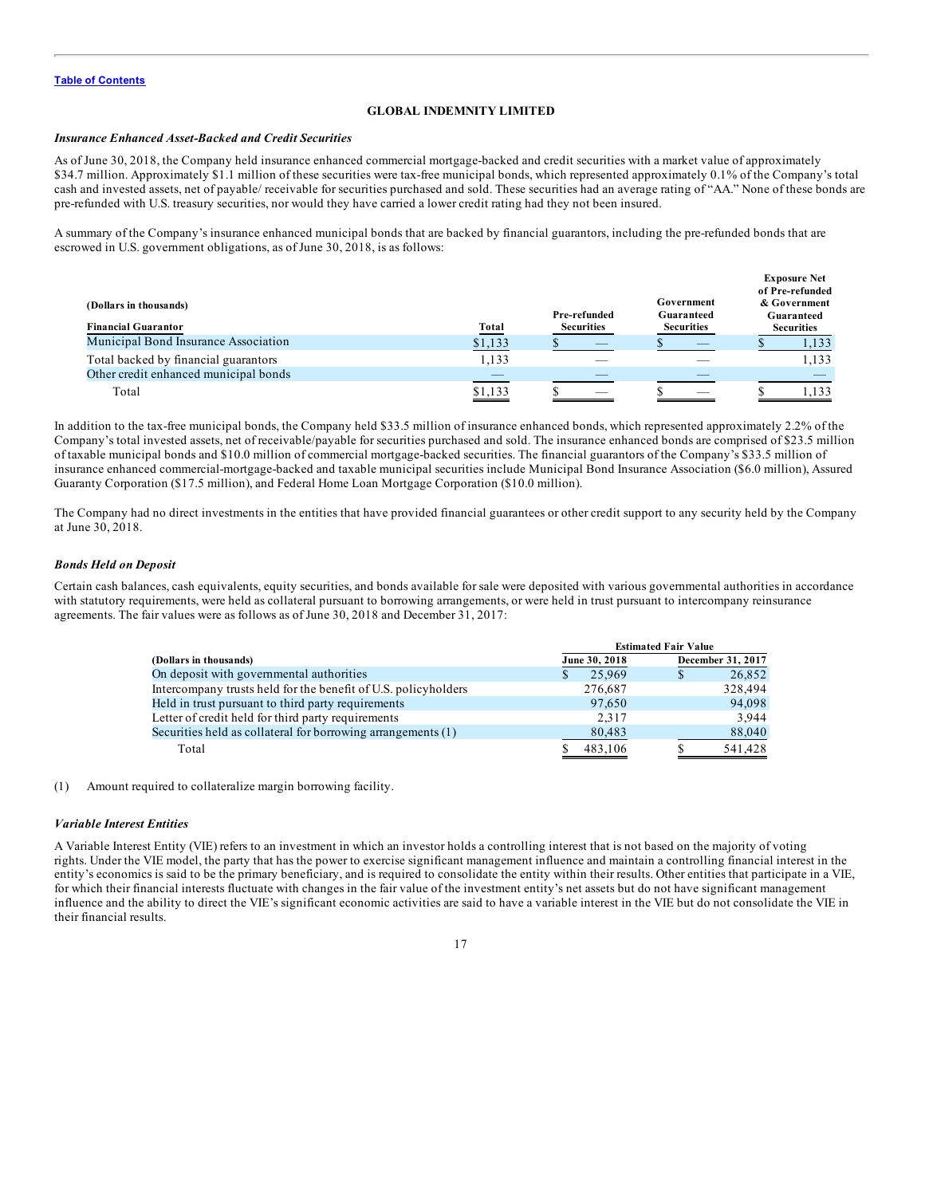#### **GLOBAL INDEMNITY LIMITED**

#### *Insurance Enhanced Asset-Backed and Credit Securities*

As of June 30, 2018, the Company held insurance enhanced commercial mortgage-backed and credit securities with a market value of approximately \$34.7 million. Approximately \$1.1 million of these securities were tax-free municipal bonds, which represented approximately 0.1% of the Company's total cash and invested assets, net of payable/ receivable for securities purchased and sold. These securities had an average rating of "AA." None of these bonds are pre-refunded with U.S. treasury securities, nor would they have carried a lower credit rating had they not been insured.

A summary of the Company's insurance enhanced municipal bonds that are backed by financial guarantors, including the pre-refunded bonds that are escrowed in U.S. government obligations, as of June 30, 2018, is as follows:

| (Dollars in thousands)<br><b>Financial Guarantor</b> | Total   | Government<br>Guaranteed<br>Pre-refunded<br><b>Securities</b><br><b>Securities</b> |  |    | <b>Exposure Net</b><br>of Pre-refunded<br>& Government<br>Guaranteed<br><b>Securities</b> |
|------------------------------------------------------|---------|------------------------------------------------------------------------------------|--|----|-------------------------------------------------------------------------------------------|
| Municipal Bond Insurance Association                 | \$1,133 |                                                                                    |  |    | 1,133                                                                                     |
| Total backed by financial guarantors                 | 1,133   |                                                                                    |  |    | 1,133                                                                                     |
| Other credit enhanced municipal bonds                |         |                                                                                    |  |    |                                                                                           |
| Total                                                | \$1,133 | __                                                                                 |  | __ | 1.133                                                                                     |

In addition to the tax-free municipal bonds, the Company held \$33.5 million of insurance enhanced bonds, which represented approximately 2.2% of the Company's total invested assets, net of receivable/payable for securities purchased and sold. The insurance enhanced bonds are comprised of \$23.5 million of taxable municipal bonds and \$10.0 million of commercial mortgage-backed securities. The financial guarantors of the Company's \$33.5 million of insurance enhanced commercial-mortgage-backed and taxable municipal securities include Municipal Bond Insurance Association (\$6.0 million), Assured Guaranty Corporation (\$17.5 million), and Federal Home Loan Mortgage Corporation (\$10.0 million).

The Company had no direct investments in the entities that have provided financial guarantees or other credit support to any security held by the Company at June 30, 2018.

#### *Bonds Held on Deposit*

Certain cash balances, cash equivalents, equity securities, and bonds available for sale were deposited with various governmental authorities in accordance with statutory requirements, were held as collateral pursuant to borrowing arrangements, or were held in trust pursuant to intercompany reinsurance agreements. The fair values were as follows as of June 30, 2018 and December 31, 2017:

|                                                                | <b>Estimated Fair Value</b> |                   |  |  |  |  |
|----------------------------------------------------------------|-----------------------------|-------------------|--|--|--|--|
| (Dollars in thousands)                                         | June 30, 2018               | December 31, 2017 |  |  |  |  |
| On deposit with governmental authorities                       | 25,969                      | 26,852            |  |  |  |  |
| Intercompany trusts held for the benefit of U.S. policyholders | 276,687                     | 328,494           |  |  |  |  |
| Held in trust pursuant to third party requirements             | 97,650                      | 94,098            |  |  |  |  |
| Letter of credit held for third party requirements             | 2.317                       | 3.944             |  |  |  |  |
| Securities held as collateral for borrowing arrangements (1)   | 80,483                      | 88,040            |  |  |  |  |
| Total                                                          | 483,106                     | 541,428           |  |  |  |  |

(1) Amount required to collateralize margin borrowing facility.

#### *Variable Interest Entities*

A Variable Interest Entity (VIE) refers to an investment in which an investor holds a controlling interest that is not based on the majority of voting rights. Under the VIE model, the party that has the power to exercise significant management influence and maintain a controlling financial interest in the entity's economics is said to be the primary beneficiary, and is required to consolidate the entity within their results. Other entities that participate in a VIE, for which their financial interests fluctuate with changes in the fair value of the investment entity's net assets but do not have significant management influence and the ability to direct the VIE's significant economic activities are said to have a variable interest in the VIE but do not consolidate the VIE in their financial results.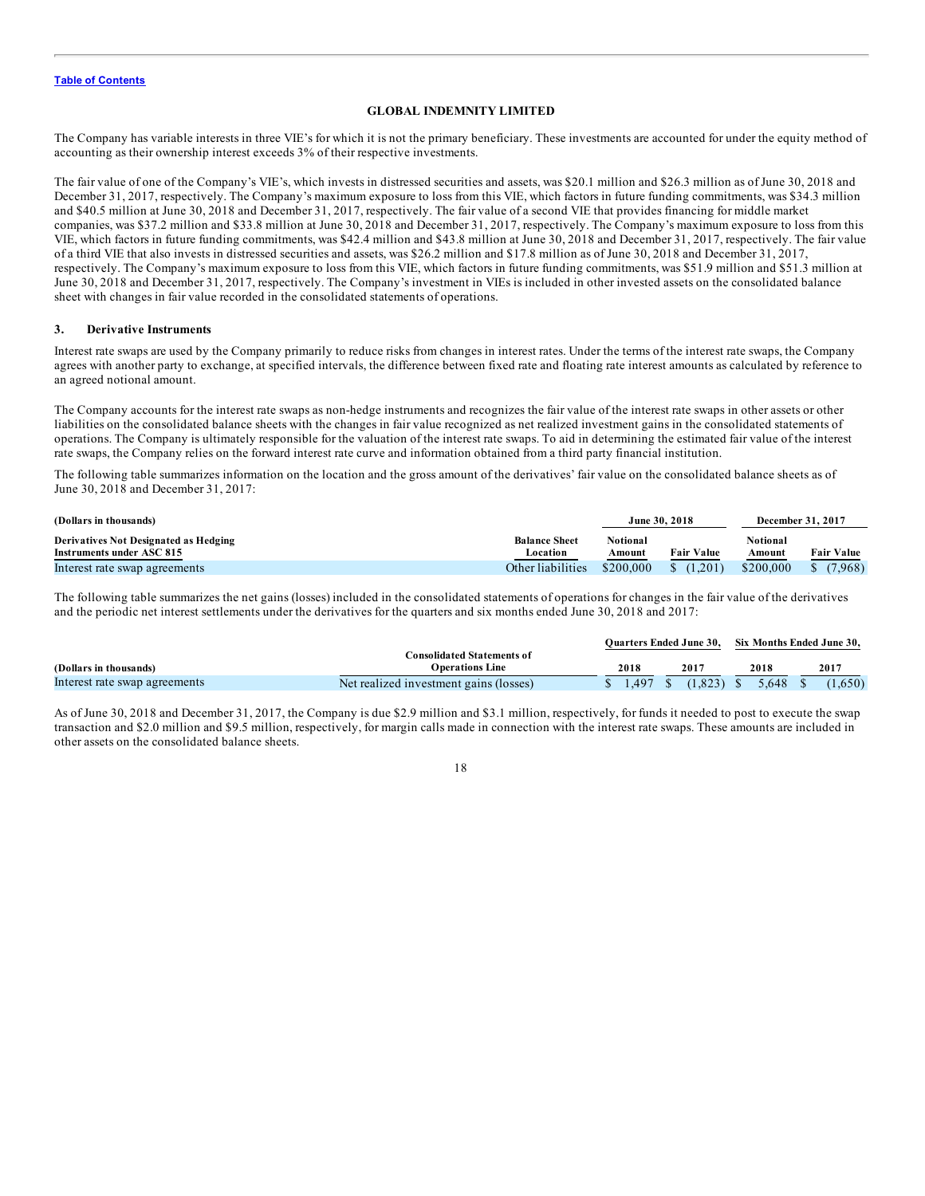#### **GLOBAL INDEMNITY LIMITED**

The Company has variable interests in three VIE's for which it is not the primary beneficiary. These investments are accounted for under the equity method of accounting as their ownership interest exceeds 3% of their respective investments.

The fair value of one of the Company's VIE's, which invests in distressed securities and assets, was \$20.1 million and \$26.3 million as of June 30, 2018 and December 31, 2017, respectively. The Company's maximum exposure to loss from this VIE, which factors in future funding commitments, was \$34.3 million and \$40.5 million at June 30, 2018 and December 31, 2017, respectively. The fair value of a second VIE that provides financing for middle market companies, was \$37.2 million and \$33.8 million at June 30, 2018 and December 31, 2017, respectively. The Company's maximum exposure to loss from this VIE, which factors in future funding commitments, was \$42.4 million and \$43.8 million at June 30, 2018 and December 31, 2017, respectively. The fair value of a third VIE that also invests in distressed securities and assets, was \$26.2 million and \$17.8 million as of June 30, 2018 and December 31, 2017, respectively. The Company's maximum exposure to loss from this VIE, which factors in future funding commitments, was \$51.9 million and \$51.3 million at June 30, 2018 and December 31, 2017, respectively. The Company's investment in VIEs is included in other invested assets on the consolidated balance sheet with changes in fair value recorded in the consolidated statements of operations.

#### **3. Derivative Instruments**

Interest rate swaps are used by the Company primarily to reduce risks from changes in interest rates. Under the terms of the interest rate swaps, the Company agrees with another party to exchange, at specified intervals, the difference between fixed rate and floating rate interest amounts as calculated by reference to an agreed notional amount.

The Company accounts for the interest rate swaps as non-hedge instruments and recognizes the fair value of the interest rate swaps in other assets or other liabilities on the consolidated balance sheets with the changes in fair value recognized as net realized investment gains in the consolidated statements of operations. The Company is ultimately responsible for the valuation of the interest rate swaps. To aid in determining the estimated fair value of the interest rate swaps, the Company relies on the forward interest rate curve and information obtained from a third party financial institution.

The following table summarizes information on the location and the gross amount of the derivatives' fair value on the consolidated balance sheets as of June 30, 2018 and December 31, 2017:

| (Dollars in thousands)                |                      |           | June 30, 2018     | December 31, 2017 |                   |  |
|---------------------------------------|----------------------|-----------|-------------------|-------------------|-------------------|--|
| Derivatives Not Designated as Hedging | <b>Balance Sheet</b> | Notional  |                   | Notional          |                   |  |
| Instruments under ASC 815             | Location             | Amount    | <b>Fair Value</b> | Amount            | <b>Fair Value</b> |  |
| Interest rate swap agreements         | Other liabilities    | \$200,000 | (1.201)           | \$200,000         | \$(7,968)         |  |

The following table summarizes the net gains (losses) included in the consolidated statements of operations for changes in the fair value of the derivatives and the periodic net interest settlements under the derivatives for the quarters and six months ended June 30, 2018 and 2017:

|                               |                                        | <b>Ouarters Ended June 30.</b> |  | Six Months Ended June 30. |  |       |  |         |
|-------------------------------|----------------------------------------|--------------------------------|--|---------------------------|--|-------|--|---------|
|                               | Consolidated Statements of             |                                |  |                           |  |       |  |         |
| (Dollars in thousands)        | <b>Operations Line</b>                 | 2018                           |  | 201'                      |  | 2018  |  | 2017    |
| Interest rate swap agreements | Net realized investment gains (losses) |                                |  |                           |  | 5.648 |  | (1,650) |

As of June 30, 2018 and December 31, 2017, the Company is due \$2.9 million and \$3.1 million, respectively, for funds it needed to post to execute the swap transaction and \$2.0 million and \$9.5 million, respectively, for margin calls made in connection with the interest rate swaps. These amounts are included in other assets on the consolidated balance sheets.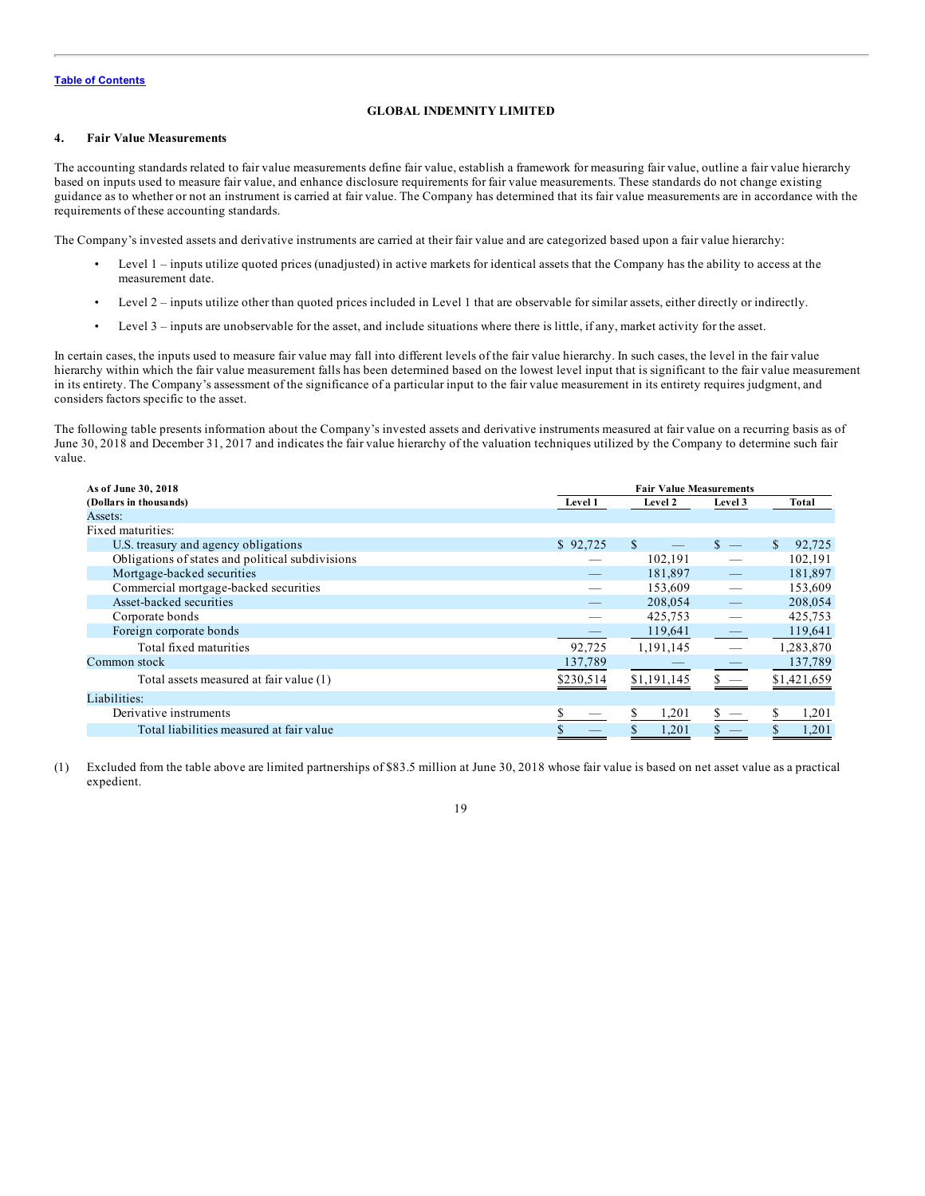#### **4. Fair Value Measurements**

The accounting standards related to fair value measurements define fair value, establish a framework for measuring fair value, outline a fair value hierarchy based on inputs used to measure fair value, and enhance disclosure requirements for fair value measurements. These standards do not change existing guidance as to whether or not an instrument is carried at fair value. The Company has determined that its fair value measurements are in accordance with the requirements of these accounting standards.

The Company's invested assets and derivative instruments are carried at their fair value and are categorized based upon a fair value hierarchy:

- Level 1 inputs utilize quoted prices (unadjusted) in active markets for identical assets that the Company has the ability to access at the measurement date.
- Level 2 inputs utilize other than quoted prices included in Level 1 that are observable for similar assets, either directly or indirectly.
- Level 3 inputs are unobservable for the asset, and include situations where there is little, if any, market activity for the asset.

In certain cases, the inputs used to measure fair value may fall into different levels of the fair value hierarchy. In such cases, the level in the fair value hierarchy within which the fair value measurement falls has been determined based on the lowest level input that is significant to the fair value measurement in its entirety. The Company's assessment of the significance of a particular input to the fair value measurement in its entirety requires judgment, and considers factors specific to the asset.

The following table presents information about the Company's invested assets and derivative instruments measured at fair value on a recurring basis as of June 30, 2018 and December 31, 2017 and indicates the fair value hierarchy of the valuation techniques utilized by the Company to determine such fair value.

| As of June 30, 2018                              | <b>Fair Value Measurements</b> |             |                          |              |  |  |
|--------------------------------------------------|--------------------------------|-------------|--------------------------|--------------|--|--|
| (Dollars in thousands)                           | Level 1                        | Level 2     | Level 3                  | Total        |  |  |
| Assets:                                          |                                |             |                          |              |  |  |
| Fixed maturities:                                |                                |             |                          |              |  |  |
| U.S. treasury and agency obligations             | \$92,725                       | S.          |                          | 92,725<br>S. |  |  |
| Obligations of states and political subdivisions |                                | 102,191     |                          | 102,191      |  |  |
| Mortgage-backed securities                       |                                | 181,897     |                          | 181,897      |  |  |
| Commercial mortgage-backed securities            |                                | 153,609     |                          | 153,609      |  |  |
| Asset-backed securities                          |                                | 208,054     |                          | 208,054      |  |  |
| Corporate bonds                                  |                                | 425,753     |                          | 425,753      |  |  |
| Foreign corporate bonds                          |                                | 119,641     | $\overline{\phantom{m}}$ | 119,641      |  |  |
| Total fixed maturities                           | 92,725                         | 1,191,145   |                          | 1,283,870    |  |  |
| Common stock                                     | 137,789                        |             |                          | 137,789      |  |  |
| Total assets measured at fair value (1)          | \$230,514                      | \$1,191,145 | $s -$                    | \$1,421,659  |  |  |
| Liabilities:                                     |                                |             |                          |              |  |  |
| Derivative instruments                           |                                | 1,201       |                          | 1,201        |  |  |
| Total liabilities measured at fair value         |                                | 1,201       |                          | 1,201        |  |  |

(1) Excluded from the table above are limited partnerships of \$83.5 million at June 30, 2018 whose fair value is based on net asset value as a practical expedient.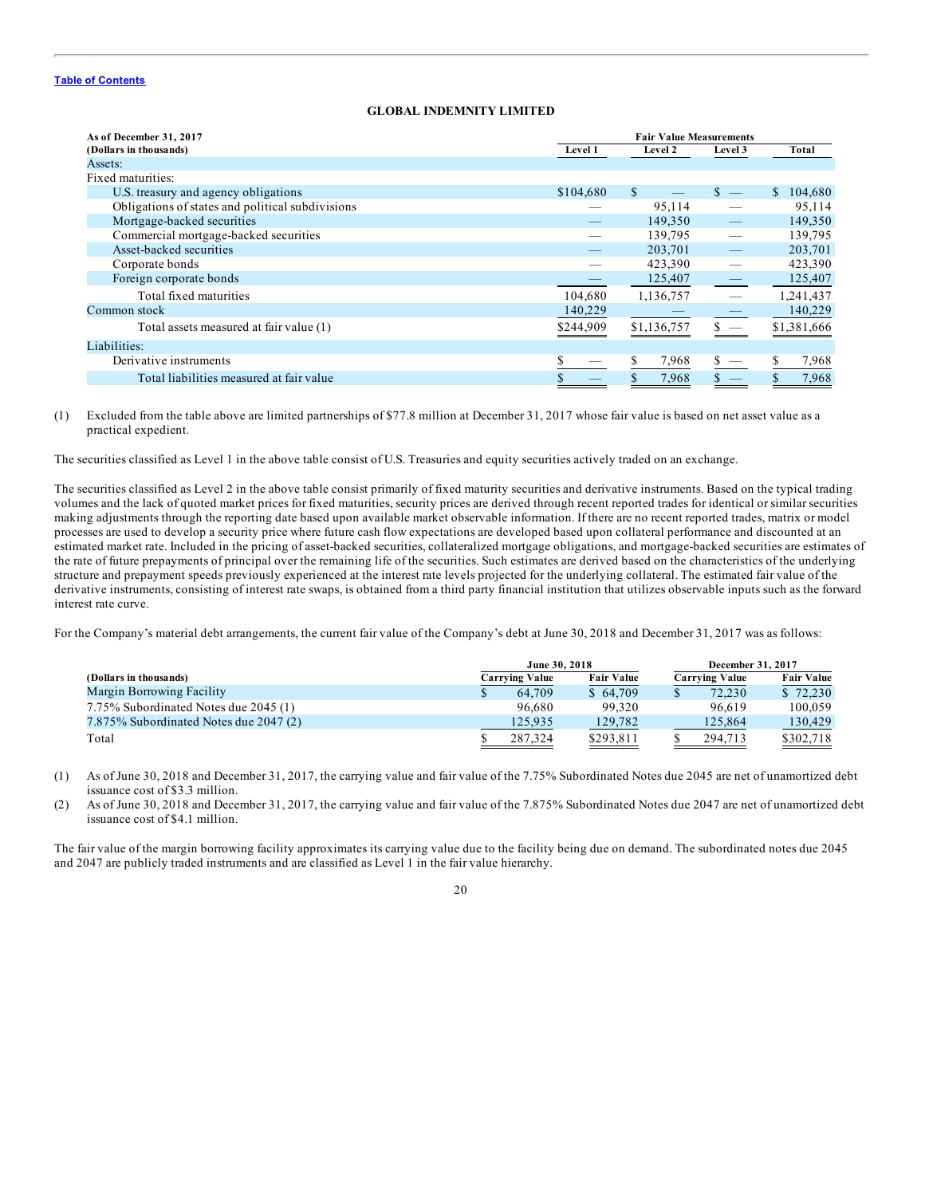#### **GLOBAL INDEMNITY LIMITED**

| As of December 31, 2017                          | <b>Fair Value Measurements</b> |             |         |                         |  |  |
|--------------------------------------------------|--------------------------------|-------------|---------|-------------------------|--|--|
| (Dollars in thousands)                           | <b>Level 1</b>                 | Level 2     | Level 3 | Total                   |  |  |
| Assets:                                          |                                |             |         |                         |  |  |
| Fixed maturities:                                |                                |             |         |                         |  |  |
| U.S. treasury and agency obligations             | \$104,680                      | \$.         |         | 104,680<br><sup>S</sup> |  |  |
| Obligations of states and political subdivisions |                                | 95,114      |         | 95,114                  |  |  |
| Mortgage-backed securities                       |                                | 149,350     |         | 149,350                 |  |  |
| Commercial mortgage-backed securities            |                                | 139,795     |         | 139,795                 |  |  |
| Asset-backed securities                          |                                | 203,701     |         | 203,701                 |  |  |
| Corporate bonds                                  |                                | 423,390     |         | 423,390                 |  |  |
| Foreign corporate bonds                          |                                | 125,407     |         | 125,407                 |  |  |
| Total fixed maturities                           | 104,680                        | 1,136,757   |         | 1,241,437               |  |  |
| Common stock                                     | 140,229                        |             |         | 140,229                 |  |  |
| Total assets measured at fair value (1)          | \$244,909                      | \$1,136,757 |         | \$1,381,666             |  |  |
| Liabilities:                                     |                                |             |         |                         |  |  |
| Derivative instruments                           |                                | 7,968       |         | 7,968                   |  |  |
| Total liabilities measured at fair value         |                                | 7,968       |         | 7,968                   |  |  |

(1) Excluded from the table above are limited partnerships of \$77.8 million at December 31, 2017 whose fair value is based on net asset value as a practical expedient.

The securities classified as Level 1 in the above table consist of U.S. Treasuries and equity securities actively traded on an exchange.

The securities classified as Level 2 in the above table consist primarily of fixed maturity securities and derivative instruments. Based on the typical trading volumes and the lack of quoted market prices for fixed maturities, security prices are derived through recent reported trades for identical or similar securities making adjustments through the reporting date based upon available market observable information. If there are no recent reported trades, matrix or model processes are used to develop a security price where future cash flow expectations are developed based upon collateral performance and discounted at an estimated market rate. Included in the pricing of asset-backed securities, collateralized mortgage obligations, and mortgage-backed securities are estimates of the rate of future prepayments of principal over the remaining life of the securities. Such estimates are derived based on the characteristics of the underlying structure and prepayment speeds previously experienced at the interest rate levels projected for the underlying collateral. The estimated fair value of the derivative instruments, consisting of interest rate swaps, is obtained from a third party financial institution that utilizes observable inputs such as the forward interest rate curve.

For the Company's material debt arrangements, the current fair value of the Company's debt at June 30, 2018 and December 31, 2017 was as follows:

|                                        |                       | June 30, 2018     |                       | December 31, 2017 |
|----------------------------------------|-----------------------|-------------------|-----------------------|-------------------|
| (Dollars in thousands)                 | <b>Carrying Value</b> | <b>Fair Value</b> | <b>Carrying Value</b> | <b>Fair Value</b> |
| <b>Margin Borrowing Facility</b>       | 64,709                | \$64.709          | 72.230                | \$72.230          |
| 7.75% Subordinated Notes due 2045 (1)  | 96.680                | 99.320            | 96.619                | 100.059           |
| 7.875% Subordinated Notes due 2047 (2) | 125.935               | 129.782           | 125,864               | 130,429           |
| Total                                  | 287.324               | \$293,811         | 294.713               | \$302,718         |

(1) As of June 30, 2018 and December 31, 2017, the carrying value and fair value of the 7.75% Subordinated Notes due 2045 are net of unamortized debt issuance cost of \$3.3 million.

(2) As of June 30, 2018 and December 31, 2017, the carrying value and fair value of the 7.875% Subordinated Notes due 2047 are net of unamortized debt issuance cost of \$4.1 million.

The fair value of the margin borrowing facility approximates its carrying value due to the facility being due on demand. The subordinated notes due 2045 and 2047 are publicly traded instruments and are classified as Level 1 in the fair value hierarchy.

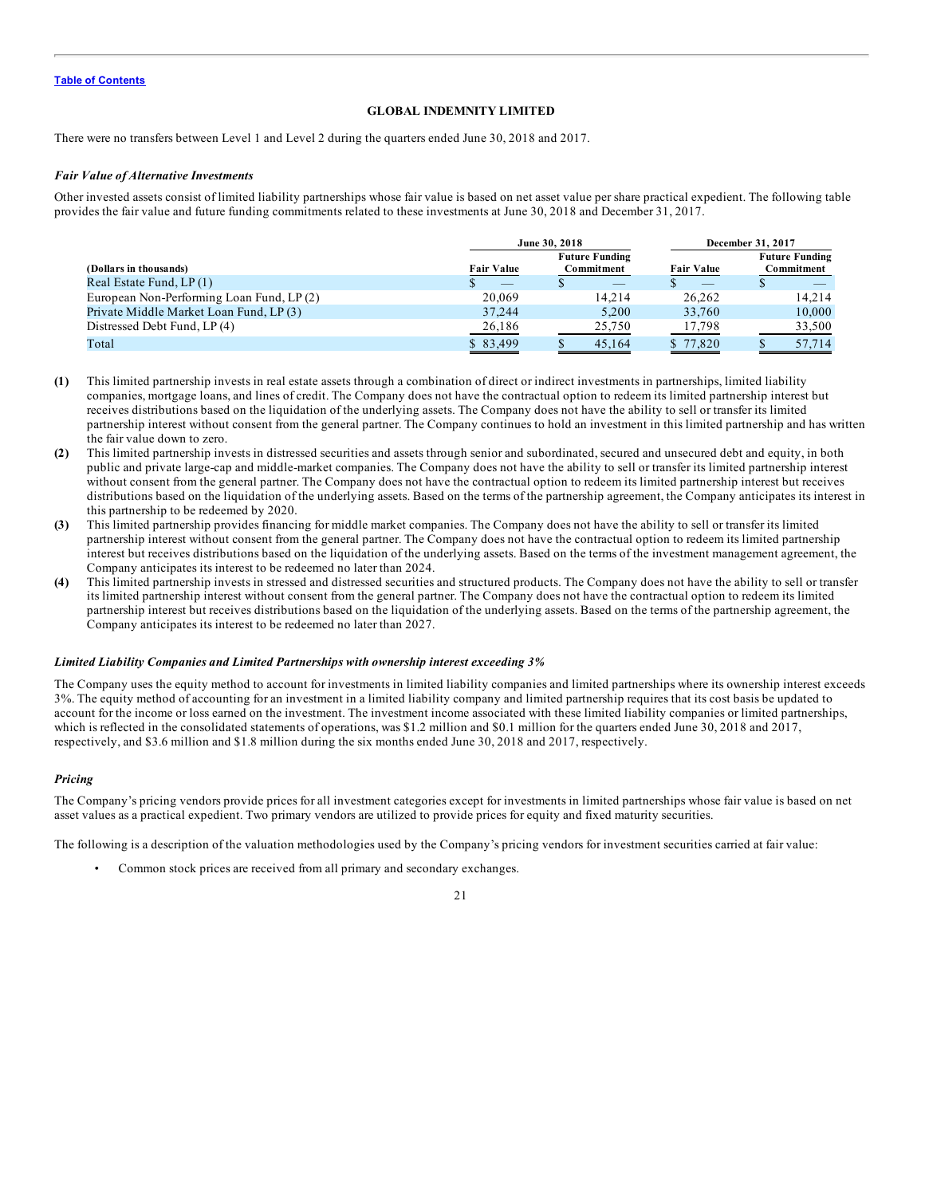There were no transfers between Level 1 and Level 2 during the quarters ended June 30, 2018 and 2017.

### *Fair Value of Alternative Investments*

Other invested assets consist of limited liability partnerships whose fair value is based on net asset value per share practical expedient. The following table provides the fair value and future funding commitments related to these investments at June 30, 2018 and December 31, 2017.

|                                          |                   | June 30, 2018         | December 31, 2017 |                       |  |  |
|------------------------------------------|-------------------|-----------------------|-------------------|-----------------------|--|--|
|                                          |                   | <b>Future Funding</b> |                   | <b>Future Funding</b> |  |  |
| (Dollars in thousands)                   | <b>Fair Value</b> | Commitment            | <b>Fair Value</b> | Commitment            |  |  |
| Real Estate Fund, LP(1)                  |                   |                       |                   |                       |  |  |
| European Non-Performing Loan Fund, LP(2) | 20,069            | 14.214                | 26.262            | 14.214                |  |  |
| Private Middle Market Loan Fund, LP (3)  | 37.244            | 5.200                 | 33.760            | 10,000                |  |  |
| Distressed Debt Fund, LP (4)             | 26,186            | 25,750                | 17,798            | 33,500                |  |  |
| Total                                    | \$ 83,499         | 45,164                | \$ 77,820         | 57,714                |  |  |

- **(1)** This limited partnership invests in real estate assets through a combination of direct or indirect investments in partnerships, limited liability companies, mortgage loans, and lines of credit. The Company does not have the contractual option to redeem its limited partnership interest but receives distributions based on the liquidation of the underlying assets. The Company does not have the ability to sell or transfer its limited partnership interest without consent from the general partner. The Company continues to hold an investment in this limited partnership and has written the fair value down to zero.
- **(2)** This limited partnership invests in distressed securities and assets through senior and subordinated, secured and unsecured debt and equity, in both public and private large-cap and middle-market companies. The Company does not have the ability to sell or transfer its limited partnership interest without consent from the general partner. The Company does not have the contractual option to redeem its limited partnership interest but receives distributions based on the liquidation of the underlying assets. Based on the terms of the partnership agreement, the Company anticipates its interest in this partnership to be redeemed by 2020.
- **(3)** This limited partnership provides financing for middle market companies. The Company does not have the ability to sell or transfer its limited partnership interest without consent from the general partner. The Company does not have the contractual option to redeem its limited partnership interest but receives distributions based on the liquidation of the underlying assets. Based on the terms of the investment management agreement, the Company anticipates its interest to be redeemed no later than 2024.
- **(4)** This limited partnership invests in stressed and distressed securities and structured products. The Company does not have the ability to sell or transfer its limited partnership interest without consent from the general partner. The Company does not have the contractual option to redeem its limited partnership interest but receives distributions based on the liquidation of the underlying assets. Based on the terms of the partnership agreement, the Company anticipates its interest to be redeemed no later than 2027.

### *Limited Liability Companies and Limited Partnerships with ownership interest exceeding 3%*

The Company uses the equity method to account for investments in limited liability companies and limited partnerships where its ownership interest exceeds 3%. The equity method of accounting for an investment in a limited liability company and limited partnership requires that its cost basis be updated to account for the income or loss earned on the investment. The investment income associated with these limited liability companies or limited partnerships, which is reflected in the consolidated statements of operations, was \$1.2 million and \$0.1 million for the quarters ended June 30, 2018 and 2017, respectively, and \$3.6 million and \$1.8 million during the six months ended June 30, 2018 and 2017, respectively.

#### *Pricing*

The Company's pricing vendors provide prices for all investment categories except for investments in limited partnerships whose fair value is based on net asset values as a practical expedient. Two primary vendors are utilized to provide prices for equity and fixed maturity securities.

The following is a description of the valuation methodologies used by the Company's pricing vendors for investment securities carried at fair value:

• Common stock prices are received from all primary and secondary exchanges.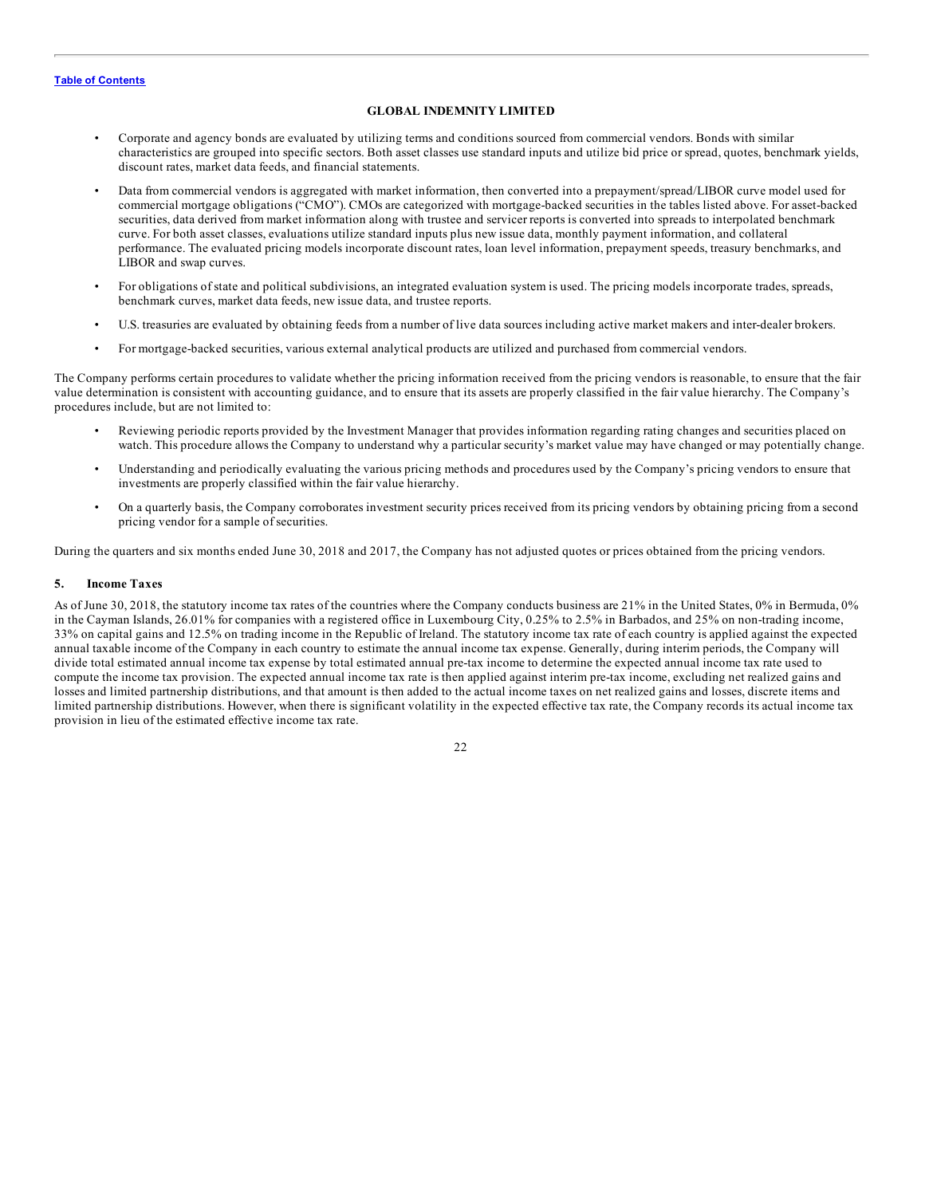#### **GLOBAL INDEMNITY LIMITED**

- Corporate and agency bonds are evaluated by utilizing terms and conditions sourced from commercial vendors. Bonds with similar characteristics are grouped into specific sectors. Both asset classes use standard inputs and utilize bid price or spread, quotes, benchmark yields, discount rates, market data feeds, and financial statements.
- Data from commercial vendors is aggregated with market information, then converted into a prepayment/spread/LIBOR curve model used for commercial mortgage obligations ("CMO"). CMOs are categorized with mortgage-backed securities in the tables listed above. For asset-backed securities, data derived from market information along with trustee and servicer reports is converted into spreads to interpolated benchmark curve. For both asset classes, evaluations utilize standard inputs plus new issue data, monthly payment information, and collateral performance. The evaluated pricing models incorporate discount rates, loan level information, prepayment speeds, treasury benchmarks, and LIBOR and swap curves.
- For obligations of state and political subdivisions, an integrated evaluation system is used. The pricing models incorporate trades, spreads, benchmark curves, market data feeds, new issue data, and trustee reports.
- U.S. treasuries are evaluated by obtaining feeds from a number of live data sources including active market makers and inter-dealer brokers.
- For mortgage-backed securities, various external analytical products are utilized and purchased from commercial vendors.

The Company performs certain procedures to validate whether the pricing information received from the pricing vendors is reasonable, to ensure that the fair value determination is consistent with accounting guidance, and to ensure that its assets are properly classified in the fair value hierarchy. The Company's procedures include, but are not limited to:

- Reviewing periodic reports provided by the Investment Manager that provides information regarding rating changes and securities placed on watch. This procedure allows the Company to understand why a particular security's market value may have changed or may potentially change.
- Understanding and periodically evaluating the various pricing methods and procedures used by the Company's pricing vendors to ensure that investments are properly classified within the fair value hierarchy.
- On a quarterly basis, the Company corroborates investment security prices received from its pricing vendors by obtaining pricing from a second pricing vendor for a sample of securities.

During the quarters and six months ended June 30, 2018 and 2017, the Company has not adjusted quotes or prices obtained from the pricing vendors.

#### **5. Income Taxes**

As of June 30, 2018, the statutory income tax rates of the countries where the Company conducts business are 21% in the United States, 0% in Bermuda, 0% in the Cayman Islands, 26.01% for companies with a registered office in Luxembourg City, 0.25% to 2.5% in Barbados, and 25% on non-trading income, 33% on capital gains and 12.5% on trading income in the Republic of Ireland. The statutory income tax rate of each country is applied against the expected annual taxable income of the Company in each country to estimate the annual income tax expense. Generally, during interim periods, the Company will divide total estimated annual income tax expense by total estimated annual pre-tax income to determine the expected annual income tax rate used to compute the income tax provision. The expected annual income tax rate is then applied against interim pre-tax income, excluding net realized gains and losses and limited partnership distributions, and that amount is then added to the actual income taxes on net realized gains and losses, discrete items and limited partnership distributions. However, when there is significant volatility in the expected effective tax rate, the Company records its actual income tax provision in lieu of the estimated effective income tax rate.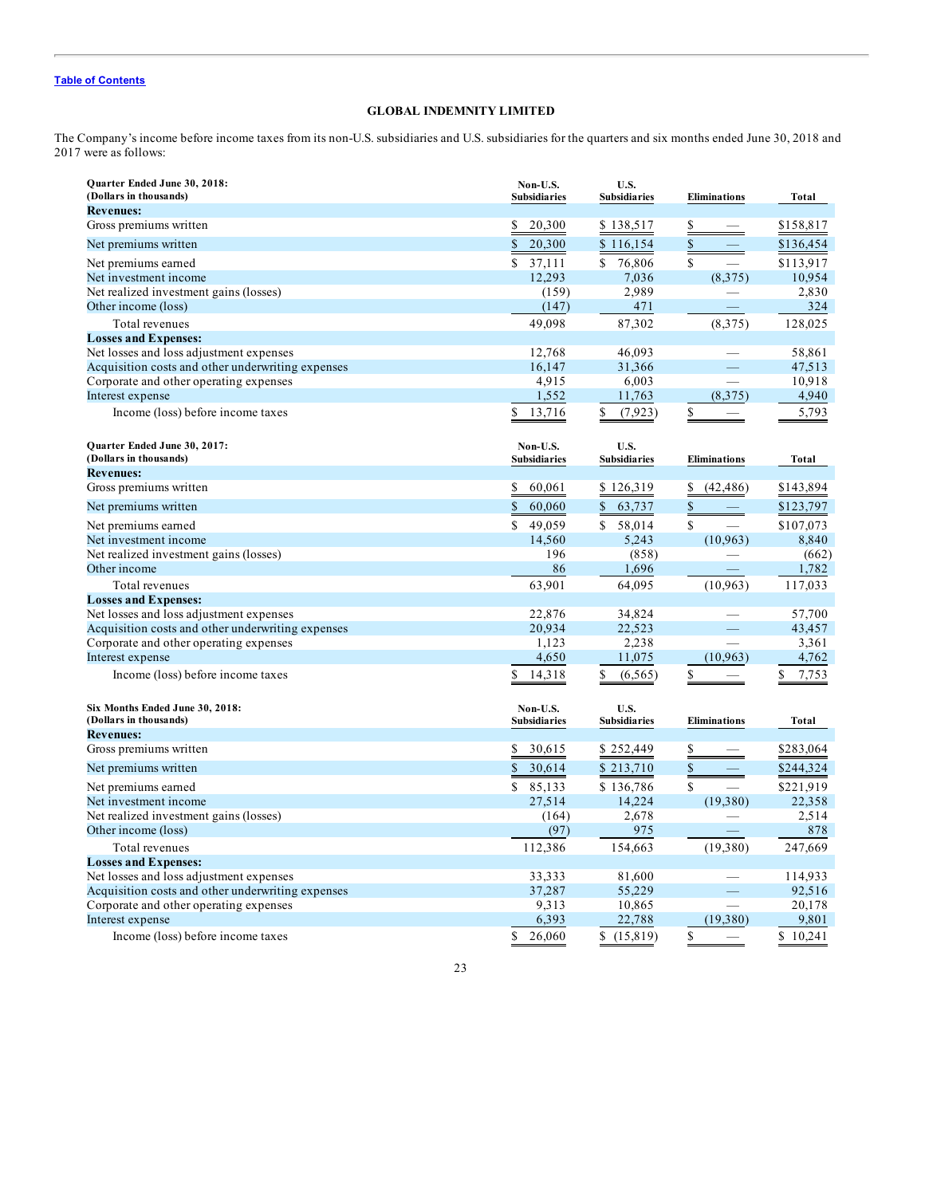### **GLOBAL INDEMNITY LIMITED**

The Company's income before income taxes from its non-U.S. subsidiaries and U.S. subsidiaries for the quarters and six months ended June 30, 2018 and 2017 were as follows:

| Quarter Ended June 30, 2018:<br>(Dollars in thousands)    | Non-U.S.<br><b>Subsidiaries</b> | U.S.<br><b>Subsidiaries</b> | <b>Eliminations</b>      | Total       |
|-----------------------------------------------------------|---------------------------------|-----------------------------|--------------------------|-------------|
| <b>Revenues:</b>                                          |                                 |                             |                          |             |
| Gross premiums written                                    | 20,300<br>\$                    | \$138,517                   | \$                       | \$158,817   |
| Net premiums written                                      | \$<br>20,300                    | \$116,154                   | \$                       | \$136,454   |
| Net premiums earned                                       | \$<br>37,111                    | 76,806<br>\$                | $\mathbb S$              | \$113,917   |
| Net investment income                                     | 12,293                          | 7,036                       | (8,375)                  | 10,954      |
| Net realized investment gains (losses)                    | (159)                           | 2,989                       |                          | 2,830       |
| Other income (loss)                                       | (147)                           | 471                         |                          | 324         |
| Total revenues                                            | 49,098                          | 87,302                      | (8,375)                  | 128,025     |
| <b>Losses and Expenses:</b>                               |                                 |                             |                          |             |
| Net losses and loss adjustment expenses                   | 12,768                          | 46,093                      |                          | 58,861      |
| Acquisition costs and other underwriting expenses         | 16,147                          | 31,366                      | $\overline{\phantom{0}}$ | 47,513      |
| Corporate and other operating expenses                    | 4,915                           | 6,003                       |                          | 10,918      |
| Interest expense                                          | 1,552                           | 11,763                      | (8,375)                  | 4,940       |
| Income (loss) before income taxes                         | \$<br>13,716                    | \$<br>(7, 923)              | \$                       | 5,793       |
| Quarter Ended June 30, 2017:<br>(Dollars in thousands)    | Non-U.S.<br><b>Subsidiaries</b> | U.S.<br><b>Subsidiaries</b> | <b>Eliminations</b>      | Total       |
| <b>Revenues:</b>                                          |                                 |                             |                          |             |
| Gross premiums written                                    | \$<br>60,061                    | \$126,319                   | (42, 486)<br>\$          | \$143,894   |
| Net premiums written                                      | \$<br>60,060                    | \$<br>63,737                | \$                       | \$123,797   |
| Net premiums earned                                       | \$<br>49,059                    | S<br>58,014                 | $\mathbb{S}$             | \$107,073   |
| Net investment income                                     | 14,560                          | 5,243                       | (10, 963)                | 8,840       |
| Net realized investment gains (losses)                    | 196                             | (858)                       |                          | (662)       |
| Other income                                              | 86                              | 1,696                       | $\equiv$                 | 1,782       |
| Total revenues                                            | 63,901                          | 64,095                      | (10,963)                 | 117,033     |
| <b>Losses and Expenses:</b>                               |                                 |                             |                          |             |
| Net losses and loss adjustment expenses                   | 22,876                          | 34,824                      |                          | 57,700      |
| Acquisition costs and other underwriting expenses         | 20,934                          | 22,523                      |                          | 43,457      |
| Corporate and other operating expenses                    | 1,123                           | 2,238                       |                          | 3,361       |
| Interest expense                                          | 4,650                           | 11,075                      | (10, 963)                | 4,762       |
| Income (loss) before income taxes                         | \$<br>14,318                    | S<br>(6,565)                | \$                       | \$<br>7,753 |
| Six Months Ended June 30, 2018:<br>(Dollars in thousands) | Non-U.S.<br><b>Subsidiaries</b> | U.S.<br><b>Subsidiaries</b> | <b>Eliminations</b>      | Total       |
| <b>Revenues:</b>                                          |                                 |                             |                          |             |
| Gross premiums written                                    | \$<br>30,615                    | \$252,449                   | \$                       | \$283,064   |
| Net premiums written                                      | \$<br>30,614                    | \$213,710                   | \$                       | \$244,324   |
| Net premiums earned                                       | \$<br>85,133                    | \$136,786                   | $\mathbf S$              | \$221,919   |
| Net investment income                                     | 27,514                          | 14,224                      | (19,380)                 | 22,358      |
| Net realized investment gains (losses)                    | (164)                           | 2,678                       |                          | 2,514       |
| Other income (loss)                                       | (97)                            | 975                         |                          | 878         |
| Total revenues                                            | 112,386                         | 154,663                     | (19,380)                 | 247,669     |
| <b>Losses and Expenses:</b>                               |                                 |                             |                          |             |
| Net losses and loss adjustment expenses                   | 33,333                          | 81,600                      | $\overline{\phantom{0}}$ | 114,933     |
| Acquisition costs and other underwriting expenses         | 37,287                          | 55,229                      |                          | 92,516      |
| Corporate and other operating expenses                    | 9,313                           | 10,865                      |                          | 20,178      |
| Interest expense                                          | 6,393                           | 22,788                      | (19,380)                 | 9,801       |
| Income (loss) before income taxes                         | \$<br>26,060                    | \$(15,819)                  | \$                       | \$10,241    |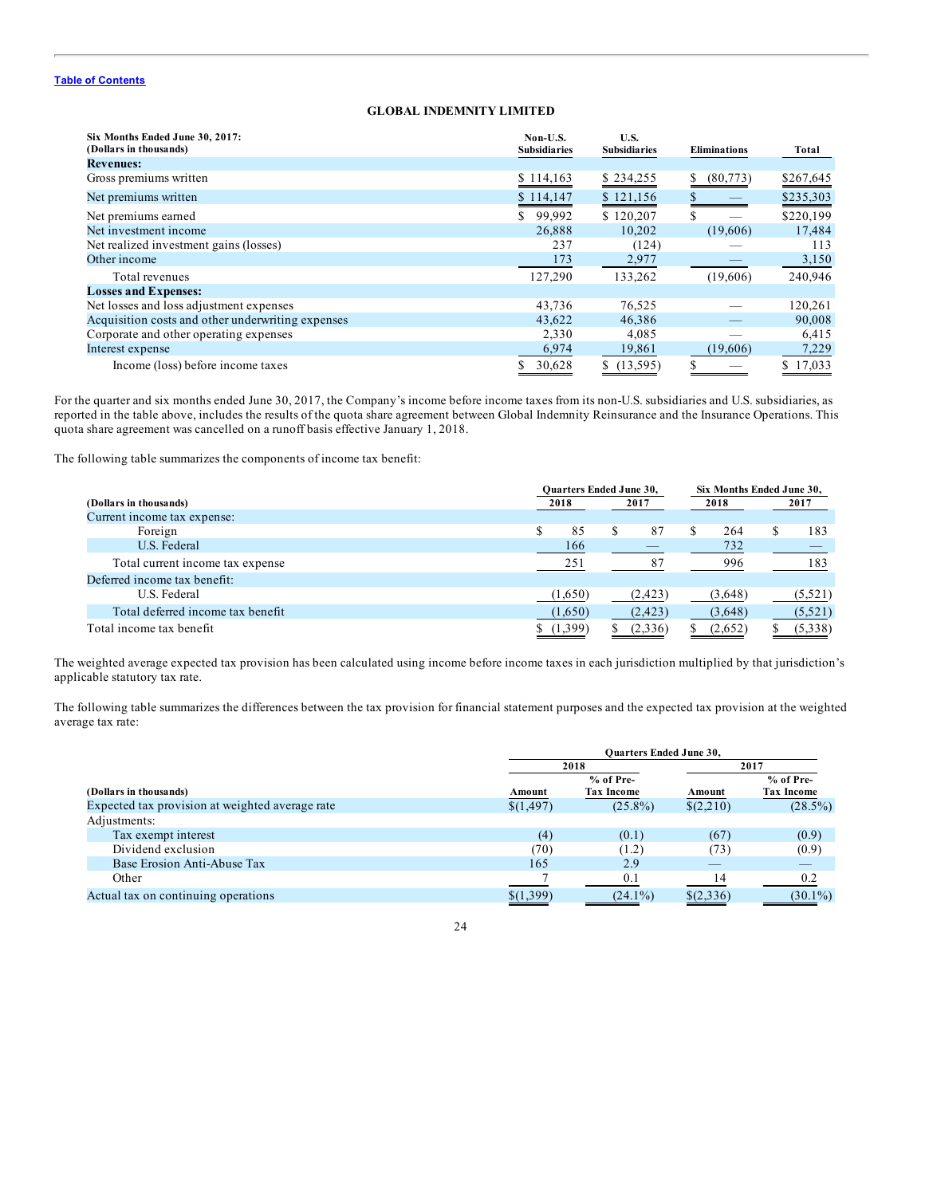### **GLOBAL INDEMNITY LIMITED**

| Six Months Ended June 30, 2017:<br>(Dollars in thousands) | Non-U.S.<br><b>Subsidiaries</b> | U.S.<br><b>Subsidiaries</b> | <b>Eliminations</b> | Total     |
|-----------------------------------------------------------|---------------------------------|-----------------------------|---------------------|-----------|
| <b>Revenues:</b>                                          |                                 |                             |                     |           |
| Gross premiums written                                    | 114,163                         | \$234,255                   | (80, 773)<br>S      | \$267,645 |
| Net premiums written                                      | 114,147                         | \$121,156                   |                     | \$235,303 |
| Net premiums earned                                       | 99,992                          | \$120,207                   |                     | \$220,199 |
| Net investment income                                     | 26,888                          | 10,202                      | (19,606)            | 17,484    |
| Net realized investment gains (losses)                    | 237                             | (124)                       |                     | 113       |
| Other income                                              | 173                             | 2,977                       |                     | 3,150     |
| Total revenues                                            | 127.290                         | 133,262                     | (19,606)            | 240,946   |
| <b>Losses and Expenses:</b>                               |                                 |                             |                     |           |
| Net losses and loss adjustment expenses                   | 43.736                          | 76,525                      |                     | 120,261   |
| Acquisition costs and other underwriting expenses         | 43,622                          | 46,386                      |                     | 90,008    |
| Corporate and other operating expenses                    | 2,330                           | 4,085                       |                     | 6,415     |
| Interest expense                                          | 6,974                           | 19,861                      | (19,606)            | 7,229     |
| Income (loss) before income taxes                         | 30,628                          | \$(13,595)                  |                     | \$17,033  |

For the quarter and six months ended June 30, 2017, the Company's income before income taxes from its non-U.S. subsidiaries and U.S. subsidiaries, as reported in the table above, includes the results of the quota share agreement between Global Indemnity Reinsurance and the Insurance Operations. This quota share agreement was cancelled on a runoff basis effective January 1, 2018.

The following table summarizes the components of income tax benefit:

|                                   | <b>Ouarters Ended June 30,</b> |           |  |          | Six Months Ended June 30, |         |      |         |  |
|-----------------------------------|--------------------------------|-----------|--|----------|---------------------------|---------|------|---------|--|
| (Dollars in thousands)            |                                | 2018      |  | 2017     | 2018                      |         | 2017 |         |  |
| Current income tax expense:       |                                |           |  |          |                           |         |      |         |  |
| Foreign                           |                                | 85        |  | 87       |                           | 264     |      | 183     |  |
| U.S. Federal                      |                                | 166       |  | __       |                           | 732     |      |         |  |
| Total current income tax expense  |                                | 251       |  | 87       |                           | 996     |      | 183     |  |
| Deferred income tax benefit:      |                                |           |  |          |                           |         |      |         |  |
| U.S. Federal                      |                                | (1,650)   |  | (2, 423) |                           | (3,648) |      | (5,521) |  |
| Total deferred income tax benefit |                                | (1,650)   |  | (2, 423) |                           | (3,648) |      | (5,521) |  |
| Total income tax benefit          |                                | \$(1,399) |  | (2,336)  |                           | (2,652) |      | (5,338) |  |

The weighted average expected tax provision has been calculated using income before income taxes in each jurisdiction multiplied by that jurisdiction's applicable statutory tax rate.

The following table summarizes the differences between the tax provision for financial statement purposes and the expected tax provision at the weighted average tax rate:

|                                                 | <b>Ouarters Ended June 30,</b> |                   |           |                   |  |  |  |
|-------------------------------------------------|--------------------------------|-------------------|-----------|-------------------|--|--|--|
|                                                 |                                | 2018              |           | 2017              |  |  |  |
|                                                 |                                | $%$ of Pre-       |           | $%$ of Pre-       |  |  |  |
| (Dollars in thousands)                          | Amount                         | <b>Tax Income</b> | Amount    | <b>Tax Income</b> |  |  |  |
| Expected tax provision at weighted average rate | \$(1,497)                      | $(25.8\%)$        | \$(2,210) | $(28.5\%)$        |  |  |  |
| Adjustments:                                    |                                |                   |           |                   |  |  |  |
| Tax exempt interest                             | (4)                            | (0.1)             | (67)      | (0.9)             |  |  |  |
| Dividend exclusion                              | (70)                           | (1.2)             | (73)      | (0.9)             |  |  |  |
| Base Erosion Anti-Abuse Tax                     | 165                            | 2.9               |           |                   |  |  |  |
| Other                                           |                                | 0.1               | 14        | 0.2               |  |  |  |
| Actual tax on continuing operations             | \$(1,399)                      | $(24.1\%)$        | \$(2,336) | $(30.1\%)$        |  |  |  |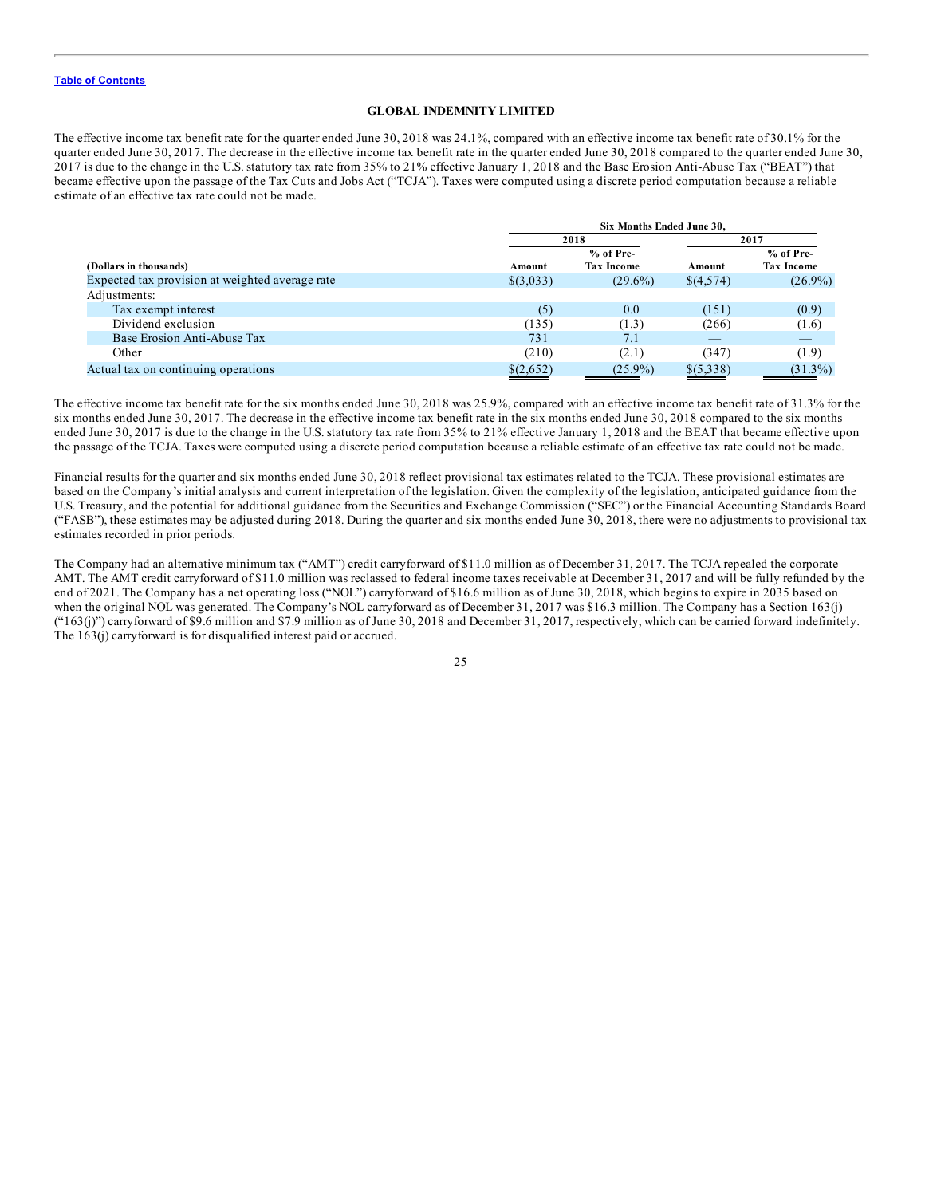#### **GLOBAL INDEMNITY LIMITED**

The effective income tax benefit rate for the quarter ended June 30, 2018 was 24.1%, compared with an effective income tax benefit rate of 30.1% for the quarter ended June 30, 2017. The decrease in the effective income tax benefit rate in the quarter ended June 30, 2018 compared to the quarter ended June 30, 2017 is due to the change in the U.S. statutory tax rate from 35% to 21% effective January 1, 2018 and the Base Erosion Anti-Abuse Tax ("BEAT") that became effective upon the passage of the Tax Cuts and Jobs Act ("TCJA"). Taxes were computed using a discrete period computation because a reliable estimate of an effective tax rate could not be made.

|                                                 |           | Six Months Ended June 30. |           |                   |  |  |
|-------------------------------------------------|-----------|---------------------------|-----------|-------------------|--|--|
|                                                 |           | 2018                      |           | 2017              |  |  |
|                                                 |           | $%$ of Pre-               |           | $%$ of Pre-       |  |  |
| (Dollars in thousands)                          | Amount    | <b>Tax Income</b>         | Amount    | <b>Tax Income</b> |  |  |
| Expected tax provision at weighted average rate | \$(3,033) | $(29.6\%)$                | \$(4,574) | $(26.9\%)$        |  |  |
| Adjustments:                                    |           |                           |           |                   |  |  |
| Tax exempt interest                             | (5)       | 0.0                       | (151)     | (0.9)             |  |  |
| Dividend exclusion                              | (135)     | (1.3)                     | (266)     | (1.6)             |  |  |
| Base Erosion Anti-Abuse Tax                     | 731       | 7.1                       |           |                   |  |  |
| Other                                           | (210)     | (2.1)                     | (347)     | (1.9)             |  |  |
| Actual tax on continuing operations             | \$(2,652) | $(25.9\%)$                | \$(5,338) | $(31.3\%)$        |  |  |

The effective income tax benefit rate for the six months ended June 30, 2018 was 25.9%, compared with an effective income tax benefit rate of 31.3% for the six months ended June 30, 2017. The decrease in the effective income tax benefit rate in the six months ended June 30, 2018 compared to the six months ended June 30, 2017 is due to the change in the U.S. statutory tax rate from 35% to 21% effective January 1, 2018 and the BEAT that became effective upon the passage of the TCJA. Taxes were computed using a discrete period computation because a reliable estimate of an effective tax rate could not be made.

Financial results for the quarter and six months ended June 30, 2018 reflect provisional tax estimates related to the TCJA. These provisional estimates are based on the Company's initial analysis and current interpretation of the legislation. Given the complexity of the legislation, anticipated guidance from the U.S. Treasury, and the potential for additional guidance from the Securities and Exchange Commission ("SEC") or the Financial Accounting Standards Board ("FASB"), these estimates may be adjusted during 2018. During the quarter and six months ended June 30, 2018, there were no adjustments to provisional tax estimates recorded in prior periods.

The Company had an alternative minimum tax ("AMT") credit carryforward of \$11.0 million as of December 31, 2017. The TCJA repealed the corporate AMT. The AMT credit carryforward of \$11.0 million was reclassed to federal income taxes receivable at December 31, 2017 and will be fully refunded by the end of 2021. The Company has a net operating loss ("NOL") carryforward of \$16.6 million as of June 30, 2018, which begins to expire in 2035 based on when the original NOL was generated. The Company's NOL carryforward as of December 31, 2017 was \$16.3 million. The Company has a Section 163(j) ("163(j)") carryforward of \$9.6 million and \$7.9 million as of June 30, 2018 and December 31, 2017, respectively, which can be carried forward indefinitely. The 163(j) carryforward is for disqualified interest paid or accrued.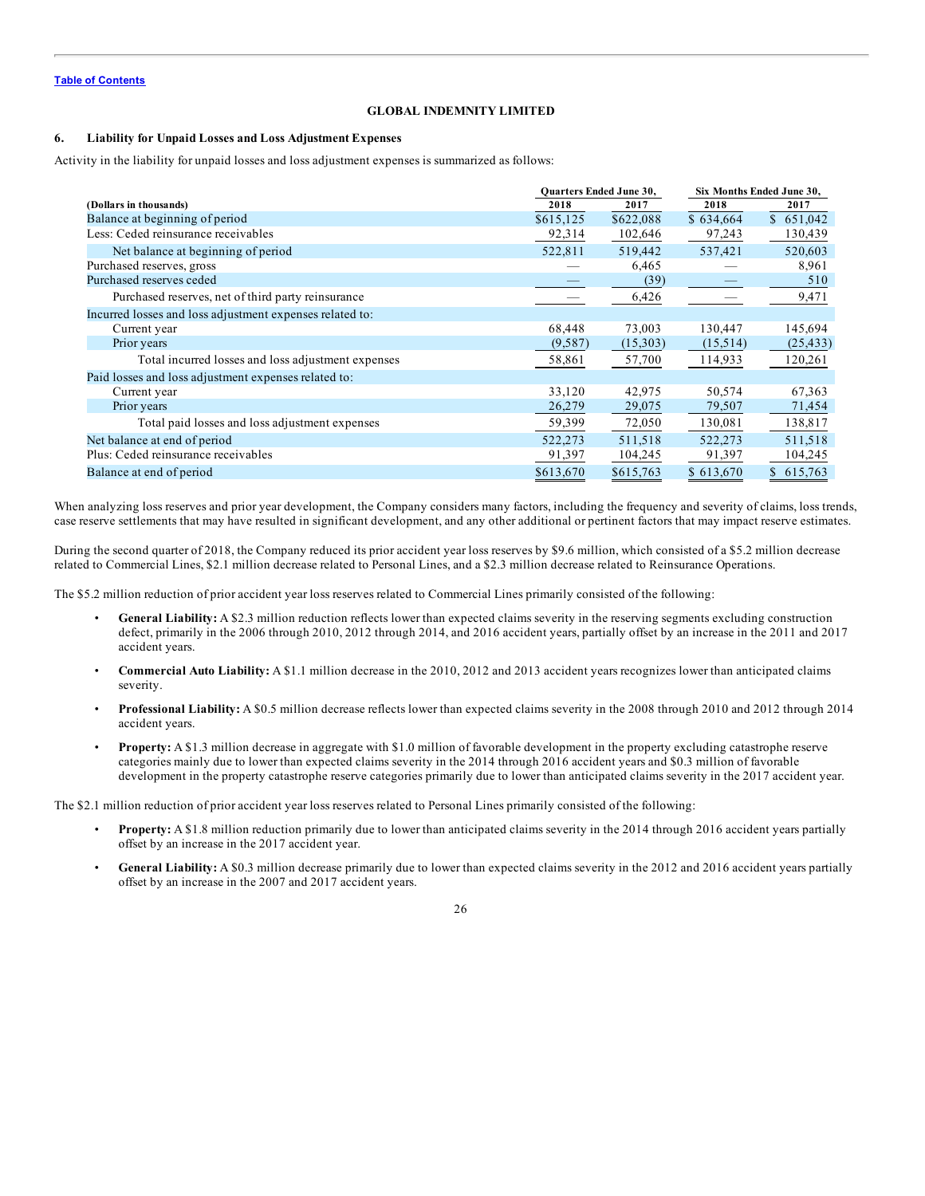#### **6. Liability for Unpaid Losses and Loss Adjustment Expenses**

Activity in the liability for unpaid losses and loss adjustment expenses is summarized as follows:

|                                                          | <b>Ouarters Ended June 30,</b> |           | Six Months Ended June 30, |           |
|----------------------------------------------------------|--------------------------------|-----------|---------------------------|-----------|
| (Dollars in thousands)                                   | 2018                           | 2017      | 2018                      | 2017      |
| Balance at beginning of period                           | \$615,125                      | \$622,088 | \$634,664                 | \$651,042 |
| Less: Ceded reinsurance receivables                      | 92,314                         | 102,646   | 97,243                    | 130,439   |
| Net balance at beginning of period                       | 522,811                        | 519,442   | 537,421                   | 520,603   |
| Purchased reserves, gross                                |                                | 6,465     |                           | 8,961     |
| Purchased reserves ceded                                 |                                | (39)      |                           | 510       |
| Purchased reserves, net of third party reinsurance       |                                | 6,426     |                           | 9,471     |
| Incurred losses and loss adjustment expenses related to: |                                |           |                           |           |
| Current year                                             | 68,448                         | 73,003    | 130,447                   | 145,694   |
| Prior years                                              | (9,587)                        | (15,303)  | (15,514)                  | (25, 433) |
| Total incurred losses and loss adjustment expenses       | 58,861                         | 57,700    | 114,933                   | 120,261   |
| Paid losses and loss adjustment expenses related to:     |                                |           |                           |           |
| Current year                                             | 33,120                         | 42,975    | 50,574                    | 67,363    |
| Prior years                                              | 26,279                         | 29,075    | 79,507                    | 71,454    |
| Total paid losses and loss adjustment expenses           | 59,399                         | 72,050    | 130,081                   | 138,817   |
| Net balance at end of period                             | 522,273                        | 511,518   | 522,273                   | 511,518   |
| Plus: Ceded reinsurance receivables                      | 91,397                         | 104,245   | 91,397                    | 104,245   |
| Balance at end of period                                 | \$613,670                      | \$615,763 | \$613,670                 | \$615,763 |

When analyzing loss reserves and prior year development, the Company considers many factors, including the frequency and severity of claims, loss trends, case reserve settlements that may have resulted in significant development, and any other additional or pertinent factors that may impact reserve estimates.

During the second quarter of 2018, the Company reduced its prior accident year loss reserves by \$9.6 million, which consisted of a \$5.2 million decrease related to Commercial Lines, \$2.1 million decrease related to Personal Lines, and a \$2.3 million decrease related to Reinsurance Operations.

The \$5.2 million reduction of prior accident year loss reserves related to Commercial Lines primarily consisted of the following:

- **General Liability:** A \$2.3 million reduction reflects lower than expected claims severity in the reserving segments excluding construction defect, primarily in the 2006 through 2010, 2012 through 2014, and 2016 accident years, partially offset by an increase in the 2011 and 2017 accident years.
- **Commercial Auto Liability:** A \$1.1 million decrease in the 2010, 2012 and 2013 accident years recognizes lower than anticipated claims severity.
- **Professional Liability:** A \$0.5 million decrease reflects lower than expected claims severity in the 2008 through 2010 and 2012 through 2014 accident years.
- **Property:** A \$1.3 million decrease in aggregate with \$1.0 million of favorable development in the property excluding catastrophe reserve categories mainly due to lower than expected claims severity in the 2014 through 2016 accident years and \$0.3 million of favorable development in the property catastrophe reserve categories primarily due to lower than anticipated claims severity in the 2017 accident year.

The \$2.1 million reduction of prior accident year loss reserves related to Personal Lines primarily consisted of the following:

- **Property:** A \$1.8 million reduction primarily due to lower than anticipated claims severity in the 2014 through 2016 accident years partially offset by an increase in the 2017 accident year.
- **General Liability:** A \$0.3 million decrease primarily due to lower than expected claims severity in the 2012 and 2016 accident years partially offset by an increase in the 2007 and 2017 accident years.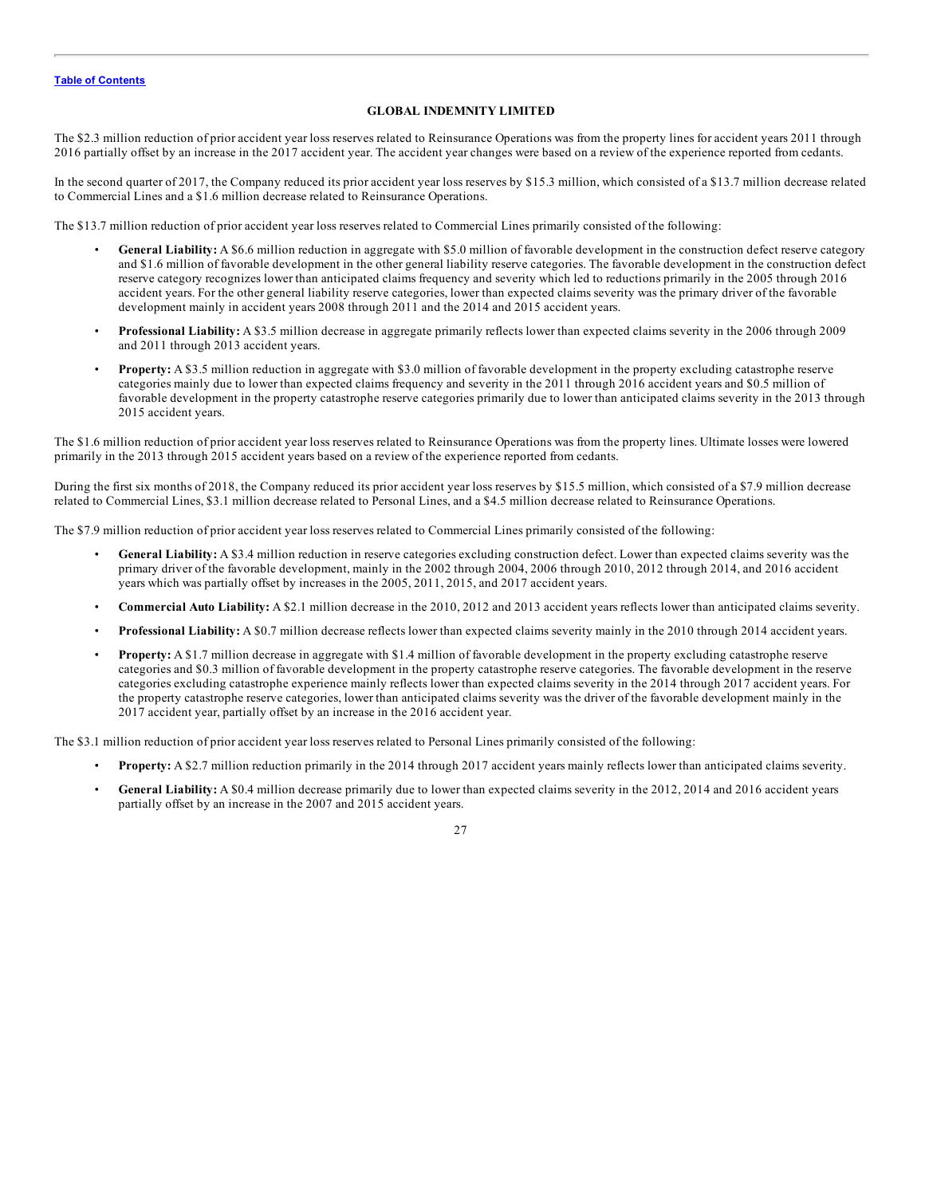#### **GLOBAL INDEMNITY LIMITED**

The \$2.3 million reduction of prior accident year loss reserves related to Reinsurance Operations was from the property lines for accident years 2011 through 2016 partially offset by an increase in the 2017 accident year. The accident year changes were based on a review of the experience reported from cedants.

In the second quarter of 2017, the Company reduced its prior accident year loss reserves by \$15.3 million, which consisted of a \$13.7 million decrease related to Commercial Lines and a \$1.6 million decrease related to Reinsurance Operations.

The \$13.7 million reduction of prior accident year loss reserves related to Commercial Lines primarily consisted of the following:

- **General Liability:** A \$6.6 million reduction in aggregate with \$5.0 million of favorable development in the construction defect reserve category and \$1.6 million of favorable development in the other general liability reserve categories. The favorable development in the construction defect reserve category recognizes lower than anticipated claims frequency and severity which led to reductions primarily in the 2005 through 2016 accident years. For the other general liability reserve categories, lower than expected claims severity was the primary driver of the favorable development mainly in accident years 2008 through 2011 and the 2014 and 2015 accident years.
- **Professional Liability:** A \$3.5 million decrease in aggregate primarily reflects lower than expected claims severity in the 2006 through 2009 and 2011 through 2013 accident years.
- **Property:** A \$3.5 million reduction in aggregate with \$3.0 million of favorable development in the property excluding catastrophe reserve categories mainly due to lower than expected claims frequency and severity in the 2011 through 2016 accident years and \$0.5 million of favorable development in the property catastrophe reserve categories primarily due to lower than anticipated claims severity in the 2013 through 2015 accident years.

The \$1.6 million reduction of prior accident year loss reserves related to Reinsurance Operations was from the property lines. Ultimate losses were lowered primarily in the 2013 through 2015 accident years based on a review of the experience reported from cedants.

During the first six months of 2018, the Company reduced its prior accident year loss reserves by \$15.5 million, which consisted of a \$7.9 million decrease related to Commercial Lines, \$3.1 million decrease related to Personal Lines, and a \$4.5 million decrease related to Reinsurance Operations.

The \$7.9 million reduction of prior accident year loss reserves related to Commercial Lines primarily consisted of the following:

- **General Liability:** A \$3.4 million reduction in reserve categories excluding construction defect. Lower than expected claims severity was the primary driver of the favorable development, mainly in the 2002 through 2004, 2006 through 2010, 2012 through 2014, and 2016 accident years which was partially offset by increases in the 2005, 2011, 2015, and 2017 accident years.
- **Commercial Auto Liability:** A \$2.1 million decrease in the 2010, 2012 and 2013 accident years reflects lower than anticipated claims severity.
- **Professional Liability:** A \$0.7 million decrease reflects lower than expected claims severity mainly in the 2010 through 2014 accident years.
- **Property:** A \$1.7 million decrease in aggregate with \$1.4 million of favorable development in the property excluding catastrophe reserve categories and \$0.3 million of favorable development in the property catastrophe reserve categories. The favorable development in the reserve categories excluding catastrophe experience mainly reflects lower than expected claims severity in the 2014 through 2017 accident years. For the property catastrophe reserve categories, lower than anticipated claims severity was the driver of the favorable development mainly in the 2017 accident year, partially offset by an increase in the 2016 accident year.

The \$3.1 million reduction of prior accident year loss reserves related to Personal Lines primarily consisted of the following:

- **Property:** A \$2.7 million reduction primarily in the 2014 through 2017 accident years mainly reflects lower than anticipated claims severity.
- **General Liability:** A \$0.4 million decrease primarily due to lower than expected claims severity in the 2012, 2014 and 2016 accident years partially offset by an increase in the 2007 and 2015 accident years.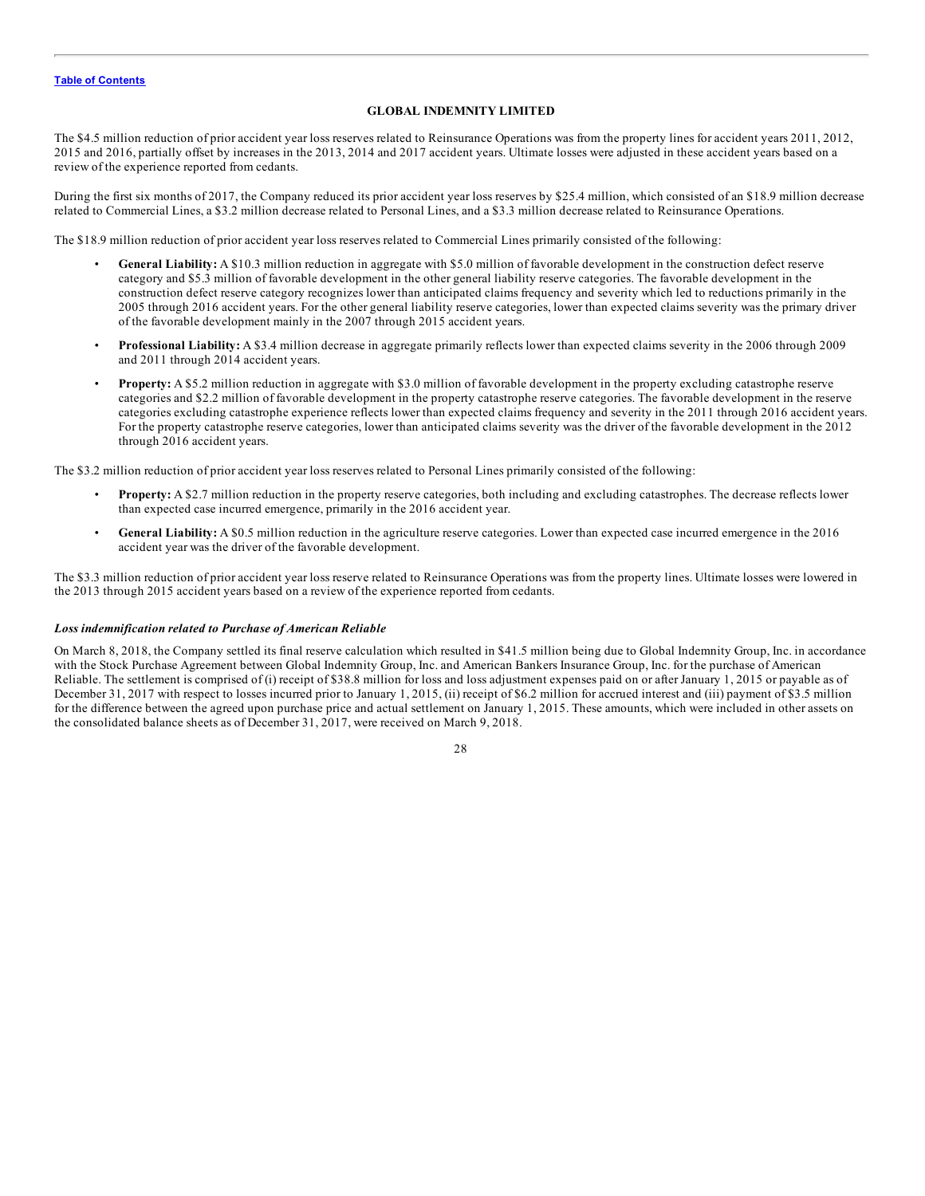#### **GLOBAL INDEMNITY LIMITED**

The \$4.5 million reduction of prior accident year loss reserves related to Reinsurance Operations was from the property lines for accident years 2011, 2012, 2015 and 2016, partially offset by increases in the 2013, 2014 and 2017 accident years. Ultimate losses were adjusted in these accident years based on a review of the experience reported from cedants.

During the first six months of 2017, the Company reduced its prior accident year loss reserves by \$25.4 million, which consisted of an \$18.9 million decrease related to Commercial Lines, a \$3.2 million decrease related to Personal Lines, and a \$3.3 million decrease related to Reinsurance Operations.

The \$18.9 million reduction of prior accident year loss reserves related to Commercial Lines primarily consisted of the following:

- **General Liability:** A \$10.3 million reduction in aggregate with \$5.0 million of favorable development in the construction defect reserve category and \$5.3 million of favorable development in the other general liability reserve categories. The favorable development in the construction defect reserve category recognizes lower than anticipated claims frequency and severity which led to reductions primarily in the 2005 through 2016 accident years. For the other general liability reserve categories, lower than expected claims severity was the primary driver of the favorable development mainly in the 2007 through 2015 accident years.
- **Professional Liability:** A \$3.4 million decrease in aggregate primarily reflects lower than expected claims severity in the 2006 through 2009 and 2011 through 2014 accident years.
- **Property:** A \$5.2 million reduction in aggregate with \$3.0 million of favorable development in the property excluding catastrophe reserve categories and \$2.2 million of favorable development in the property catastrophe reserve categories. The favorable development in the reserve categories excluding catastrophe experience reflects lower than expected claims frequency and severity in the 2011 through 2016 accident years. For the property catastrophe reserve categories, lower than anticipated claims severity was the driver of the favorable development in the 2012 through 2016 accident years.

The \$3.2 million reduction of prior accident year loss reserves related to Personal Lines primarily consisted of the following:

- **Property:** A \$2.7 million reduction in the property reserve categories, both including and excluding catastrophes. The decrease reflects lower than expected case incurred emergence, primarily in the 2016 accident year.
- **General Liability:** A \$0.5 million reduction in the agriculture reserve categories. Lower than expected case incurred emergence in the 2016 accident year was the driver of the favorable development.

The \$3.3 million reduction of prior accident year loss reserve related to Reinsurance Operations was from the property lines. Ultimate losses were lowered in the 2013 through 2015 accident years based on a review of the experience reported from cedants.

#### *Loss indemnification related to Purchase of American Reliable*

On March 8, 2018, the Company settled its final reserve calculation which resulted in \$41.5 million being due to Global Indemnity Group, Inc. in accordance with the Stock Purchase Agreement between Global Indemnity Group, Inc. and American Bankers Insurance Group, Inc. for the purchase of American Reliable. The settlement is comprised of (i) receipt of \$38.8 million for loss and loss adjustment expenses paid on or after January 1, 2015 or payable as of December 31, 2017 with respect to losses incurred prior to January 1, 2015, (ii) receipt of \$6.2 million for accrued interest and (iii) payment of \$3.5 million for the difference between the agreed upon purchase price and actual settlement on January 1, 2015. These amounts, which were included in other assets on the consolidated balance sheets as of December 31, 2017, were received on March 9, 2018.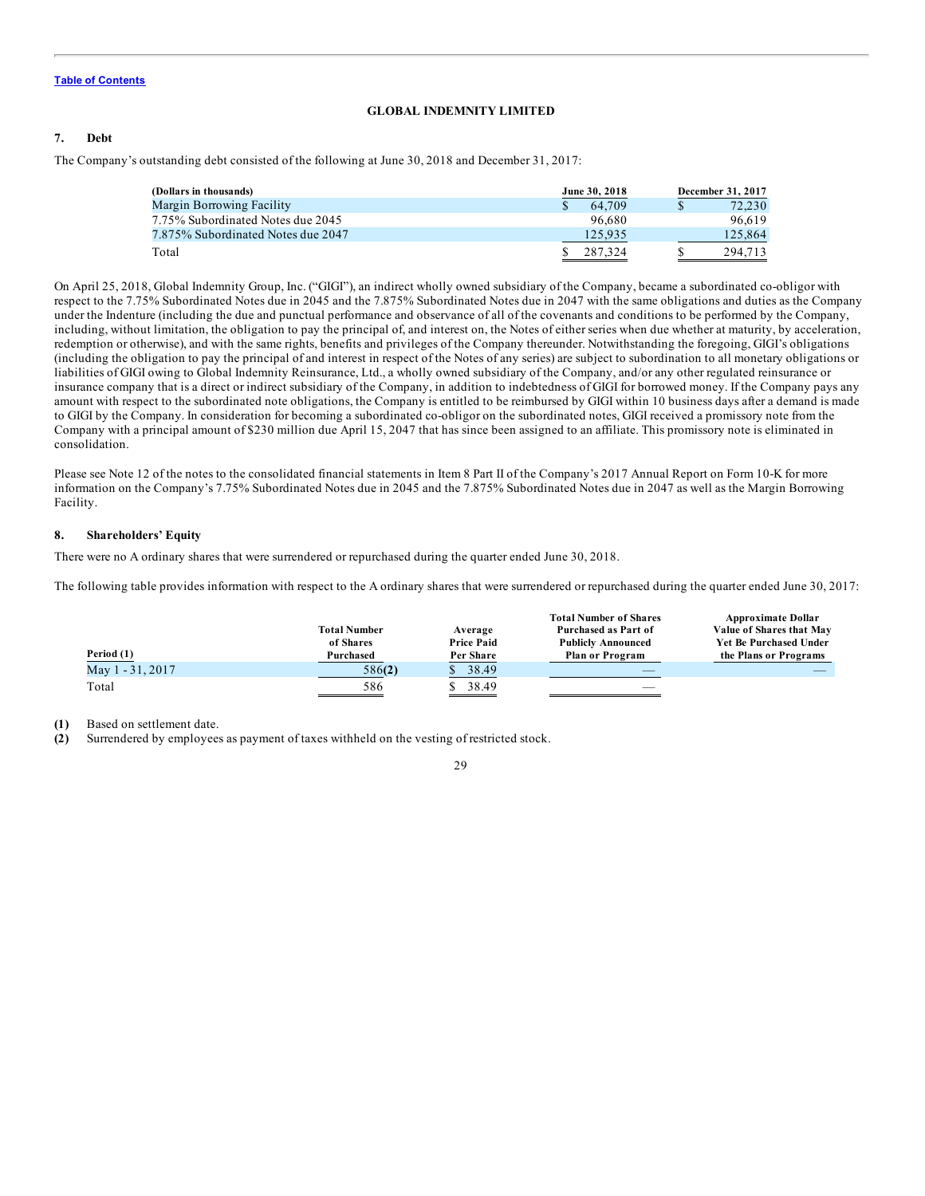#### **GLOBAL INDEMNITY LIMITED**

#### **7. Debt**

The Company's outstanding debt consisted of the following at June 30, 2018 and December 31, 2017:

| (Dollars in thousands)             | June 30, 2018 | December 31, 2017 |
|------------------------------------|---------------|-------------------|
| <b>Margin Borrowing Facility</b>   | 64.709        | 72.230            |
| 7.75% Subordinated Notes due 2045  | 96.680        | 96.619            |
| 7.875% Subordinated Notes due 2047 | 125.935       | 125,864           |
| Total                              | 287.324       | 294.713           |

On April 25, 2018, Global Indemnity Group, Inc. ("GIGI"), an indirect wholly owned subsidiary of the Company, became a subordinated co-obligor with respect to the 7.75% Subordinated Notes due in 2045 and the 7.875% Subordinated Notes due in 2047 with the same obligations and duties as the Company under the Indenture (including the due and punctual performance and observance of all of the covenants and conditions to be performed by the Company, including, without limitation, the obligation to pay the principal of, and interest on, the Notes of either series when due whether at maturity, by acceleration, redemption or otherwise), and with the same rights, benefits and privileges of the Company thereunder. Notwithstanding the foregoing, GIGI's obligations (including the obligation to pay the principal of and interest in respect of the Notes of any series) are subject to subordination to all monetary obligations or liabilities of GIGI owing to Global Indemnity Reinsurance, Ltd., a wholly owned subsidiary of the Company, and/or any other regulated reinsurance or insurance company that is a direct or indirect subsidiary of the Company, in addition to indebtedness of GIGI for borrowed money. If the Company pays any amount with respect to the subordinated note obligations, the Company is entitled to be reimbursed by GIGI within 10 business days after a demand is made to GIGI by the Company. In consideration for becoming a subordinated co-obligor on the subordinated notes, GIGI received a promissory note from the Company with a principal amount of \$230 million due April 15, 2047 that has since been assigned to an affiliate. This promissory note is eliminated in consolidation.

Please see Note 12 of the notes to the consolidated financial statements in Item 8 Part II of the Company's 2017 Annual Report on Form 10-K for more information on the Company's 7.75% Subordinated Notes due in 2045 and the 7.875% Subordinated Notes due in 2047 as well as the Margin Borrowing Facility.

#### **8. Shareholders' Equity**

There were no A ordinary shares that were surrendered or repurchased during the quarter ended June 30, 2018.

The following table provides information with respect to the A ordinary shares that were surrendered or repurchased during the quarter ended June 30, 2017:

|                  | <b>Total Number</b> | Average           | <b>Total Number of Shares</b><br>Purchased as Part of | <b>Approximate Dollar</b><br>Value of Shares that May |
|------------------|---------------------|-------------------|-------------------------------------------------------|-------------------------------------------------------|
|                  | of Shares           | <b>Price Paid</b> | <b>Publicly Announced</b>                             | <b>Yet Be Purchased Under</b>                         |
| Period (1)       | Purchased           | Per Share         | Plan or Program                                       | the Plans or Programs                                 |
| May 1 - 31, 2017 | 586(2)              | 38.49             |                                                       |                                                       |
| Total            | 586                 | 38.49             |                                                       |                                                       |

**(1)** Based on settlement date.

**(2)** Surrendered by employees as payment of taxes withheld on the vesting of restricted stock.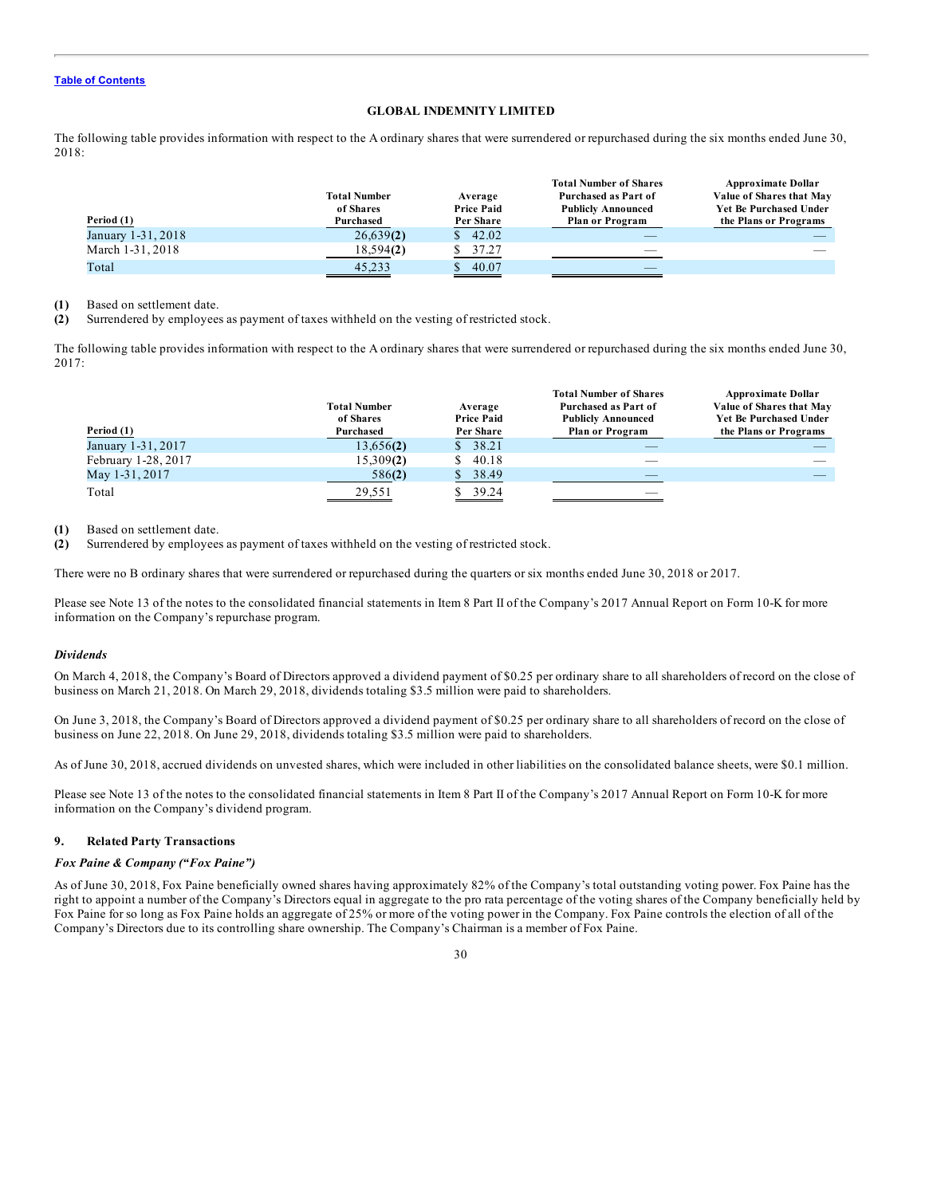#### **GLOBAL INDEMNITY LIMITED**

The following table provides information with respect to the A ordinary shares that were surrendered or repurchased during the six months ended June 30, 2018:

|                    | <b>Total Number</b><br>of Shares | Average<br><b>Price Paid</b> | <b>Total Number of Shares</b><br>Purchased as Part of<br><b>Publicly Announced</b> | <b>Approximate Dollar</b><br>Value of Shares that May<br><b>Yet Be Purchased Under</b> |
|--------------------|----------------------------------|------------------------------|------------------------------------------------------------------------------------|----------------------------------------------------------------------------------------|
| Period (1)         | Purchased                        | Per Share                    | Plan or Program                                                                    | the Plans or Programs                                                                  |
| January 1-31, 2018 | 26,639(2)                        | \$42.02                      |                                                                                    |                                                                                        |
| March 1-31, 2018   | 18,594(2)                        | 37.27                        |                                                                                    |                                                                                        |
| Total              | 45.233                           | 40.07                        |                                                                                    |                                                                                        |

#### **(1)** Based on settlement date.

**(2)** Surrendered by employees as payment of taxes withheld on the vesting of restricted stock.

The following table provides information with respect to the A ordinary shares that were surrendered or repurchased during the six months ended June 30, 2017:

| Period (1)          | <b>Total Number</b><br>of Shares<br>Purchased | Average<br><b>Price Paid</b><br>Per Share | <b>Total Number of Shares</b><br>Purchased as Part of<br><b>Publicly Announced</b><br>Plan or Program | <b>Approximate Dollar</b><br>Value of Shares that May<br><b>Yet Be Purchased Under</b><br>the Plans or Programs |
|---------------------|-----------------------------------------------|-------------------------------------------|-------------------------------------------------------------------------------------------------------|-----------------------------------------------------------------------------------------------------------------|
| January 1-31, 2017  | 13,656(2)                                     | \$38.21                                   |                                                                                                       |                                                                                                                 |
| February 1-28, 2017 | 15,309(2)                                     | 40.18                                     |                                                                                                       |                                                                                                                 |
| May 1-31, 2017      | 586(2)                                        | 38.49                                     | __                                                                                                    |                                                                                                                 |
| Total               | 29,551                                        | 39.24                                     |                                                                                                       |                                                                                                                 |

#### **(1)** Based on settlement date.

**(2)** Surrendered by employees as payment of taxes withheld on the vesting of restricted stock.

There were no B ordinary shares that were surrendered or repurchased during the quarters or six months ended June 30, 2018 or 2017.

Please see Note 13 of the notes to the consolidated financial statements in Item 8 Part II of the Company's 2017 Annual Report on Form 10-K for more information on the Company's repurchase program.

#### *Dividends*

On March 4, 2018, the Company's Board of Directors approved a dividend payment of \$0.25 per ordinary share to all shareholders of record on the close of business on March 21, 2018. On March 29, 2018, dividends totaling \$3.5 million were paid to shareholders.

On June 3, 2018, the Company's Board of Directors approved a dividend payment of \$0.25 per ordinary share to all shareholders of record on the close of business on June 22, 2018. On June 29, 2018, dividends totaling \$3.5 million were paid to shareholders.

As of June 30, 2018, accrued dividends on unvested shares, which were included in other liabilities on the consolidated balance sheets, were \$0.1 million.

Please see Note 13 of the notes to the consolidated financial statements in Item 8 Part II of the Company's 2017 Annual Report on Form 10-K for more information on the Company's dividend program.

#### **9. Related Party Transactions**

#### *Fox Paine & Company ("Fox Paine")*

As of June 30, 2018, Fox Paine beneficially owned shares having approximately 82% of the Company's total outstanding voting power. Fox Paine has the right to appoint a number of the Company's Directors equal in aggregate to the pro rata percentage of the voting shares of the Company beneficially held by Fox Paine for so long as Fox Paine holds an aggregate of 25% or more of the voting power in the Company. Fox Paine controls the election of all of the Company's Directors due to its controlling share ownership. The Company's Chairman is a member of Fox Paine.

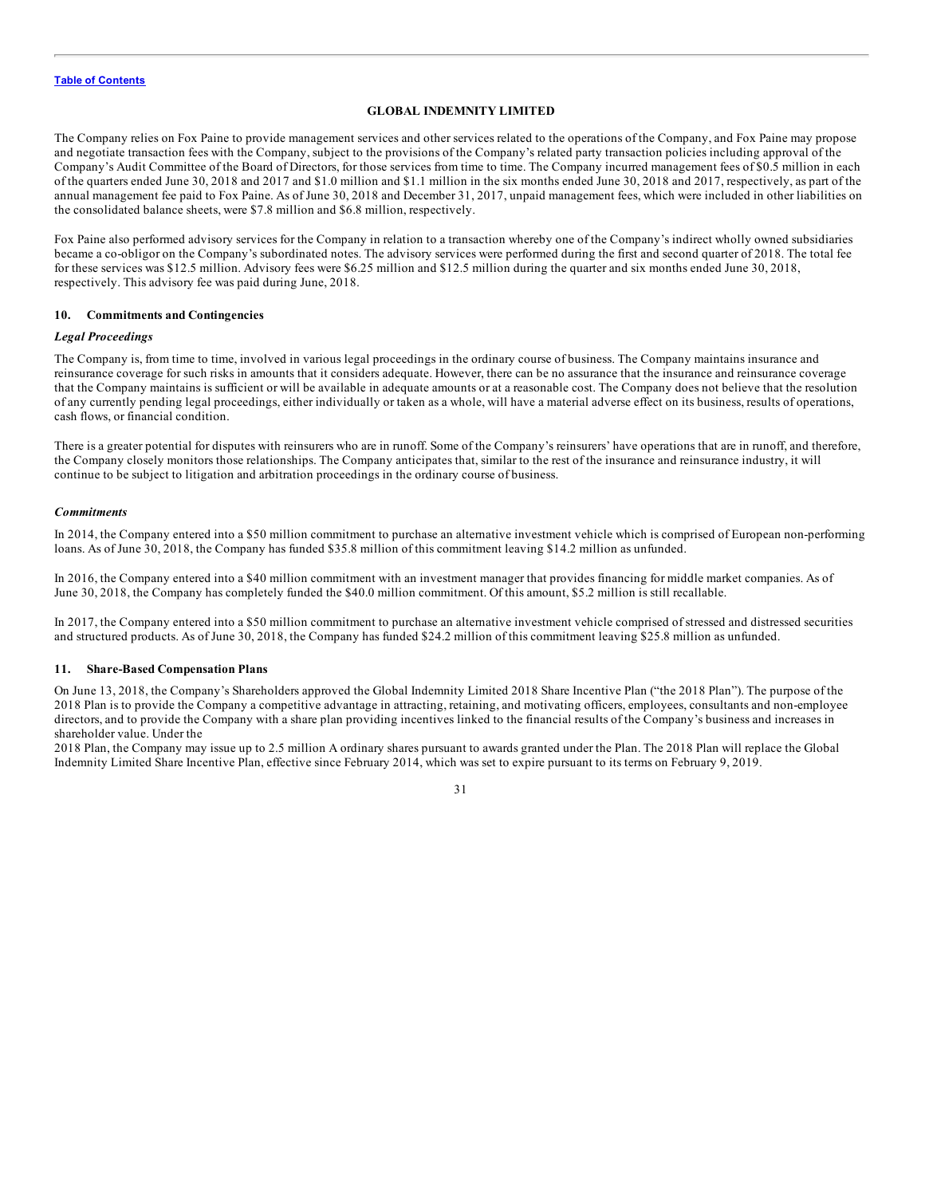#### **GLOBAL INDEMNITY LIMITED**

The Company relies on Fox Paine to provide management services and other services related to the operations of the Company, and Fox Paine may propose and negotiate transaction fees with the Company, subject to the provisions of the Company's related party transaction policies including approval of the Company's Audit Committee of the Board of Directors, for those services from time to time. The Company incurred management fees of \$0.5 million in each of the quarters ended June 30, 2018 and 2017 and \$1.0 million and \$1.1 million in the six months ended June 30, 2018 and 2017, respectively, as part of the annual management fee paid to Fox Paine. As of June 30, 2018 and December 31, 2017, unpaid management fees, which were included in other liabilities on the consolidated balance sheets, were \$7.8 million and \$6.8 million, respectively.

Fox Paine also performed advisory services for the Company in relation to a transaction whereby one of the Company's indirect wholly owned subsidiaries became a co-obligor on the Company's subordinated notes. The advisory services were performed during the first and second quarter of 2018. The total fee for these services was \$12.5 million. Advisory fees were \$6.25 million and \$12.5 million during the quarter and six months ended June 30, 2018, respectively. This advisory fee was paid during June, 2018.

#### **10. Commitments and Contingencies**

#### *Legal Proceedings*

The Company is, from time to time, involved in various legal proceedings in the ordinary course of business. The Company maintains insurance and reinsurance coverage for such risks in amounts that it considers adequate. However, there can be no assurance that the insurance and reinsurance coverage that the Company maintains is sufficient or will be available in adequate amounts or at a reasonable cost. The Company does not believe that the resolution of any currently pending legal proceedings, either individually or taken as a whole, will have a material adverse effect on its business, results of operations, cash flows, or financial condition.

There is a greater potential for disputes with reinsurers who are in runoff. Some of the Company's reinsurers' have operations that are in runoff, and therefore, the Company closely monitors those relationships. The Company anticipates that, similar to the rest of the insurance and reinsurance industry, it will continue to be subject to litigation and arbitration proceedings in the ordinary course of business.

#### *Commitments*

In 2014, the Company entered into a \$50 million commitment to purchase an alternative investment vehicle which is comprised of European non-performing loans. As of June 30, 2018, the Company has funded \$35.8 million of this commitment leaving \$14.2 million as unfunded.

In 2016, the Company entered into a \$40 million commitment with an investment manager that provides financing for middle market companies. As of June 30, 2018, the Company has completely funded the \$40.0 million commitment. Of this amount, \$5.2 million is still recallable.

In 2017, the Company entered into a \$50 million commitment to purchase an alternative investment vehicle comprised of stressed and distressed securities and structured products. As of June 30, 2018, the Company has funded \$24.2 million of this commitment leaving \$25.8 million as unfunded.

#### **11. Share-Based Compensation Plans**

On June 13, 2018, the Company's Shareholders approved the Global Indemnity Limited 2018 Share Incentive Plan ("the 2018 Plan"). The purpose of the 2018 Plan is to provide the Company a competitive advantage in attracting, retaining, and motivating officers, employees, consultants and non-employee directors, and to provide the Company with a share plan providing incentives linked to the financial results of the Company's business and increases in shareholder value. Under the

2018 Plan, the Company may issue up to 2.5 million A ordinary shares pursuant to awards granted under the Plan. The 2018 Plan will replace the Global Indemnity Limited Share Incentive Plan, effective since February 2014, which was set to expire pursuant to its terms on February 9, 2019.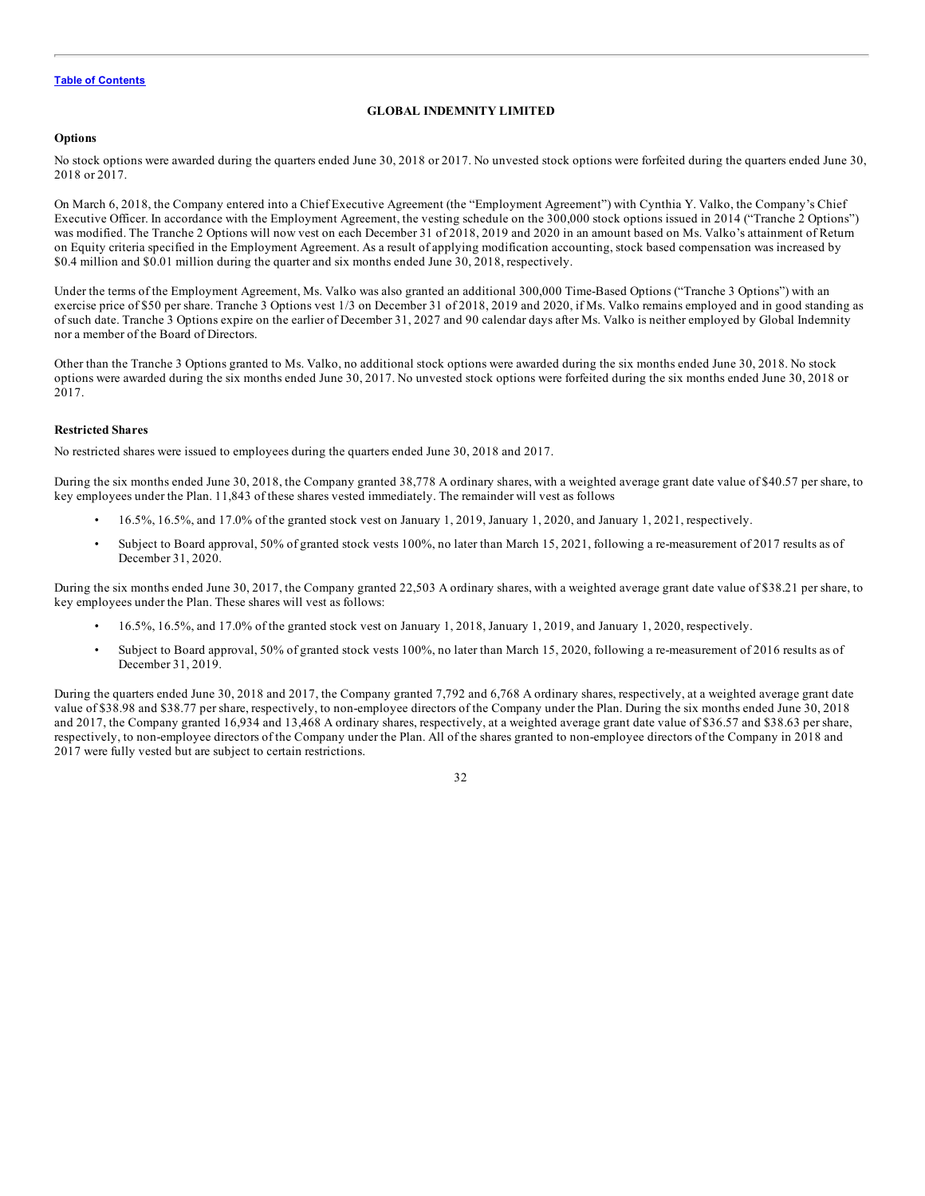#### **GLOBAL INDEMNITY LIMITED**

#### **Options**

No stock options were awarded during the quarters ended June 30, 2018 or 2017. No unvested stock options were forfeited during the quarters ended June 30, 2018 or 2017.

On March 6, 2018, the Company entered into a Chief Executive Agreement (the "Employment Agreement") with Cynthia Y. Valko, the Company's Chief Executive Officer. In accordance with the Employment Agreement, the vesting schedule on the 300,000 stock options issued in 2014 ("Tranche 2 Options") was modified. The Tranche 2 Options will now vest on each December 31 of 2018, 2019 and 2020 in an amount based on Ms. Valko's attainment of Return on Equity criteria specified in the Employment Agreement. As a result of applying modification accounting, stock based compensation was increased by \$0.4 million and \$0.01 million during the quarter and six months ended June 30, 2018, respectively.

Under the terms of the Employment Agreement, Ms. Valko was also granted an additional 300,000 Time-Based Options ("Tranche 3 Options") with an exercise price of \$50 per share. Tranche 3 Options vest 1/3 on December 31 of 2018, 2019 and 2020, if Ms. Valko remains employed and in good standing as of such date. Tranche 3 Options expire on the earlier of December 31, 2027 and 90 calendar days after Ms. Valko is neither employed by Global Indemnity nor a member of the Board of Directors.

Other than the Tranche 3 Options granted to Ms. Valko, no additional stock options were awarded during the six months ended June 30, 2018. No stock options were awarded during the six months ended June 30, 2017. No unvested stock options were forfeited during the six months ended June 30, 2018 or 2017.

#### **Restricted Shares**

No restricted shares were issued to employees during the quarters ended June 30, 2018 and 2017.

During the six months ended June 30, 2018, the Company granted 38,778 A ordinary shares, with a weighted average grant date value of \$40.57 per share, to key employees under the Plan. 11,843 of these shares vested immediately. The remainder will vest as follows

- 16.5%, 16.5%, and 17.0% of the granted stock vest on January 1, 2019, January 1, 2020, and January 1, 2021, respectively.
- Subject to Board approval, 50% of granted stock vests 100%, no later than March 15, 2021, following a re-measurement of 2017 results as of December 31, 2020.

During the six months ended June 30, 2017, the Company granted 22,503 A ordinary shares, with a weighted average grant date value of \$38.21 per share, to key employees under the Plan. These shares will vest as follows:

- 16.5%, 16.5%, and 17.0% of the granted stock vest on January 1, 2018, January 1, 2019, and January 1, 2020, respectively.
- Subject to Board approval, 50% of granted stock vests 100%, no later than March 15, 2020, following a re-measurement of 2016 results as of December 31, 2019.

During the quarters ended June 30, 2018 and 2017, the Company granted 7,792 and 6,768 A ordinary shares, respectively, at a weighted average grant date value of \$38.98 and \$38.77 per share, respectively, to non-employee directors of the Company under the Plan. During the six months ended June 30, 2018 and 2017, the Company granted 16,934 and 13,468 A ordinary shares, respectively, at a weighted average grant date value of \$36.57 and \$38.63 per share, respectively, to non-employee directors of the Company under the Plan. All of the shares granted to non-employee directors of the Company in 2018 and 2017 were fully vested but are subject to certain restrictions.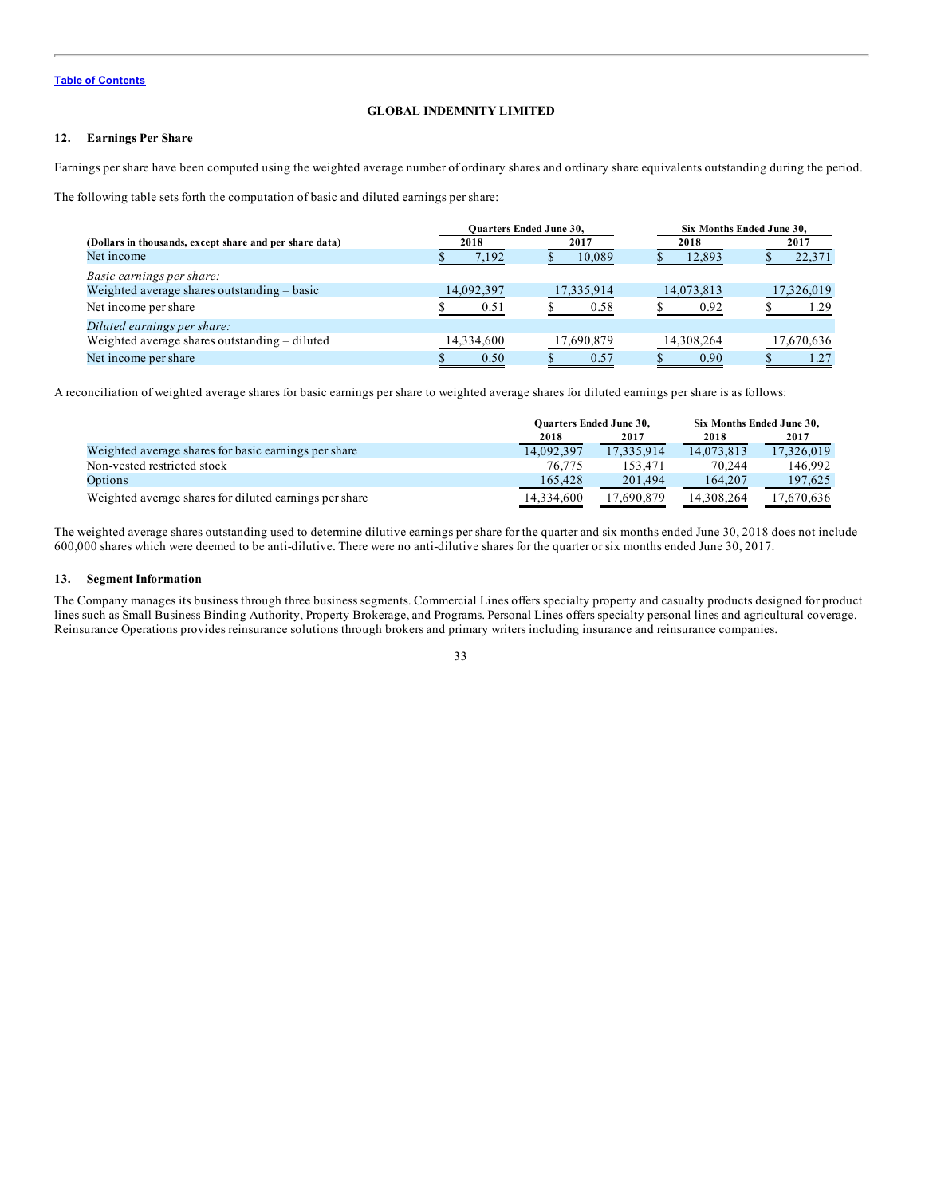#### **12. Earnings Per Share**

Earnings per share have been computed using the weighted average number of ordinary shares and ordinary share equivalents outstanding during the period.

The following table sets forth the computation of basic and diluted earnings per share:

|                                                         |            | <b>Ouarters Ended June 30,</b> | Six Months Ended June 30. |            |  |
|---------------------------------------------------------|------------|--------------------------------|---------------------------|------------|--|
| (Dollars in thousands, except share and per share data) | 2018       | 2017                           | 2018                      | 2017       |  |
| Net income                                              | 7.192      | 10.089                         | 12.893                    | 22.371     |  |
| Basic earnings per share:                               |            |                                |                           |            |  |
| Weighted average shares outstanding $-$ basic           | 14,092,397 | 17,335,914                     | 14,073,813                | 17,326,019 |  |
| Net income per share                                    | 0.51       | 0.58                           | 0.92                      | .29        |  |
| Diluted earnings per share:                             |            |                                |                           |            |  |
| Weighted average shares outstanding – diluted           | 14,334,600 | 17,690,879                     | 14,308,264                | 17,670,636 |  |
| Net income per share                                    | 0.50       | 0.57                           | 0.90                      | 1.27       |  |

A reconciliation of weighted average shares for basic earnings per share to weighted average shares for diluted earnings per share is as follows:

|                                                        | <b>Ouarters Ended June 30,</b> |            | Six Months Ended June 30. |            |
|--------------------------------------------------------|--------------------------------|------------|---------------------------|------------|
|                                                        | 2018                           | 2017       | 2018                      | 2017       |
| Weighted average shares for basic earnings per share   | 14.092.397                     | 17.335.914 | 14.073.813                | 17,326,019 |
| Non-vested restricted stock                            | 76,775                         | 153.471    | 70.244                    | 146.992    |
| Options                                                | 165,428                        | 201.494    | 164,207                   | 197.625    |
| Weighted average shares for diluted earnings per share | 14,334,600                     | 17.690.879 | 14.308.264                | 17,670,636 |

The weighted average shares outstanding used to determine dilutive earnings per share for the quarter and six months ended June 30, 2018 does not include 600,000 shares which were deemed to be anti-dilutive. There were no anti-dilutive shares for the quarter or six months ended June 30, 2017.

#### **13. Segment Information**

The Company manages its business through three business segments. Commercial Lines offers specialty property and casualty products designed for product lines such as Small Business Binding Authority, Property Brokerage, and Programs. Personal Lines offers specialty personal lines and agricultural coverage. Reinsurance Operations provides reinsurance solutions through brokers and primary writers including insurance and reinsurance companies.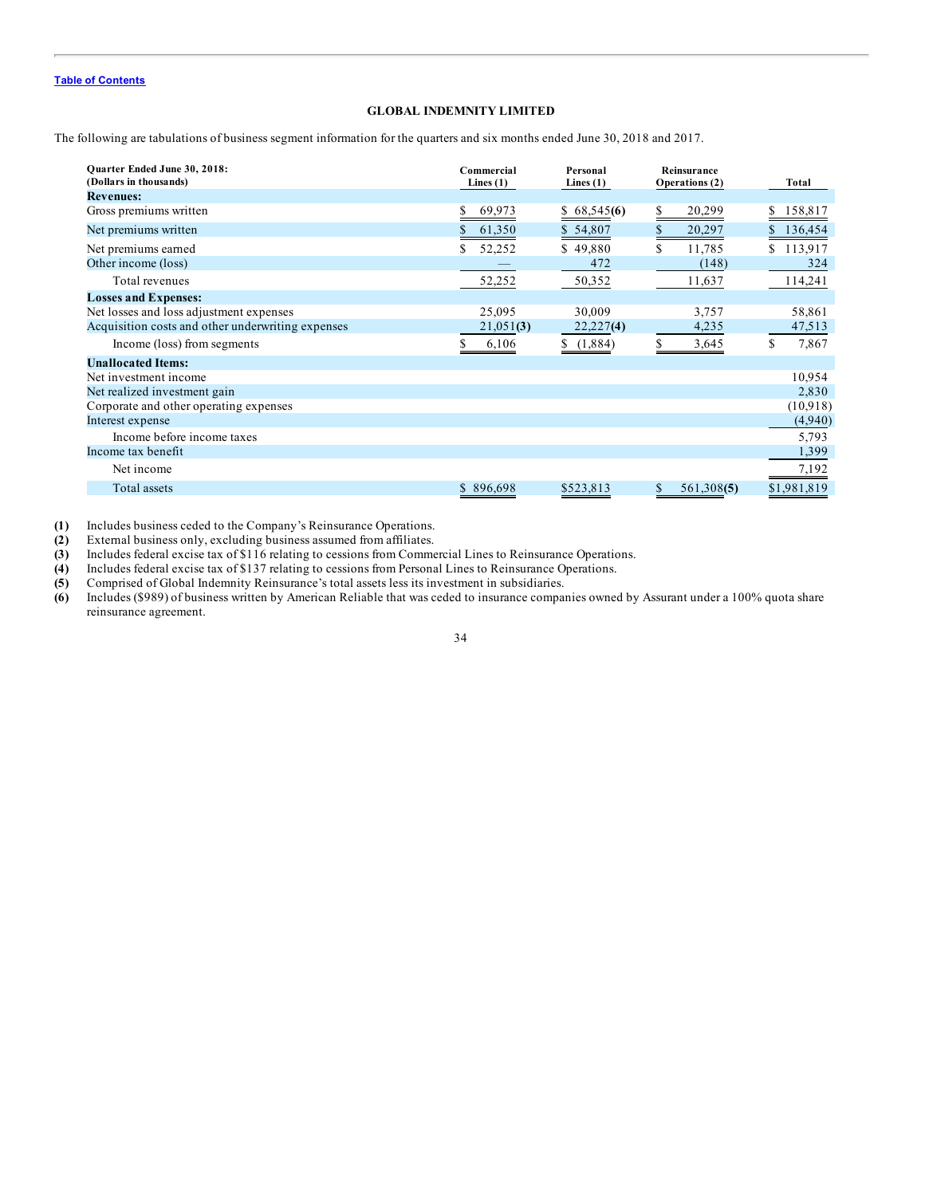#### **GLOBAL INDEMNITY LIMITED**

The following are tabulations of business segment information for the quarters and six months ended June 30, 2018 and 2017.

| <b>Ouarter Ended June 30, 2018:</b><br>(Dollars in thousands) | Commercial<br>Lines $(1)$ | Personal<br>Lines $(1)$ | Reinsurance<br>Operations (2) | <b>Total</b> |
|---------------------------------------------------------------|---------------------------|-------------------------|-------------------------------|--------------|
| <b>Revenues:</b>                                              |                           |                         |                               |              |
| Gross premiums written                                        | 69,973                    | \$68,545(6)             | 20,299                        | 158,817      |
| Net premiums written                                          | 61,350                    | \$54,807                | 20,297                        | 136,454      |
| Net premiums earned                                           | 52,252                    | \$49,880                | \$<br>11,785                  | 113,917      |
| Other income (loss)                                           |                           | 472                     | (148)                         | 324          |
| Total revenues                                                | 52,252                    | 50,352                  | 11,637                        | 114,241      |
| <b>Losses and Expenses:</b>                                   |                           |                         |                               |              |
| Net losses and loss adjustment expenses                       | 25,095                    | 30,009                  | 3,757                         | 58,861       |
| Acquisition costs and other underwriting expenses             | 21,051(3)                 | 22,227(4)               | 4,235                         | 47,513       |
| Income (loss) from segments                                   | 6,106                     | (1,884)                 | 3,645                         | \$<br>7,867  |
| <b>Unallocated Items:</b>                                     |                           |                         |                               |              |
| Net investment income                                         |                           |                         |                               | 10,954       |
| Net realized investment gain                                  |                           |                         |                               | 2,830        |
| Corporate and other operating expenses                        |                           |                         |                               | (10,918)     |
| Interest expense                                              |                           |                         |                               | (4,940)      |
| Income before income taxes                                    |                           |                         |                               | 5,793        |
| Income tax benefit                                            |                           |                         |                               | 1,399        |
| Net income                                                    |                           |                         |                               | 7,192        |
| Total assets                                                  | \$896,698                 | \$523,813               | 561,308(5)                    | \$1,981,819  |

**(1)** Includes business ceded to the Company's Reinsurance Operations.

External business only, excluding business assumed from affiliates.

**(3)** Includes federal excise tax of \$116 relating to cessions from Commercial Lines to Reinsurance Operations.

**(4)** Includes federal excise tax of \$137 relating to cessions from Personal Lines to Reinsurance Operations.

**(5)** Comprised of Global Indemnity Reinsurance's total assets less its investment in subsidiaries.

**(6)** Includes (\$989) of business written by American Reliable that was ceded to insurance companies owned by Assurant under a 100% quota share reinsurance agreement.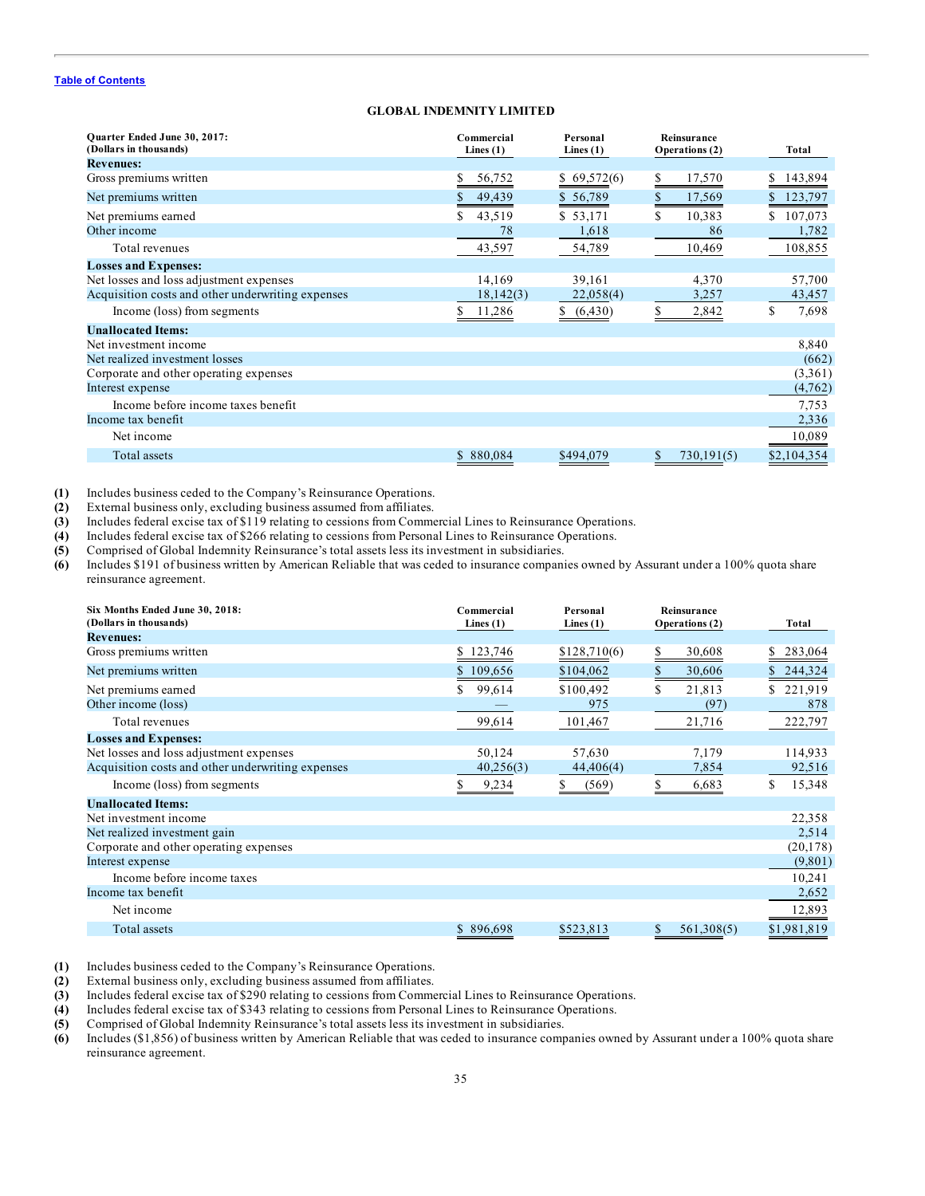## **GLOBAL INDEMNITY LIMITED**

| Quarter Ended June 30, 2017:<br>(Dollars in thousands) | Commercial<br>Personal<br>Lines $(1)$<br>Lines $(1)$ |                | Reinsurance<br>Operations (2) | Total       |
|--------------------------------------------------------|------------------------------------------------------|----------------|-------------------------------|-------------|
| <b>Revenues:</b>                                       |                                                      |                |                               |             |
| Gross premiums written                                 | 56,752                                               | 69,572(6)      | 17,570                        | 143,894     |
| Net premiums written                                   | 49,439                                               | \$56,789       | 17,569                        | 123,797     |
| Net premiums earned                                    | 43,519                                               | \$53,171       | 10,383                        | 107,073     |
| Other income                                           | 78                                                   | 1,618          | 86                            | 1,782       |
| Total revenues                                         | 43,597                                               | 54,789         | 10,469                        | 108,855     |
| <b>Losses and Expenses:</b>                            |                                                      |                |                               |             |
| Net losses and loss adjustment expenses                | 14.169                                               | 39,161         | 4,370                         | 57,700      |
| Acquisition costs and other underwriting expenses      | 18,142(3)                                            | 22,058(4)      | 3,257                         | 43,457      |
| Income (loss) from segments                            | 11,286                                               | (6, 430)<br>S. | 2,842                         | \$<br>7,698 |
| <b>Unallocated Items:</b>                              |                                                      |                |                               |             |
| Net investment income                                  |                                                      |                |                               | 8,840       |
| Net realized investment losses                         |                                                      |                |                               | (662)       |
| Corporate and other operating expenses                 |                                                      |                |                               | (3,361)     |
| Interest expense                                       |                                                      |                |                               | (4,762)     |
| Income before income taxes benefit                     |                                                      |                |                               | 7,753       |
| Income tax benefit                                     |                                                      |                |                               | 2,336       |
| Net income                                             |                                                      |                |                               | 10,089      |
| Total assets                                           | 880,084<br>S.                                        | \$494,079      | \$<br>730,191(5)              | \$2,104,354 |

**(1)** Includes business ceded to the Company's Reinsurance Operations.

**(2)** External business only, excluding business assumed from affiliates.

**(3)** Includes federal excise tax of \$119 relating to cessions from Commercial Lines to Reinsurance Operations.

**(4)** Includes federal excise tax of \$266 relating to cessions from Personal Lines to Reinsurance Operations.

**(5)** Comprised of Global Indemnity Reinsurance's total assets less its investment in subsidiaries.

**(6)** Includes \$191 of business written by American Reliable that was ceded to insurance companies owned by Assurant under a 100% quota share reinsurance agreement.

| Six Months Ended June 30, 2018:<br>(Dollars in thousands) | Commercial<br>Lines $(1)$ | Reinsurance<br>Personal<br>Operations (2)<br>Lines $(1)$ |                  | Total        |
|-----------------------------------------------------------|---------------------------|----------------------------------------------------------|------------------|--------------|
| <b>Revenues:</b>                                          |                           |                                                          |                  |              |
| Gross premiums written                                    | \$123,746                 | \$128,710(6)                                             | 30,608           | 283,064      |
| Net premiums written                                      | 109,656                   | \$104,062                                                | 30,606           | 244,324      |
| Net premiums earned                                       | 99,614                    | \$100,492                                                | \$<br>21,813     | 221,919      |
| Other income (loss)                                       |                           | 975                                                      | (97)             | 878          |
| Total revenues                                            | 99,614                    | 101,467                                                  | 21,716           | 222,797      |
| <b>Losses and Expenses:</b>                               |                           |                                                          |                  |              |
| Net losses and loss adjustment expenses                   | 50,124                    | 57,630                                                   | 7,179            | 114,933      |
| Acquisition costs and other underwriting expenses         | 40,256(3)                 | 44,406(4)                                                | 7,854            | 92,516       |
| Income (loss) from segments                               | 9,234                     | (569)                                                    | 6,683            | 15,348<br>\$ |
| <b>Unallocated Items:</b>                                 |                           |                                                          |                  |              |
| Net investment income                                     |                           |                                                          |                  | 22,358       |
| Net realized investment gain                              |                           |                                                          |                  | 2,514        |
| Corporate and other operating expenses                    |                           |                                                          |                  | (20, 178)    |
| Interest expense                                          |                           |                                                          |                  | (9,801)      |
| Income before income taxes                                |                           |                                                          |                  | 10,241       |
| Income tax benefit                                        |                           |                                                          |                  | 2,652        |
| Net income                                                |                           |                                                          |                  | 12,893       |
| Total assets                                              | \$896,698                 | \$523,813                                                | 561,308(5)<br>\$ | \$1,981,819  |

**(1)** Includes business ceded to the Company's Reinsurance Operations.

**(2)** External business only, excluding business assumed from affiliates.

**(3)** Includes federal excise tax of \$290 relating to cessions from Commercial Lines to Reinsurance Operations.

**(4)** Includes federal excise tax of \$343 relating to cessions from Personal Lines to Reinsurance Operations.

**(5)** Comprised of Global Indemnity Reinsurance's total assets less its investment in subsidiaries.

**(6)** Includes (\$1,856) of business written by American Reliable that was ceded to insurance companies owned by Assurant under a 100% quota share reinsurance agreement.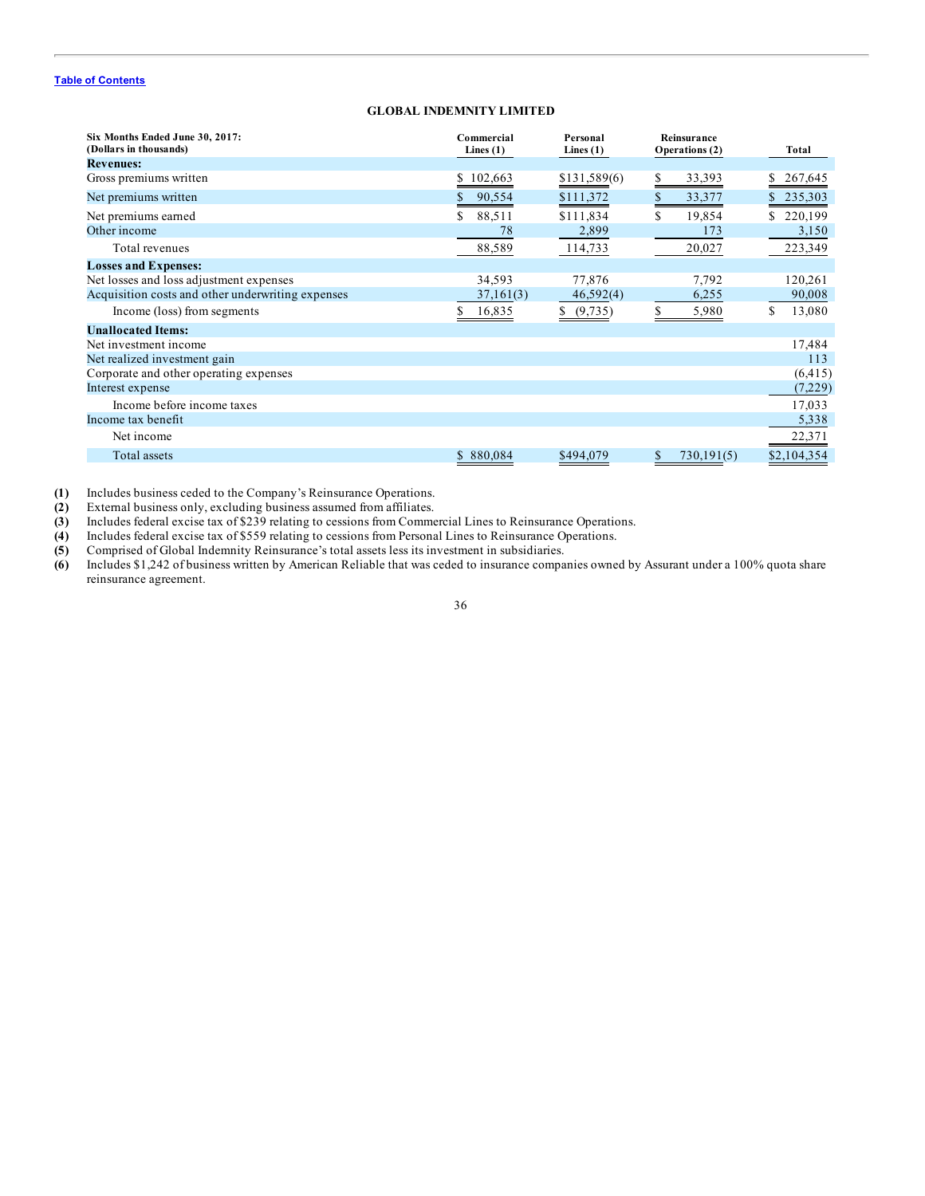# **GLOBAL INDEMNITY LIMITED**

| Six Months Ended June 30, 2017:<br>(Dollars in thousands) | Commercial<br>Lines $(1)$ | Personal<br>Lines $(1)$ | Reinsurance<br>Operations (2) | Total        |
|-----------------------------------------------------------|---------------------------|-------------------------|-------------------------------|--------------|
| <b>Revenues:</b>                                          |                           |                         |                               |              |
| Gross premiums written                                    | 102,663                   | \$131,589(6)            | 33,393                        | 267,645      |
| Net premiums written                                      | 90,554                    | \$111,372               | 33,377                        | 235,303      |
| Net premiums earned                                       | 88,511                    | \$111,834               | 19,854                        | 220,199      |
| Other income                                              | 78                        | 2,899                   | 173                           | 3,150        |
| Total revenues                                            | 88,589                    | 114,733                 | 20,027                        | 223,349      |
| <b>Losses and Expenses:</b>                               |                           |                         |                               |              |
| Net losses and loss adjustment expenses                   | 34,593                    | 77,876                  | 7,792                         | 120,261      |
| Acquisition costs and other underwriting expenses         | 37,161(3)                 | 46,592(4)               | 6,255                         | 90,008       |
| Income (loss) from segments                               | 16,835                    | (9,735)                 | 5,980                         | \$<br>13,080 |
| <b>Unallocated Items:</b>                                 |                           |                         |                               |              |
| Net investment income                                     |                           |                         |                               | 17,484       |
| Net realized investment gain                              |                           |                         |                               | 113          |
| Corporate and other operating expenses                    |                           |                         |                               | (6, 415)     |
| Interest expense                                          |                           |                         |                               | (7,229)      |
| Income before income taxes                                |                           |                         |                               | 17,033       |
| Income tax benefit                                        |                           |                         |                               | 5,338        |
| Net income                                                |                           |                         |                               | 22,371       |
| Total assets                                              | 880,084                   | \$494,079               | 730,191(5)<br>S               | \$2,104,354  |

External business only, excluding business assumed from affiliates.

(1) Includes business ceded to the Company's Reinsurance Operations.<br>
(2) External business only, excluding business assumed from affiliates.<br>
(3) Includes federal excise tax of \$239 relating to cessions from Comme **(3)** Includes federal excise tax of \$239 relating to cessions from Commercial Lines to Reinsurance Operations.

**(4)** Includes federal excise tax of \$559 relating to cessions from Personal Lines to Reinsurance Operations.

**(5)** Comprised of Global Indemnity Reinsurance's total assets less its investment in subsidiaries.

**(6)** Includes \$1,242 of business written by American Reliable that was ceded to insurance companies owned by Assurant under a 100% quota share reinsurance agreement.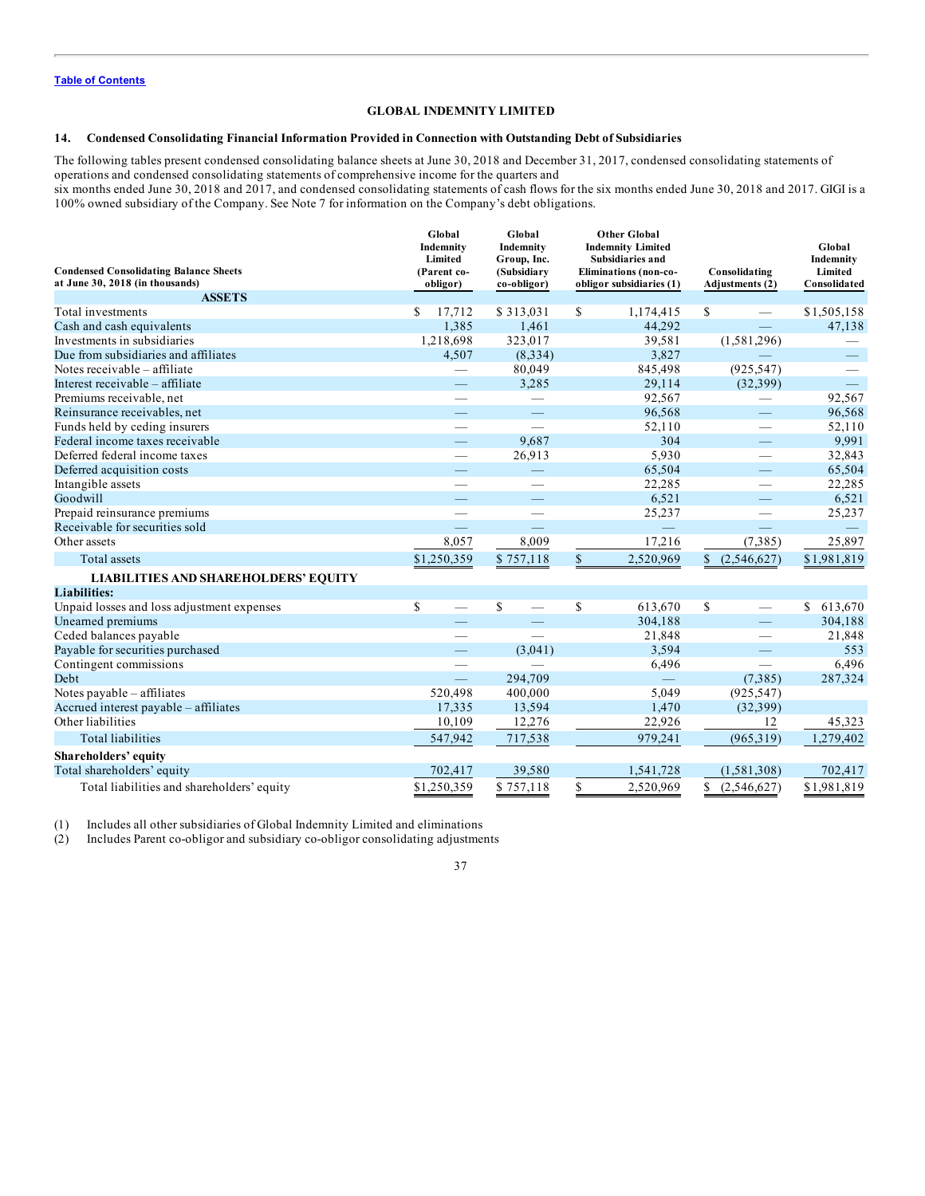# **GLOBAL INDEMNITY LIMITED**

### **14. Condensed Consolidating Financial Information Provided in Connection with Outstanding Debt of Subsidiaries**

The following tables present condensed consolidating balance sheets at June 30, 2018 and December 31, 2017, condensed consolidating statements of operations and condensed consolidating statements of comprehensive income for the quarters and

six months ended June 30, 2018 and 2017, and condensed consolidating statements of cash flows for the six months ended June 30, 2018 and 2017. GIGI is a 100% owned subsidiary of the Company. See Note 7 for information on the Company's debt obligations.

| <b>Condensed Consolidating Balance Sheets</b><br>at June 30, 2018 (in thousands) | Global<br>Indemnity<br>Limited<br>(Parent co-<br>obligor) | Global<br>Indemnity<br>Group, Inc.<br>(Subsidiary<br>co-obligor) | <b>Other Global</b><br><b>Indemnity Limited</b><br>Subsidiaries and<br><b>Eliminations</b> (non-co-<br>obligor subsidiaries (1) | Consolidating<br>Adjustments (2) | Global<br>Indemnity<br>Limited<br>Consolidated |
|----------------------------------------------------------------------------------|-----------------------------------------------------------|------------------------------------------------------------------|---------------------------------------------------------------------------------------------------------------------------------|----------------------------------|------------------------------------------------|
| <b>ASSETS</b>                                                                    |                                                           |                                                                  |                                                                                                                                 |                                  |                                                |
| Total investments                                                                | S<br>17,712                                               | \$313,031                                                        | \$<br>1,174,415                                                                                                                 | \$                               | \$1,505,158                                    |
| Cash and cash equivalents                                                        | 1,385                                                     | 1,461                                                            | 44,292                                                                                                                          |                                  | 47,138                                         |
| Investments in subsidiaries                                                      | 1,218,698                                                 | 323,017                                                          | 39,581                                                                                                                          | (1,581,296)                      |                                                |
| Due from subsidiaries and affiliates                                             | 4,507                                                     | (8,334)                                                          | 3,827                                                                                                                           |                                  |                                                |
| Notes receivable – affiliate                                                     | $\overline{\phantom{0}}$                                  | 80,049                                                           | 845,498                                                                                                                         | (925, 547)                       |                                                |
| Interest receivable – affiliate                                                  |                                                           | 3,285                                                            | 29,114                                                                                                                          | (32, 399)                        | $\qquad \qquad -$                              |
| Premiums receivable, net                                                         | $\overline{\phantom{0}}$                                  |                                                                  | 92,567                                                                                                                          |                                  | 92,567                                         |
| Reinsurance receivables, net                                                     |                                                           |                                                                  | 96,568                                                                                                                          |                                  | 96,568                                         |
| Funds held by ceding insurers                                                    | $\overline{\phantom{0}}$                                  |                                                                  | 52,110                                                                                                                          | $\overline{\phantom{0}}$         | 52,110                                         |
| Federal income taxes receivable                                                  | $\equiv$                                                  | 9,687                                                            | 304                                                                                                                             | $\equiv$                         | 9.991                                          |
| Deferred federal income taxes                                                    | $\overline{\phantom{0}}$                                  | 26,913                                                           | 5,930                                                                                                                           |                                  | 32,843                                         |
| Deferred acquisition costs                                                       | $\equiv$                                                  |                                                                  | 65,504                                                                                                                          | $\equiv$                         | 65,504                                         |
| Intangible assets                                                                |                                                           |                                                                  | 22,285                                                                                                                          |                                  | 22,285                                         |
| Goodwill                                                                         |                                                           | $\overline{\phantom{a}}$                                         | 6,521                                                                                                                           | $\overline{\phantom{0}}$         | 6,521                                          |
| Prepaid reinsurance premiums                                                     |                                                           |                                                                  | 25,237                                                                                                                          | $\overline{\phantom{0}}$         | 25,237                                         |
| Receivable for securities sold                                                   |                                                           | $\frac{1}{2}$                                                    |                                                                                                                                 | <u>a a</u>                       |                                                |
| Other assets                                                                     | 8,057                                                     | 8,009                                                            | 17,216                                                                                                                          | (7, 385)                         | 25,897                                         |
| <b>Total</b> assets                                                              | \$1,250,359                                               | \$757,118                                                        | $\mathbb{S}$<br>2,520,969                                                                                                       | $\mathbb{S}$<br>(2,546,627)      | \$1,981,819                                    |
| <b>LIABILITIES AND SHAREHOLDERS' EQUITY</b>                                      |                                                           |                                                                  |                                                                                                                                 |                                  |                                                |
| Liabilities:                                                                     |                                                           |                                                                  |                                                                                                                                 |                                  |                                                |
| Unpaid losses and loss adjustment expenses                                       | \$<br>$\overline{\phantom{0}}$                            | \$<br>$\qquad \qquad$                                            | \$<br>613,670                                                                                                                   | \$                               | 613,670<br>\$                                  |
| Unearned premiums                                                                |                                                           |                                                                  | 304,188                                                                                                                         | $\qquad \qquad$                  | 304,188                                        |
| Ceded balances payable                                                           |                                                           |                                                                  | 21,848                                                                                                                          |                                  | 21,848                                         |
| Payable for securities purchased                                                 |                                                           | (3,041)                                                          | 3,594                                                                                                                           | Ξ,                               | 553                                            |
| Contingent commissions                                                           |                                                           |                                                                  | 6,496                                                                                                                           | $\equiv$                         | 6,496                                          |
| Debt                                                                             | Ш,                                                        | 294,709                                                          |                                                                                                                                 | (7,385)                          | 287,324                                        |
| Notes payable $-$ affiliates                                                     | 520,498                                                   | 400,000                                                          | 5,049                                                                                                                           | (925, 547)                       |                                                |
| Accrued interest payable - affiliates                                            | 17,335                                                    | 13,594                                                           | 1,470                                                                                                                           | (32, 399)                        |                                                |
| Other liabilities                                                                | 10,109                                                    | 12,276                                                           | 22,926                                                                                                                          | 12                               | 45,323                                         |
| <b>Total liabilities</b>                                                         | 547,942                                                   | 717,538                                                          | 979,241                                                                                                                         | (965, 319)                       | 1,279,402                                      |
| Shareholders' equity                                                             |                                                           |                                                                  |                                                                                                                                 |                                  |                                                |
| Total shareholders' equity                                                       | 702,417                                                   | 39,580                                                           | 1,541,728                                                                                                                       | (1,581,308)                      | 702,417                                        |
| Total liabilities and shareholders' equity                                       | \$1,250,359                                               | \$757,118                                                        | \$<br>2,520,969                                                                                                                 | \$<br>(2,546,627)                | \$1,981,819                                    |

(1) Includes all other subsidiaries of Global Indemnity Limited and eliminations

(2) Includes Parent co-obligor and subsidiary co-obligor consolidating adjustments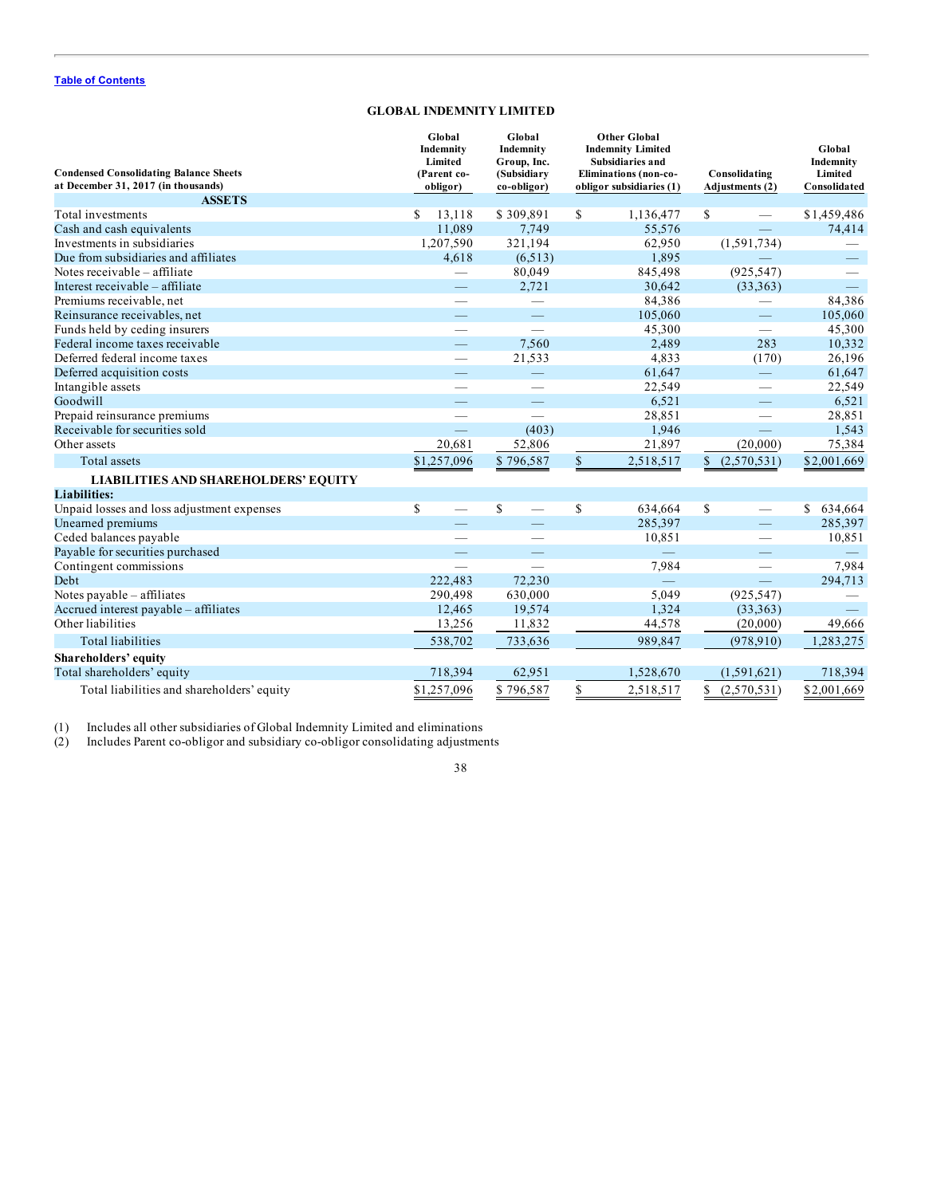| <b>Condensed Consolidating Balance Sheets</b><br>at December 31, 2017 (in thousands) | Global<br><b>Indemnity</b><br>Limited<br>(Parent co-<br>obligor) | Global<br>Indemnity<br>Group, Inc.<br>(Subsidiary<br>co-obligor) | <b>Other Global</b><br><b>Indemnity Limited</b><br>Subsidiaries and<br><b>Eliminations</b> (non-co-<br>obligor subsidiaries (1) | Consolidating<br>Adjustments (2) | Global<br>Indemnity<br>Limited<br>Consolidated |
|--------------------------------------------------------------------------------------|------------------------------------------------------------------|------------------------------------------------------------------|---------------------------------------------------------------------------------------------------------------------------------|----------------------------------|------------------------------------------------|
| <b>ASSETS</b>                                                                        |                                                                  |                                                                  |                                                                                                                                 |                                  |                                                |
| Total investments                                                                    | S<br>13,118                                                      | \$309,891                                                        | \$<br>1,136,477                                                                                                                 | \$                               | \$1,459,486                                    |
| Cash and cash equivalents                                                            | 11,089                                                           | 7,749                                                            | 55,576                                                                                                                          |                                  | 74,414                                         |
| Investments in subsidiaries                                                          | 1,207,590                                                        | 321,194                                                          | 62,950                                                                                                                          | (1, 591, 734)                    |                                                |
| Due from subsidiaries and affiliates                                                 | 4,618                                                            | (6,513)                                                          | 1,895                                                                                                                           |                                  |                                                |
| Notes receivable – affiliate                                                         |                                                                  | 80,049                                                           | 845,498                                                                                                                         | (925, 547)                       |                                                |
| Interest receivable – affiliate                                                      |                                                                  | 2,721                                                            | 30,642                                                                                                                          | (33, 363)                        |                                                |
| Premiums receivable, net                                                             | $\overline{\phantom{0}}$                                         |                                                                  | 84,386                                                                                                                          |                                  | 84,386                                         |
| Reinsurance receivables, net                                                         |                                                                  |                                                                  | 105,060                                                                                                                         |                                  | 105,060                                        |
| Funds held by ceding insurers                                                        |                                                                  |                                                                  | 45,300                                                                                                                          | ÷.                               | 45,300                                         |
| Federal income taxes receivable                                                      | $\overline{\phantom{0}}$                                         | 7,560                                                            | 2,489                                                                                                                           | 283                              | 10,332                                         |
| Deferred federal income taxes                                                        |                                                                  | 21,533                                                           | 4,833                                                                                                                           | (170)                            | 26,196                                         |
| Deferred acquisition costs                                                           |                                                                  |                                                                  | 61,647                                                                                                                          |                                  | 61,647                                         |
| Intangible assets                                                                    |                                                                  | $\overline{\phantom{a}}$                                         | 22,549                                                                                                                          |                                  | 22,549                                         |
| Goodwill                                                                             |                                                                  |                                                                  | 6,521                                                                                                                           |                                  | 6,521                                          |
| Prepaid reinsurance premiums                                                         |                                                                  | $\overline{\phantom{a}}$                                         | 28,851                                                                                                                          | $\overline{\phantom{0}}$         | 28,851                                         |
| Receivable for securities sold                                                       |                                                                  | (403)                                                            | 1,946                                                                                                                           | <u>a a</u>                       | 1,543                                          |
| Other assets                                                                         | 20,681                                                           | 52,806                                                           | 21,897                                                                                                                          | (20,000)                         | 75,384                                         |
| Total assets                                                                         | \$1,257,096                                                      | \$796,587                                                        | $\mathbb{S}$<br>2,518,517                                                                                                       | (2,570,531)<br>$\mathbb{S}^-$    | \$2,001,669                                    |
| <b>LIABILITIES AND SHAREHOLDERS' EQUITY</b>                                          |                                                                  |                                                                  |                                                                                                                                 |                                  |                                                |
| <b>Liabilities:</b>                                                                  |                                                                  |                                                                  |                                                                                                                                 |                                  |                                                |
| Unpaid losses and loss adjustment expenses                                           | $\mathbb{S}$<br>$\overline{\phantom{m}}$                         | \$                                                               | $\mathbf S$<br>634,664                                                                                                          | \$                               | 634,664<br>\$                                  |
| Unearned premiums                                                                    |                                                                  |                                                                  | 285,397                                                                                                                         | $\equiv$                         | 285,397                                        |
| Ceded balances payable                                                               | $\overline{\phantom{0}}$                                         | $\overline{\phantom{0}}$                                         | 10,851                                                                                                                          |                                  | 10,851                                         |
| Payable for securities purchased                                                     |                                                                  |                                                                  |                                                                                                                                 | $\frac{1}{2}$                    |                                                |
| Contingent commissions                                                               |                                                                  |                                                                  | 7,984                                                                                                                           | $\overline{\phantom{0}}$         | 7,984                                          |
| <b>Debt</b>                                                                          | 222,483                                                          | 72,230                                                           |                                                                                                                                 | $\equiv$                         | 294,713                                        |
| Notes payable - affiliates                                                           | 290,498                                                          | 630,000                                                          | 5,049                                                                                                                           | (925, 547)                       |                                                |
| Accrued interest payable – affiliates                                                | 12,465                                                           | 19,574                                                           | 1,324                                                                                                                           | (33,363)                         |                                                |
| Other liabilities                                                                    | 13,256                                                           | 11,832                                                           | 44,578                                                                                                                          | (20,000)                         | 49,666                                         |
| <b>Total liabilities</b>                                                             | 538,702                                                          | 733,636                                                          | 989,847                                                                                                                         | (978, 910)                       | 1,283,275                                      |
| Shareholders' equity                                                                 |                                                                  |                                                                  |                                                                                                                                 |                                  |                                                |
| Total shareholders' equity                                                           | 718,394                                                          | 62,951                                                           | 1,528,670                                                                                                                       | (1,591,621)                      | 718,394                                        |
| Total liabilities and shareholders' equity                                           | \$1,257,096                                                      | \$796,587                                                        | \$<br>2,518,517                                                                                                                 | \$(2,570,531)                    | \$2,001,669                                    |

**GLOBAL INDEMNITY LIMITED**

(1) Includes all other subsidiaries of Global Indemnity Limited and eliminations

(2) Includes Parent co-obligor and subsidiary co-obligor consolidating adjustments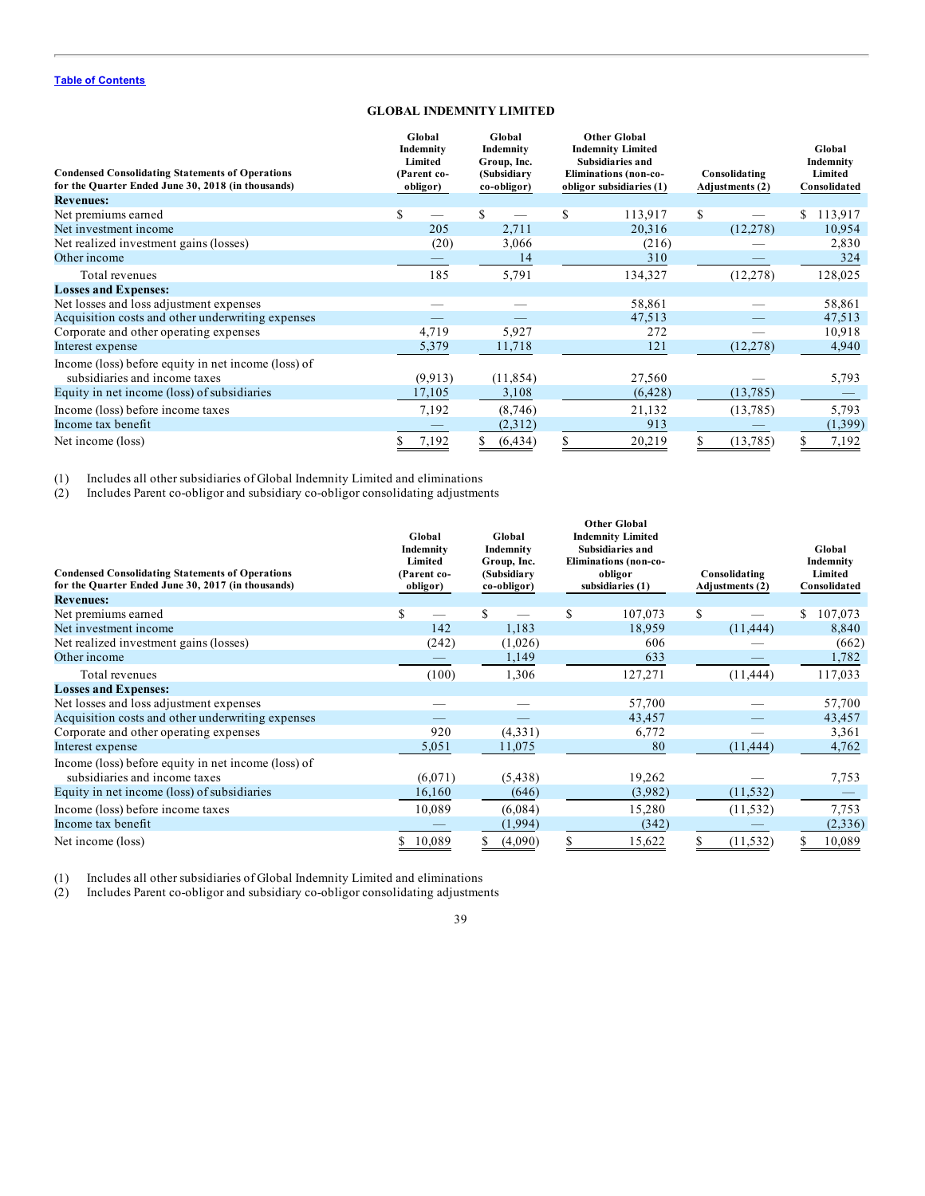## **GLOBAL INDEMNITY LIMITED**

| <b>Condensed Consolidating Statements of Operations</b><br>for the Quarter Ended June 30, 2018 (in thousands) | Global<br>Indemnity<br>Limited<br>(Parent co-<br>obligor) | Global<br>Indemnity<br>Group, Inc.<br>(Subsidiary<br>co-obligor) | <b>Other Global</b><br><b>Indemnity Limited</b><br>Subsidiaries and<br><b>Eliminations</b> (non-co-<br>obligor subsidiaries (1) | Consolidating<br><b>Adjustments (2)</b> | Global<br>Indemnity<br>Limited<br>Consolidated |
|---------------------------------------------------------------------------------------------------------------|-----------------------------------------------------------|------------------------------------------------------------------|---------------------------------------------------------------------------------------------------------------------------------|-----------------------------------------|------------------------------------------------|
| <b>Revenues:</b>                                                                                              |                                                           |                                                                  |                                                                                                                                 |                                         |                                                |
| Net premiums earned                                                                                           | S                                                         | S                                                                | 113,917                                                                                                                         | S                                       | 113,917                                        |
| Net investment income                                                                                         | 205                                                       | 2,711                                                            | 20,316                                                                                                                          | (12, 278)                               | 10,954                                         |
| Net realized investment gains (losses)                                                                        | (20)                                                      | 3,066                                                            | (216)                                                                                                                           |                                         | 2,830                                          |
| Other income                                                                                                  |                                                           | 14                                                               | 310                                                                                                                             |                                         | 324                                            |
| Total revenues                                                                                                | 185                                                       | 5,791                                                            | 134,327                                                                                                                         | (12, 278)                               | 128,025                                        |
| <b>Losses and Expenses:</b>                                                                                   |                                                           |                                                                  |                                                                                                                                 |                                         |                                                |
| Net losses and loss adjustment expenses                                                                       |                                                           |                                                                  | 58,861                                                                                                                          |                                         | 58,861                                         |
| Acquisition costs and other underwriting expenses                                                             |                                                           |                                                                  | 47,513                                                                                                                          |                                         | 47,513                                         |
| Corporate and other operating expenses                                                                        | 4,719                                                     | 5,927                                                            | 272                                                                                                                             |                                         | 10,918                                         |
| Interest expense                                                                                              | 5,379                                                     | 11,718                                                           | 121                                                                                                                             | (12, 278)                               | 4,940                                          |
| Income (loss) before equity in net income (loss) of                                                           |                                                           |                                                                  |                                                                                                                                 |                                         |                                                |
| subsidiaries and income taxes                                                                                 | (9,913)                                                   | (11, 854)                                                        | 27,560                                                                                                                          |                                         | 5,793                                          |
| Equity in net income (loss) of subsidiaries                                                                   | 17,105                                                    | 3,108                                                            | (6,428)                                                                                                                         | (13, 785)                               |                                                |
| Income (loss) before income taxes                                                                             | 7,192                                                     | (8,746)                                                          | 21,132                                                                                                                          | (13,785)                                | 5,793                                          |
| Income tax benefit                                                                                            |                                                           | (2,312)                                                          | 913                                                                                                                             |                                         | (1,399)                                        |
| Net income (loss)                                                                                             | 7,192                                                     | (6, 434)                                                         | 20,219                                                                                                                          | (13, 785)                               | 7,192                                          |

(1) Includes all other subsidiaries of Global Indemnity Limited and eliminations

(2) Includes Parent co-obligor and subsidiary co-obligor consolidating adjustments

| <b>Condensed Consolidating Statements of Operations</b><br>for the Quarter Ended June 30, 2017 (in thousands) | Global<br>Indemnity<br>Limited<br>(Parent co-<br>obligor) |       | Global<br>Indemnity<br>Group, Inc.<br>(Subsidiary<br>co-obligor) |   | <b>Other Global</b><br><b>Indemnity Limited</b><br>Subsidiaries and<br><b>Eliminations</b> (non-co-<br>obligor<br>subsidiaries (1) | Consolidating<br>Adjustments (2) | Global<br>Indemnity<br>Limited<br>Consolidated |
|---------------------------------------------------------------------------------------------------------------|-----------------------------------------------------------|-------|------------------------------------------------------------------|---|------------------------------------------------------------------------------------------------------------------------------------|----------------------------------|------------------------------------------------|
| <b>Revenues:</b>                                                                                              |                                                           |       |                                                                  |   |                                                                                                                                    |                                  |                                                |
| Net premiums earned                                                                                           | \$                                                        | S     |                                                                  | S | 107,073                                                                                                                            | \$                               | 107,073                                        |
| Net investment income                                                                                         |                                                           | 142   | 1,183                                                            |   | 18,959                                                                                                                             | (11, 444)                        | 8,840                                          |
| Net realized investment gains (losses)                                                                        |                                                           | (242) | (1,026)                                                          |   | 606                                                                                                                                |                                  | (662)                                          |
| Other income                                                                                                  |                                                           |       | 1,149                                                            |   | 633                                                                                                                                |                                  | 1,782                                          |
| Total revenues                                                                                                |                                                           | (100) | 1,306                                                            |   | 127,271                                                                                                                            | (11, 444)                        | 117,033                                        |
| <b>Losses and Expenses:</b>                                                                                   |                                                           |       |                                                                  |   |                                                                                                                                    |                                  |                                                |
| Net losses and loss adjustment expenses                                                                       |                                                           |       |                                                                  |   | 57,700                                                                                                                             |                                  | 57,700                                         |
| Acquisition costs and other underwriting expenses                                                             |                                                           |       |                                                                  |   | 43,457                                                                                                                             |                                  | 43,457                                         |
| Corporate and other operating expenses                                                                        |                                                           | 920   | (4,331)                                                          |   | 6,772                                                                                                                              |                                  | 3,361                                          |
| Interest expense                                                                                              | 5,051                                                     |       | 11,075                                                           |   | 80                                                                                                                                 | (11, 444)                        | 4,762                                          |
| Income (loss) before equity in net income (loss) of                                                           |                                                           |       |                                                                  |   |                                                                                                                                    |                                  |                                                |
| subsidiaries and income taxes                                                                                 | (6,071)                                                   |       | (5, 438)                                                         |   | 19,262                                                                                                                             |                                  | 7,753                                          |
| Equity in net income (loss) of subsidiaries                                                                   | 16,160                                                    |       | (646)                                                            |   | (3,982)                                                                                                                            | (11, 532)                        |                                                |
| Income (loss) before income taxes                                                                             | 10,089                                                    |       | (6,084)                                                          |   | 15,280                                                                                                                             | (11, 532)                        | 7,753                                          |
| Income tax benefit                                                                                            |                                                           |       | (1,994)                                                          |   | (342)                                                                                                                              |                                  | (2,336)                                        |
| Net income (loss)                                                                                             | 10,089                                                    |       | (4,090)                                                          |   | 15,622                                                                                                                             | (11, 532)                        | 10,089                                         |

(1) Includes all other subsidiaries of Global Indemnity Limited and eliminations

(2) Includes Parent co-obligor and subsidiary co-obligor consolidating adjustments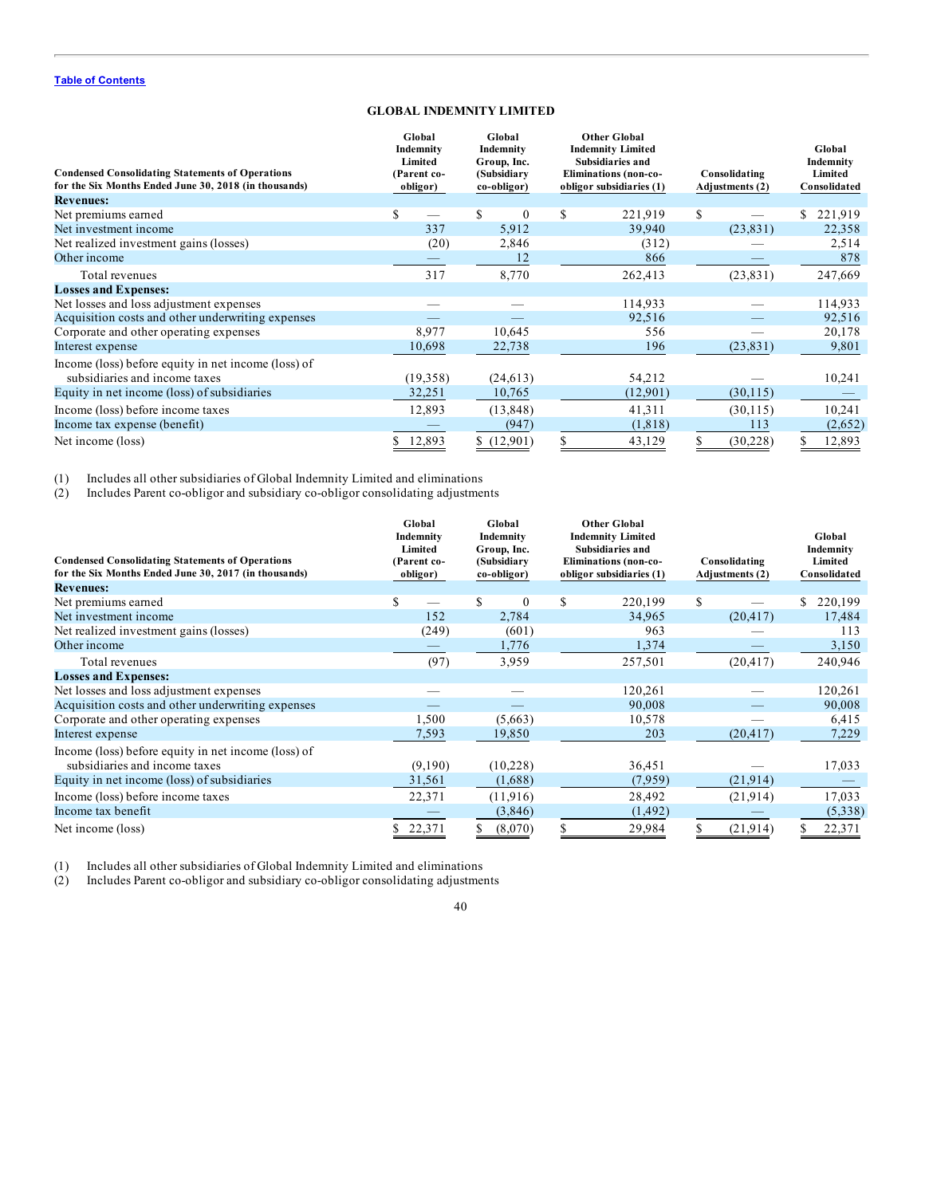# **GLOBAL INDEMNITY LIMITED**

| <b>Condensed Consolidating Statements of Operations</b><br>for the Six Months Ended June 30, 2018 (in thousands) | Global<br>Indemnity<br>Limited<br>(Parent co-<br>obligor) | Global<br>Indemnity<br>Group, Inc.<br>(Subsidiary<br>co-obligor) | <b>Other Global</b><br><b>Indemnity Limited</b><br>Subsidiaries and<br><b>Eliminations</b> (non-co-<br>obligor subsidiaries (1) | Consolidating<br>Adjustments (2) | Global<br>Indemnity<br>Limited<br>Consolidated |
|------------------------------------------------------------------------------------------------------------------|-----------------------------------------------------------|------------------------------------------------------------------|---------------------------------------------------------------------------------------------------------------------------------|----------------------------------|------------------------------------------------|
| <b>Revenues:</b>                                                                                                 |                                                           |                                                                  |                                                                                                                                 |                                  |                                                |
| Net premiums earned                                                                                              | S                                                         | $\mathbf{0}$<br>S                                                | 221,919<br>S                                                                                                                    | \$                               | 221,919<br>S.                                  |
| Net investment income                                                                                            | 337                                                       | 5,912                                                            | 39,940                                                                                                                          | (23, 831)                        | 22,358                                         |
| Net realized investment gains (losses)                                                                           | (20)                                                      | 2,846                                                            | (312)                                                                                                                           |                                  | 2,514                                          |
| Other income                                                                                                     |                                                           | 12                                                               | 866                                                                                                                             |                                  | 878                                            |
| Total revenues                                                                                                   | 317                                                       | 8,770                                                            | 262,413                                                                                                                         | (23, 831)                        | 247,669                                        |
| <b>Losses and Expenses:</b>                                                                                      |                                                           |                                                                  |                                                                                                                                 |                                  |                                                |
| Net losses and loss adjustment expenses                                                                          |                                                           |                                                                  | 114,933                                                                                                                         |                                  | 114,933                                        |
| Acquisition costs and other underwriting expenses                                                                |                                                           |                                                                  | 92,516                                                                                                                          |                                  | 92,516                                         |
| Corporate and other operating expenses                                                                           | 8,977                                                     | 10,645                                                           | 556                                                                                                                             |                                  | 20,178                                         |
| Interest expense                                                                                                 | 10,698                                                    | 22,738                                                           | 196                                                                                                                             | (23, 831)                        | 9,801                                          |
| Income (loss) before equity in net income (loss) of                                                              |                                                           |                                                                  |                                                                                                                                 |                                  |                                                |
| subsidiaries and income taxes                                                                                    | (19,358)                                                  | (24, 613)                                                        | 54,212                                                                                                                          |                                  | 10,241                                         |
| Equity in net income (loss) of subsidiaries                                                                      | 32,251                                                    | 10,765                                                           | (12,901)                                                                                                                        | (30, 115)                        |                                                |
| Income (loss) before income taxes                                                                                | 12,893                                                    | (13, 848)                                                        | 41,311                                                                                                                          | (30, 115)                        | 10,241                                         |
| Income tax expense (benefit)                                                                                     |                                                           | (947)                                                            | (1,818)                                                                                                                         | 113                              | (2,652)                                        |
| Net income (loss)                                                                                                | 12,893<br>\$                                              | \$(12,901)                                                       | 43,129                                                                                                                          | (30, 228)                        | 12,893                                         |

(1) Includes all other subsidiaries of Global Indemnity Limited and eliminations

(2) Includes Parent co-obligor and subsidiary co-obligor consolidating adjustments

| <b>Condensed Consolidating Statements of Operations</b><br>for the Six Months Ended June 30, 2017 (in thousands) | Global<br>Indemnity<br>Limited<br>(Parent co-<br>obligor) | Global<br>Indemnity<br>Group, Inc.<br>(Subsidiary<br>co-obligor) | <b>Other Global</b><br><b>Indemnity Limited</b><br>Subsidiaries and<br><b>Eliminations</b> (non-co-<br>obligor subsidiaries (1) | Consolidating<br>Adjustments (2) | Global<br>Indemnity<br>Limited<br>Consolidated |
|------------------------------------------------------------------------------------------------------------------|-----------------------------------------------------------|------------------------------------------------------------------|---------------------------------------------------------------------------------------------------------------------------------|----------------------------------|------------------------------------------------|
| <b>Revenues:</b>                                                                                                 |                                                           |                                                                  |                                                                                                                                 |                                  |                                                |
| Net premiums earned                                                                                              | S                                                         | $\mathbf{0}$<br>S                                                | 220,199<br>S.                                                                                                                   | \$                               | 220,199<br>S.                                  |
| Net investment income                                                                                            | 152                                                       | 2,784                                                            | 34,965                                                                                                                          | (20, 417)                        | 17,484                                         |
| Net realized investment gains (losses)                                                                           | (249)                                                     | (601)                                                            | 963                                                                                                                             |                                  | 113                                            |
| Other income                                                                                                     |                                                           | 1,776                                                            | 1,374                                                                                                                           |                                  | 3,150                                          |
| Total revenues                                                                                                   | (97)                                                      | 3,959                                                            | 257,501                                                                                                                         | (20, 417)                        | 240,946                                        |
| <b>Losses and Expenses:</b>                                                                                      |                                                           |                                                                  |                                                                                                                                 |                                  |                                                |
| Net losses and loss adjustment expenses                                                                          |                                                           |                                                                  | 120,261                                                                                                                         |                                  | 120,261                                        |
| Acquisition costs and other underwriting expenses                                                                |                                                           |                                                                  | 90,008                                                                                                                          |                                  | 90,008                                         |
| Corporate and other operating expenses                                                                           | 1,500                                                     | (5,663)                                                          | 10,578                                                                                                                          |                                  | 6,415                                          |
| Interest expense                                                                                                 | 7,593                                                     | 19,850                                                           | 203                                                                                                                             | (20, 417)                        | 7,229                                          |
| Income (loss) before equity in net income (loss) of                                                              |                                                           |                                                                  |                                                                                                                                 |                                  |                                                |
| subsidiaries and income taxes                                                                                    | (9,190)                                                   | (10,228)                                                         | 36,451                                                                                                                          |                                  | 17,033                                         |
| Equity in net income (loss) of subsidiaries                                                                      | 31,561                                                    | (1,688)                                                          | (7,959)                                                                                                                         | (21,914)                         |                                                |
| Income (loss) before income taxes                                                                                | 22,371                                                    | (11, 916)                                                        | 28,492                                                                                                                          | (21, 914)                        | 17,033                                         |
| Income tax benefit                                                                                               |                                                           | (3,846)                                                          | (1, 492)                                                                                                                        |                                  | (5,338)                                        |
| Net income (loss)                                                                                                | 22,371                                                    | (8,070)                                                          | 29,984                                                                                                                          | (21, 914)                        | 22,371                                         |

(1) Includes all other subsidiaries of Global Indemnity Limited and eliminations

(2) Includes Parent co-obligor and subsidiary co-obligor consolidating adjustments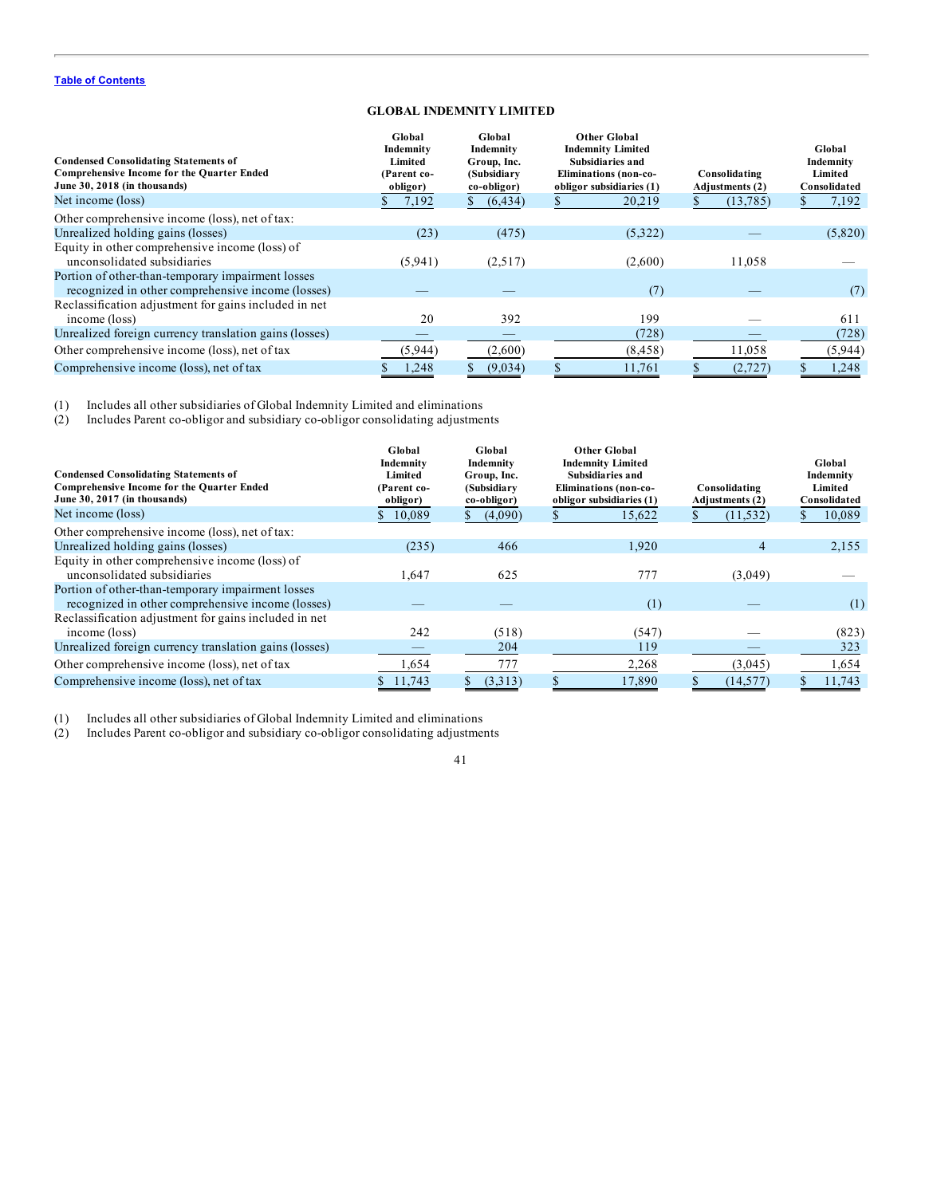## **GLOBAL INDEMNITY LIMITED**

| <b>Condensed Consolidating Statements of</b><br><b>Comprehensive Income for the Quarter Ended</b>      | Global<br>Indemnity<br>Limited<br>(Parent co- | Global<br>Indemnity<br>Group, Inc.<br>(Subsidiary | Other Global<br><b>Indemnity Limited</b><br>Subsidiaries and<br><b>Eliminations</b> (non-co- | Consolidating   | Global<br>Indemnity<br>Limited |
|--------------------------------------------------------------------------------------------------------|-----------------------------------------------|---------------------------------------------------|----------------------------------------------------------------------------------------------|-----------------|--------------------------------|
| June 30, 2018 (in thousands)                                                                           | obligor)                                      | co-obligor)                                       | obligor subsidiaries (1)                                                                     | Adjustments (2) | Consolidated                   |
| Net income (loss)                                                                                      | 7,192                                         | (6, 434)<br>S.                                    | 20,219                                                                                       | (13,785)        | 7,192                          |
| Other comprehensive income (loss), net of tax:                                                         |                                               |                                                   |                                                                                              |                 |                                |
| Unrealized holding gains (losses)                                                                      | (23)                                          | (475)                                             | (5,322)                                                                                      |                 | (5,820)                        |
| Equity in other comprehensive income (loss) of<br>unconsolidated subsidiaries                          | (5,941)                                       | (2,517)                                           | (2,600)                                                                                      | 11,058          |                                |
| Portion of other-than-temporary impairment losses<br>recognized in other comprehensive income (losses) |                                               |                                                   | (7)                                                                                          |                 | (7)                            |
| Reclassification adjustment for gains included in net<br>income (loss)                                 | 20                                            | 392                                               | 199                                                                                          |                 | 611                            |
| Unrealized foreign currency translation gains (losses)                                                 |                                               |                                                   | (728)                                                                                        |                 | (728)                          |
| Other comprehensive income (loss), net of tax                                                          | (5,944)                                       | (2,600)                                           | (8, 458)                                                                                     | 11,058          | (5,944)                        |
| Comprehensive income (loss), net of tax                                                                | .248                                          | (9,034)                                           | 11,761                                                                                       | (2,727)         | 1,248                          |

(1) Includes all other subsidiaries of Global Indemnity Limited and eliminations (2) Includes Parent co-obligor and subsidiary co-obligor consolidating adjustments

| <b>Condensed Consolidating Statements of</b><br><b>Comprehensive Income for the Quarter Ended</b><br>June 30, 2017 (in thousands) | Global<br>Indemnity<br>Limited<br>(Parent co-<br>obligor) | Global<br>Indemnity<br>Group, Inc.<br>(Subsidiary<br>co-obligor) | <b>Other Global</b><br><b>Indemnity Limited</b><br>Subsidiaries and<br><b>Eliminations</b> (non-co-<br>obligor subsidiaries (1) | Consolidating<br>Adjustments (2) | Global<br>Indemnity<br>Limited<br>Consolidated |
|-----------------------------------------------------------------------------------------------------------------------------------|-----------------------------------------------------------|------------------------------------------------------------------|---------------------------------------------------------------------------------------------------------------------------------|----------------------------------|------------------------------------------------|
| Net income (loss)                                                                                                                 | 10,089                                                    | (4,090)                                                          | 15,622                                                                                                                          | (11, 532)                        | 10,089                                         |
| Other comprehensive income (loss), net of tax:                                                                                    |                                                           |                                                                  |                                                                                                                                 |                                  |                                                |
| Unrealized holding gains (losses)                                                                                                 | (235)                                                     | 466                                                              | 1,920                                                                                                                           | 4                                | 2,155                                          |
| Equity in other comprehensive income (loss) of<br>unconsolidated subsidiaries                                                     | 1,647                                                     | 625                                                              | 777                                                                                                                             | (3,049)                          |                                                |
| Portion of other-than-temporary impairment losses<br>recognized in other comprehensive income (losses)                            |                                                           |                                                                  | (1)                                                                                                                             |                                  | (1)                                            |
| Reclassification adjustment for gains included in net<br>income (loss)                                                            | 242                                                       | (518)                                                            | (547)                                                                                                                           |                                  | (823)                                          |
| Unrealized foreign currency translation gains (losses)                                                                            |                                                           | 204                                                              | 119                                                                                                                             |                                  | 323                                            |
| Other comprehensive income (loss), net of tax                                                                                     | 1,654                                                     | 777                                                              | 2,268                                                                                                                           | (3,045)                          | 1,654                                          |
| Comprehensive income (loss), net of tax                                                                                           | 11,743                                                    | (3,313)                                                          | 17,890                                                                                                                          | (14, 577)                        | 11,743                                         |

(1) Includes all other subsidiaries of Global Indemnity Limited and eliminations

(2) Includes Parent co-obligor and subsidiary co-obligor consolidating adjustments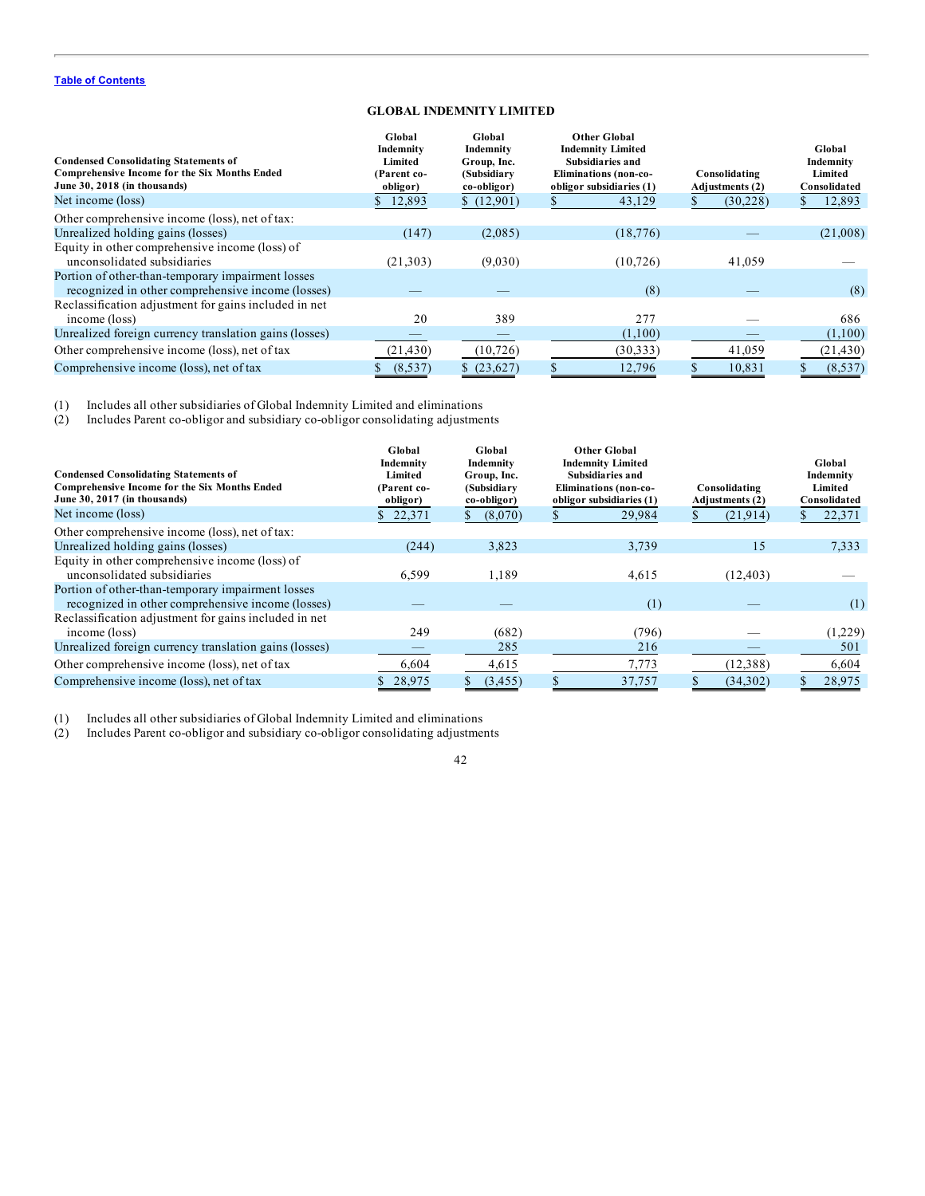## **GLOBAL INDEMNITY LIMITED**

|                                                                                                                                      | Global<br>Indemnity                | Global<br>Indemnity                       | <b>Other Global</b><br><b>Indemnity Limited</b>                              |                                  | Global                               |
|--------------------------------------------------------------------------------------------------------------------------------------|------------------------------------|-------------------------------------------|------------------------------------------------------------------------------|----------------------------------|--------------------------------------|
| <b>Condensed Consolidating Statements of</b><br><b>Comprehensive Income for the Six Months Ended</b><br>June 30, 2018 (in thousands) | Limited<br>(Parent co-<br>obligor) | Group, Inc.<br>(Subsidiary<br>co-obligor) | Subsidiaries and<br><b>Eliminations</b> (non-co-<br>obligor subsidiaries (1) | Consolidating<br>Adjustments (2) | Indemnity<br>Limited<br>Consolidated |
| Net income (loss)                                                                                                                    | \$12,893                           | \$(12,901)                                | 43,129                                                                       | (30,228)                         | 12,893                               |
| Other comprehensive income (loss), net of tax:                                                                                       |                                    |                                           |                                                                              |                                  |                                      |
| Unrealized holding gains (losses)                                                                                                    | (147)                              | (2,085)                                   | (18, 776)                                                                    |                                  | (21,008)                             |
| Equity in other comprehensive income (loss) of<br>unconsolidated subsidiaries                                                        | (21, 303)                          | (9,030)                                   | (10, 726)                                                                    | 41,059                           |                                      |
| Portion of other-than-temporary impairment losses<br>recognized in other comprehensive income (losses)                               |                                    |                                           | (8)                                                                          |                                  | (8)                                  |
| Reclassification adjustment for gains included in net<br>income (loss)                                                               | 20                                 | 389                                       | 277                                                                          |                                  | 686                                  |
| Unrealized foreign currency translation gains (losses)                                                                               |                                    |                                           | (1,100)                                                                      |                                  | (1,100)                              |
| Other comprehensive income (loss), net of tax                                                                                        | (21, 430)                          | (10, 726)                                 | (30, 333)                                                                    | 41,059                           | (21, 430)                            |
| Comprehensive income (loss), net of tax                                                                                              | (8,537)                            | \$(23,627)                                | 12,796                                                                       | 10,831                           | (8,537)                              |

(1) Includes all other subsidiaries of Global Indemnity Limited and eliminations (2) Includes Parent co-obligor and subsidiary co-obligor consolidating adjustments

| <b>Condensed Consolidating Statements of</b><br><b>Comprehensive Income for the Six Months Ended</b><br>June 30, 2017 (in thousands) | Global<br>Indemnity<br>Limited<br>(Parent co-<br>obligor) | Global<br>Indemnity<br>Group, Inc.<br>(Subsidiary<br>co-obligor) | Other Global<br><b>Indemnity Limited</b><br>Subsidiaries and<br><b>Eliminations</b> (non-co-<br>obligor subsidiaries (1) | Consolidating<br>Adjustments (2) | Global<br>Indemnity<br>Limited<br>Consolidated |
|--------------------------------------------------------------------------------------------------------------------------------------|-----------------------------------------------------------|------------------------------------------------------------------|--------------------------------------------------------------------------------------------------------------------------|----------------------------------|------------------------------------------------|
| Net income (loss)                                                                                                                    | \$22,371                                                  | (8,070)                                                          | 29,984                                                                                                                   | (21,914)                         | 22,371                                         |
| Other comprehensive income (loss), net of tax:                                                                                       |                                                           |                                                                  |                                                                                                                          |                                  |                                                |
| Unrealized holding gains (losses)                                                                                                    | (244)                                                     | 3,823                                                            | 3,739                                                                                                                    | 15                               | 7,333                                          |
| Equity in other comprehensive income (loss) of<br>unconsolidated subsidiaries                                                        | 6,599                                                     | 1,189                                                            | 4,615                                                                                                                    | (12, 403)                        |                                                |
| Portion of other-than-temporary impairment losses<br>recognized in other comprehensive income (losses)                               |                                                           |                                                                  | (1)                                                                                                                      |                                  | (1)                                            |
| Reclassification adjustment for gains included in net<br>income (loss)                                                               | 249                                                       | (682)                                                            | (796)                                                                                                                    |                                  | (1,229)                                        |
| Unrealized foreign currency translation gains (losses)                                                                               |                                                           | 285                                                              | 216                                                                                                                      |                                  | 501                                            |
| Other comprehensive income (loss), net of tax                                                                                        | 6,604                                                     | 4,615                                                            | 7,773                                                                                                                    | (12, 388)                        | 6,604                                          |
| Comprehensive income (loss), net of tax                                                                                              | 28,975                                                    | (3, 455)                                                         | 37,757                                                                                                                   | (34,302)                         | 28,975                                         |

(1) Includes all other subsidiaries of Global Indemnity Limited and eliminations

(2) Includes Parent co-obligor and subsidiary co-obligor consolidating adjustments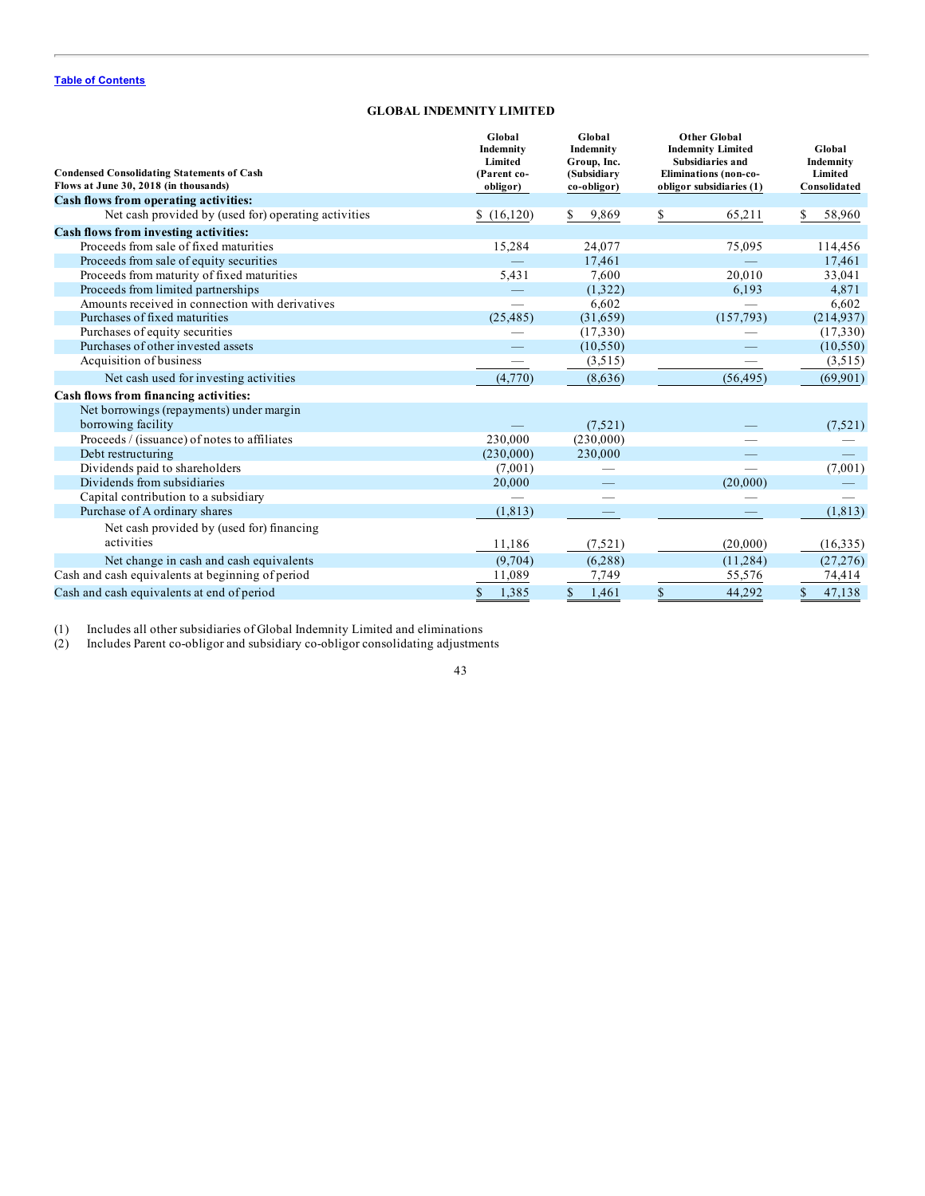## **GLOBAL INDEMNITY LIMITED**

|                                                                                            | Global<br>Indemnity<br>Limited | Global<br>Indemnity<br>Group, Inc. | <b>Other Global</b><br><b>Indemnity Limited</b><br>Subsidiaries and | Global<br>Indemnity     |
|--------------------------------------------------------------------------------------------|--------------------------------|------------------------------------|---------------------------------------------------------------------|-------------------------|
| <b>Condensed Consolidating Statements of Cash</b><br>Flows at June 30, 2018 (in thousands) | (Parent co-<br>obligor)        | (Subsidiary<br>co-obligor)         | <b>Eliminations</b> (non-co-<br>obligor subsidiaries (1)            | Limited<br>Consolidated |
| Cash flows from operating activities:                                                      |                                |                                    |                                                                     |                         |
| Net cash provided by (used for) operating activities                                       | \$(16,120)                     | \$<br>9,869                        | \$<br>65,211                                                        | 58,960<br>S             |
| Cash flows from investing activities:                                                      |                                |                                    |                                                                     |                         |
| Proceeds from sale of fixed maturities                                                     | 15,284                         | 24,077                             | 75,095                                                              | 114,456                 |
| Proceeds from sale of equity securities                                                    |                                | 17,461                             |                                                                     | 17,461                  |
| Proceeds from maturity of fixed maturities                                                 | 5,431                          | 7,600                              | 20,010                                                              | 33,041                  |
| Proceeds from limited partnerships                                                         |                                | (1,322)                            | 6,193                                                               | 4,871                   |
| Amounts received in connection with derivatives                                            |                                | 6,602                              |                                                                     | 6,602                   |
| Purchases of fixed maturities                                                              | (25, 485)                      | (31,659)                           | (157,793)                                                           | (214, 937)              |
| Purchases of equity securities                                                             |                                | (17,330)                           |                                                                     | (17, 330)               |
| Purchases of other invested assets                                                         |                                | (10, 550)                          |                                                                     | (10, 550)               |
| Acquisition of business                                                                    |                                | (3,515)                            |                                                                     | (3,515)                 |
| Net cash used for investing activities                                                     | (4,770)                        | (8,636)                            | (56, 495)                                                           | (69,901)                |
| Cash flows from financing activities:                                                      |                                |                                    |                                                                     |                         |
| Net borrowings (repayments) under margin                                                   |                                |                                    |                                                                     |                         |
| borrowing facility                                                                         |                                | (7,521)                            |                                                                     | (7,521)                 |
| Proceeds / (issuance) of notes to affiliates                                               | 230,000                        | (230,000)                          |                                                                     |                         |
| Debt restructuring                                                                         | (230,000)                      | 230,000                            |                                                                     |                         |
| Dividends paid to shareholders                                                             | (7,001)                        |                                    |                                                                     | (7,001)                 |
| Dividends from subsidiaries                                                                | 20,000                         |                                    | (20,000)                                                            |                         |
| Capital contribution to a subsidiary                                                       |                                |                                    |                                                                     |                         |
| Purchase of A ordinary shares                                                              | (1, 813)                       |                                    |                                                                     | (1, 813)                |
| Net cash provided by (used for) financing                                                  |                                |                                    |                                                                     |                         |
| activities                                                                                 | 11,186                         | (7,521)                            | (20,000)                                                            | (16, 335)               |
| Net change in cash and cash equivalents                                                    | (9,704)                        | (6.288)                            | (11, 284)                                                           | (27, 276)               |
| Cash and cash equivalents at beginning of period                                           | 11,089                         | 7,749                              | 55,576                                                              | 74,414                  |
| Cash and cash equivalents at end of period                                                 | 1,385<br>\$                    | \$<br>1,461                        | $\$$<br>44,292                                                      | \$<br>47,138            |

(1) Includes all other subsidiaries of Global Indemnity Limited and eliminations

(2) Includes Parent co-obligor and subsidiary co-obligor consolidating adjustments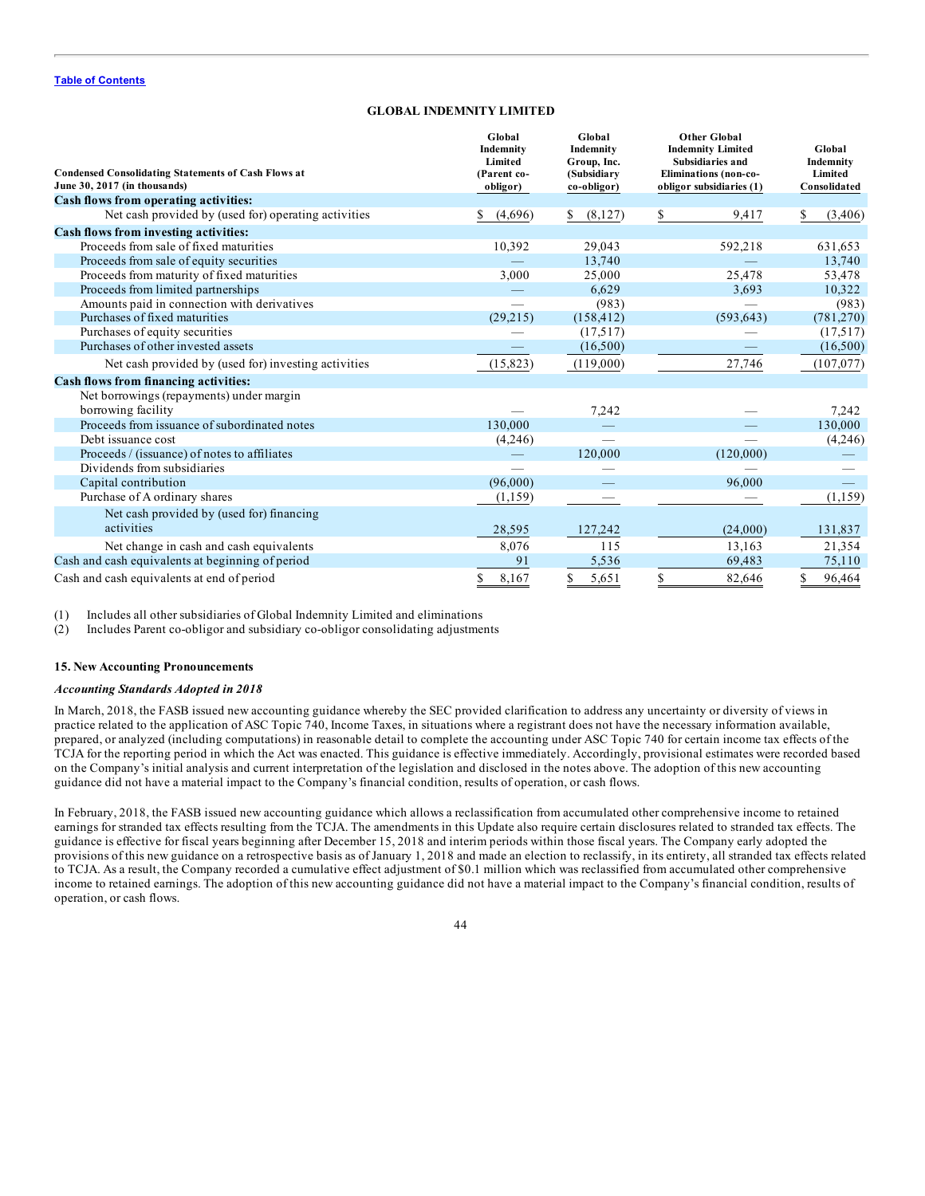### **GLOBAL INDEMNITY LIMITED**

|                                                                                            | Global<br>Indemnity<br>Limited | Global<br>Indemnity<br>Group, Inc. | <b>Other Global</b><br><b>Indemnity Limited</b><br>Subsidiaries and | Global<br>Indemnity     |
|--------------------------------------------------------------------------------------------|--------------------------------|------------------------------------|---------------------------------------------------------------------|-------------------------|
| <b>Condensed Consolidating Statements of Cash Flows at</b><br>June 30, 2017 (in thousands) | (Parent co-<br>obligor)        | (Subsidiary<br>co-obligor)         | <b>Eliminations</b> (non-co-<br>obligor subsidiaries (1)            | Limited<br>Consolidated |
| Cash flows from operating activities:                                                      |                                |                                    |                                                                     |                         |
| Net cash provided by (used for) operating activities                                       | (4,696)<br>S.                  | (8,127)<br>S.                      | 9,417<br>S.                                                         | (3,406)<br>S            |
| Cash flows from investing activities:                                                      |                                |                                    |                                                                     |                         |
| Proceeds from sale of fixed maturities                                                     | 10,392                         | 29,043                             | 592,218                                                             | 631,653                 |
| Proceeds from sale of equity securities                                                    |                                | 13,740                             |                                                                     | 13,740                  |
| Proceeds from maturity of fixed maturities                                                 | 3,000                          | 25,000                             | 25,478                                                              | 53,478                  |
| Proceeds from limited partnerships                                                         |                                | 6,629                              | 3,693                                                               | 10,322                  |
| Amounts paid in connection with derivatives                                                |                                | (983)                              |                                                                     | (983)                   |
| Purchases of fixed maturities                                                              | (29,215)                       | (158, 412)                         | (593, 643)                                                          | (781, 270)              |
| Purchases of equity securities                                                             |                                | (17,517)                           |                                                                     | (17,517)                |
| Purchases of other invested assets                                                         |                                | (16,500)                           |                                                                     | (16,500)                |
| Net cash provided by (used for) investing activities                                       | (15, 823)                      | (119,000)                          | 27,746                                                              | (107,077)               |
| Cash flows from financing activities:                                                      |                                |                                    |                                                                     |                         |
| Net borrowings (repayments) under margin                                                   |                                |                                    |                                                                     |                         |
| borrowing facility                                                                         |                                | 7,242                              |                                                                     | 7,242                   |
| Proceeds from issuance of subordinated notes                                               | 130,000                        |                                    |                                                                     | 130,000                 |
| Debt issuance cost                                                                         | (4,246)                        |                                    |                                                                     | (4,246)                 |
| Proceeds / (issuance) of notes to affiliates                                               |                                | 120,000                            | (120,000)                                                           |                         |
| Dividends from subsidiaries                                                                |                                |                                    |                                                                     |                         |
| Capital contribution                                                                       | (96,000)                       |                                    | 96,000                                                              |                         |
| Purchase of A ordinary shares                                                              | (1, 159)                       |                                    |                                                                     | (1,159)                 |
| Net cash provided by (used for) financing                                                  |                                |                                    |                                                                     |                         |
| activities                                                                                 | 28,595                         | 127,242                            | (24,000)                                                            | 131,837                 |
| Net change in cash and cash equivalents                                                    | 8,076                          | 115                                | 13,163                                                              | 21,354                  |
| Cash and cash equivalents at beginning of period                                           | 91                             | 5,536                              | 69,483                                                              | 75,110                  |
| Cash and cash equivalents at end of period                                                 | 8,167<br>\$                    | \$<br>5,651                        | \$<br>82,646                                                        | \$<br>96,464            |

(1) Includes all other subsidiaries of Global Indemnity Limited and eliminations

(2) Includes Parent co-obligor and subsidiary co-obligor consolidating adjustments

#### **15. New Accounting Pronouncements**

#### *Accounting Standards Adopted in 2018*

In March, 2018, the FASB issued new accounting guidance whereby the SEC provided clarification to address any uncertainty or diversity of views in practice related to the application of ASC Topic 740, Income Taxes, in situations where a registrant does not have the necessary information available, prepared, or analyzed (including computations) in reasonable detail to complete the accounting under ASC Topic 740 for certain income tax effects of the TCJA for the reporting period in which the Act was enacted. This guidance is effective immediately. Accordingly, provisional estimates were recorded based on the Company's initial analysis and current interpretation of the legislation and disclosed in the notes above. The adoption of this new accounting guidance did not have a material impact to the Company's financial condition, results of operation, or cash flows.

In February, 2018, the FASB issued new accounting guidance which allows a reclassification from accumulated other comprehensive income to retained earnings for stranded tax effects resulting from the TCJA. The amendments in this Update also require certain disclosures related to stranded tax effects. The guidance is effective for fiscal years beginning after December 15, 2018 and interim periods within those fiscal years. The Company early adopted the provisions of this new guidance on a retrospective basis as of January 1, 2018 and made an election to reclassify, in its entirety, all stranded tax effects related to TCJA. As a result, the Company recorded a cumulative effect adjustment of \$0.1 million which was reclassified from accumulated other comprehensive income to retained earnings. The adoption of this new accounting guidance did not have a material impact to the Company's financial condition, results of operation, or cash flows.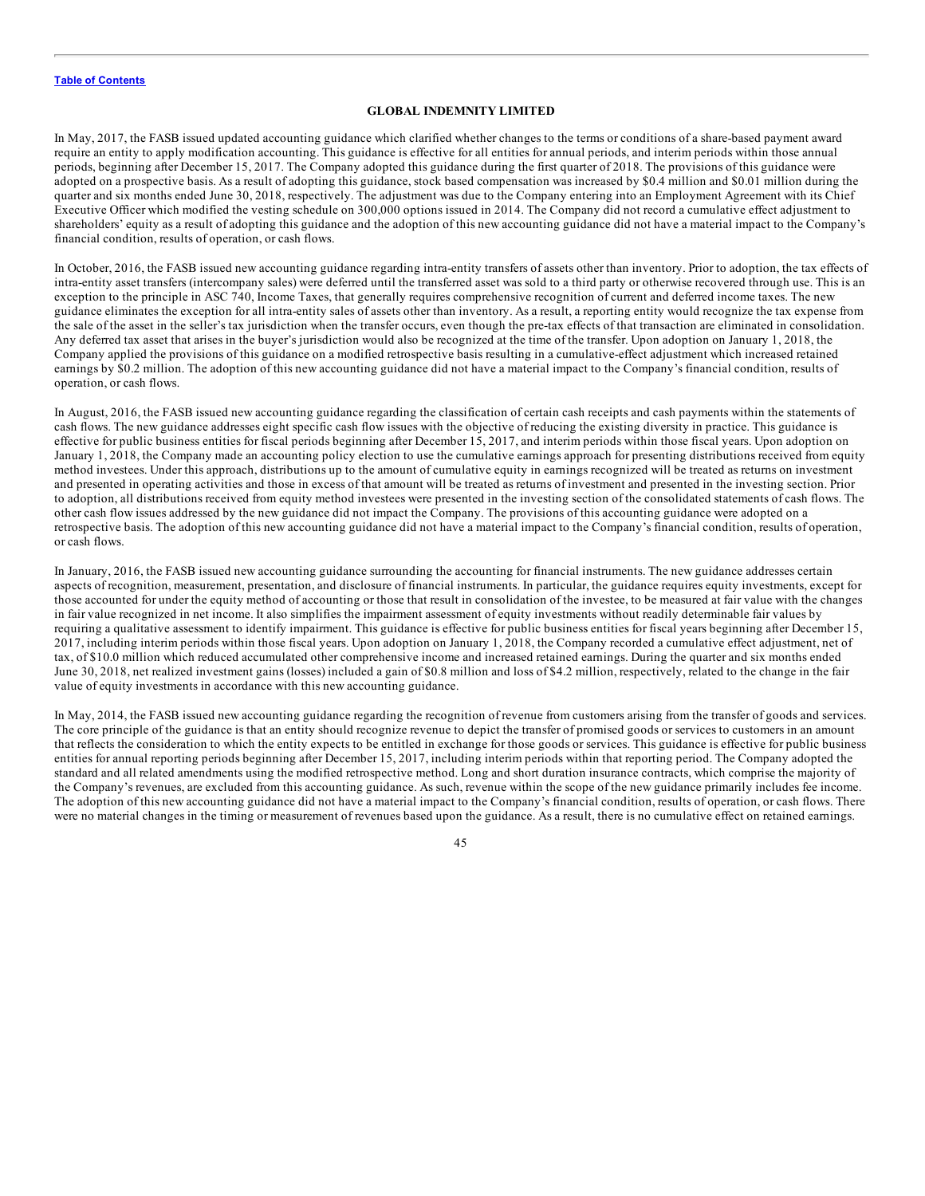#### **GLOBAL INDEMNITY LIMITED**

In May, 2017, the FASB issued updated accounting guidance which clarified whether changes to the terms or conditions of a share-based payment award require an entity to apply modification accounting. This guidance is effective for all entities for annual periods, and interim periods within those annual periods, beginning after December 15, 2017. The Company adopted this guidance during the first quarter of 2018. The provisions of this guidance were adopted on a prospective basis. As a result of adopting this guidance, stock based compensation was increased by \$0.4 million and \$0.01 million during the quarter and six months ended June 30, 2018, respectively. The adjustment was due to the Company entering into an Employment Agreement with its Chief Executive Officer which modified the vesting schedule on 300,000 options issued in 2014. The Company did not record a cumulative effect adjustment to shareholders' equity as a result of adopting this guidance and the adoption of this new accounting guidance did not have a material impact to the Company's financial condition, results of operation, or cash flows.

In October, 2016, the FASB issued new accounting guidance regarding intra-entity transfers of assets other than inventory. Prior to adoption, the tax effects of intra-entity asset transfers (intercompany sales) were deferred until the transferred asset was sold to a third party or otherwise recovered through use. This is an exception to the principle in ASC 740, Income Taxes, that generally requires comprehensive recognition of current and deferred income taxes. The new guidance eliminates the exception for all intra-entity sales of assets other than inventory. As a result, a reporting entity would recognize the tax expense from the sale of the asset in the seller's tax jurisdiction when the transfer occurs, even though the pre-tax effects of that transaction are eliminated in consolidation. Any deferred tax asset that arises in the buyer's jurisdiction would also be recognized at the time of the transfer. Upon adoption on January 1, 2018, the Company applied the provisions of this guidance on a modified retrospective basis resulting in a cumulative-effect adjustment which increased retained earnings by \$0.2 million. The adoption of this new accounting guidance did not have a material impact to the Company's financial condition, results of operation, or cash flows.

In August, 2016, the FASB issued new accounting guidance regarding the classification of certain cash receipts and cash payments within the statements of cash flows. The new guidance addresses eight specific cash flow issues with the objective of reducing the existing diversity in practice. This guidance is effective for public business entities for fiscal periods beginning after December 15, 2017, and interim periods within those fiscal years. Upon adoption on January 1, 2018, the Company made an accounting policy election to use the cumulative earnings approach for presenting distributions received from equity method investees. Under this approach, distributions up to the amount of cumulative equity in earnings recognized will be treated as returns on investment and presented in operating activities and those in excess of that amount will be treated as returns of investment and presented in the investing section. Prior to adoption, all distributions received from equity method investees were presented in the investing section of the consolidated statements of cash flows. The other cash flow issues addressed by the new guidance did not impact the Company. The provisions of this accounting guidance were adopted on a retrospective basis. The adoption of this new accounting guidance did not have a material impact to the Company's financial condition, results of operation, or cash flows.

In January, 2016, the FASB issued new accounting guidance surrounding the accounting for financial instruments. The new guidance addresses certain aspects of recognition, measurement, presentation, and disclosure of financial instruments. In particular, the guidance requires equity investments, except for those accounted for under the equity method of accounting or those that result in consolidation of the investee, to be measured at fair value with the changes in fair value recognized in net income. It also simplifies the impairment assessment of equity investments without readily determinable fair values by requiring a qualitative assessment to identify impairment. This guidance is effective for public business entities for fiscal years beginning after December 15, 2017, including interim periods within those fiscal years. Upon adoption on January 1, 2018, the Company recorded a cumulative effect adjustment, net of tax, of \$10.0 million which reduced accumulated other comprehensive income and increased retained earnings. During the quarter and six months ended June 30, 2018, net realized investment gains (losses) included a gain of \$0.8 million and loss of \$4.2 million, respectively, related to the change in the fair value of equity investments in accordance with this new accounting guidance.

In May, 2014, the FASB issued new accounting guidance regarding the recognition of revenue from customers arising from the transfer of goods and services. The core principle of the guidance is that an entity should recognize revenue to depict the transfer of promised goods or services to customers in an amount that reflects the consideration to which the entity expects to be entitled in exchange for those goods or services. This guidance is effective for public business entities for annual reporting periods beginning after December 15, 2017, including interim periods within that reporting period. The Company adopted the standard and all related amendments using the modified retrospective method. Long and short duration insurance contracts, which comprise the majority of the Company's revenues, are excluded from this accounting guidance. As such, revenue within the scope of the new guidance primarily includes fee income. The adoption of this new accounting guidance did not have a material impact to the Company's financial condition, results of operation, or cash flows. There were no material changes in the timing or measurement of revenues based upon the guidance. As a result, there is no cumulative effect on retained earnings.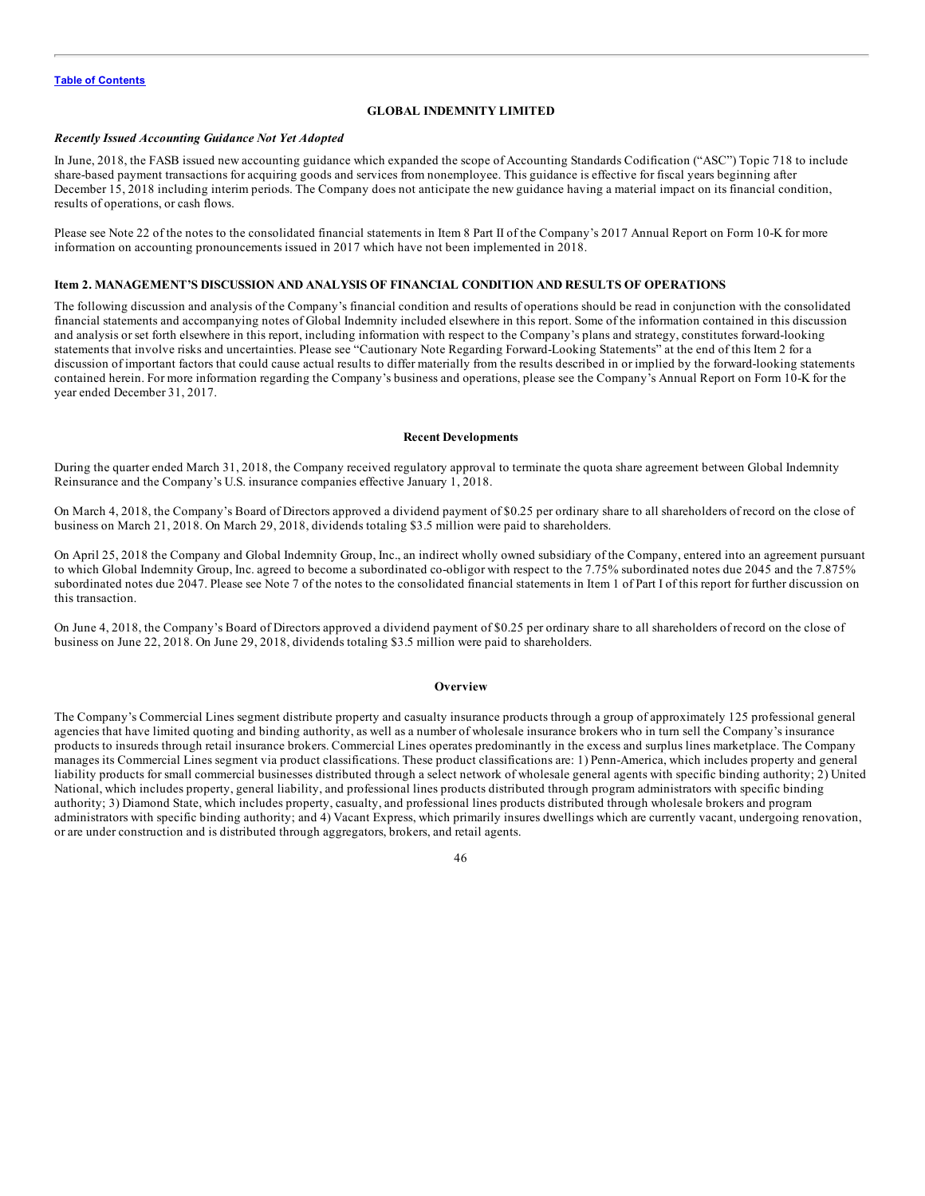#### **GLOBAL INDEMNITY LIMITED**

### *Recently Issued Accounting Guidance Not Yet Adopted*

In June, 2018, the FASB issued new accounting guidance which expanded the scope of Accounting Standards Codification ("ASC") Topic 718 to include share-based payment transactions for acquiring goods and services from nonemployee. This guidance is effective for fiscal years beginning after December 15, 2018 including interim periods. The Company does not anticipate the new guidance having a material impact on its financial condition, results of operations, or cash flows.

Please see Note 22 of the notes to the consolidated financial statements in Item 8 Part II of the Company's 2017 Annual Report on Form 10-K for more information on accounting pronouncements issued in 2017 which have not been implemented in 2018.

## **Item 2. MANAGEMENT'S DISCUSSION AND ANALYSIS OF FINANCIAL CONDITION AND RESULTS OF OPERATIONS**

The following discussion and analysis of the Company's financial condition and results of operations should be read in conjunction with the consolidated financial statements and accompanying notes of Global Indemnity included elsewhere in this report. Some of the information contained in this discussion and analysis or set forth elsewhere in this report, including information with respect to the Company's plans and strategy, constitutes forward-looking statements that involve risks and uncertainties. Please see "Cautionary Note Regarding Forward-Looking Statements" at the end of this Item 2 for a discussion of important factors that could cause actual results to differ materially from the results described in or implied by the forward-looking statements contained herein. For more information regarding the Company's business and operations, please see the Company's Annual Report on Form 10-K for the year ended December 31, 2017.

#### **Recent Developments**

During the quarter ended March 31, 2018, the Company received regulatory approval to terminate the quota share agreement between Global Indemnity Reinsurance and the Company's U.S. insurance companies effective January 1, 2018.

On March 4, 2018, the Company's Board of Directors approved a dividend payment of \$0.25 per ordinary share to all shareholders of record on the close of business on March 21, 2018. On March 29, 2018, dividends totaling \$3.5 million were paid to shareholders.

On April 25, 2018 the Company and Global Indemnity Group, Inc., an indirect wholly owned subsidiary of the Company, entered into an agreement pursuant to which Global Indemnity Group, Inc. agreed to become a subordinated co-obligor with respect to the 7.75% subordinated notes due 2045 and the 7.875% subordinated notes due 2047. Please see Note 7 of the notes to the consolidated financial statements in Item 1 of Part I of this report for further discussion on this transaction.

On June 4, 2018, the Company's Board of Directors approved a dividend payment of \$0.25 per ordinary share to all shareholders of record on the close of business on June 22, 2018. On June 29, 2018, dividends totaling \$3.5 million were paid to shareholders.

### **Overview**

The Company's Commercial Lines segment distribute property and casualty insurance products through a group of approximately 125 professional general agencies that have limited quoting and binding authority, as well as a number of wholesale insurance brokers who in turn sell the Company's insurance products to insureds through retail insurance brokers. Commercial Lines operates predominantly in the excess and surplus lines marketplace. The Company manages its Commercial Lines segment via product classifications. These product classifications are: 1) Penn-America, which includes property and general liability products for small commercial businesses distributed through a select network of wholesale general agents with specific binding authority; 2) United National, which includes property, general liability, and professional lines products distributed through program administrators with specific binding authority; 3) Diamond State, which includes property, casualty, and professional lines products distributed through wholesale brokers and program administrators with specific binding authority; and 4) Vacant Express, which primarily insures dwellings which are currently vacant, undergoing renovation, or are under construction and is distributed through aggregators, brokers, and retail agents.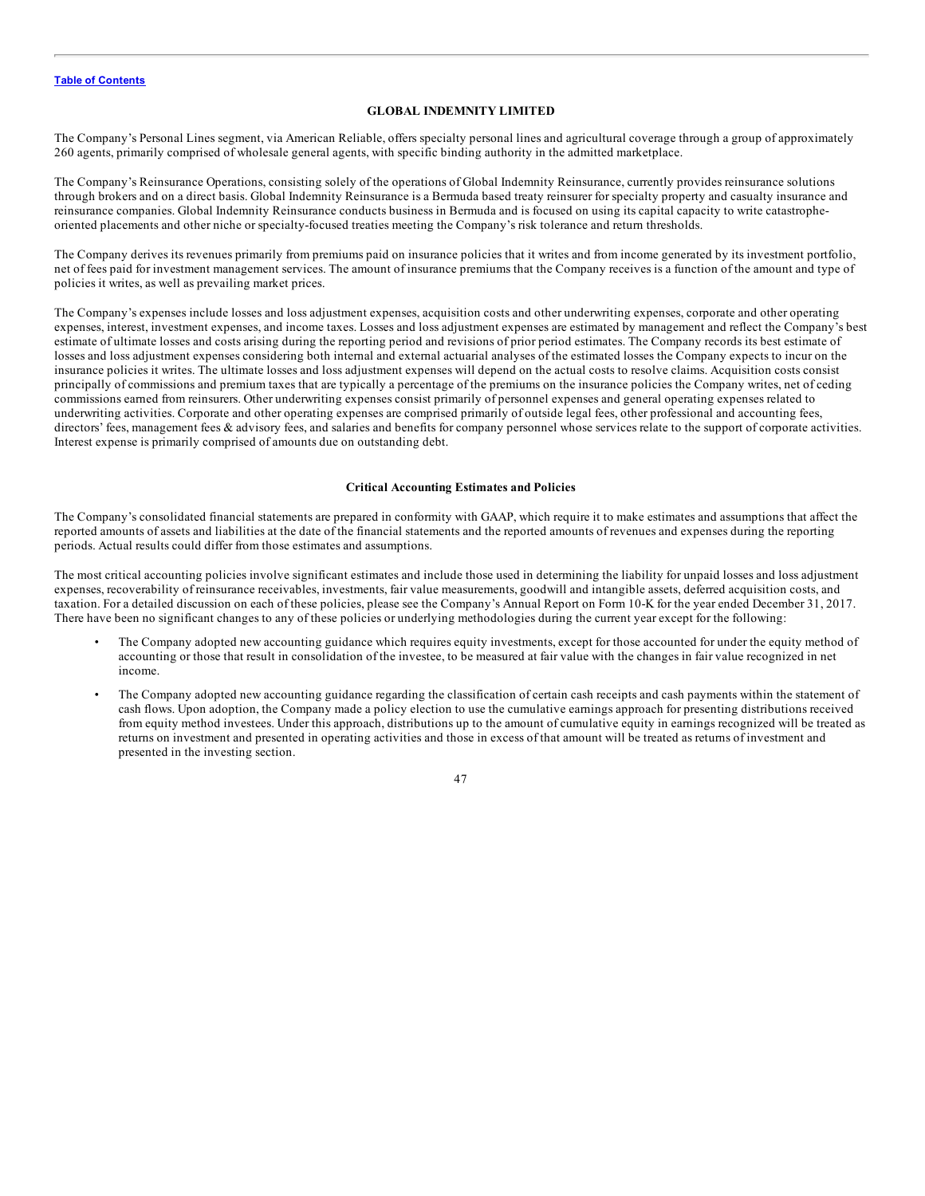#### **GLOBAL INDEMNITY LIMITED**

The Company's Personal Lines segment, via American Reliable, offers specialty personal lines and agricultural coverage through a group of approximately 260 agents, primarily comprised of wholesale general agents, with specific binding authority in the admitted marketplace.

The Company's Reinsurance Operations, consisting solely of the operations of Global Indemnity Reinsurance, currently provides reinsurance solutions through brokers and on a direct basis. Global Indemnity Reinsurance is a Bermuda based treaty reinsurer for specialty property and casualty insurance and reinsurance companies. Global Indemnity Reinsurance conducts business in Bermuda and is focused on using its capital capacity to write catastropheoriented placements and other niche or specialty-focused treaties meeting the Company's risk tolerance and return thresholds.

The Company derives its revenues primarily from premiums paid on insurance policies that it writes and from income generated by its investment portfolio, net of fees paid for investment management services. The amount of insurance premiums that the Company receives is a function of the amount and type of policies it writes, as well as prevailing market prices.

The Company's expenses include losses and loss adjustment expenses, acquisition costs and other underwriting expenses, corporate and other operating expenses, interest, investment expenses, and income taxes. Losses and loss adjustment expenses are estimated by management and reflect the Company's best estimate of ultimate losses and costs arising during the reporting period and revisions of prior period estimates. The Company records its best estimate of losses and loss adjustment expenses considering both internal and external actuarial analyses of the estimated losses the Company expects to incur on the insurance policies it writes. The ultimate losses and loss adjustment expenses will depend on the actual costs to resolve claims. Acquisition costs consist principally of commissions and premium taxes that are typically a percentage of the premiums on the insurance policies the Company writes, net of ceding commissions earned from reinsurers. Other underwriting expenses consist primarily of personnel expenses and general operating expenses related to underwriting activities. Corporate and other operating expenses are comprised primarily of outside legal fees, other professional and accounting fees, directors' fees, management fees & advisory fees, and salaries and benefits for company personnel whose services relate to the support of corporate activities. Interest expense is primarily comprised of amounts due on outstanding debt.

### **Critical Accounting Estimates and Policies**

The Company's consolidated financial statements are prepared in conformity with GAAP, which require it to make estimates and assumptions that affect the reported amounts of assets and liabilities at the date of the financial statements and the reported amounts of revenues and expenses during the reporting periods. Actual results could differ from those estimates and assumptions.

The most critical accounting policies involve significant estimates and include those used in determining the liability for unpaid losses and loss adjustment expenses, recoverability of reinsurance receivables, investments, fair value measurements, goodwill and intangible assets, deferred acquisition costs, and taxation. For a detailed discussion on each of these policies, please see the Company's Annual Report on Form 10-K for the year ended December 31, 2017. There have been no significant changes to any of these policies or underlying methodologies during the current year except for the following:

- The Company adopted new accounting guidance which requires equity investments, except for those accounted for under the equity method of accounting or those that result in consolidation of the investee, to be measured at fair value with the changes in fair value recognized in net income.
- The Company adopted new accounting guidance regarding the classification of certain cash receipts and cash payments within the statement of cash flows. Upon adoption, the Company made a policy election to use the cumulative earnings approach for presenting distributions received from equity method investees. Under this approach, distributions up to the amount of cumulative equity in earnings recognized will be treated as returns on investment and presented in operating activities and those in excess of that amount will be treated as returns of investment and presented in the investing section.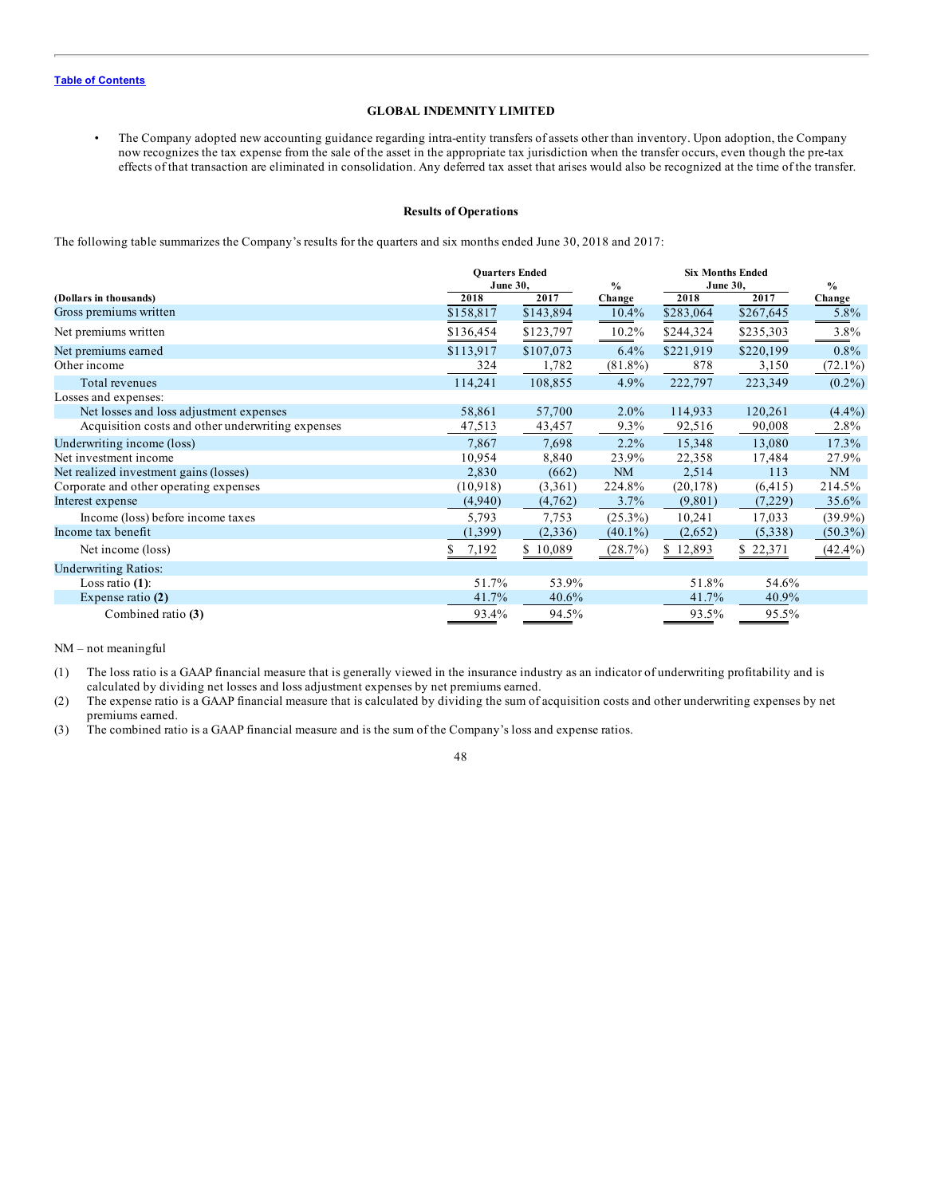# **GLOBAL INDEMNITY LIMITED**

• The Company adopted new accounting guidance regarding intra-entity transfers of assets other than inventory. Upon adoption, the Company now recognizes the tax expense from the sale of the asset in the appropriate tax jurisdiction when the transfer occurs, even though the pre-tax effects of that transaction are eliminated in consolidation. Any deferred tax asset that arises would also be recognized at the time of the transfer.

#### **Results of Operations**

The following table summarizes the Company's results for the quarters and six months ended June 30, 2018 and 2017:

|                                                   | <b>Ouarters Ended</b><br>June 30, |           | $\frac{0}{0}$ | <b>Six Months Ended</b><br>June 30, |           | $\frac{0}{0}$ |
|---------------------------------------------------|-----------------------------------|-----------|---------------|-------------------------------------|-----------|---------------|
| (Dollars in thousands)                            | 2018                              | 2017      | Change        | 2018                                | 2017      | Change        |
| Gross premiums written                            | \$158,817                         | \$143,894 | $10.4\%$      | \$283,064                           | \$267,645 | 5.8%          |
| Net premiums written                              | \$136,454                         | \$123,797 | 10.2%         | \$244,324                           | \$235,303 | 3.8%          |
| Net premiums earned                               | \$113,917                         | \$107,073 | 6.4%          | \$221,919                           | \$220,199 | $0.8\%$       |
| Other income                                      | 324                               | 1,782     | $(81.8\%)$    | 878                                 | 3,150     | $(72.1\%)$    |
| Total revenues                                    | 114,241                           | 108,855   | 4.9%          | 222,797                             | 223,349   | $(0.2\%)$     |
| Losses and expenses:                              |                                   |           |               |                                     |           |               |
| Net losses and loss adjustment expenses           | 58,861                            | 57,700    | 2.0%          | 114,933                             | 120,261   | $(4.4\%)$     |
| Acquisition costs and other underwriting expenses | 47,513                            | 43,457    | 9.3%          | 92,516                              | 90,008    | 2.8%          |
| Underwriting income (loss)                        | 7,867                             | 7,698     | 2.2%          | 15,348                              | 13,080    | 17.3%         |
| Net investment income                             | 10,954                            | 8,840     | 23.9%         | 22,358                              | 17,484    | 27.9%         |
| Net realized investment gains (losses)            | 2,830                             | (662)     | <b>NM</b>     | 2,514                               | 113       | NM            |
| Corporate and other operating expenses            | (10,918)                          | (3,361)   | 224.8%        | (20, 178)                           | (6, 415)  | 214.5%        |
| Interest expense                                  | (4,940)                           | (4,762)   | 3.7%          | (9,801)                             | (7,229)   | 35.6%         |
| Income (loss) before income taxes                 | 5,793                             | 7,753     | $(25.3\%)$    | 10,241                              | 17,033    | $(39.9\%)$    |
| Income tax benefit                                | (1, 399)                          | (2,336)   | $(40.1\%)$    | (2,652)                             | (5,338)   | $(50.3\%)$    |
| Net income (loss)                                 | 7,192                             | 10,089    | (28.7%)       | 12,893                              | 22,371    | $(42.4\%)$    |
| <b>Underwriting Ratios:</b>                       |                                   |           |               |                                     |           |               |
| Loss ratio $(1)$ :                                | 51.7%                             | 53.9%     |               | 51.8%                               | 54.6%     |               |
| Expense ratio $(2)$                               | 41.7%                             | 40.6%     |               | 41.7%                               | 40.9%     |               |
| Combined ratio (3)                                | 93.4%                             | 94.5%     |               | 93.5%                               | 95.5%     |               |

NM – not meaningful

(1) The loss ratio is a GAAP financial measure that is generally viewed in the insurance industry as an indicator of underwriting profitability and is calculated by dividing net losses and loss adjustment expenses by net premiums earned.

(2) The expense ratio is a GAAP financial measure that is calculated by dividing the sum of acquisition costs and other underwriting expenses by net premiums earned.

(3) The combined ratio is a GAAP financial measure and is the sum of the Company's loss and expense ratios.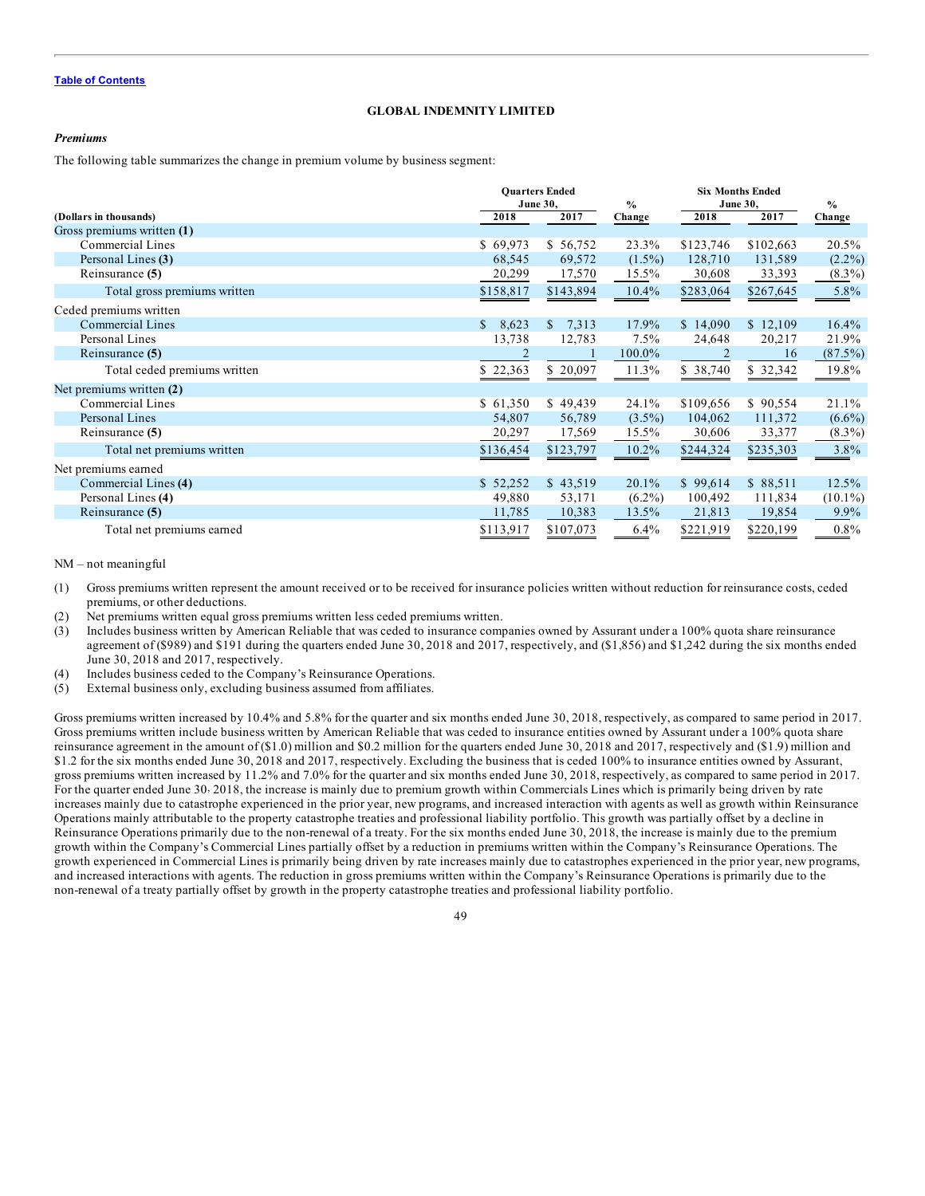### **GLOBAL INDEMNITY LIMITED**

# *Premiums*

The following table summarizes the change in premium volume by business segment:

|                              | June 30,               | <b>Ouarters Ended</b>  | $\frac{0}{0}$ | <b>Six Months Ended</b> | <b>June 30.</b> | $\frac{0}{0}$ |
|------------------------------|------------------------|------------------------|---------------|-------------------------|-----------------|---------------|
| (Dollars in thousands)       | 2018                   | 2017                   | Change        | 2018                    | 2017            | Change        |
| Gross premiums written (1)   |                        |                        |               |                         |                 |               |
| Commercial Lines             | \$69,973               | \$56,752               | 23.3%         | \$123,746               | \$102,663       | 20.5%         |
| Personal Lines (3)           | 68,545                 | 69,572                 | $(1.5\%)$     | 128,710                 | 131,589         | $(2.2\%)$     |
| Reinsurance (5)              | 20,299                 | 17,570                 | 15.5%         | 30,608                  | 33,393          | $(8.3\%)$     |
| Total gross premiums written | \$158,817              | \$143,894              | 10.4%         | \$283,064               | \$267,645       | 5.8%          |
| Ceded premiums written       |                        |                        |               |                         |                 |               |
| Commercial Lines             | <sup>\$</sup><br>8,623 | 7,313<br><sup>\$</sup> | 17.9%         | \$14,090                | \$12,109        | 16.4%         |
| Personal Lines               | 13,738                 | 12,783                 | 7.5%          | 24,648                  | 20,217          | 21.9%         |
| Reinsurance (5)              |                        |                        | 100.0%        |                         | 16              | (87.5%)       |
| Total ceded premiums written | \$22,363               | \$20,097               | 11.3%         | \$ 38,740               | \$32,342        | 19.8%         |
| Net premiums written (2)     |                        |                        |               |                         |                 |               |
| Commercial Lines             | \$61,350               | \$49,439               | 24.1%         | \$109,656               | \$90,554        | 21.1%         |
| Personal Lines               | 54,807                 | 56,789                 | $(3.5\%)$     | 104,062                 | 111,372         | $(6.6\%)$     |
| Reinsurance (5)              | 20,297                 | 17,569                 | 15.5%         | 30,606                  | 33,377          | $(8.3\%)$     |
| Total net premiums written   | \$136,454              | \$123,797              | 10.2%         | \$244,324               | \$235,303       | 3.8%          |
| Net premiums earned          |                        |                        |               |                         |                 |               |
| Commercial Lines (4)         | \$52,252               | \$43,519               | 20.1%         | \$99,614                | \$88,511        | 12.5%         |
| Personal Lines (4)           | 49,880                 | 53,171                 | $(6.2\%)$     | 100,492                 | 111,834         | $(10.1\%)$    |
| Reinsurance (5)              | 11,785                 | 10,383                 | 13.5%         | 21,813                  | 19,854          | $9.9\%$       |
| Total net premiums earned    | \$113,917              | \$107,073              | 6.4%          | \$221,919               | \$220,199       | $0.8\%$       |

NM – not meaningful

(1) Gross premiums written represent the amount received or to be received for insurance policies written without reduction for reinsurance costs, ceded premiums, or other deductions.

(2) Net premiums written equal gross premiums written less ceded premiums written.

(3) Includes business written by American Reliable that was ceded to insurance companies owned by Assurant under a 100% quota share reinsurance agreement of (\$989) and \$191 during the quarters ended June 30, 2018 and 2017, respectively, and (\$1,856) and \$1,242 during the six months ended June 30, 2018 and 2017, respectively.

(4) Includes business ceded to the Company's Reinsurance Operations.

(5) External business only, excluding business assumed from affiliates.

Gross premiums written increased by 10.4% and 5.8% for the quarter and six months ended June 30, 2018, respectively, as compared to same period in 2017. Gross premiums written include business written by American Reliable that was ceded to insurance entities owned by Assurant under a 100% quota share reinsurance agreement in the amount of (\$1.0) million and \$0.2 million for the quarters ended June 30, 2018 and 2017, respectively and (\$1.9) million and \$1.2 for the six months ended June 30, 2018 and 2017, respectively. Excluding the business that is ceded 100% to insurance entities owned by Assurant, gross premiums written increased by 11.2% and 7.0% for the quarter and six months ended June 30, 2018, respectively, as compared to same period in 2017. For the quarter ended June 30, 2018, the increase is mainly due to premium growth within Commercials Lines which is primarily being driven by rate increases mainly due to catastrophe experienced in the prior year, new programs, and increased interaction with agents as well as growth within Reinsurance Operations mainly attributable to the property catastrophe treaties and professional liability portfolio. This growth was partially offset by a decline in Reinsurance Operations primarily due to the non-renewal of a treaty. For the six months ended June 30, 2018, the increase is mainly due to the premium growth within the Company's Commercial Lines partially offset by a reduction in premiums written within the Company's Reinsurance Operations. The growth experienced in Commercial Lines is primarily being driven by rate increases mainly due to catastrophes experienced in the prior year, new programs, and increased interactions with agents. The reduction in gross premiums written within the Company's Reinsurance Operations is primarily due to the non-renewal of a treaty partially offset by growth in the property catastrophe treaties and professional liability portfolio.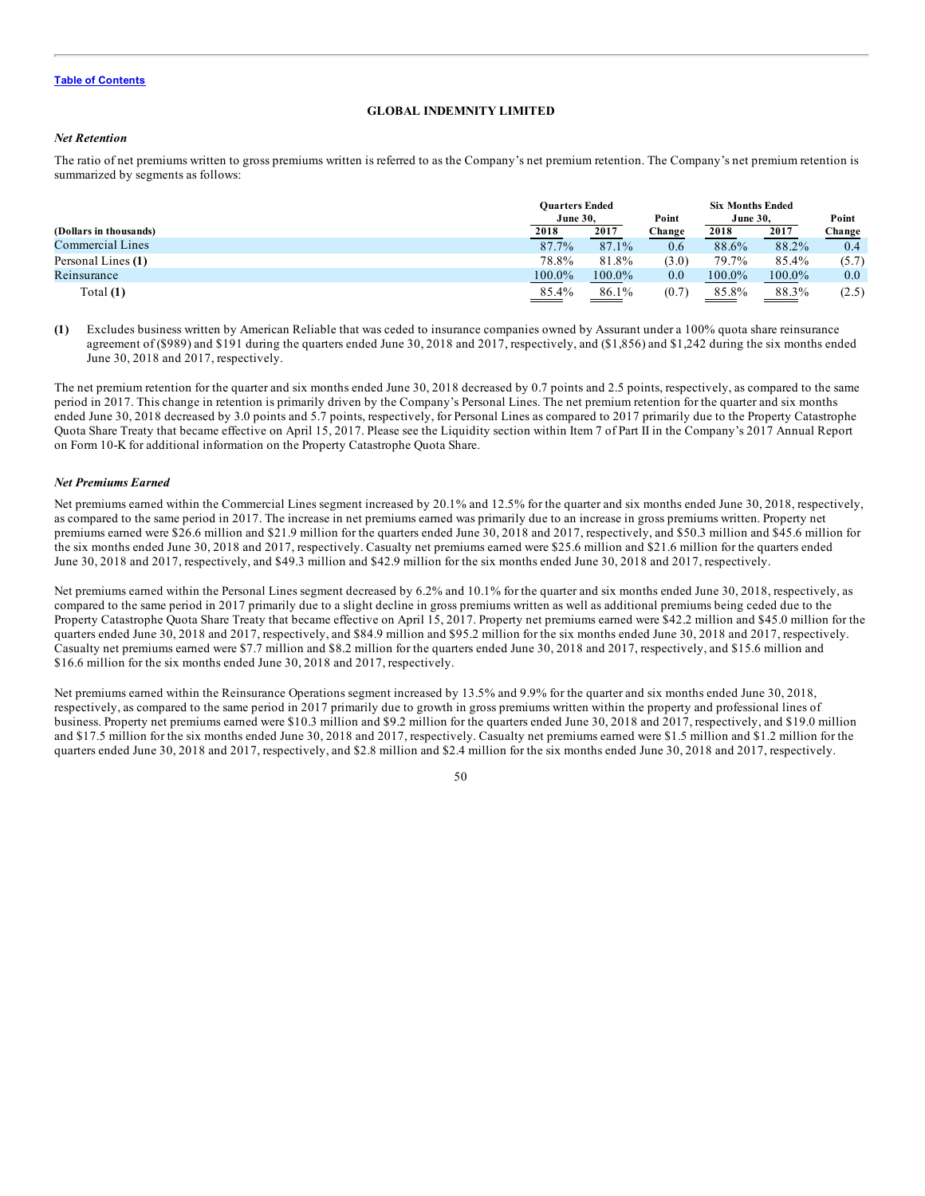#### **GLOBAL INDEMNITY LIMITED**

### *Net Retention*

The ratio of net premiums written to gross premiums written is referred to as the Company's net premium retention. The Company's net premium retention is summarized by segments as follows:

|                        |                 | <b>Ouarters Ended</b> |        |                 | <b>Six Months Ended</b> |        |  |
|------------------------|-----------------|-----------------------|--------|-----------------|-------------------------|--------|--|
|                        | <b>June 30,</b> |                       | Point  | <b>June 30.</b> |                         | Point  |  |
| (Dollars in thousands) | 2018            | 2017                  | Change | 2018            | 2017                    | Change |  |
| Commercial Lines       | 87.7%           | 87.1%                 | 0.6    | 88.6%           | 88.2%                   | 0.4    |  |
| Personal Lines (1)     | 78.8%           | 81.8%                 | (3.0)  | 79.7%           | 85.4%                   | (5.7)  |  |
| Reinsurance            | 100.0%          | 100.0%                | 0.0    | $100.0\%$       | $100.0\%$               | 0.0    |  |
| Total $(1)$            | 85.4%<br>_____  | 86.1%                 | (0.7)  | 85.8%           | 88.3%                   | (2.5)  |  |

**(1)** Excludes business written by American Reliable that was ceded to insurance companies owned by Assurant under a 100% quota share reinsurance agreement of (\$989) and \$191 during the quarters ended June 30, 2018 and 2017, respectively, and (\$1,856) and \$1,242 during the six months ended June 30, 2018 and 2017, respectively.

The net premium retention for the quarter and six months ended June 30, 2018 decreased by 0.7 points and 2.5 points, respectively, as compared to the same period in 2017. This change in retention is primarily driven by the Company's Personal Lines. The net premium retention for the quarter and six months ended June 30, 2018 decreased by 3.0 points and 5.7 points, respectively, for Personal Lines as compared to 2017 primarily due to the Property Catastrophe Quota Share Treaty that became effective on April 15, 2017. Please see the Liquidity section within Item 7 of Part II in the Company's 2017 Annual Report on Form 10-K for additional information on the Property Catastrophe Quota Share.

#### *Net Premiums Earned*

Net premiums earned within the Commercial Lines segment increased by 20.1% and 12.5% for the quarter and six months ended June 30, 2018, respectively, as compared to the same period in 2017. The increase in net premiums earned was primarily due to an increase in gross premiums written. Property net premiums earned were \$26.6 million and \$21.9 million for the quarters ended June 30, 2018 and 2017, respectively, and \$50.3 million and \$45.6 million for the six months ended June 30, 2018 and 2017, respectively. Casualty net premiums earned were \$25.6 million and \$21.6 million for the quarters ended June 30, 2018 and 2017, respectively, and \$49.3 million and \$42.9 million for the six months ended June 30, 2018 and 2017, respectively.

Net premiums earned within the Personal Lines segment decreased by 6.2% and 10.1% for the quarter and six months ended June 30, 2018, respectively, as compared to the same period in 2017 primarily due to a slight decline in gross premiums written as well as additional premiums being ceded due to the Property Catastrophe Quota Share Treaty that became effective on April 15, 2017. Property net premiums earned were \$42.2 million and \$45.0 million for the quarters ended June 30, 2018 and 2017, respectively, and \$84.9 million and \$95.2 million for the six months ended June 30, 2018 and 2017, respectively. Casualty net premiums earned were \$7.7 million and \$8.2 million for the quarters ended June 30, 2018 and 2017, respectively, and \$15.6 million and \$16.6 million for the six months ended June 30, 2018 and 2017, respectively.

Net premiums earned within the Reinsurance Operations segment increased by 13.5% and 9.9% for the quarter and six months ended June 30, 2018, respectively, as compared to the same period in 2017 primarily due to growth in gross premiums written within the property and professional lines of business. Property net premiums earned were \$10.3 million and \$9.2 million for the quarters ended June 30, 2018 and 2017, respectively, and \$19.0 million and \$17.5 million for the six months ended June 30, 2018 and 2017, respectively. Casualty net premiums earned were \$1.5 million and \$1.2 million for the quarters ended June 30, 2018 and 2017, respectively, and \$2.8 million and \$2.4 million for the six months ended June 30, 2018 and 2017, respectively.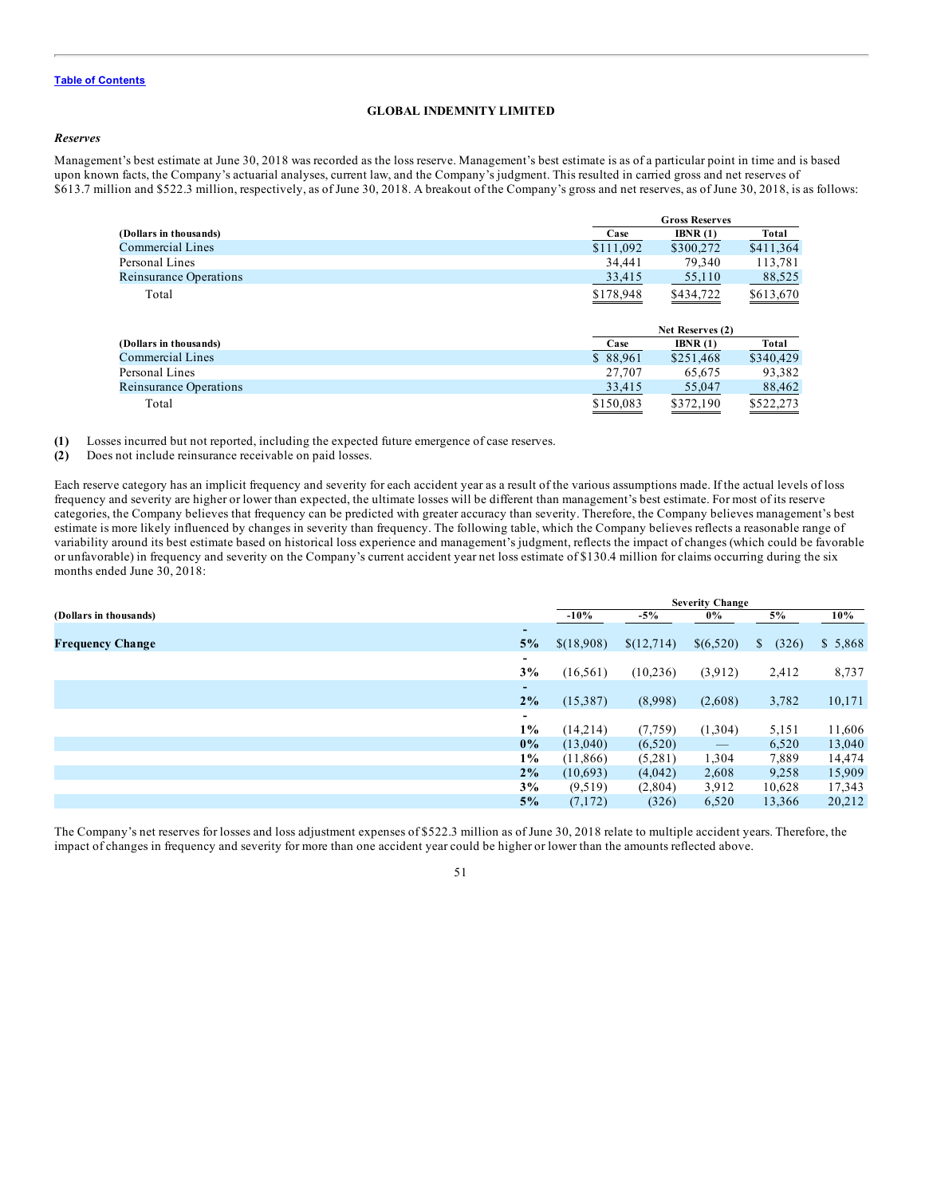### **GLOBAL INDEMNITY LIMITED**

## *Reserves*

Management's best estimate at June 30, 2018 was recorded as the loss reserve. Management's best estimate is as of a particular point in time and is based upon known facts, the Company's actuarial analyses, current law, and the Company's judgment. This resulted in carried gross and net reserves of \$613.7 million and \$522.3 million, respectively, as of June 30, 2018. A breakout of the Company's gross and net reserves, as of June 30, 2018, is as follows:

|                               |           | <b>Gross Reserves</b> |           |
|-------------------------------|-----------|-----------------------|-----------|
| (Dollars in thousands)        | Case      | IBNR $(1)$            | Total     |
| Commercial Lines              | \$111,092 | \$300,272             | \$411,364 |
| Personal Lines                | 34,441    | 79,340                | 113,781   |
| <b>Reinsurance Operations</b> | 33,415    | 55,110                | 88,525    |
| Total                         | \$178,948 | \$434,722             | \$613,670 |
|                               |           | Net Reserves (2)      |           |
| (Dollars in thousands)        | Case      | IBNR $(1)$            | Total     |
| <b>Commercial Lines</b>       | \$88,961  | \$251,468             | \$340,429 |
| Personal Lines                | 27,707    | 65,675                | 93,382    |
| Reinsurance Operations        | 33,415    | 55,047                | 88,462    |
| Total                         | \$150.083 | \$372,190             | \$522,273 |

**(1)** Losses incurred but not reported, including the expected future emergence of case reserves.

**(2)** Does not include reinsurance receivable on paid losses.

Each reserve category has an implicit frequency and severity for each accident year as a result of the various assumptions made. If the actual levels of loss frequency and severity are higher or lower than expected, the ultimate losses will be different than management's best estimate. For most of its reserve categories, the Company believes that frequency can be predicted with greater accuracy than severity. Therefore, the Company believes management's best estimate is more likely influenced by changes in severity than frequency. The following table, which the Company believes reflects a reasonable range of variability around its best estimate based on historical loss experience and management's judgment, reflects the impact of changes (which could be favorable or unfavorable) in frequency and severity on the Company's current accident year net loss estimate of \$130.4 million for claims occurring during the six months ended June 30, 2018:

|                         |                          | <b>Severity Change</b> |            |                   |             |         |
|-------------------------|--------------------------|------------------------|------------|-------------------|-------------|---------|
| (Dollars in thousands)  |                          | $-10%$                 | $-5\%$     | $0\%$             | 5%          | $10\%$  |
|                         | $\overline{\phantom{a}}$ |                        |            |                   |             |         |
| <b>Frequency Change</b> | 5%                       | \$(18,908)             | \$(12,714) | \$(6,520)         | (326)<br>S. | \$5,868 |
|                         | $\blacksquare$           |                        |            |                   |             |         |
|                         | 3%                       | (16, 561)              | (10, 236)  | (3,912)           | 2,412       | 8,737   |
|                         | $\blacksquare$           |                        |            |                   |             |         |
|                         | 2%                       | (15,387)               | (8,998)    | (2,608)           | 3,782       | 10,171  |
|                         | $\overline{\phantom{0}}$ |                        |            |                   |             |         |
|                         | $1\%$                    | (14,214)               | (7,759)    | (1,304)           | 5,151       | 11,606  |
|                         | $0\%$                    | (13,040)               | (6,520)    | $\qquad \qquad -$ | 6,520       | 13,040  |
|                         | $1\%$                    | (11,866)               | (5,281)    | 1,304             | 7,889       | 14,474  |
|                         | 2%                       | (10,693)               | (4,042)    | 2,608             | 9,258       | 15,909  |
|                         | $3\%$                    | (9,519)                | (2,804)    | 3,912             | 10,628      | 17,343  |
|                         | $5\%$                    | (7,172)                | (326)      | 6,520             | 13,366      | 20,212  |

The Company's net reserves for losses and loss adjustment expenses of \$522.3 million as of June 30, 2018 relate to multiple accident years. Therefore, the impact of changes in frequency and severity for more than one accident year could be higher or lower than the amounts reflected above.

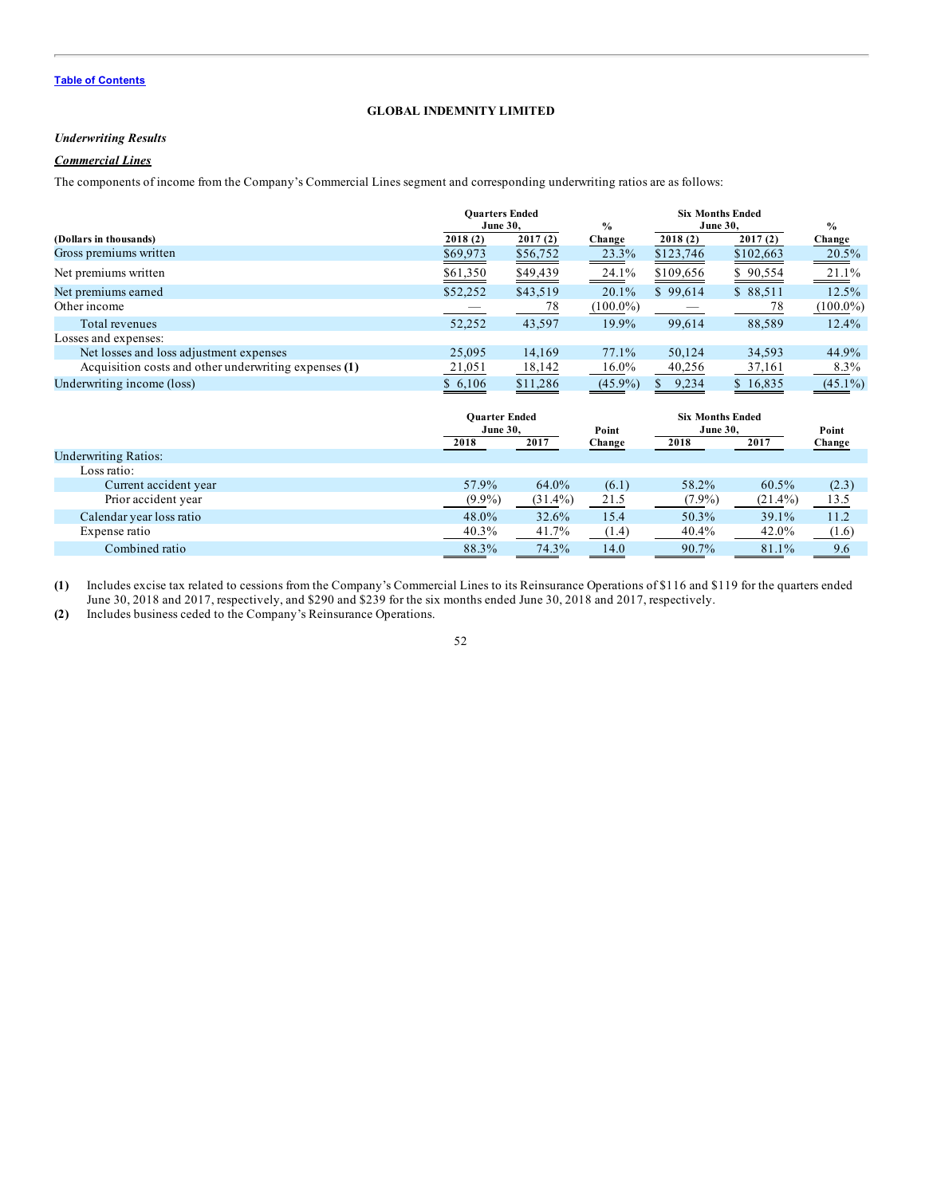## **GLOBAL INDEMNITY LIMITED**

## *Underwriting Results*

# *Commercial Lines*

The components of income from the Company's Commercial Lines segment and corresponding underwriting ratios are as follows:

|                                                       |          | <b>Ouarters Ended</b><br><b>June 30,</b> | $\frac{0}{0}$ |           | <b>Six Months Ended</b><br><b>June 30,</b> | $\frac{0}{0}$ |
|-------------------------------------------------------|----------|------------------------------------------|---------------|-----------|--------------------------------------------|---------------|
| (Dollars in thousands)                                | 2018(2)  | 2017(2)                                  | Change        | 2018(2)   | 2017(2)                                    | Change        |
| Gross premiums written                                | \$69,973 | \$56,752                                 | 23.3%         | \$123,746 | \$102,663                                  | 20.5%         |
| Net premiums written                                  | \$61,350 | \$49,439                                 | 24.1%         | \$109,656 | \$90,554                                   | 21.1%         |
| Net premiums earned                                   | \$52,252 | \$43,519                                 | 20.1%         | \$99,614  | \$88,511                                   | 12.5%         |
| Other income                                          |          | 78                                       | $(100.0\%)$   |           | 78                                         | $(100.0\%)$   |
| Total revenues                                        | 52,252   | 43,597                                   | 19.9%         | 99,614    | 88,589                                     | 12.4%         |
| Losses and expenses:                                  |          |                                          |               |           |                                            |               |
| Net losses and loss adjustment expenses               | 25,095   | 14.169                                   | $77.1\%$      | 50,124    | 34,593                                     | 44.9%         |
| Acquisition costs and other underwriting expenses (1) | 21,051   | 18,142                                   | 16.0%         | 40,256    | 37,161                                     | 8.3%          |
| Underwriting income (loss)                            | \$6,106  | \$11,286                                 | $(45.9\%)$    | 9,234     | \$16,835                                   | $(45.1\%)$    |
|                                                       |          | <b>Ouarter Ended</b><br><b>June 30,</b>  | Point         |           | <b>Six Months Ended</b><br><b>June 30,</b> | Point         |
|                                                       | 2018     | 2017                                     | Change        | 2018      | 2017                                       | Change        |
| <b>Underwriting Ratios:</b>                           |          |                                          |               |           |                                            |               |
| Loss ratio:                                           |          |                                          |               |           |                                            |               |

| Loss ratio:              |           |            |       |           |            |       |
|--------------------------|-----------|------------|-------|-----------|------------|-------|
| Current accident year    | 57.9%     | 64.0%      | (6.1) | 58.2%     | 60.5%      | (2.3) |
| Prior accident year      | $(9.9\%)$ | $(31.4\%)$ | 21.5  | $(7.9\%)$ | $(21.4\%)$ | 13.5  |
| Calendar year loss ratio | 48.0%     | 32.6%      | 15.4  | 50.3%     | 39.1%      | 11.2  |
| Expense ratio            | 40.3%     | 41.7%      | (1.4) | 40.4%     | 42.0%      | (1.6) |
| Combined ratio           | 88.3%     | 74.3%      | 14.0  | 90.7%     | 81.1%      | 9.6   |
|                          |           |            |       |           |            |       |

**(1)** Includes excise tax related to cessions from the Company's Commercial Lines to its Reinsurance Operations of \$116 and \$119 for the quarters ended

June 30, 2018 and 2017, respectively, and \$290 and \$239 for the six months ended June 30, 2018 and 2017, respectively.

**(2)** Includes business ceded to the Company's Reinsurance Operations.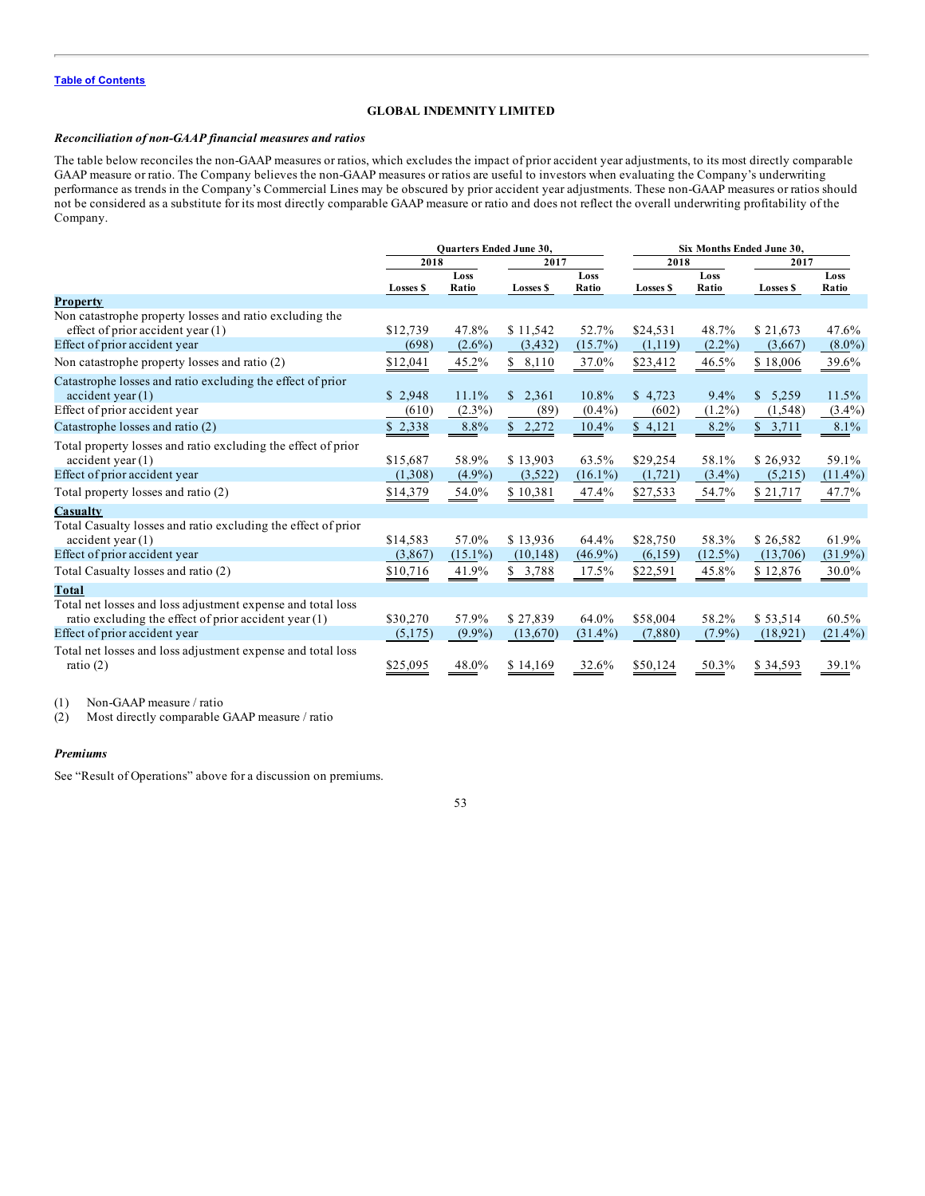## **GLOBAL INDEMNITY LIMITED**

### *Reconciliation of non-GAAP financial measures and ratios*

The table below reconciles the non-GAAP measures or ratios, which excludes the impact of prior accident year adjustments, to its most directly comparable GAAP measure or ratio. The Company believes the non-GAAP measures or ratios are useful to investors when evaluating the Company's underwriting performance as trends in the Company's Commercial Lines may be obscured by prior accident year adjustments. These non-GAAP measures or ratios should not be considered as a substitute for its most directly comparable GAAP measure or ratio and does not reflect the overall underwriting profitability of the Company.

|                                                                                        |                  | <b>Ouarters Ended June 30,</b> |                  |            |                 | Six Months Ended June 30, |                  |            |
|----------------------------------------------------------------------------------------|------------------|--------------------------------|------------------|------------|-----------------|---------------------------|------------------|------------|
|                                                                                        | 2018             |                                | 2017             |            | 2018            |                           | 2017             |            |
|                                                                                        |                  | Loss                           |                  | Loss       |                 | Loss                      |                  | Loss       |
| <b>Property</b>                                                                        | <b>Losses \$</b> | Ratio                          | <b>Losses \$</b> | Ratio      | <b>Losses S</b> | Ratio                     | <b>Losses \$</b> | Ratio      |
| Non catastrophe property losses and ratio excluding the                                |                  |                                |                  |            |                 |                           |                  |            |
| effect of prior accident year (1)                                                      | \$12,739         | 47.8%                          | \$11.542         | 52.7%      | \$24.531        | 48.7%                     | \$21.673         | 47.6%      |
| Effect of prior accident year                                                          | (698)            | $(2.6\%)$                      | (3, 432)         | $(15.7\%)$ | (1,119)         | $(2.2\%)$                 | (3,667)          | $(8.0\%)$  |
| Non catastrophe property losses and ratio (2)                                          | \$12,041         | 45.2%                          | \$8,110          | 37.0%      | \$23,412        | 46.5%                     | \$18,006         | 39.6%      |
| Catastrophe losses and ratio excluding the effect of prior                             |                  |                                |                  |            |                 |                           |                  |            |
| accident year(1)                                                                       | \$2,948          | 11.1%                          | \$2,361          | 10.8%      | \$4,723         | $9.4\%$                   | \$5,259          | 11.5%      |
| Effect of prior accident year                                                          | (610)            | $(2.3\%)$                      | (89)             | $(0.4\%)$  | (602)           | $(1.2\%)$                 | (1, 548)         | $(3.4\%)$  |
| Catastrophe losses and ratio (2)                                                       | \$2,338          | 8.8%                           | \$2,272          | 10.4%      | \$4,121         | 8.2%                      | \$3,711          | 8.1%       |
| Total property losses and ratio excluding the effect of prior<br>$accident$ vear $(1)$ | \$15,687         | 58.9%                          | \$13,903         | 63.5%      | \$29,254        | 58.1%                     | \$26,932         | 59.1%      |
| Effect of prior accident year                                                          | (1,308)          | $(4.9\%)$                      | (3,522)          | $(16.1\%)$ | (1,721)         | $(3.4\%)$                 | (5,215)          | $(11.4\%)$ |
| Total property losses and ratio (2)                                                    | \$14,379         | 54.0%                          | \$10,381         | 47.4%      | \$27,533        | 54.7%                     | \$21,717         | 47.7%      |
| Casualty                                                                               |                  |                                |                  |            |                 |                           |                  |            |
| Total Casualty losses and ratio excluding the effect of prior                          |                  |                                |                  |            |                 |                           |                  |            |
| accident year(1)                                                                       | \$14,583         | 57.0%                          | \$13,936         | 64.4%      | \$28,750        | 58.3%                     | \$26,582         | 61.9%      |
| Effect of prior accident year                                                          | (3,867)          | $(15.1\%)$                     | (10, 148)        | $(46.9\%)$ | (6,159)         | $(12.5\%)$                | (13,706)         | $(31.9\%)$ |
| Total Casualty losses and ratio (2)                                                    | \$10,716         | 41.9%                          | \$3,788          | 17.5%      | \$22,591        | 45.8%                     | \$12,876         | 30.0%      |
| Total                                                                                  |                  |                                |                  |            |                 |                           |                  |            |
| Total net losses and loss adjustment expense and total loss                            |                  |                                |                  |            |                 |                           |                  |            |
| ratio excluding the effect of prior accident year (1)                                  | \$30,270         | 57.9%                          | \$27,839         | 64.0%      | \$58,004        | 58.2%                     | \$53,514         | 60.5%      |
| Effect of prior accident year                                                          | (5,175)          | $(9.9\%)$                      | (13,670)         | $(31.4\%)$ | (7,880)         | $(7.9\%)$                 | (18, 921)        | $(21.4\%)$ |
| Total net losses and loss adjustment expense and total loss<br>ratio $(2)$             | \$25,095         | 48.0%                          | \$14,169         | 32.6%      | \$50,124        | 50.3%                     | \$34,593         | 39.1%      |
|                                                                                        |                  |                                |                  |            |                 |                           |                  |            |

(1) Non-GAAP measure / ratio

(2) Most directly comparable GAAP measure / ratio

#### *Premiums*

See "Result of Operations" above for a discussion on premiums.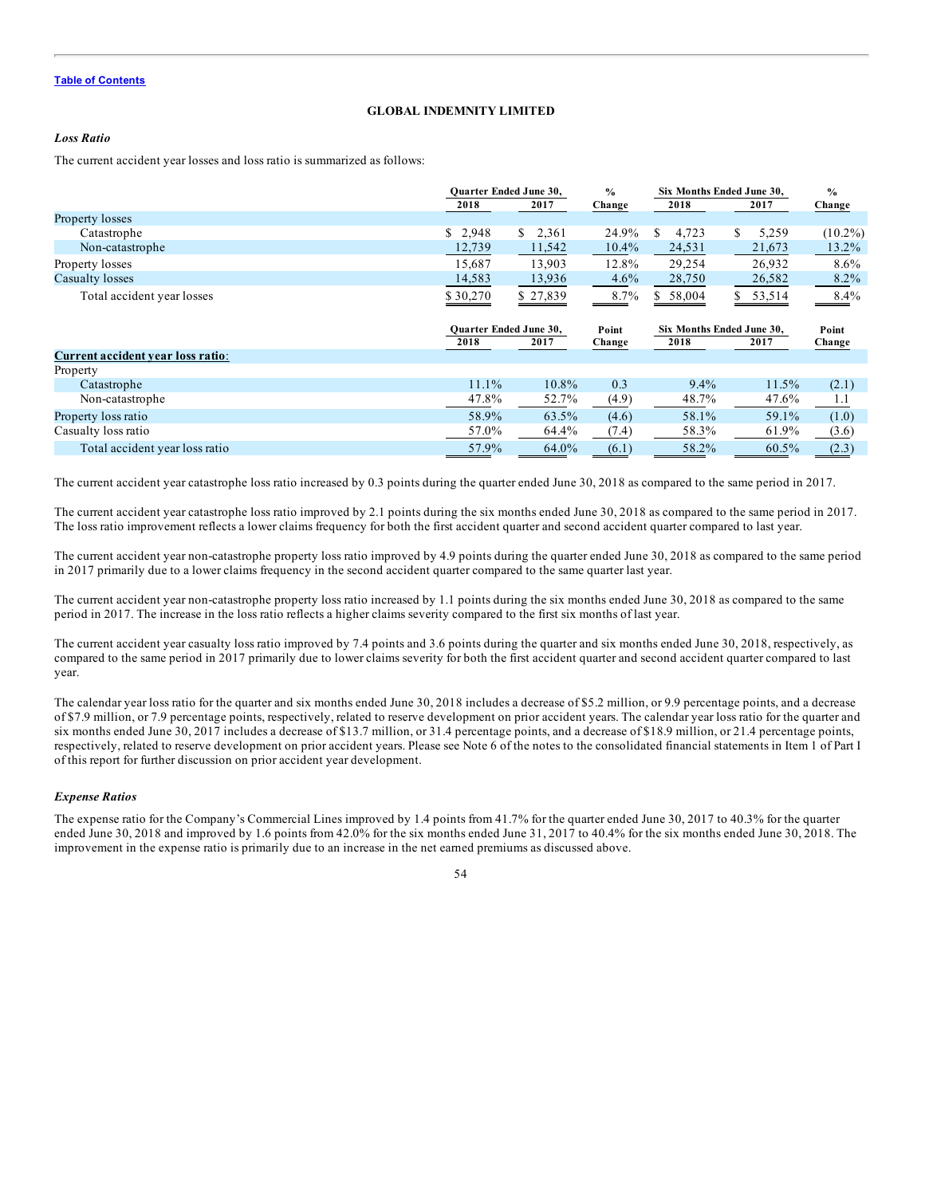### **GLOBAL INDEMNITY LIMITED**

## *Loss Ratio*

The current accident year losses and loss ratio is summarized as follows:

|                                   |          | <b>Ouarter Ended June 30,</b>         |                 | Six Months Ended June 30, |                                   | $\frac{0}{0}$   |
|-----------------------------------|----------|---------------------------------------|-----------------|---------------------------|-----------------------------------|-----------------|
|                                   | 2018     | 2017                                  | Change          | 2018                      | 2017                              | Change          |
| Property losses                   |          |                                       |                 |                           |                                   |                 |
| Catastrophe                       | \$2,948  | 2,361<br>S.                           | 24.9%           | 4.723<br>S                | 5,259                             | $(10.2\%)$      |
| Non-catastrophe                   | 12,739   | 11,542                                | $10.4\%$        | 24,531                    | 21,673                            | 13.2%           |
| Property losses                   | 15.687   | 13.903                                | 12.8%           | 29.254                    | 26,932                            | $8.6\%$         |
| Casualty losses                   | 14,583   | 13,936                                | 4.6%            | 28,750                    | 26,582                            | 8.2%            |
| Total accident year losses        | \$30,270 | \$27,839                              | 8.7%            | 58,004<br>S               | \$53,514                          | $8.4\%$         |
|                                   | 2018     | <b>Ouarter Ended June 30,</b><br>2017 | Point<br>Change | 2018                      | Six Months Ended June 30,<br>2017 | Point<br>Change |
| Current accident year loss ratio. |          |                                       |                 |                           |                                   |                 |

| Current accident year toss ratio. |       |       |       |         |       |       |
|-----------------------------------|-------|-------|-------|---------|-------|-------|
| Property                          |       |       |       |         |       |       |
| Catastrophe                       | 11.1% | 10.8% | 0.3   | $9.4\%$ | 11.5% | (2.1) |
| Non-catastrophe                   | 47.8% | 52.7% | (4.9) | 48.7%   | 47.6% |       |
| Property loss ratio               | 58.9% | 63.5% | (4.6) | 58.1%   | 59.1% | (1.0) |
| Casualty loss ratio               | 57.0% | 64.4% | (7.4) | 58.3%   | 61.9% | (3.6) |
| Total accident year loss ratio    | 57.9% | 64.0% | (6.1) | 58.2%   | 60.5% | (2.3) |

The current accident year catastrophe loss ratio increased by 0.3 points during the quarter ended June 30, 2018 as compared to the same period in 2017.

The current accident year catastrophe loss ratio improved by 2.1 points during the six months ended June 30, 2018 as compared to the same period in 2017. The loss ratio improvement reflects a lower claims frequency for both the first accident quarter and second accident quarter compared to last year.

The current accident year non-catastrophe property loss ratio improved by 4.9 points during the quarter ended June 30, 2018 as compared to the same period in 2017 primarily due to a lower claims frequency in the second accident quarter compared to the same quarter last year.

The current accident year non-catastrophe property loss ratio increased by 1.1 points during the six months ended June 30, 2018 as compared to the same period in 2017. The increase in the loss ratio reflects a higher claims severity compared to the first six months of last year.

The current accident year casualty loss ratio improved by 7.4 points and 3.6 points during the quarter and six months ended June 30, 2018, respectively, as compared to the same period in 2017 primarily due to lower claims severity for both the first accident quarter and second accident quarter compared to last year.

The calendar year loss ratio for the quarter and six months ended June 30, 2018 includes a decrease of \$5.2 million, or 9.9 percentage points, and a decrease of \$7.9 million, or 7.9 percentage points, respectively, related to reserve development on prior accident years. The calendar year loss ratio for the quarter and six months ended June 30, 2017 includes a decrease of \$13.7 million, or 31.4 percentage points, and a decrease of \$18.9 million, or 21.4 percentage points, respectively, related to reserve development on prior accident years. Please see Note 6 of the notes to the consolidated financial statements in Item 1 of Part I of this report for further discussion on prior accident year development.

## *Expense Ratios*

The expense ratio for the Company's Commercial Lines improved by 1.4 points from 41.7% for the quarter ended June 30, 2017 to 40.3% for the quarter ended June 30, 2018 and improved by 1.6 points from 42.0% for the six months ended June 31, 2017 to 40.4% for the six months ended June 30, 2018. The improvement in the expense ratio is primarily due to an increase in the net earned premiums as discussed above.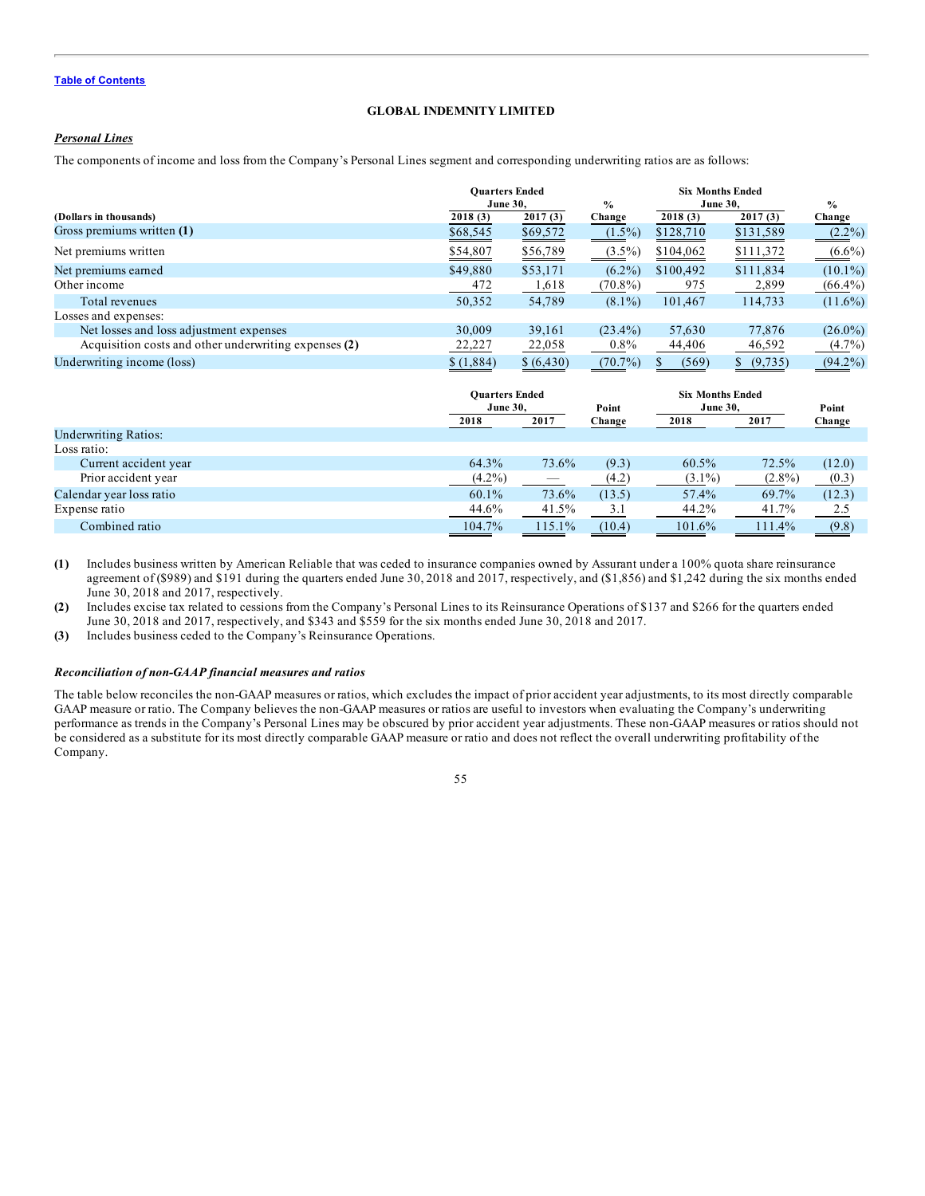### **GLOBAL INDEMNITY LIMITED**

### *Personal Lines*

The components of income and loss from the Company's Personal Lines segment and corresponding underwriting ratios are as follows:

|                                                       |           | <b>Ouarters Ended</b><br><b>June 30,</b> | $\frac{0}{0}$ |           | <b>Six Months Ended</b><br><b>June 30,</b> | $\frac{0}{0}$ |
|-------------------------------------------------------|-----------|------------------------------------------|---------------|-----------|--------------------------------------------|---------------|
| (Dollars in thousands)                                | 2018(3)   | 2017(3)                                  | Change        | 2018(3)   | 2017(3)                                    | Change        |
| Gross premiums written (1)                            | \$68,545  | \$69,572                                 | $(1.5\%)$     | \$128,710 | \$131,589                                  | $(2.2\%)$     |
| Net premiums written                                  | \$54,807  | \$56,789                                 | $(3.5\%)$     | \$104,062 | \$111,372                                  | $(6.6\%)$     |
| Net premiums earned                                   | \$49,880  | \$53,171                                 | $(6.2\%)$     | \$100,492 | \$111,834                                  | $(10.1\%)$    |
| Other income                                          | 472       | 1,618                                    | $(70.8\%)$    | 975       | 2,899                                      | $(66.4\%)$    |
| Total revenues                                        | 50,352    | 54,789                                   | $(8.1\%)$     | 101.467   | 114,733                                    | $(11.6\%)$    |
| Losses and expenses:                                  |           |                                          |               |           |                                            |               |
| Net losses and loss adjustment expenses               | 30,009    | 39,161                                   | $(23.4\%)$    | 57,630    | 77,876                                     | $(26.0\%)$    |
| Acquisition costs and other underwriting expenses (2) | 22,227    | 22,058                                   | $0.8\%$       | 44,406    | 46,592                                     | $(4.7\%)$     |
| Underwriting income (loss)                            | \$(1,884) | \$(6,430)                                | $(70.7\%)$    | (569)     | (9,735)                                    | $(94.2\%)$    |

|                             | <b>Quarters Ended</b><br><b>June 30,</b> |        | <b>Six Months Ended</b><br><b>June 30,</b><br>Point |           |           | Point  |
|-----------------------------|------------------------------------------|--------|-----------------------------------------------------|-----------|-----------|--------|
|                             | 2018                                     | 2017   | Change                                              | 2018      | 2017      | Change |
| <b>Underwriting Ratios:</b> |                                          |        |                                                     |           |           |        |
| Loss ratio:                 |                                          |        |                                                     |           |           |        |
| Current accident year       | 64.3%                                    | 73.6%  | (9.3)                                               | 60.5%     | 72.5%     | (12.0) |
| Prior accident year         | $(4.2\%)$                                | __     | (4.2)                                               | $(3.1\%)$ | $(2.8\%)$ | (0.3)  |
| Calendar year loss ratio    | 60.1%                                    | 73.6%  | (13.5)                                              | 57.4%     | 69.7%     | (12.3) |
| Expense ratio               | 44.6%                                    | 41.5%  | 3.1                                                 | 44.2%     | 41.7%     | 2.5    |
| Combined ratio              | 104.7%                                   | 115.1% | (10.4)                                              | 101.6%    | 111.4%    | (9.8)  |

**(1)** Includes business written by American Reliable that was ceded to insurance companies owned by Assurant under a 100% quota share reinsurance agreement of (\$989) and \$191 during the quarters ended June 30, 2018 and 2017, respectively, and (\$1,856) and \$1,242 during the six months ended June 30, 2018 and 2017, respectively.

**(2)** Includes excise tax related to cessions from the Company's Personal Lines to its Reinsurance Operations of \$137 and \$266 for the quarters ended June 30, 2018 and 2017, respectively, and \$343 and \$559 for the six months ended June 30, 2018 and 2017.

**(3)** Includes business ceded to the Company's Reinsurance Operations.

#### *Reconciliation of non-GAAP financial measures and ratios*

The table below reconciles the non-GAAP measures or ratios, which excludes the impact of prior accident year adjustments, to its most directly comparable GAAP measure or ratio. The Company believes the non-GAAP measures or ratios are useful to investors when evaluating the Company's underwriting performance as trends in the Company's Personal Lines may be obscured by prior accident year adjustments. These non-GAAP measures or ratios should not be considered as a substitute for its most directly comparable GAAP measure or ratio and does not reflect the overall underwriting profitability of the Company.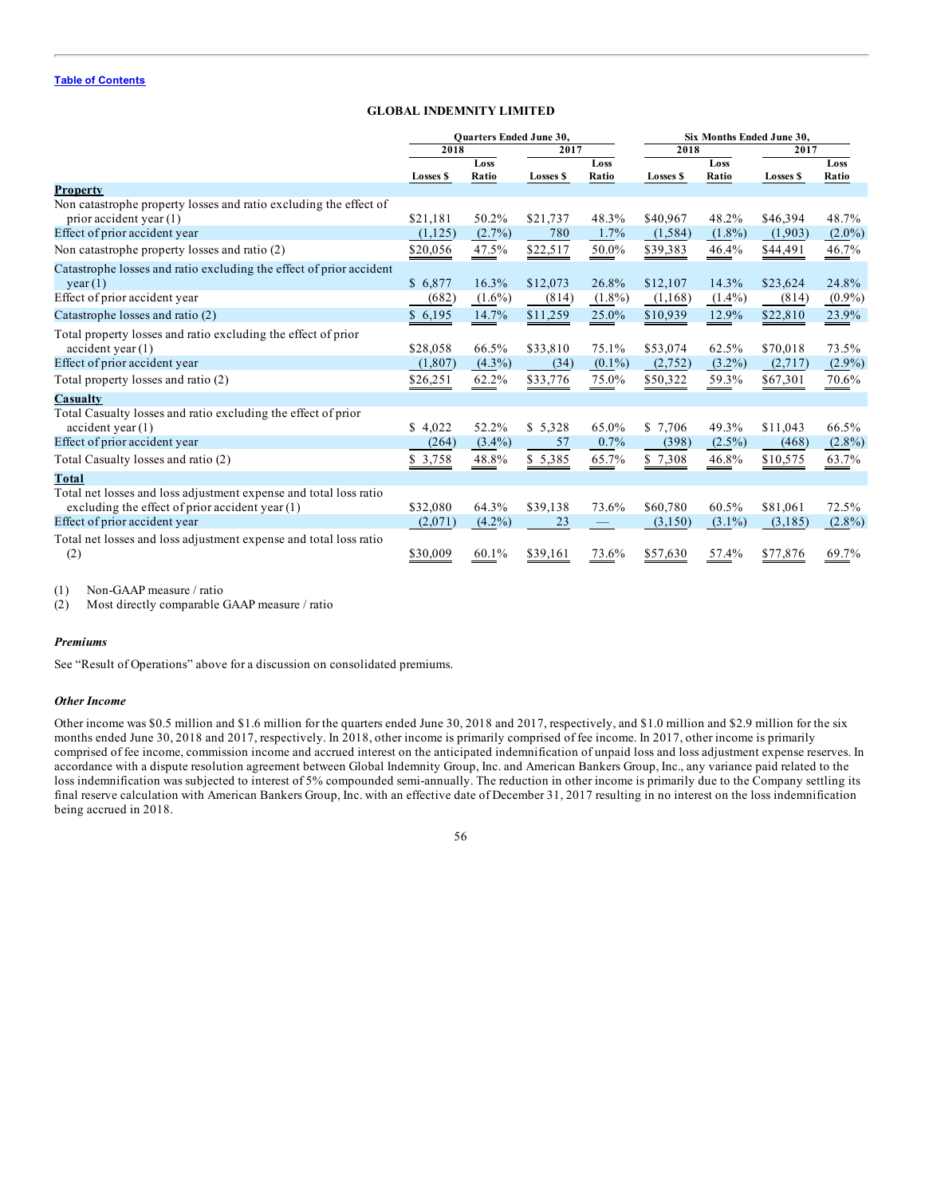## **GLOBAL INDEMNITY LIMITED**

|                                                                                                                      | <b>Ouarters Ended June 30,</b> |           |                  |                               | Six Months Ended June 30, |           |                  |           |
|----------------------------------------------------------------------------------------------------------------------|--------------------------------|-----------|------------------|-------------------------------|---------------------------|-----------|------------------|-----------|
|                                                                                                                      | 2018                           |           | 2017             |                               | 2018                      |           | 2017             |           |
|                                                                                                                      |                                | Loss      |                  | Loss                          |                           | Loss      |                  | Loss      |
| <b>Property</b>                                                                                                      | <b>Losses \$</b>               | Ratio     | <b>Losses \$</b> | Ratio                         | <b>Losses \$</b>          | Ratio     | <b>Losses \$</b> | Ratio     |
| Non catastrophe property losses and ratio excluding the effect of<br>prior accident year (1)                         | \$21,181                       | 50.2%     | \$21,737         | 48.3%                         | \$40,967                  | 48.2%     | \$46,394         | 48.7%     |
| Effect of prior accident year                                                                                        | (1,125)                        | $(2.7\%)$ | 780              | 1.7%                          | (1,584)                   | $(1.8\%)$ | (1,903)          | $(2.0\%)$ |
| Non catastrophe property losses and ratio (2)                                                                        | \$20,056                       | 47.5%     | \$22,517         | 50.0%                         | \$39,383                  | 46.4%     | \$44,491         | 46.7%     |
| Catastrophe losses and ratio excluding the effect of prior accident<br>year(1)                                       | \$6,877                        | 16.3%     | \$12,073         | 26.8%                         | \$12,107                  | 14.3%     | \$23,624         | 24.8%     |
| Effect of prior accident year                                                                                        | (682)                          | $(1.6\%)$ | (814)            | $(1.8\%)$                     | (1,168)                   | $(1.4\%)$ | (814)            | $(0.9\%)$ |
| Catastrophe losses and ratio (2)                                                                                     | \$6,195                        | 14.7%     | \$11,259         | 25.0%                         | \$10,939                  | 12.9%     | \$22,810         | 23.9%     |
| Total property losses and ratio excluding the effect of prior<br>accident year(1)                                    | \$28,058                       | 66.5%     | \$33,810         | 75.1%                         | \$53,074                  | 62.5%     | \$70,018         | 73.5%     |
| Effect of prior accident year                                                                                        | (1, 807)                       | $(4.3\%)$ | (34)             | $(0.1\%)$                     | (2,752)                   | $(3.2\%)$ | (2,717)          | $(2.9\%)$ |
| Total property losses and ratio (2)                                                                                  | \$26,251                       | $62.2\%$  | \$33,776         | $\frac{75.0}{ }$              | \$50,322                  | $59.3\%$  | \$67,301         | $70.6\%$  |
| Casualty                                                                                                             |                                |           |                  |                               |                           |           |                  |           |
| Total Casualty losses and ratio excluding the effect of prior<br>$accident$ vear $(1)$                               | \$4,022                        | 52.2%     | \$5,328          | 65.0%                         | \$ 7,706                  | 49.3%     | \$11,043         | 66.5%     |
| Effect of prior accident year                                                                                        | (264)                          | $(3.4\%)$ | 57               | 0.7%                          | (398)                     | $(2.5\%)$ | (468)            | $(2.8\%)$ |
| Total Casualty losses and ratio (2)                                                                                  | 3,758                          | 48.8%     | \$5,385          | 65.7%                         | \$7,308                   | 46.8%     | \$10,575         | 63.7%     |
| <b>Total</b>                                                                                                         |                                |           |                  |                               |                           |           |                  |           |
| Total net losses and loss adjustment expense and total loss ratio<br>excluding the effect of prior accident year (1) | \$32,080                       | 64.3%     | \$39,138         | 73.6%                         | \$60,780                  | 60.5%     | \$81,061         | 72.5%     |
| Effect of prior accident year                                                                                        | (2,071)                        | $(4.2\%)$ | 23               | $\overbrace{\phantom{aaaaa}}$ | (3,150)                   | $(3.1\%)$ | (3,185)          | $(2.8\%)$ |
| Total net losses and loss adjustment expense and total loss ratio<br>(2)                                             | \$30,009                       | 60.1%     | \$39,161         | 73.6%                         | \$57,630                  | 57.4%     | \$77,876         | 69.7%     |

(1) Non-GAAP measure / ratio

(2) Most directly comparable GAAP measure / ratio

#### *Premiums*

See "Result of Operations" above for a discussion on consolidated premiums.

#### *Other Income*

Other income was \$0.5 million and \$1.6 million for the quarters ended June 30, 2018 and 2017, respectively, and \$1.0 million and \$2.9 million for the six months ended June 30, 2018 and 2017, respectively. In 2018, other income is primarily comprised of fee income. In 2017, other income is primarily comprised of fee income, commission income and accrued interest on the anticipated indemnification of unpaid loss and loss adjustment expense reserves. In accordance with a dispute resolution agreement between Global Indemnity Group, Inc. and American Bankers Group, Inc., any variance paid related to the loss indemnification was subjected to interest of 5% compounded semi-annually. The reduction in other income is primarily due to the Company settling its final reserve calculation with American Bankers Group, Inc. with an effective date of December 31, 2017 resulting in no interest on the loss indemnification being accrued in 2018.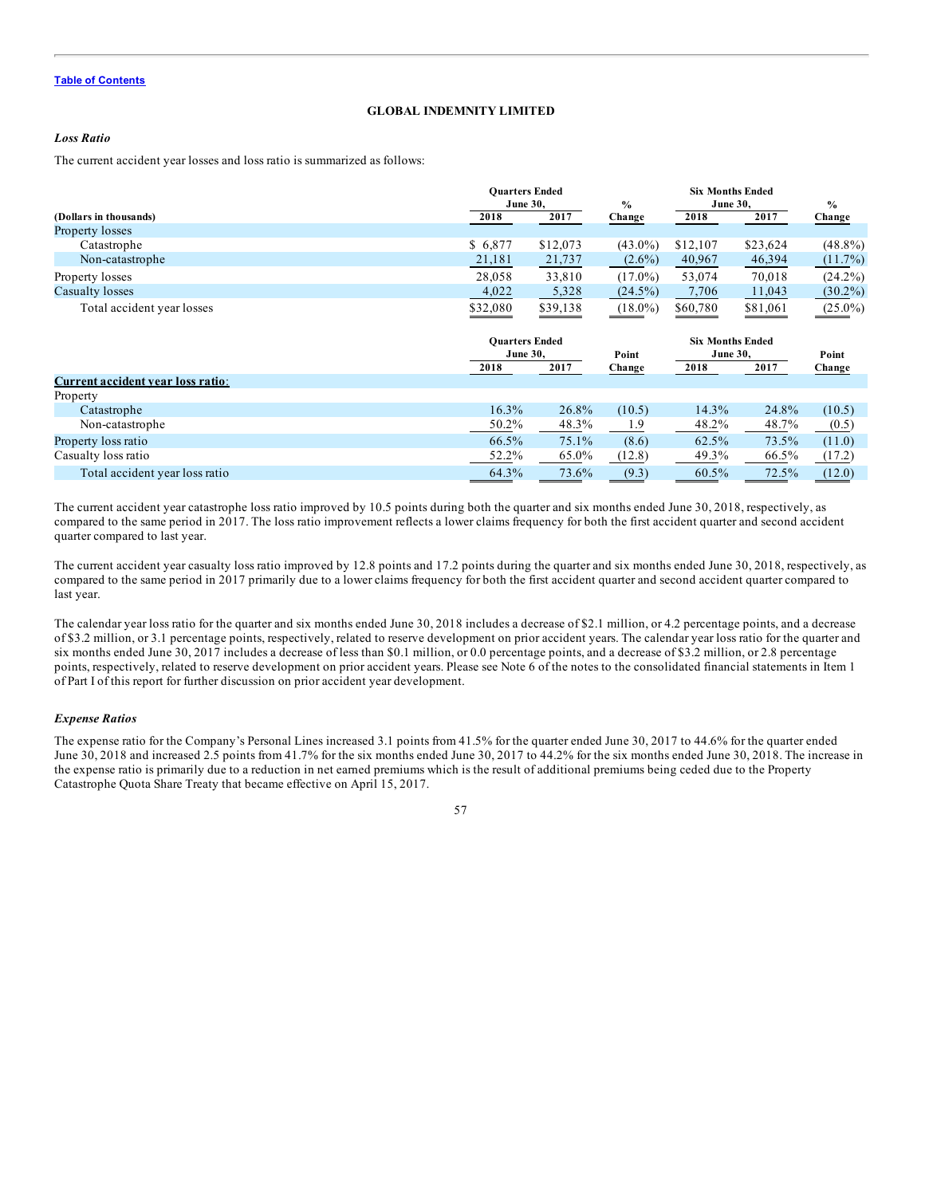### **GLOBAL INDEMNITY LIMITED**

## *Loss Ratio*

The current accident year losses and loss ratio is summarized as follows:

|                            |          | <b>Ouarters Ended</b> |               |          | <b>Six Months Ended</b> |               |  |
|----------------------------|----------|-----------------------|---------------|----------|-------------------------|---------------|--|
|                            |          | <b>June 30,</b>       | $\frac{0}{0}$ |          | <b>June 30,</b>         | $\frac{0}{0}$ |  |
| (Dollars in thousands)     | 2018     | 2017                  | Change        | 2018     | 2017                    | Change        |  |
| Property losses            |          |                       |               |          |                         |               |  |
| Catastrophe                | \$6,877  | \$12,073              | $(43.0\%)$    | \$12,107 | \$23,624                | $(48.8\%)$    |  |
| Non-catastrophe            | 21,181   | 21,737                | $(2.6\%)$     | 40,967   | 46,394                  | (11.7%)       |  |
| Property losses            | 28,058   | 33,810                | $(17.0\%)$    | 53,074   | 70,018                  | $(24.2\%)$    |  |
| Casualty losses            | 4,022    | 5,328                 | $(24.5\%)$    | 7,706    | 11,043                  | $(30.2\%)$    |  |
| Total accident year losses | \$32,080 | \$39,138              | $(18.0\%)$    | \$60,780 | \$81,061                | $(25.0\%)$    |  |

|                                   |          | <b>Ouarters Ended</b><br><b>June 30,</b> |        | <b>Six Months Ended</b><br><b>June 30,</b> |       | Point  |  |
|-----------------------------------|----------|------------------------------------------|--------|--------------------------------------------|-------|--------|--|
|                                   | 2018     | 2017                                     | Change | 2018                                       | 2017  | Change |  |
| Current accident year loss ratio: |          |                                          |        |                                            |       |        |  |
| Property                          |          |                                          |        |                                            |       |        |  |
| Catastrophe                       | $16.3\%$ | 26.8%                                    | (10.5) | 14.3%                                      | 24.8% | (10.5) |  |
| Non-catastrophe                   | 50.2%    | 48.3%                                    | 1.9    | 48.2%                                      | 48.7% | (0.5)  |  |
| Property loss ratio               | 66.5%    | $75.1\%$                                 | (8.6)  | 62.5%                                      | 73.5% | (11.0) |  |
| Casualty loss ratio               | 52.2%    | 65.0%                                    | (12.8) | 49.3%                                      | 66.5% | (17.2) |  |
| Total accident year loss ratio    | 64.3%    | 73.6%                                    | (9.3)  | 60.5%                                      | 72.5% | (12.0) |  |

The current accident year catastrophe loss ratio improved by 10.5 points during both the quarter and six months ended June 30, 2018, respectively, as compared to the same period in 2017. The loss ratio improvement reflects a lower claims frequency for both the first accident quarter and second accident quarter compared to last year.

The current accident year casualty loss ratio improved by 12.8 points and 17.2 points during the quarter and six months ended June 30, 2018, respectively, as compared to the same period in 2017 primarily due to a lower claims frequency for both the first accident quarter and second accident quarter compared to last year.

The calendar year loss ratio for the quarter and six months ended June 30, 2018 includes a decrease of \$2.1 million, or 4.2 percentage points, and a decrease of \$3.2 million, or 3.1 percentage points, respectively, related to reserve development on prior accident years. The calendar year loss ratio for the quarter and six months ended June 30, 2017 includes a decrease of less than \$0.1 million, or 0.0 percentage points, and a decrease of \$3.2 million, or 2.8 percentage points, respectively, related to reserve development on prior accident years. Please see Note 6 of the notes to the consolidated financial statements in Item 1 of Part I of this report for further discussion on prior accident year development.

## *Expense Ratios*

The expense ratio for the Company's Personal Lines increased 3.1 points from 41.5% for the quarter ended June 30, 2017 to 44.6% for the quarter ended June 30, 2018 and increased 2.5 points from 41.7% for the six months ended June 30, 2017 to 44.2% for the six months ended June 30, 2018. The increase in the expense ratio is primarily due to a reduction in net earned premiums which is the result of additional premiums being ceded due to the Property Catastrophe Quota Share Treaty that became effective on April 15, 2017.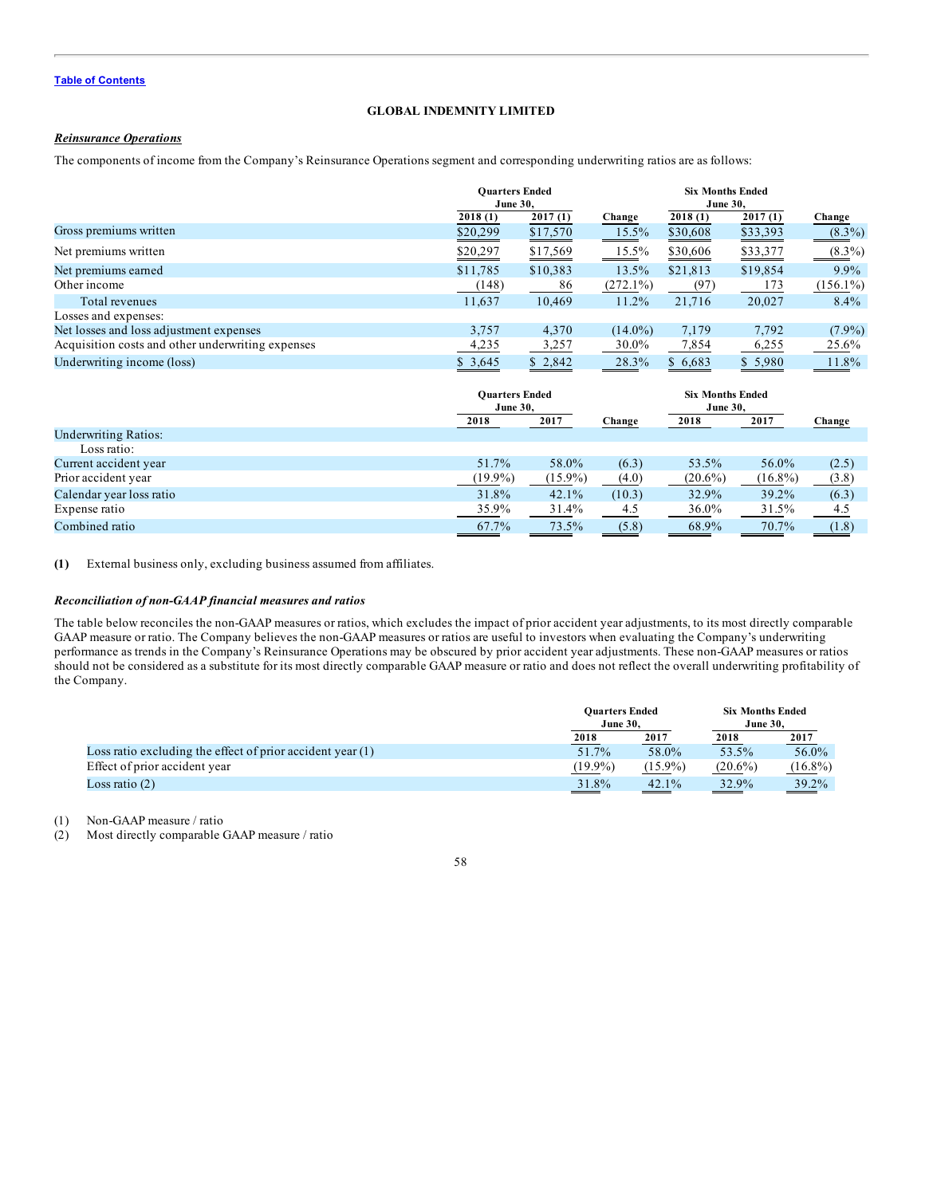# **GLOBAL INDEMNITY LIMITED**

# *Reinsurance Operations*

The components of income from the Company's Reinsurance Operations segment and corresponding underwriting ratios are as follows:

|                                                   |          | <b>Ouarters Ended</b><br><b>June 30.</b> |             |          | <b>Six Months Ended</b><br><b>June 30,</b> |             |  |
|---------------------------------------------------|----------|------------------------------------------|-------------|----------|--------------------------------------------|-------------|--|
|                                                   | 2018(1)  | 2017(1)                                  | Change      | 2018(1)  | 2017(1)                                    | Change      |  |
| Gross premiums written                            | \$20,299 | \$17,570                                 | 15.5%       | \$30,608 | \$33,393                                   | $(8.3\%)$   |  |
| Net premiums written                              | \$20,297 | \$17,569                                 | 15.5%       | \$30,606 | \$33,377                                   | (8.3%)      |  |
| Net premiums earned                               | \$11,785 | \$10,383                                 | 13.5%       | \$21,813 | \$19,854                                   | $9.9\%$     |  |
| Other income                                      | (148)    | 86                                       | $(272.1\%)$ | (97)     | 173                                        | $(156.1\%)$ |  |
| Total revenues                                    | 11,637   | 10.469                                   | 11.2%       | 21,716   | 20,027                                     | $8.4\%$     |  |
| Losses and expenses:                              |          |                                          |             |          |                                            |             |  |
| Net losses and loss adjustment expenses           | 3,757    | 4.370                                    | $(14.0\%)$  | 7.179    | 7.792                                      | $(7.9\%)$   |  |
| Acquisition costs and other underwriting expenses | 4,235    | 3,257                                    | 30.0%       | 7,854    | 6,255                                      | 25.6%       |  |
| Underwriting income (loss)                        | \$3,645  | \$2.842                                  | 28.3%       | \$6.683  | \$5,980                                    | 11.8%       |  |

|                             |                   | <b>Ouarters Ended</b><br><b>June 30,</b> |        | <b>Six Months Ended</b><br><b>June 30,</b> |            |        |
|-----------------------------|-------------------|------------------------------------------|--------|--------------------------------------------|------------|--------|
|                             | 2018              | 2017                                     | Change | 2018                                       | 2017       | Change |
| <b>Underwriting Ratios:</b> |                   |                                          |        |                                            |            |        |
| Loss ratio:                 |                   |                                          |        |                                            |            |        |
| Current accident year       | 51.7%             | 58.0%                                    | (6.3)  | 53.5%                                      | 56.0%      | (2.5)  |
| Prior accident year         | $(19.9\%)$        | $(15.9\%)$                               | (4.0)  | $(20.6\%)$                                 | $(16.8\%)$ | (3.8)  |
| Calendar year loss ratio    | 31.8%             | 42.1%                                    | (10.3) | 32.9%                                      | 39.2%      | (6.3)  |
| Expense ratio               | 35.9%             | 31.4%                                    | 4.5    | 36.0%                                      | 31.5%      | - 4.5  |
| Combined ratio              | 67.7%<br>________ | 73.5%                                    | (5.8)  | 68.9%                                      | 70.7%      | (1.8)  |

**(1)** External business only, excluding business assumed from affiliates.

#### *Reconciliation of non-GAAP financial measures and ratios*

The table below reconciles the non-GAAP measures or ratios, which excludes the impact of prior accident year adjustments, to its most directly comparable GAAP measure or ratio. The Company believes the non-GAAP measures or ratios are useful to investors when evaluating the Company's underwriting performance as trends in the Company's Reinsurance Operations may be obscured by prior accident year adjustments. These non-GAAP measures or ratios should not be considered as a substitute for its most directly comparable GAAP measure or ratio and does not reflect the overall underwriting profitability of the Company.

|                                                              | <b>Ouarters Ended</b><br><b>June 30.</b> |            | <b>Six Months Ended</b><br><b>June 30.</b> |            |
|--------------------------------------------------------------|------------------------------------------|------------|--------------------------------------------|------------|
|                                                              | 2018                                     | 2017       | 2018                                       | 2017       |
| Loss ratio excluding the effect of prior accident year $(1)$ | 51.7%                                    | 58.0%      | 53.5%                                      | 56.0%      |
| Effect of prior accident year                                | $(19.9\%)$                               | $(15.9\%)$ | $(20.6\%)$                                 | $(16.8\%)$ |
| Loss ratio $(2)$                                             | 31.8%                                    | $42.1\%$   | 32.9%                                      | 39.2%      |

(1) Non-GAAP measure / ratio

(2) Most directly comparable GAAP measure / ratio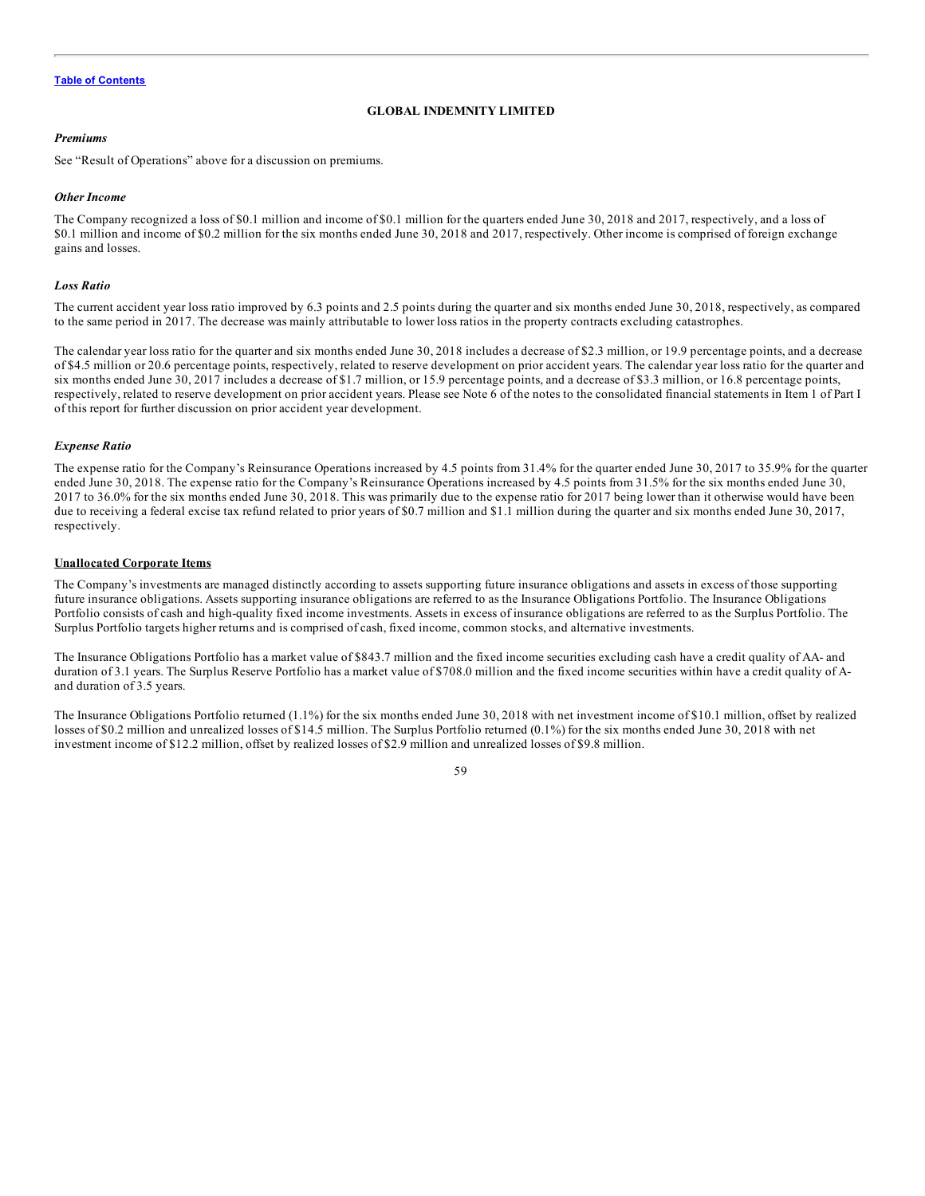### **GLOBAL INDEMNITY LIMITED**

## *Premiums*

See "Result of Operations" above for a discussion on premiums.

### *Other Income*

The Company recognized a loss of \$0.1 million and income of \$0.1 million for the quarters ended June 30, 2018 and 2017, respectively, and a loss of \$0.1 million and income of \$0.2 million for the six months ended June 30, 2018 and 2017, respectively. Other income is comprised of foreign exchange gains and losses.

### *Loss Ratio*

The current accident year loss ratio improved by 6.3 points and 2.5 points during the quarter and six months ended June 30, 2018, respectively, as compared to the same period in 2017. The decrease was mainly attributable to lower loss ratios in the property contracts excluding catastrophes.

The calendar year loss ratio for the quarter and six months ended June 30, 2018 includes a decrease of \$2.3 million, or 19.9 percentage points, and a decrease of \$4.5 million or 20.6 percentage points, respectively, related to reserve development on prior accident years. The calendar year loss ratio for the quarter and six months ended June 30, 2017 includes a decrease of \$1.7 million, or 15.9 percentage points, and a decrease of \$3.3 million, or 16.8 percentage points, respectively, related to reserve development on prior accident years. Please see Note 6 of the notes to the consolidated financial statements in Item 1 of Part I of this report for further discussion on prior accident year development.

## *Expense Ratio*

The expense ratio for the Company's Reinsurance Operations increased by 4.5 points from 31.4% for the quarter ended June 30, 2017 to 35.9% for the quarter ended June 30, 2018. The expense ratio for the Company's Reinsurance Operations increased by 4.5 points from 31.5% for the six months ended June 30, 2017 to 36.0% for the six months ended June 30, 2018. This was primarily due to the expense ratio for 2017 being lower than it otherwise would have been due to receiving a federal excise tax refund related to prior years of \$0.7 million and \$1.1 million during the quarter and six months ended June 30, 2017, respectively.

## **Unallocated Corporate Items**

The Company's investments are managed distinctly according to assets supporting future insurance obligations and assets in excess of those supporting future insurance obligations. Assets supporting insurance obligations are referred to as the Insurance Obligations Portfolio. The Insurance Obligations Portfolio consists of cash and high-quality fixed income investments. Assets in excess of insurance obligations are referred to as the Surplus Portfolio. The Surplus Portfolio targets higher returns and is comprised of cash, fixed income, common stocks, and alternative investments.

The Insurance Obligations Portfolio has a market value of \$843.7 million and the fixed income securities excluding cash have a credit quality of AA- and duration of 3.1 years. The Surplus Reserve Portfolio has a market value of \$708.0 million and the fixed income securities within have a credit quality of Aand duration of 3.5 years.

The Insurance Obligations Portfolio returned (1.1%) for the six months ended June 30, 2018 with net investment income of \$10.1 million, offset by realized losses of \$0.2 million and unrealized losses of \$14.5 million. The Surplus Portfolio returned (0.1%) for the six months ended June 30, 2018 with net investment income of \$12.2 million, offset by realized losses of \$2.9 million and unrealized losses of \$9.8 million.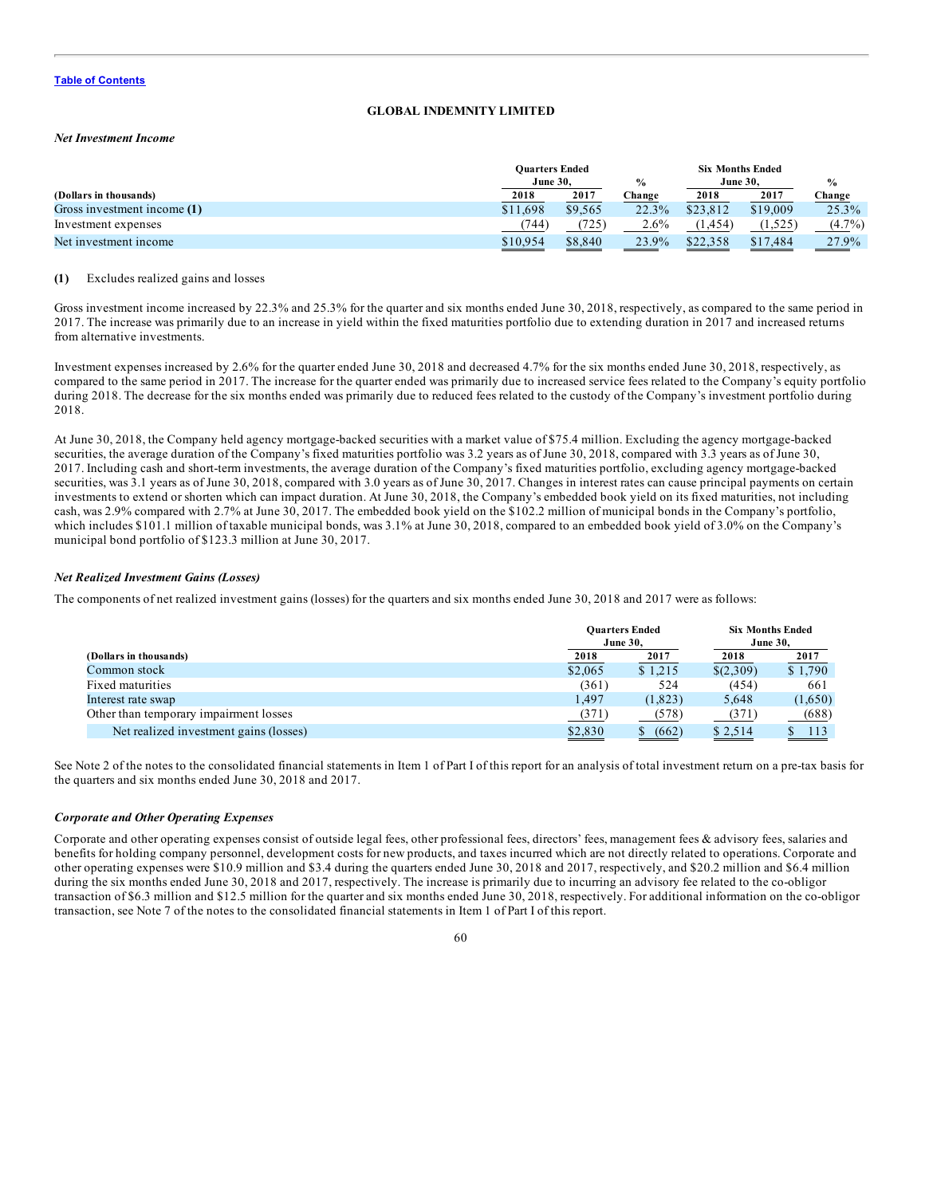### **GLOBAL INDEMNITY LIMITED**

### *Net Investment Income*

|                             | <b>Ouarters Ended</b> |         |               | <b>Six Months Ended</b> |          |               |
|-----------------------------|-----------------------|---------|---------------|-------------------------|----------|---------------|
|                             | <b>June 30.</b>       |         | $\frac{6}{9}$ | <b>June 30.</b>         |          | $\frac{9}{0}$ |
| (Dollars in thousands)      | 2018                  | 2017    | Change        | 2018                    | 2017     | Change        |
| Gross investment income (1) | \$11,698              | \$9,565 | 22.3%         | \$23.812                | \$19,009 | 25.3%         |
| Investment expenses         | (744`                 | (725)   | $2.6\%$       | (1.454)                 | (1,525)  | $(4.7\%)$     |
| Net investment income       | \$10,954              | \$8,840 | 23.9%         | \$22,358                | \$17.484 | 27.9%         |

#### **(1)** Excludes realized gains and losses

Gross investment income increased by 22.3% and 25.3% for the quarter and six months ended June 30, 2018, respectively, as compared to the same period in 2017. The increase was primarily due to an increase in yield within the fixed maturities portfolio due to extending duration in 2017 and increased returns from alternative investments.

Investment expenses increased by 2.6% for the quarter ended June 30, 2018 and decreased 4.7% for the six months ended June 30, 2018, respectively, as compared to the same period in 2017. The increase for the quarter ended was primarily due to increased service fees related to the Company's equity portfolio during 2018. The decrease for the six months ended was primarily due to reduced fees related to the custody of the Company's investment portfolio during 2018.

At June 30, 2018, the Company held agency mortgage-backed securities with a market value of \$75.4 million. Excluding the agency mortgage-backed securities, the average duration of the Company's fixed maturities portfolio was 3.2 years as of June 30, 2018, compared with 3.3 years as of June 30, 2017. Including cash and short-term investments, the average duration of the Company's fixed maturities portfolio, excluding agency mortgage-backed securities, was 3.1 years as of June 30, 2018, compared with 3.0 years as of June 30, 2017. Changes in interest rates can cause principal payments on certain investments to extend or shorten which can impact duration. At June 30, 2018, the Company's embedded book yield on its fixed maturities, not including cash, was 2.9% compared with 2.7% at June 30, 2017. The embedded book yield on the \$102.2 million of municipal bonds in the Company's portfolio, which includes \$101.1 million of taxable municipal bonds, was 3.1% at June 30, 2018, compared to an embedded book yield of 3.0% on the Company's municipal bond portfolio of \$123.3 million at June 30, 2017.

#### *Net Realized Investment Gains (Losses)*

The components of net realized investment gains (losses) for the quarters and six months ended June 30, 2018 and 2017 were as follows:

|                                        | <b>Ouarters Ended</b><br><b>June 30.</b> |         |           | <b>Six Months Ended</b><br><b>June 30.</b> |  |
|----------------------------------------|------------------------------------------|---------|-----------|--------------------------------------------|--|
| (Dollars in thousands)                 | 2018                                     | 2017    | 2018      | 2017                                       |  |
| Common stock                           | \$2,065                                  | \$1,215 | \$(2,309) | \$1,790                                    |  |
| Fixed maturities                       | (361)                                    | 524     | (454)     | 661                                        |  |
| Interest rate swap                     | 1.497                                    | (1,823) | 5,648     | (1,650)                                    |  |
| Other than temporary impairment losses | (371)                                    | (578)   | (371)     | (688)                                      |  |
| Net realized investment gains (losses) | \$2,830                                  | (662)   | \$2,514   |                                            |  |

See Note 2 of the notes to the consolidated financial statements in Item 1 of Part I of this report for an analysis of total investment return on a pre-tax basis for the quarters and six months ended June 30, 2018 and 2017.

### *Corporate and Other Operating Expenses*

Corporate and other operating expenses consist of outside legal fees, other professional fees, directors' fees, management fees & advisory fees, salaries and benefits for holding company personnel, development costs for new products, and taxes incurred which are not directly related to operations. Corporate and other operating expenses were \$10.9 million and \$3.4 during the quarters ended June 30, 2018 and 2017, respectively, and \$20.2 million and \$6.4 million during the six months ended June 30, 2018 and 2017, respectively. The increase is primarily due to incurring an advisory fee related to the co-obligor transaction of \$6.3 million and \$12.5 million for the quarter and six months ended June 30, 2018, respectively. For additional information on the co-obligor transaction, see Note 7 of the notes to the consolidated financial statements in Item 1 of Part I of this report.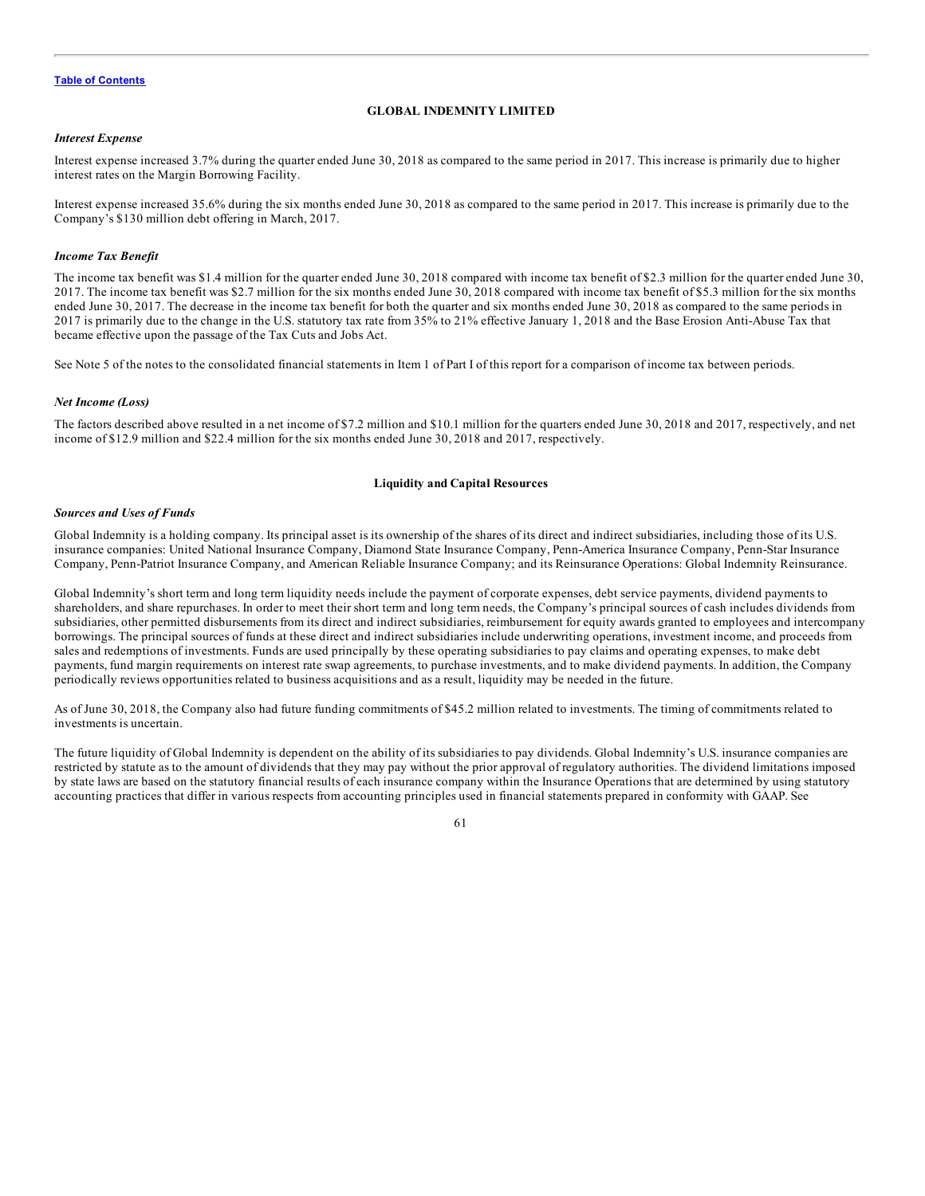### **GLOBAL INDEMNITY LIMITED**

## *Interest Expense*

Interest expense increased 3.7% during the quarter ended June 30, 2018 as compared to the same period in 2017. This increase is primarily due to higher interest rates on the Margin Borrowing Facility.

Interest expense increased 35.6% during the six months ended June 30, 2018 as compared to the same period in 2017. This increase is primarily due to the Company's \$130 million debt offering in March, 2017.

### *Income Tax Benefit*

The income tax benefit was \$1.4 million for the quarter ended June 30, 2018 compared with income tax benefit of \$2.3 million for the quarter ended June 30, 2017. The income tax benefit was \$2.7 million for the six months ended June 30, 2018 compared with income tax benefit of \$5.3 million for the six months ended June 30, 2017. The decrease in the income tax benefit for both the quarter and six months ended June 30, 2018 as compared to the same periods in 2017 is primarily due to the change in the U.S. statutory tax rate from 35% to 21% effective January 1, 2018 and the Base Erosion Anti-Abuse Tax that became effective upon the passage of the Tax Cuts and Jobs Act.

See Note 5 of the notes to the consolidated financial statements in Item 1 of Part I of this report for a comparison of income tax between periods.

#### *Net Income (Loss)*

The factors described above resulted in a net income of \$7.2 million and \$10.1 million for the quarters ended June 30, 2018 and 2017, respectively, and net income of \$12.9 million and \$22.4 million for the six months ended June 30, 2018 and 2017, respectively.

#### **Liquidity and Capital Resources**

#### *Sources and Uses of Funds*

Global Indemnity is a holding company. Its principal asset is its ownership of the shares of its direct and indirect subsidiaries, including those of its U.S. insurance companies: United National Insurance Company, Diamond State Insurance Company, Penn-America Insurance Company, Penn-Star Insurance Company, Penn-Patriot Insurance Company, and American Reliable Insurance Company; and its Reinsurance Operations: Global Indemnity Reinsurance.

Global Indemnity's short term and long term liquidity needs include the payment of corporate expenses, debt service payments, dividend payments to shareholders, and share repurchases. In order to meet their short term and long term needs, the Company's principal sources of cash includes dividends from subsidiaries, other permitted disbursements from its direct and indirect subsidiaries, reimbursement for equity awards granted to employees and intercompany borrowings. The principal sources of funds at these direct and indirect subsidiaries include underwriting operations, investment income, and proceeds from sales and redemptions of investments. Funds are used principally by these operating subsidiaries to pay claims and operating expenses, to make debt payments, fund margin requirements on interest rate swap agreements, to purchase investments, and to make dividend payments. In addition, the Company periodically reviews opportunities related to business acquisitions and as a result, liquidity may be needed in the future.

As of June 30, 2018, the Company also had future funding commitments of \$45.2 million related to investments. The timing of commitments related to investments is uncertain.

The future liquidity of Global Indemnity is dependent on the ability of its subsidiaries to pay dividends. Global Indemnity's U.S. insurance companies are restricted by statute as to the amount of dividends that they may pay without the prior approval of regulatory authorities. The dividend limitations imposed by state laws are based on the statutory financial results of each insurance company within the Insurance Operations that are determined by using statutory accounting practices that differ in various respects from accounting principles used in financial statements prepared in conformity with GAAP. See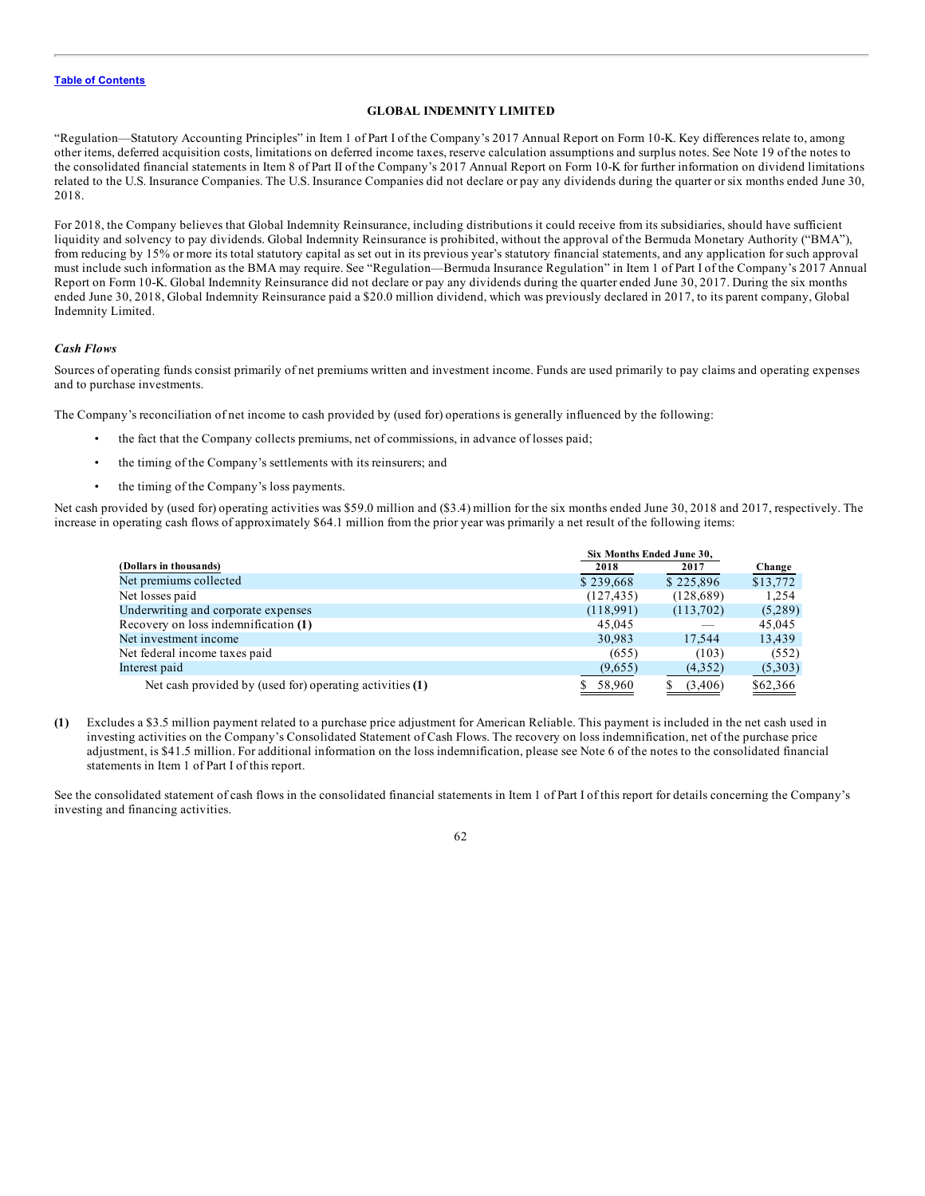#### **GLOBAL INDEMNITY LIMITED**

"Regulation—Statutory Accounting Principles" in Item 1 of Part I of the Company's 2017 Annual Report on Form 10-K. Key differences relate to, among other items, deferred acquisition costs, limitations on deferred income taxes, reserve calculation assumptions and surplus notes. See Note 19 of the notes to the consolidated financial statements in Item 8 of Part II of the Company's 2017 Annual Report on Form 10-K for further information on dividend limitations related to the U.S. Insurance Companies. The U.S. Insurance Companies did not declare or pay any dividends during the quarter or six months ended June 30, 2018.

For 2018, the Company believes that Global Indemnity Reinsurance, including distributions it could receive from its subsidiaries, should have sufficient liquidity and solvency to pay dividends. Global Indemnity Reinsurance is prohibited, without the approval of the Bermuda Monetary Authority ("BMA"), from reducing by 15% or more its total statutory capital as set out in its previous year's statutory financial statements, and any application for such approval must include such information as the BMA may require. See "Regulation—Bermuda Insurance Regulation" in Item 1 of Part I of the Company's 2017 Annual Report on Form 10-K. Global Indemnity Reinsurance did not declare or pay any dividends during the quarter ended June 30, 2017. During the six months ended June 30, 2018, Global Indemnity Reinsurance paid a \$20.0 million dividend, which was previously declared in 2017, to its parent company, Global Indemnity Limited.

## *Cash Flows*

Sources of operating funds consist primarily of net premiums written and investment income. Funds are used primarily to pay claims and operating expenses and to purchase investments.

The Company's reconciliation of net income to cash provided by (used for) operations is generally influenced by the following:

- the fact that the Company collects premiums, net of commissions, in advance of losses paid;
- the timing of the Company's settlements with its reinsurers; and
- the timing of the Company's loss payments.

Net cash provided by (used for) operating activities was \$59.0 million and (\$3.4) million for the six months ended June 30, 2018 and 2017, respectively. The increase in operating cash flows of approximately \$64.1 million from the prior year was primarily a net result of the following items:

|                                                          |            | Six Months Ended June 30. |          |  |  |  |
|----------------------------------------------------------|------------|---------------------------|----------|--|--|--|
| (Dollars in thousands)                                   | 2018       | 2017                      | Change   |  |  |  |
| Net premiums collected                                   | \$239,668  | \$225,896                 | \$13,772 |  |  |  |
| Net losses paid                                          | (127, 435) | (128,689)                 | 1.254    |  |  |  |
| Underwriting and corporate expenses                      | (118,991)  | (113,702)                 | (5,289)  |  |  |  |
| Recovery on loss indemnification (1)                     | 45,045     |                           | 45,045   |  |  |  |
| Net investment income                                    | 30,983     | 17.544                    | 13,439   |  |  |  |
| Net federal income taxes paid                            | (655)      | (103)                     | (552)    |  |  |  |
| Interest paid                                            | (9,655)    | (4,352)                   | (5,303)  |  |  |  |
| Net cash provided by (used for) operating activities (1) | 58,960     | (3,406)                   | \$62,366 |  |  |  |

**(1)** Excludes a \$3.5 million payment related to a purchase price adjustment for American Reliable. This payment is included in the net cash used in investing activities on the Company's Consolidated Statement of Cash Flows. The recovery on loss indemnification, net of the purchase price adjustment, is \$41.5 million. For additional information on the loss indemnification, please see Note 6 of the notes to the consolidated financial statements in Item 1 of Part I of this report.

See the consolidated statement of cash flows in the consolidated financial statements in Item 1 of Part I of this report for details concerning the Company's investing and financing activities.

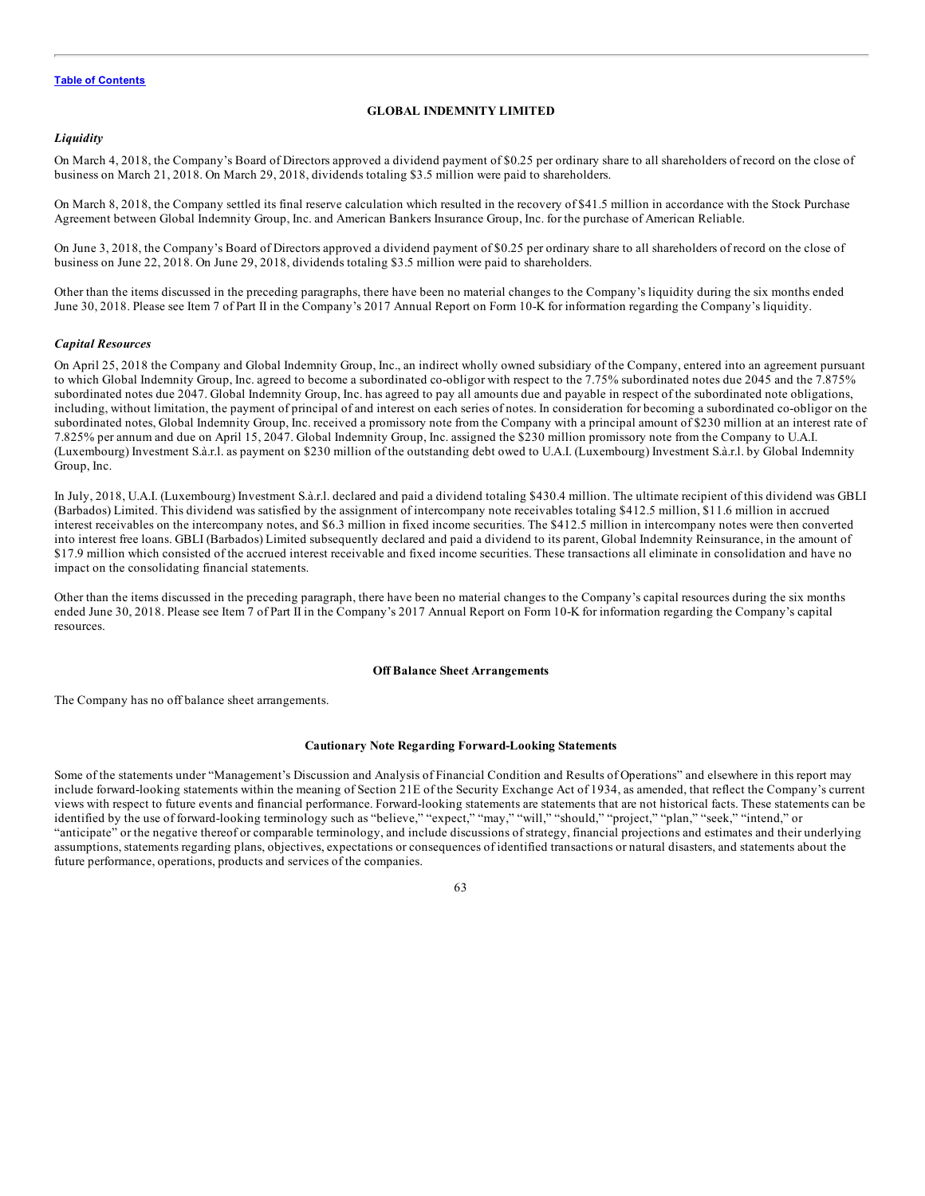#### **GLOBAL INDEMNITY LIMITED**

### *Liquidity*

On March 4, 2018, the Company's Board of Directors approved a dividend payment of \$0.25 per ordinary share to all shareholders of record on the close of business on March 21, 2018. On March 29, 2018, dividends totaling \$3.5 million were paid to shareholders.

On March 8, 2018, the Company settled its final reserve calculation which resulted in the recovery of \$41.5 million in accordance with the Stock Purchase Agreement between Global Indemnity Group, Inc. and American Bankers Insurance Group, Inc. for the purchase of American Reliable.

On June 3, 2018, the Company's Board of Directors approved a dividend payment of \$0.25 per ordinary share to all shareholders of record on the close of business on June 22, 2018. On June 29, 2018, dividends totaling \$3.5 million were paid to shareholders.

Other than the items discussed in the preceding paragraphs, there have been no material changes to the Company's liquidity during the six months ended June 30, 2018. Please see Item 7 of Part II in the Company's 2017 Annual Report on Form 10-K for information regarding the Company's liquidity.

### *Capital Resources*

On April 25, 2018 the Company and Global Indemnity Group, Inc., an indirect wholly owned subsidiary of the Company, entered into an agreement pursuant to which Global Indemnity Group, Inc. agreed to become a subordinated co-obligor with respect to the 7.75% subordinated notes due 2045 and the 7.875% subordinated notes due 2047. Global Indemnity Group, Inc. has agreed to pay all amounts due and payable in respect of the subordinated note obligations, including, without limitation, the payment of principal of and interest on each series of notes. In consideration for becoming a subordinated co-obligor on the subordinated notes, Global Indemnity Group, Inc. received a promissory note from the Company with a principal amount of \$230 million at an interest rate of 7.825% per annum and due on April 15, 2047. Global Indemnity Group, Inc. assigned the \$230 million promissory note from the Company to U.A.I. (Luxembourg) Investment S.à.r.l. as payment on \$230 million of the outstanding debt owed to U.A.I. (Luxembourg) Investment S.à.r.l. by Global Indemnity Group, Inc.

In July, 2018, U.A.I. (Luxembourg) Investment S.à.r.l. declared and paid a dividend totaling \$430.4 million. The ultimate recipient of this dividend was GBLI (Barbados) Limited. This dividend was satisfied by the assignment of intercompany note receivables totaling \$412.5 million, \$11.6 million in accrued interest receivables on the intercompany notes, and \$6.3 million in fixed income securities. The \$412.5 million in intercompany notes were then converted into interest free loans. GBLI (Barbados) Limited subsequently declared and paid a dividend to its parent, Global Indemnity Reinsurance, in the amount of \$17.9 million which consisted of the accrued interest receivable and fixed income securities. These transactions all eliminate in consolidation and have no impact on the consolidating financial statements.

Other than the items discussed in the preceding paragraph, there have been no material changes to the Company's capital resources during the six months ended June 30, 2018. Please see Item 7 of Part II in the Company's 2017 Annual Report on Form 10-K for information regarding the Company's capital resources.

### **Off Balance Sheet Arrangements**

The Company has no off balance sheet arrangements.

### **Cautionary Note Regarding Forward-Looking Statements**

Some of the statements under "Management's Discussion and Analysis of Financial Condition and Results of Operations" and elsewhere in this report may include forward-looking statements within the meaning of Section 21E of the Security Exchange Act of 1934, as amended, that reflect the Company's current views with respect to future events and financial performance. Forward-looking statements are statements that are not historical facts. These statements can be identified by the use of forward-looking terminology such as "believe," "expect," "may," "will," "should," "project," "plan," "seek," "intend," or "anticipate" or the negative thereof or comparable terminology, and include discussions of strategy, financial projections and estimates and their underlying assumptions, statements regarding plans, objectives, expectations or consequences of identified transactions or natural disasters, and statements about the future performance, operations, products and services of the companies.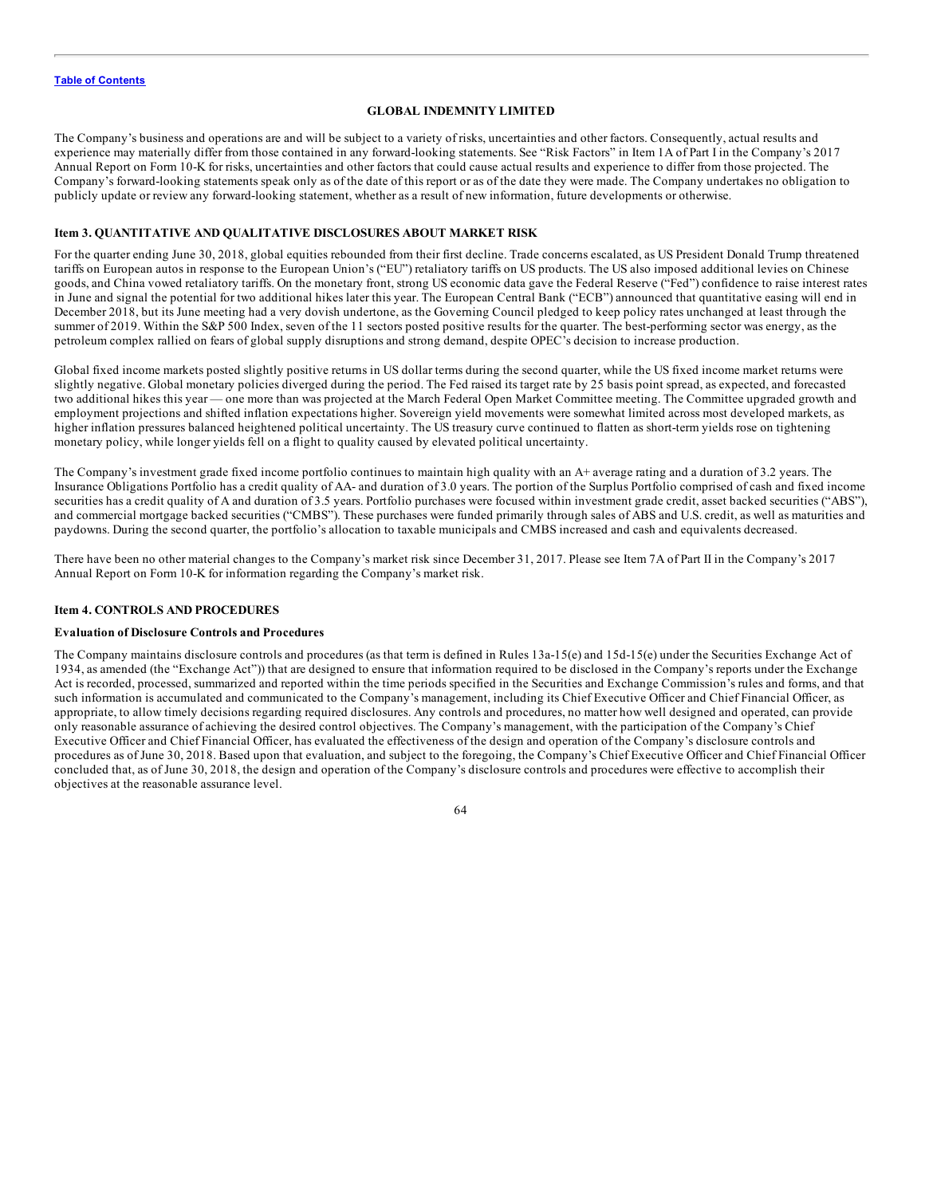#### **GLOBAL INDEMNITY LIMITED**

The Company's business and operations are and will be subject to a variety of risks, uncertainties and other factors. Consequently, actual results and experience may materially differ from those contained in any forward-looking statements. See "Risk Factors" in Item 1A of Part I in the Company's 2017 Annual Report on Form 10-K for risks, uncertainties and other factors that could cause actual results and experience to differ from those projected. The Company's forward-looking statements speak only as of the date of this report or as of the date they were made. The Company undertakes no obligation to publicly update or review any forward-looking statement, whether as a result of new information, future developments or otherwise.

# **Item 3. QUANTITATIVE AND QUALITATIVE DISCLOSURES ABOUT MARKET RISK**

For the quarter ending June 30, 2018, global equities rebounded from their first decline. Trade concerns escalated, as US President Donald Trump threatened tariffs on European autos in response to the European Union's ("EU") retaliatory tariffs on US products. The US also imposed additional levies on Chinese goods, and China vowed retaliatory tariffs. On the monetary front, strong US economic data gave the Federal Reserve ("Fed") confidence to raise interest rates in June and signal the potential for two additional hikes later this year. The European Central Bank ("ECB") announced that quantitative easing will end in December 2018, but its June meeting had a very dovish undertone, as the Governing Council pledged to keep policy rates unchanged at least through the summer of 2019. Within the S&P 500 Index, seven of the 11 sectors posted positive results for the quarter. The best-performing sector was energy, as the petroleum complex rallied on fears of global supply disruptions and strong demand, despite OPEC's decision to increase production.

Global fixed income markets posted slightly positive returns in US dollar terms during the second quarter, while the US fixed income market returns were slightly negative. Global monetary policies diverged during the period. The Fed raised its target rate by 25 basis point spread, as expected, and forecasted two additional hikes this year — one more than was projected at the March Federal Open Market Committee meeting. The Committee upgraded growth and employment projections and shifted inflation expectations higher. Sovereign yield movements were somewhat limited across most developed markets, as higher inflation pressures balanced heightened political uncertainty. The US treasury curve continued to flatten as short-term yields rose on tightening monetary policy, while longer yields fell on a flight to quality caused by elevated political uncertainty.

The Company's investment grade fixed income portfolio continues to maintain high quality with an A+ average rating and a duration of 3.2 years. The Insurance Obligations Portfolio has a credit quality of AA- and duration of 3.0 years. The portion of the Surplus Portfolio comprised of cash and fixed income securities has a credit quality of A and duration of 3.5 years. Portfolio purchases were focused within investment grade credit, asset backed securities ("ABS"), and commercial mortgage backed securities ("CMBS"). These purchases were funded primarily through sales of ABS and U.S. credit, as well as maturities and paydowns. During the second quarter, the portfolio's allocation to taxable municipals and CMBS increased and cash and equivalents decreased.

There have been no other material changes to the Company's market risk since December 31, 2017. Please see Item 7A of Part II in the Company's 2017 Annual Report on Form 10-K for information regarding the Company's market risk.

#### **Item 4. CONTROLS AND PROCEDURES**

#### **Evaluation of Disclosure Controls and Procedures**

The Company maintains disclosure controls and procedures (as that term is defined in Rules 13a-15(e) and 15d-15(e) under the Securities Exchange Act of 1934, as amended (the "Exchange Act")) that are designed to ensure that information required to be disclosed in the Company's reports under the Exchange Act is recorded, processed, summarized and reported within the time periods specified in the Securities and Exchange Commission's rules and forms, and that such information is accumulated and communicated to the Company's management, including its Chief Executive Officer and Chief Financial Officer, as appropriate, to allow timely decisions regarding required disclosures. Any controls and procedures, no matter how well designed and operated, can provide only reasonable assurance of achieving the desired control objectives. The Company's management, with the participation of the Company's Chief Executive Officer and Chief Financial Officer, has evaluated the effectiveness of the design and operation of the Company's disclosure controls and procedures as of June 30, 2018. Based upon that evaluation, and subject to the foregoing, the Company's Chief Executive Officer and Chief Financial Officer concluded that, as of June 30, 2018, the design and operation of the Company's disclosure controls and procedures were effective to accomplish their objectives at the reasonable assurance level.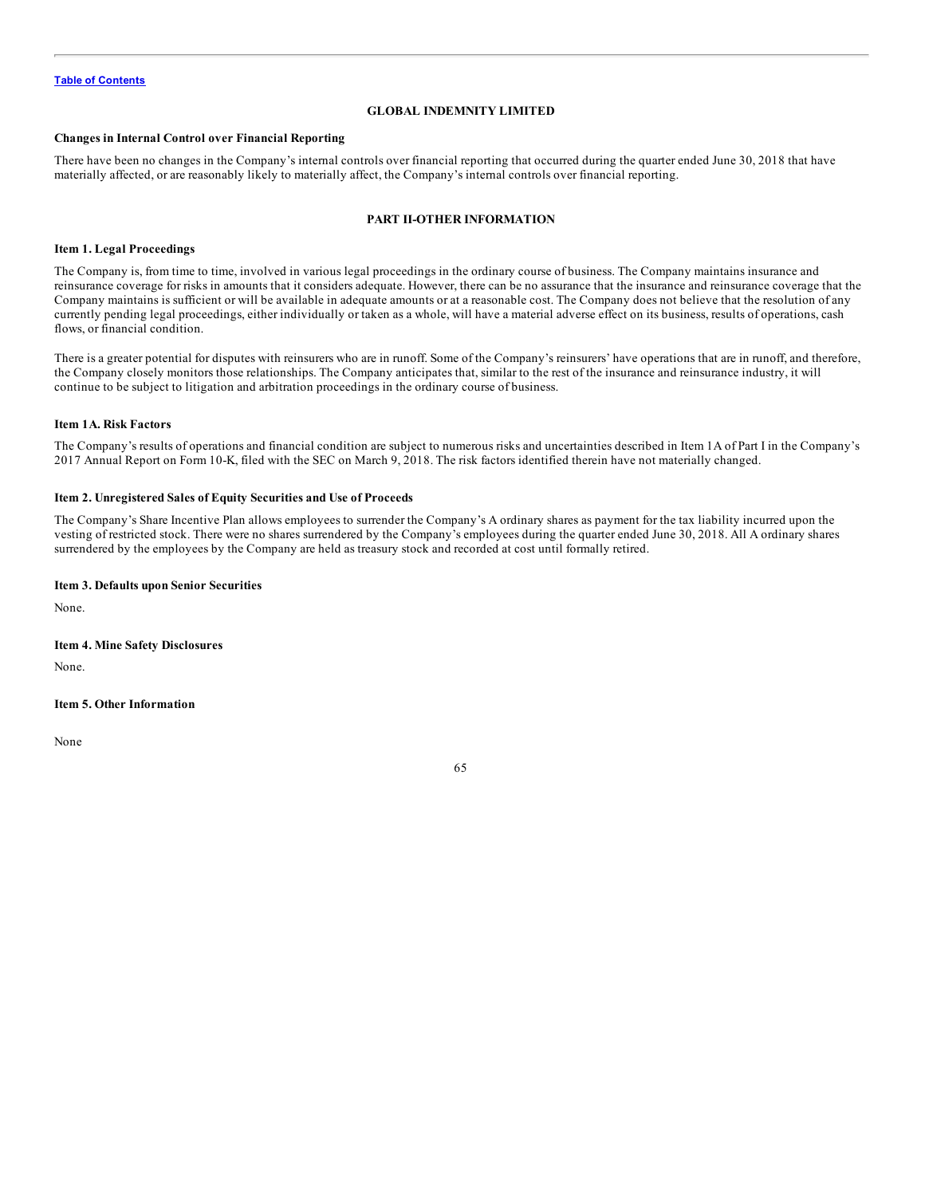#### **GLOBAL INDEMNITY LIMITED**

### **Changes in Internal Control over Financial Reporting**

There have been no changes in the Company's internal controls over financial reporting that occurred during the quarter ended June 30, 2018 that have materially affected, or are reasonably likely to materially affect, the Company's internal controls over financial reporting.

## **PART II-OTHER INFORMATION**

#### **Item 1. Legal Proceedings**

The Company is, from time to time, involved in various legal proceedings in the ordinary course of business. The Company maintains insurance and reinsurance coverage for risks in amounts that it considers adequate. However, there can be no assurance that the insurance and reinsurance coverage that the Company maintains is sufficient or will be available in adequate amounts or at a reasonable cost. The Company does not believe that the resolution of any currently pending legal proceedings, either individually or taken as a whole, will have a material adverse effect on its business, results of operations, cash flows, or financial condition.

There is a greater potential for disputes with reinsurers who are in runoff. Some of the Company's reinsurers' have operations that are in runoff, and therefore, the Company closely monitors those relationships. The Company anticipates that, similar to the rest of the insurance and reinsurance industry, it will continue to be subject to litigation and arbitration proceedings in the ordinary course of business.

## **Item 1A. Risk Factors**

The Company's results of operations and financial condition are subject to numerous risks and uncertainties described in Item 1A of Part I in the Company's 2017 Annual Report on Form 10-K, filed with the SEC on March 9, 2018. The risk factors identified therein have not materially changed.

### **Item 2. Unregistered Sales of Equity Securities and Use of Proceeds**

The Company's Share Incentive Plan allows employees to surrender the Company's A ordinary shares as payment for the tax liability incurred upon the vesting of restricted stock. There were no shares surrendered by the Company's employees during the quarter ended June 30, 2018. All A ordinary shares surrendered by the employees by the Company are held as treasury stock and recorded at cost until formally retired.

### **Item 3. Defaults upon Senior Securities**

None.

## **Item 4. Mine Safety Disclosures**

None.

#### **Item 5. Other Information**

None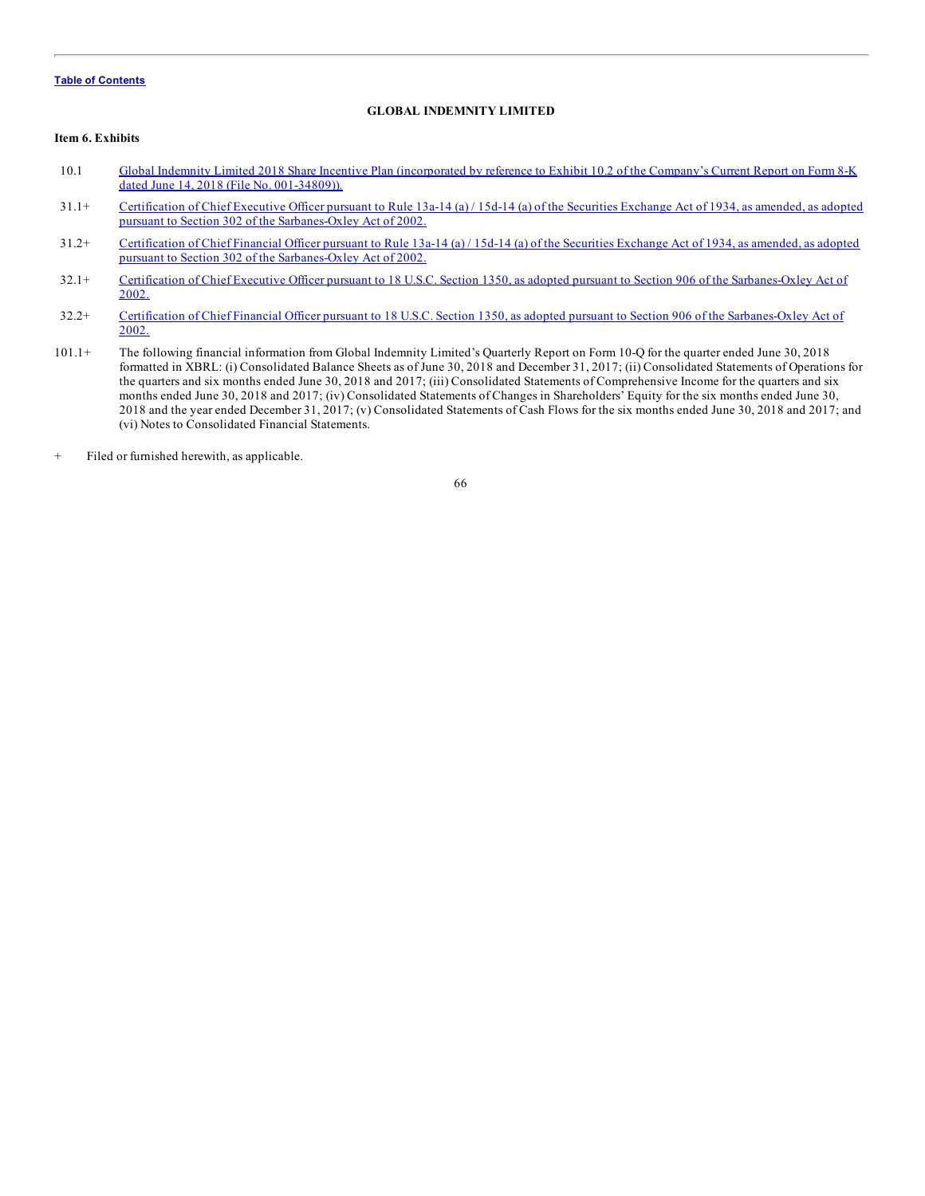#### **GLOBAL INDEMNITY LIMITED**

## **Item 6. Exhibits**

- 10.1 Global Indemnity Limited 2018 Share Incentive Plan [\(incorporated](http://www.sec.gov/Archives/edgar/data/1494904/000119312518193045/d594783dex102.htm) by reference to Exhibit 10.2 of the Company's Current Report on Form 8-K dated June 14, 2018 (File No. 001-34809)).
- 31.1+ Certification of Chief Executive Officer pursuant to Rule 13a-14 (a) / 15d-14 (a) of the Securities Exchange Act of 1934, as amended, as adopted pursuant to Section 302 of the [Sarbanes-Oxley](#page-69-0) Act of 2002.
- 31.2+ Certification of Chief Financial Officer pursuant to Rule 13a-14 (a) / 15d-14 (a) of the Securities Exchange Act of 1934, as amended, as adopted pursuant to Section 302 of the [Sarbanes-Oxley](#page-70-0) Act of 2002.
- 32.1+ Certification of Chief Executive Officer pursuant to 18 U.S.C. Section 1350, as adopted pursuant to Section 906 of the [Sarbanes-Oxley](#page-71-0) Act of 2002.
- 32.2+ Certification of Chief Financial Officer pursuant to 18 U.S.C. Section 1350, as adopted pursuant to Section 906 of the [Sarbanes-Oxley](#page-72-0) Act of 2002.
- 101.1+ The following financial information from Global Indemnity Limited's Quarterly Report on Form 10-Q for the quarter ended June 30, 2018 formatted in XBRL: (i) Consolidated Balance Sheets as of June 30, 2018 and December 31, 2017; (ii) Consolidated Statements of Operations for the quarters and six months ended June 30, 2018 and 2017; (iii) Consolidated Statements of Comprehensive Income for the quarters and six months ended June 30, 2018 and 2017; (iv) Consolidated Statements of Changes in Shareholders<sup>5</sup> Equity for the six months ended June 30, 2018 and the year ended December 31, 2017; (v) Consolidated Statements of Cash Flows for the six months ended June 30, 2018 and 2017; and (vi) Notes to Consolidated Financial Statements.
- + Filed or furnished herewith, as applicable.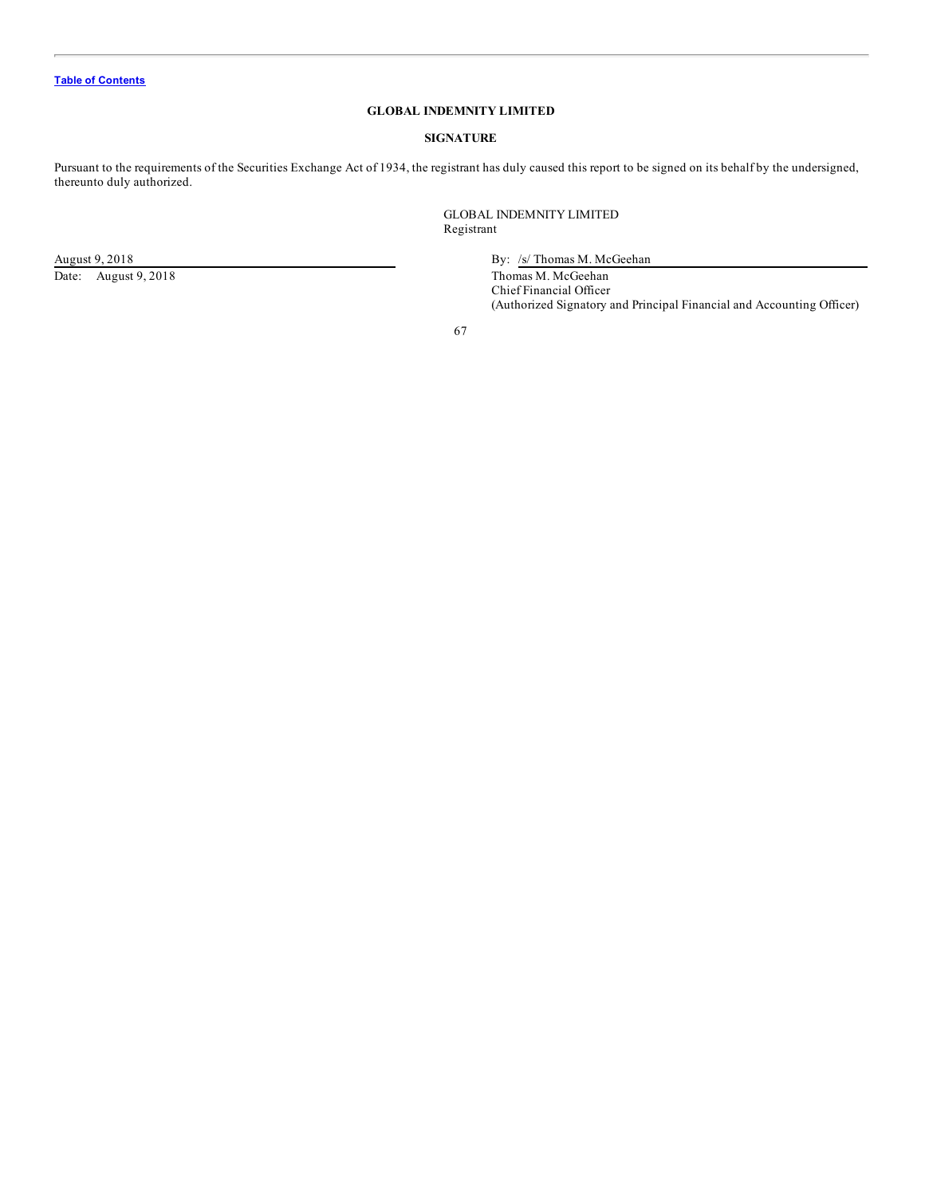# **GLOBAL INDEMNITY LIMITED**

# **SIGNATURE**

Pursuant to the requirements of the Securities Exchange Act of 1934, the registrant has duly caused this report to be signed on its behalf by the undersigned, thereunto duly authorized.

> GLOBAL INDEMNITY LIMITED Registrant

August 9, 2018 By: /s/ Thomas M. McGeehan Date: August 9, 2018 Thomas M. McGeehan Chief Financial Officer (Authorized Signatory and Principal Financial and Accounting Officer)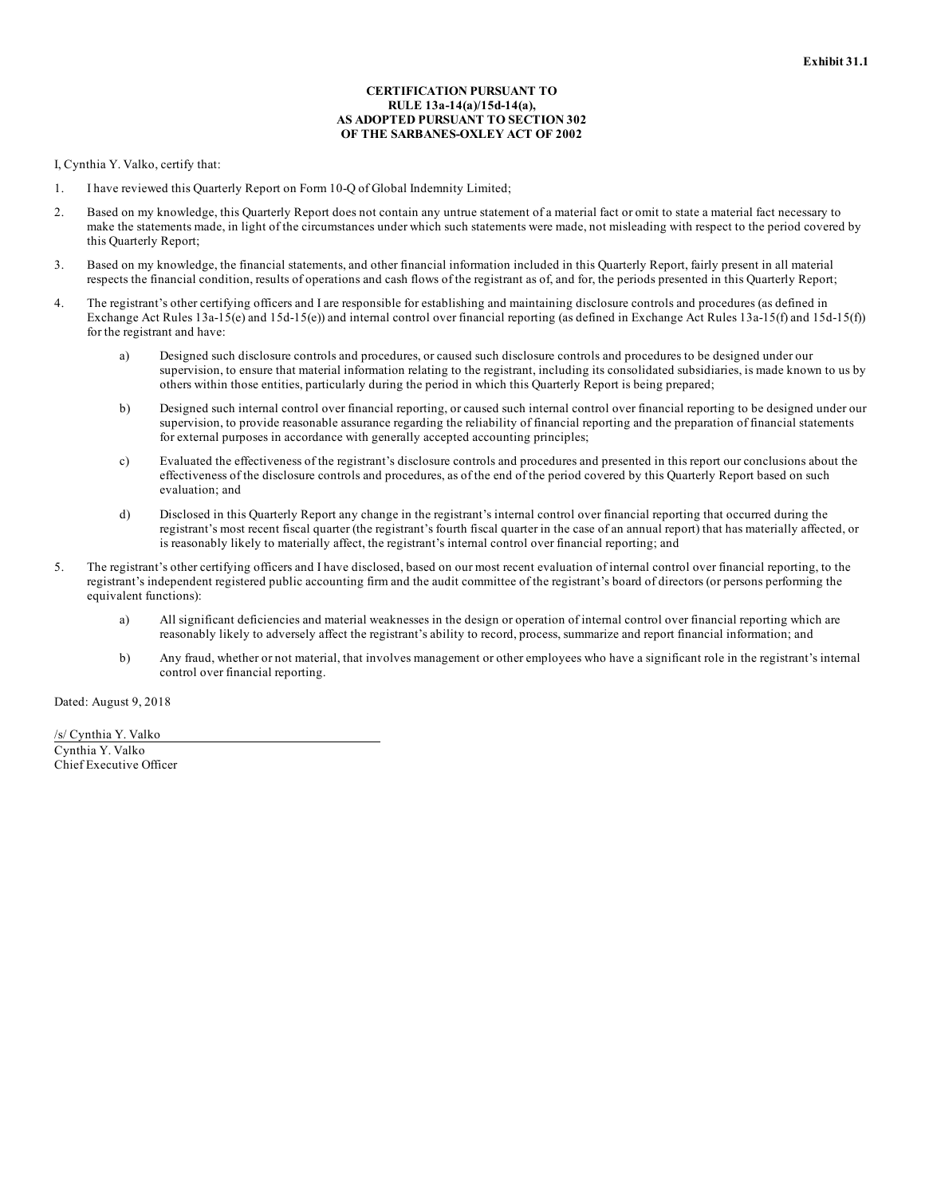## **CERTIFICATION PURSUANT TO RULE 13a-14(a)/15d-14(a), AS ADOPTED PURSUANT TO SECTION 302 OF THE SARBANES-OXLEY ACT OF 2002**

<span id="page-69-0"></span>I, Cynthia Y. Valko, certify that:

- 1. I have reviewed this Quarterly Report on Form 10-Q of Global Indemnity Limited;
- 2. Based on my knowledge, this Quarterly Report does not contain any untrue statement of a material fact or omit to state a material fact necessary to make the statements made, in light of the circumstances under which such statements were made, not misleading with respect to the period covered by this Quarterly Report;
- 3. Based on my knowledge, the financial statements, and other financial information included in this Quarterly Report, fairly present in all material respects the financial condition, results of operations and cash flows of the registrant as of, and for, the periods presented in this Quarterly Report;
- 4. The registrant's other certifying officers and I are responsible for establishing and maintaining disclosure controls and procedures (as defined in Exchange Act Rules 13a-15(e) and 15d-15(e)) and internal control over financial reporting (as defined in Exchange Act Rules 13a-15(f) and 15d-15(f)) for the registrant and have:
	- a) Designed such disclosure controls and procedures, or caused such disclosure controls and procedures to be designed under our supervision, to ensure that material information relating to the registrant, including its consolidated subsidiaries, is made known to us by others within those entities, particularly during the period in which this Quarterly Report is being prepared;
	- b) Designed such internal control over financial reporting, or caused such internal control over financial reporting to be designed under our supervision, to provide reasonable assurance regarding the reliability of financial reporting and the preparation of financial statements for external purposes in accordance with generally accepted accounting principles;
	- c) Evaluated the effectiveness of the registrant's disclosure controls and procedures and presented in this report our conclusions about the effectiveness of the disclosure controls and procedures, as of the end of the period covered by this Quarterly Report based on such evaluation; and
	- d) Disclosed in this Quarterly Report any change in the registrant's internal control over financial reporting that occurred during the registrant's most recent fiscal quarter (the registrant's fourth fiscal quarter in the case of an annual report) that has materially affected, or is reasonably likely to materially affect, the registrant's internal control over financial reporting; and
- 5. The registrant's other certifying officers and I have disclosed, based on our most recent evaluation of internal control over financial reporting, to the registrant's independent registered public accounting firm and the audit committee of the registrant's board of directors (or persons performing the equivalent functions):
	- a) All significant deficiencies and material weaknesses in the design or operation of internal control over financial reporting which are reasonably likely to adversely affect the registrant's ability to record, process, summarize and report financial information; and
	- b) Any fraud, whether or not material, that involves management or other employees who have a significant role in the registrant's internal control over financial reporting.

Dated: August 9, 2018

/s/ Cynthia Y. Valko Cynthia Y. Valko Chief Executive Officer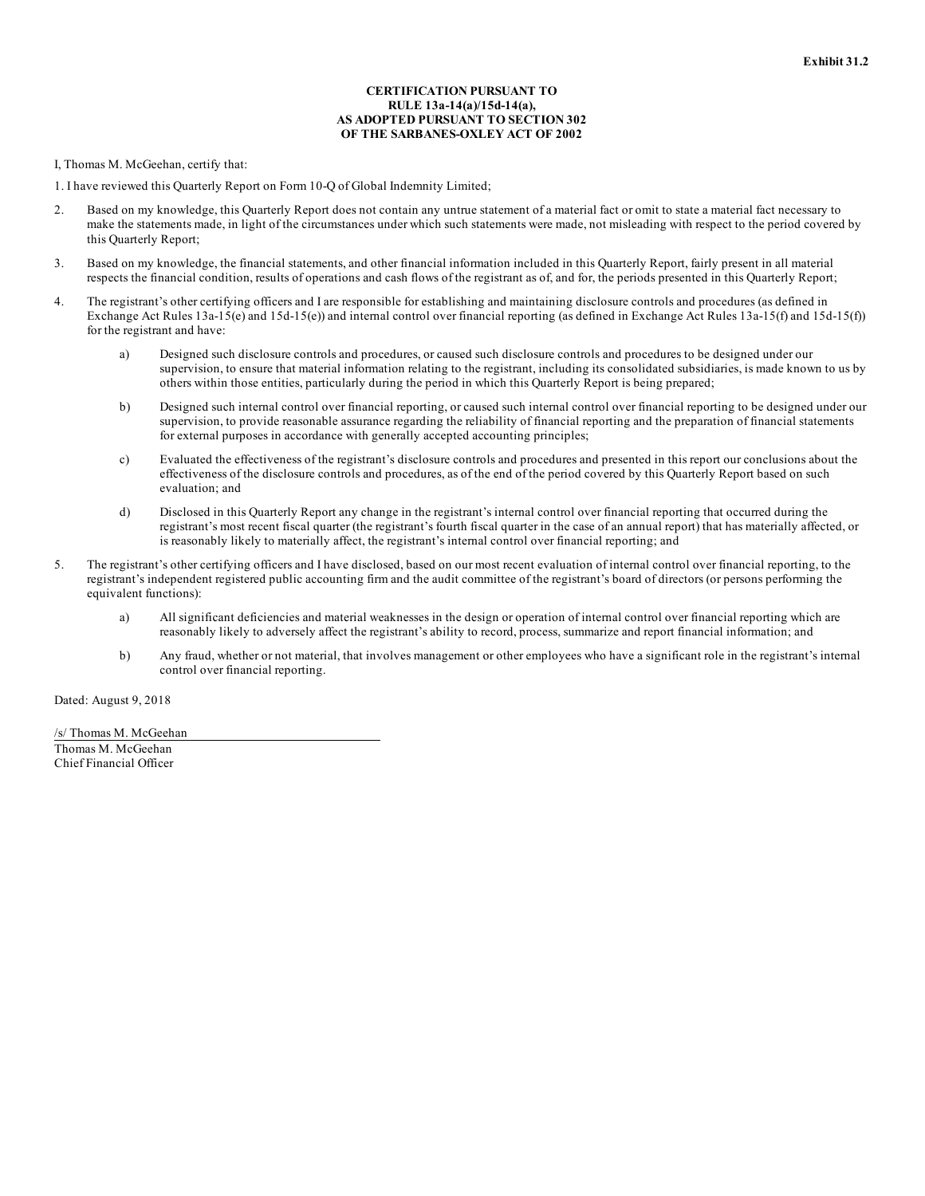## **CERTIFICATION PURSUANT TO RULE 13a-14(a)/15d-14(a), AS ADOPTED PURSUANT TO SECTION 302 OF THE SARBANES-OXLEY ACT OF 2002**

<span id="page-70-0"></span>I, Thomas M. McGeehan, certify that:

1. I have reviewed this Quarterly Report on Form 10-Q of Global Indemnity Limited;

- 2. Based on my knowledge, this Quarterly Report does not contain any untrue statement of a material fact or omit to state a material fact necessary to make the statements made, in light of the circumstances under which such statements were made, not misleading with respect to the period covered by this Quarterly Report;
- 3. Based on my knowledge, the financial statements, and other financial information included in this Quarterly Report, fairly present in all material respects the financial condition, results of operations and cash flows of the registrant as of, and for, the periods presented in this Quarterly Report;
- 4. The registrant's other certifying officers and I are responsible for establishing and maintaining disclosure controls and procedures (as defined in Exchange Act Rules 13a-15(e) and 15d-15(e)) and internal control over financial reporting (as defined in Exchange Act Rules 13a-15(f) and 15d-15(f)) for the registrant and have:
	- a) Designed such disclosure controls and procedures, or caused such disclosure controls and procedures to be designed under our supervision, to ensure that material information relating to the registrant, including its consolidated subsidiaries, is made known to us by others within those entities, particularly during the period in which this Quarterly Report is being prepared;
	- b) Designed such internal control over financial reporting, or caused such internal control over financial reporting to be designed under our supervision, to provide reasonable assurance regarding the reliability of financial reporting and the preparation of financial statements for external purposes in accordance with generally accepted accounting principles;
	- c) Evaluated the effectiveness of the registrant's disclosure controls and procedures and presented in this report our conclusions about the effectiveness of the disclosure controls and procedures, as of the end of the period covered by this Quarterly Report based on such evaluation; and
	- d) Disclosed in this Quarterly Report any change in the registrant's internal control over financial reporting that occurred during the registrant's most recent fiscal quarter (the registrant's fourth fiscal quarter in the case of an annual report) that has materially affected, or is reasonably likely to materially affect, the registrant's internal control over financial reporting; and
- 5. The registrant's other certifying officers and I have disclosed, based on our most recent evaluation of internal control over financial reporting, to the registrant's independent registered public accounting firm and the audit committee of the registrant's board of directors (or persons performing the equivalent functions):
	- a) All significant deficiencies and material weaknesses in the design or operation of internal control over financial reporting which are reasonably likely to adversely affect the registrant's ability to record, process, summarize and report financial information; and
	- b) Any fraud, whether or not material, that involves management or other employees who have a significant role in the registrant's internal control over financial reporting.

Dated: August 9, 2018

/s/ Thomas M. McGeehan Thomas M. McGeehan Chief Financial Officer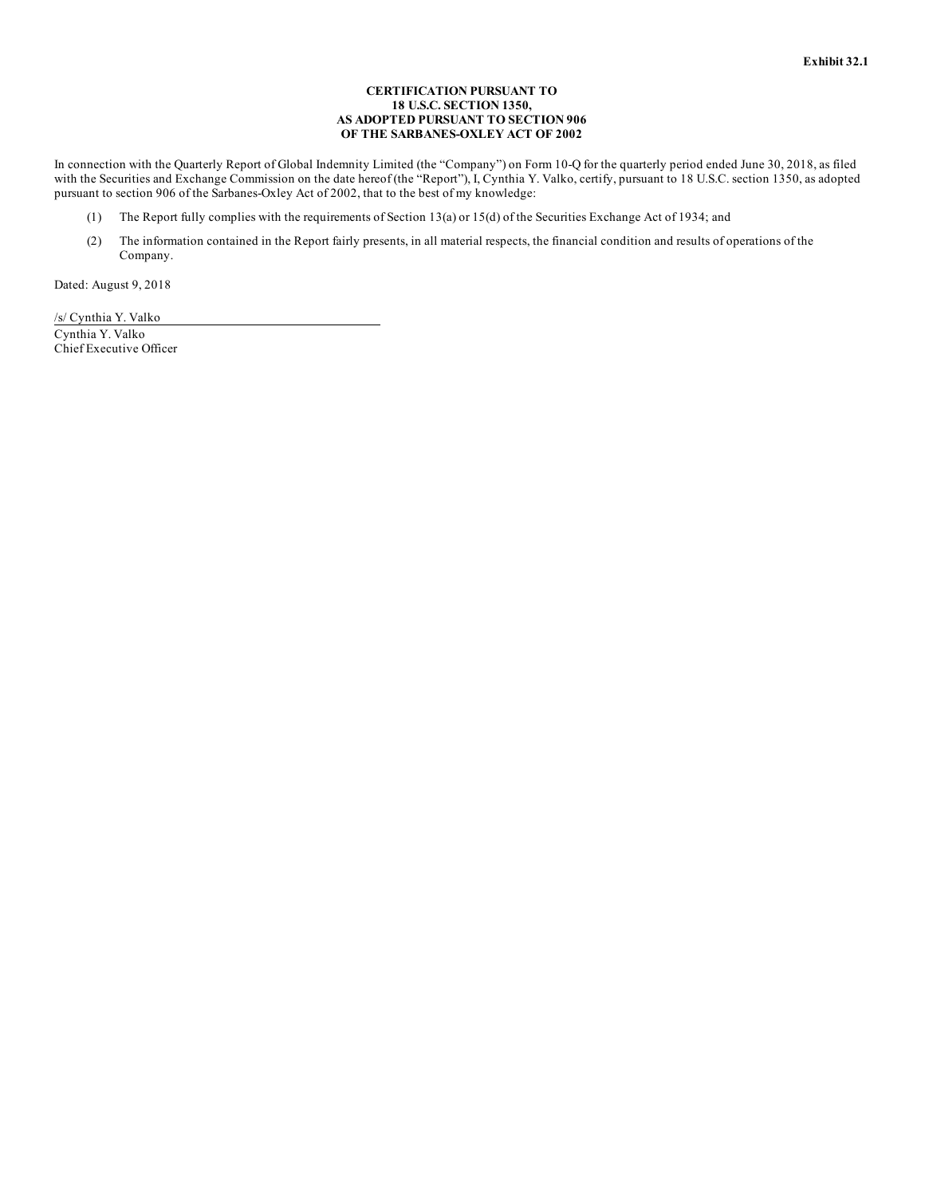### **CERTIFICATION PURSUANT TO 18 U.S.C. SECTION 1350, AS ADOPTED PURSUANT TO SECTION 906 OF THE SARBANES-OXLEY ACT OF 2002**

<span id="page-71-0"></span>In connection with the Quarterly Report of Global Indemnity Limited (the "Company") on Form 10-Q for the quarterly period ended June 30, 2018, as filed with the Securities and Exchange Commission on the date hereof (the "Report"), I, Cynthia Y. Valko, certify, pursuant to 18 U.S.C. section 1350, as adopted pursuant to section 906 of the Sarbanes-Oxley Act of 2002, that to the best of my knowledge:

- (1) The Report fully complies with the requirements of Section 13(a) or 15(d) of the Securities Exchange Act of 1934; and
- (2) The information contained in the Report fairly presents, in all material respects, the financial condition and results of operations of the Company.

Dated: August 9, 2018

/s/ Cynthia Y. Valko

Cynthia Y. Valko Chief Executive Officer